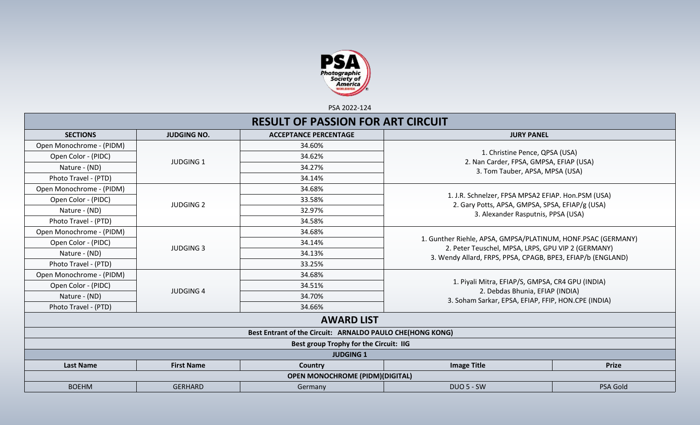

PSA 2022-124

|                          |                    | <b>RESULT OF PASSION FOR ART CIRCUIT</b>                  |                                                                                                                                             |              |  |
|--------------------------|--------------------|-----------------------------------------------------------|---------------------------------------------------------------------------------------------------------------------------------------------|--------------|--|
| <b>SECTIONS</b>          | <b>JUDGING NO.</b> | <b>ACCEPTANCE PERCENTAGE</b>                              | <b>JURY PANEL</b>                                                                                                                           |              |  |
| Open Monochrome - (PIDM) |                    | 34.60%                                                    |                                                                                                                                             |              |  |
| Open Color - (PIDC)      | <b>JUDGING 1</b>   | 34.62%                                                    | 1. Christine Pence, QPSA (USA)                                                                                                              |              |  |
| Nature - (ND)            |                    | 34.27%                                                    | 2. Nan Carder, FPSA, GMPSA, EFIAP (USA)<br>3. Tom Tauber, APSA, MPSA (USA)                                                                  |              |  |
| Photo Travel - (PTD)     |                    | 34.14%                                                    |                                                                                                                                             |              |  |
| Open Monochrome - (PIDM) |                    | 34.68%                                                    |                                                                                                                                             |              |  |
| Open Color - (PIDC)      |                    | 33.58%                                                    | 1. J.R. Schnelzer, FPSA MPSA2 EFIAP. Hon.PSM (USA)<br>2. Gary Potts, APSA, GMPSA, SPSA, EFIAP/g (USA)<br>3. Alexander Rasputnis, PPSA (USA) |              |  |
| Nature - (ND)            | <b>JUDGING 2</b>   | 32.97%                                                    |                                                                                                                                             |              |  |
| Photo Travel - (PTD)     |                    | 34.58%                                                    |                                                                                                                                             |              |  |
| Open Monochrome - (PIDM) |                    | 34.68%                                                    |                                                                                                                                             |              |  |
| Open Color - (PIDC)      | <b>JUDGING 3</b>   | 34.14%                                                    | 1. Gunther Riehle, APSA, GMPSA/PLATINUM, HONF.PSAC (GERMANY)                                                                                |              |  |
| Nature - (ND)            |                    | 34.13%                                                    | 2. Peter Teuschel, MPSA, LRPS, GPU VIP 2 (GERMANY)<br>3. Wendy Allard, FRPS, PPSA, CPAGB, BPE3, EFIAP/b (ENGLAND)                           |              |  |
| Photo Travel - (PTD)     |                    | 33.25%                                                    |                                                                                                                                             |              |  |
| Open Monochrome - (PIDM) |                    | 34.68%                                                    |                                                                                                                                             |              |  |
| Open Color - (PIDC)      | <b>JUDGING 4</b>   | 34.51%                                                    | 1. Piyali Mitra, EFIAP/S, GMPSA, CR4 GPU (INDIA)<br>2. Debdas Bhunia, EFIAP (INDIA)                                                         |              |  |
| Nature - (ND)            |                    | 34.70%                                                    | 3. Soham Sarkar, EPSA, EFIAP, FFIP, HON.CPE (INDIA)                                                                                         |              |  |
| Photo Travel - (PTD)     |                    | 34.66%                                                    |                                                                                                                                             |              |  |
|                          |                    | <b>AWARD LIST</b>                                         |                                                                                                                                             |              |  |
|                          |                    | Best Entrant of the Circuit: ARNALDO PAULO CHE(HONG KONG) |                                                                                                                                             |              |  |
|                          |                    | Best group Trophy for the Circuit: IIG                    |                                                                                                                                             |              |  |
|                          |                    | <b>JUDGING 1</b>                                          |                                                                                                                                             |              |  |
| <b>Last Name</b>         | <b>First Name</b>  | Country                                                   | <b>Image Title</b>                                                                                                                          | <b>Prize</b> |  |
|                          |                    | <b>OPEN MONOCHROME (PIDM)(DIGITAL)</b>                    |                                                                                                                                             |              |  |
| <b>BOEHM</b>             | <b>GERHARD</b>     | Germany                                                   | <b>DUO 5 - SW</b>                                                                                                                           | PSA Gold     |  |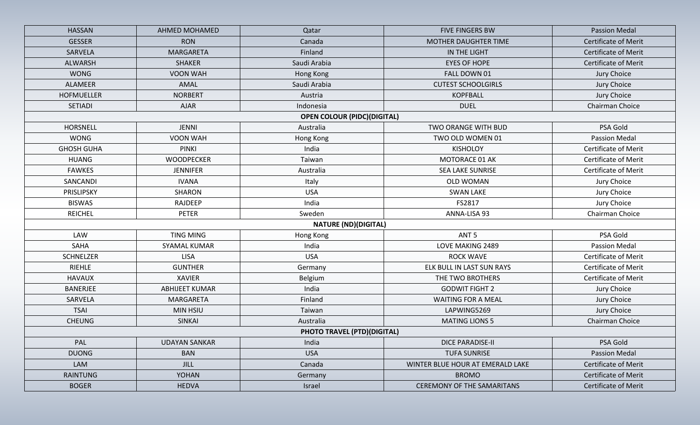| <b>HASSAN</b>     | <b>AHMED MOHAMED</b>  | Qatar                              | <b>FIVE FINGERS BW</b>           | <b>Passion Medal</b>        |
|-------------------|-----------------------|------------------------------------|----------------------------------|-----------------------------|
| <b>GESSER</b>     | <b>RON</b>            | Canada                             | <b>MOTHER DAUGHTER TIME</b>      | <b>Certificate of Merit</b> |
| SARVELA           | MARGARETA             | Finland                            | IN THE LIGHT                     | <b>Certificate of Merit</b> |
| <b>ALWARSH</b>    | <b>SHAKER</b>         | Saudi Arabia                       | <b>EYES OF HOPE</b>              | <b>Certificate of Merit</b> |
| <b>WONG</b>       | VOON WAH              | Hong Kong                          | FALL DOWN 01                     | Jury Choice                 |
| ALAMEER           | AMAL                  | Saudi Arabia                       | <b>CUTEST SCHOOLGIRLS</b>        | Jury Choice                 |
| <b>HOFMUELLER</b> | <b>NORBERT</b>        | Austria                            | <b>KOPFBALL</b>                  | Jury Choice                 |
| SETIADI           | <b>AJAR</b>           | Indonesia                          | <b>DUEL</b>                      | Chairman Choice             |
|                   |                       | <b>OPEN COLOUR (PIDC)(DIGITAL)</b> |                                  |                             |
| <b>HORSNELL</b>   | <b>JENNI</b>          | Australia                          | <b>TWO ORANGE WITH BUD</b>       | PSA Gold                    |
| <b>WONG</b>       | VOON WAH              | Hong Kong                          | TWO OLD WOMEN 01                 | <b>Passion Medal</b>        |
| <b>GHOSH GUHA</b> | <b>PINKI</b>          | India                              | <b>KISHOLOY</b>                  | <b>Certificate of Merit</b> |
| <b>HUANG</b>      | <b>WOODPECKER</b>     | Taiwan                             | MOTORACE 01 AK                   | <b>Certificate of Merit</b> |
| <b>FAWKES</b>     | <b>JENNIFER</b>       | Australia                          | <b>SEA LAKE SUNRISE</b>          | <b>Certificate of Merit</b> |
| SANCANDI          | <b>IVANA</b>          | Italy                              | <b>OLD WOMAN</b>                 | Jury Choice                 |
| PRISLIPSKY        | SHARON                | <b>USA</b>                         | <b>SWAN LAKE</b>                 | Jury Choice                 |
| <b>BISWAS</b>     | RAJDEEP               | India                              | FS2817                           | Jury Choice                 |
| <b>REICHEL</b>    | PETER                 | Sweden                             | ANNA-LISA 93                     | Chairman Choice             |
|                   |                       | <b>NATURE (ND)(DIGITAL)</b>        |                                  |                             |
| LAW               | <b>TING MING</b>      | Hong Kong                          | ANT <sub>5</sub>                 | PSA Gold                    |
| SAHA              | <b>SYAMAL KUMAR</b>   | India                              | LOVE MAKING 2489                 | Passion Medal               |
| <b>SCHNELZER</b>  | <b>LISA</b>           | <b>USA</b>                         | <b>ROCK WAVE</b>                 | <b>Certificate of Merit</b> |
| <b>RIEHLE</b>     | <b>GUNTHER</b>        | Germany                            | ELK BULL IN LAST SUN RAYS        | <b>Certificate of Merit</b> |
| <b>HAVAUX</b>     | <b>XAVIER</b>         | Belgium                            | THE TWO BROTHERS                 | <b>Certificate of Merit</b> |
| <b>BANERJEE</b>   | <b>ABHIJEET KUMAR</b> | India                              | <b>GODWIT FIGHT 2</b>            | Jury Choice                 |
| SARVELA           | MARGARETA             | Finland                            | <b>WAITING FOR A MEAL</b>        | Jury Choice                 |
| <b>TSAI</b>       | <b>MIN HSIU</b>       | Taiwan                             | LAPWING5269                      | Jury Choice                 |
| <b>CHEUNG</b>     | <b>SINKAI</b>         | Australia                          | <b>MATING LIONS 5</b>            | Chairman Choice             |
|                   |                       | <b>PHOTO TRAVEL (PTD)(DIGITAL)</b> |                                  |                             |
| PAL               | <b>UDAYAN SANKAR</b>  | India                              | <b>DICE PARADISE-II</b>          | PSA Gold                    |
| <b>DUONG</b>      | <b>BAN</b>            | <b>USA</b>                         | <b>TUFA SUNRISE</b>              | <b>Passion Medal</b>        |
| LAM               | <b>JILL</b>           | Canada                             | WINTER BLUE HOUR AT EMERALD LAKE | <b>Certificate of Merit</b> |
| <b>RAINTUNG</b>   | YOHAN                 | Germany                            | <b>BROMO</b>                     | <b>Certificate of Merit</b> |
| <b>BOGER</b>      |                       |                                    |                                  |                             |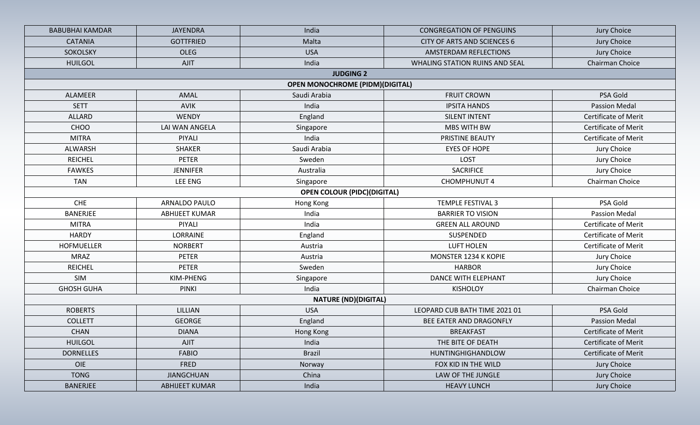| <b>BABUBHAI KAMDAR</b> | <b>JAYENDRA</b>       | India                                  | <b>CONGREGATION OF PENGUINS</b>    | Jury Choice                                                |  |
|------------------------|-----------------------|----------------------------------------|------------------------------------|------------------------------------------------------------|--|
| <b>CATANIA</b>         | <b>GOTTFRIED</b>      | Malta                                  | <b>CITY OF ARTS AND SCIENCES 6</b> | Jury Choice                                                |  |
| SOKOLSKY               | <b>OLEG</b>           | <b>USA</b>                             | AMSTERDAM REFLECTIONS              | Jury Choice                                                |  |
| <b>HUILGOL</b>         | <b>AJIT</b>           | India                                  | WHALING STATION RUINS AND SEAL     | Chairman Choice                                            |  |
|                        |                       | <b>JUDGING 2</b>                       |                                    |                                                            |  |
|                        |                       | <b>OPEN MONOCHROME (PIDM)(DIGITAL)</b> |                                    |                                                            |  |
| <b>ALAMEER</b>         | AMAL                  | Saudi Arabia                           | <b>FRUIT CROWN</b>                 | PSA Gold                                                   |  |
| <b>SETT</b>            | <b>AVIK</b>           | India                                  | <b>IPSITA HANDS</b>                | <b>Passion Medal</b>                                       |  |
| <b>ALLARD</b>          | <b>WENDY</b>          | England                                | <b>SILENT INTENT</b>               | <b>Certificate of Merit</b>                                |  |
| CHOO                   | LAI WAN ANGELA        | Singapore                              | <b>MBS WITH BW</b>                 | <b>Certificate of Merit</b>                                |  |
| <b>MITRA</b>           | PIYALI                | India                                  | PRISTINE BEAUTY                    | <b>Certificate of Merit</b>                                |  |
| ALWARSH                | <b>SHAKER</b>         | Saudi Arabia                           | <b>EYES OF HOPE</b>                | Jury Choice                                                |  |
| <b>REICHEL</b>         | <b>PETER</b>          | Sweden                                 | LOST                               | Jury Choice                                                |  |
| <b>FAWKES</b>          | <b>JENNIFER</b>       | Australia                              | <b>SACRIFICE</b>                   | Jury Choice                                                |  |
| <b>TAN</b>             | LEE ENG               | Singapore                              | <b>CHOMPHUNUT 4</b>                | Chairman Choice                                            |  |
|                        |                       | <b>OPEN COLOUR (PIDC)(DIGITAL)</b>     |                                    |                                                            |  |
| <b>CHE</b>             | <b>ARNALDO PAULO</b>  | Hong Kong                              | <b>TEMPLE FESTIVAL 3</b>           | PSA Gold                                                   |  |
| <b>BANERJEE</b>        | <b>ABHIJEET KUMAR</b> | India                                  | <b>BARRIER TO VISION</b>           | <b>Passion Medal</b>                                       |  |
| <b>MITRA</b>           | PIYALI                | India                                  | <b>GREEN ALL AROUND</b>            | Certificate of Merit                                       |  |
| <b>HARDY</b>           | LORRAINE              | England                                | SUSPENDED                          | <b>Certificate of Merit</b><br><b>Certificate of Merit</b> |  |
| <b>HOFMUELLER</b>      | <b>NORBERT</b>        | Austria                                | <b>LUFT HOLEN</b>                  |                                                            |  |
| <b>MRAZ</b>            | <b>PETER</b>          | Austria                                | MONSTER 1234 K KOPIE               | Jury Choice                                                |  |
| <b>REICHEL</b>         | <b>PETER</b>          | Sweden                                 | <b>HARBOR</b>                      | Jury Choice                                                |  |
| SIM                    | KIM-PHENG             | Singapore                              | <b>DANCE WITH ELEPHANT</b>         | Jury Choice                                                |  |
| <b>GHOSH GUHA</b>      | <b>PINKI</b>          | India                                  | <b>KISHOLOY</b>                    | Chairman Choice                                            |  |
|                        |                       | <b>NATURE (ND)(DIGITAL)</b>            |                                    |                                                            |  |
| <b>ROBERTS</b>         | LILLIAN               | <b>USA</b>                             | LEOPARD CUB BATH TIME 2021 01      | PSA Gold                                                   |  |
| <b>COLLETT</b>         | <b>GEORGE</b>         | England                                | BEE EATER AND DRAGONFLY            | <b>Passion Medal</b>                                       |  |
| <b>CHAN</b>            | <b>DIANA</b>          | Hong Kong                              | <b>BREAKFAST</b>                   | <b>Certificate of Merit</b>                                |  |
| <b>HUILGOL</b>         | <b>AJIT</b>           | India                                  | THE BITE OF DEATH                  | <b>Certificate of Merit</b>                                |  |
| <b>DORNELLES</b>       | <b>FABIO</b>          | <b>Brazil</b>                          | HUNTINGHIGHANDLOW                  | Certificate of Merit                                       |  |
| OIE                    | FRED                  | Norway                                 | FOX KID IN THE WILD                | Jury Choice                                                |  |
| <b>TONG</b>            | <b>JIANGCHUAN</b>     | China                                  | LAW OF THE JUNGLE                  | Jury Choice                                                |  |
| <b>BANERJEE</b>        | <b>ABHIJEET KUMAR</b> | India                                  | <b>HEAVY LUNCH</b>                 | Jury Choice                                                |  |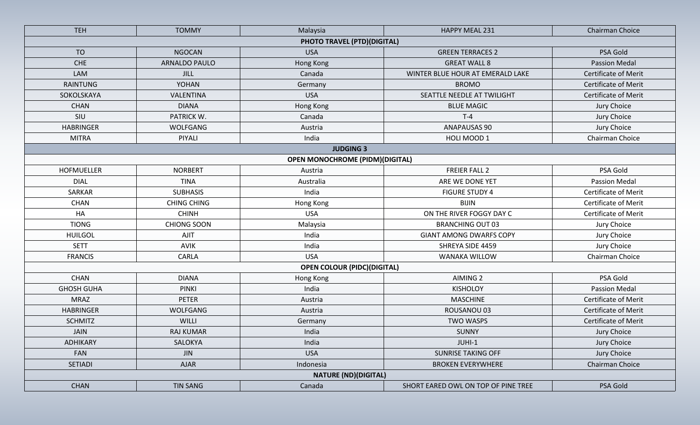| <b>TEH</b>        | <b>TOMMY</b>       | Malaysia                               | HAPPY MEAL 231                      | Chairman Choice             |
|-------------------|--------------------|----------------------------------------|-------------------------------------|-----------------------------|
|                   |                    | PHOTO TRAVEL (PTD)(DIGITAL)            |                                     |                             |
| <b>TO</b>         | <b>NGOCAN</b>      | <b>USA</b>                             | <b>GREEN TERRACES 2</b>             | PSA Gold                    |
| <b>CHE</b>        | ARNALDO PAULO      | Hong Kong                              | <b>GREAT WALL 8</b>                 | <b>Passion Medal</b>        |
| <b>LAM</b>        | <b>JILL</b>        | Canada                                 | WINTER BLUE HOUR AT EMERALD LAKE    | <b>Certificate of Merit</b> |
| <b>RAINTUNG</b>   | <b>YOHAN</b>       | Germany                                | <b>BROMO</b>                        | <b>Certificate of Merit</b> |
| SOKOLSKAYA        | VALENTINA          | <b>USA</b>                             | SEATTLE NEEDLE AT TWILIGHT          | <b>Certificate of Merit</b> |
| <b>CHAN</b>       | <b>DIANA</b>       | Hong Kong                              | <b>BLUE MAGIC</b>                   | Jury Choice                 |
| SIU               | PATRICK W.         | Canada                                 | $T-4$                               | Jury Choice                 |
| <b>HABRINGER</b>  | WOLFGANG           | Austria                                | <b>ANAPAUSAS 90</b>                 | Jury Choice                 |
| <b>MITRA</b>      | PIYALI             | India                                  | HOLI MOOD 1                         | Chairman Choice             |
|                   |                    | <b>JUDGING 3</b>                       |                                     |                             |
|                   |                    | <b>OPEN MONOCHROME (PIDM)(DIGITAL)</b> |                                     |                             |
| <b>HOFMUELLER</b> | <b>NORBERT</b>     | Austria                                | <b>FREIER FALL 2</b>                | PSA Gold                    |
| <b>DIAL</b>       | <b>TINA</b>        | Australia                              | ARE WE DONE YET                     | <b>Passion Medal</b>        |
| SARKAR            | <b>SUBHASIS</b>    | India                                  | <b>FIGURE STUDY 4</b>               | <b>Certificate of Merit</b> |
| <b>CHAN</b>       | <b>CHING CHING</b> | Hong Kong                              | <b>BIJIN</b>                        | <b>Certificate of Merit</b> |
| HA                | <b>CHINH</b>       | <b>USA</b>                             | ON THE RIVER FOGGY DAY C            | Certificate of Merit        |
| <b>TIONG</b>      | <b>CHIONG SOON</b> | Malaysia                               | <b>BRANCHING OUT 03</b>             | Jury Choice                 |
| <b>HUILGOL</b>    | <b>AJIT</b>        | India                                  | <b>GIANT AMONG DWARFS COPY</b>      | Jury Choice                 |
| <b>SETT</b>       | <b>AVIK</b>        | India                                  | SHREYA SIDE 4459                    | Jury Choice                 |
| <b>FRANCIS</b>    | <b>CARLA</b>       | <b>USA</b>                             | WANAKA WILLOW                       | Chairman Choice             |
|                   |                    | <b>OPEN COLOUR (PIDC)(DIGITAL)</b>     |                                     |                             |
| <b>CHAN</b>       | <b>DIANA</b>       | Hong Kong                              | AIMING <sub>2</sub>                 | PSA Gold                    |
| <b>GHOSH GUHA</b> | <b>PINKI</b>       | India                                  | <b>KISHOLOY</b>                     | <b>Passion Medal</b>        |
| <b>MRAZ</b>       | <b>PETER</b>       | Austria                                | <b>MASCHINE</b>                     | <b>Certificate of Merit</b> |
| <b>HABRINGER</b>  | <b>WOLFGANG</b>    | Austria                                | ROUSANOU 03                         | Certificate of Merit        |
| <b>SCHMITZ</b>    | WILLI              | Germany                                | <b>TWO WASPS</b>                    | <b>Certificate of Merit</b> |
| <b>JAIN</b>       | <b>RAJ KUMAR</b>   | India                                  | <b>SUNNY</b>                        | Jury Choice                 |
| ADHIKARY          | SALOKYA            | India                                  | JUHI-1                              | Jury Choice                 |
| FAN               | <b>JIN</b>         | <b>USA</b>                             | <b>SUNRISE TAKING OFF</b>           | Jury Choice                 |
| <b>SETIADI</b>    | <b>AJAR</b>        | Indonesia                              | <b>BROKEN EVERYWHERE</b>            | Chairman Choice             |
|                   |                    | <b>NATURE (ND)(DIGITAL)</b>            |                                     |                             |
| <b>CHAN</b>       | <b>TIN SANG</b>    | Canada                                 | SHORT EARED OWL ON TOP OF PINE TREE | PSA Gold                    |
|                   |                    |                                        |                                     |                             |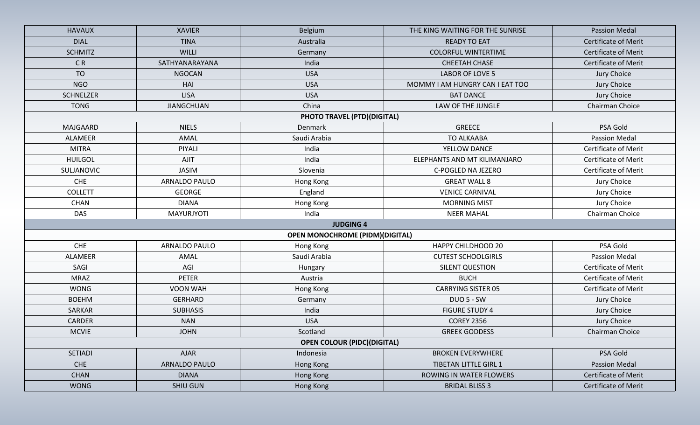| <b>HAVAUX</b>    | <b>XAVIER</b>     | Belgium                                | THE KING WAITING FOR THE SUNRISE | <b>Passion Medal</b>        |
|------------------|-------------------|----------------------------------------|----------------------------------|-----------------------------|
| <b>DIAL</b>      | <b>TINA</b>       | Australia                              | <b>READY TO EAT</b>              | <b>Certificate of Merit</b> |
| <b>SCHMITZ</b>   | WILLI             | Germany                                | <b>COLORFUL WINTERTIME</b>       | <b>Certificate of Merit</b> |
| CR               | SATHYANARAYANA    | India                                  | <b>CHEETAH CHASE</b>             | <b>Certificate of Merit</b> |
| <b>TO</b>        | <b>NGOCAN</b>     | <b>USA</b>                             | <b>LABOR OF LOVE 5</b>           | Jury Choice                 |
| <b>NGO</b>       | HAI               | <b>USA</b>                             | MOMMY I AM HUNGRY CAN I EAT TOO  | Jury Choice                 |
| <b>SCHNELZER</b> | <b>LISA</b>       | <b>USA</b>                             | <b>BAT DANCE</b>                 | Jury Choice                 |
| <b>TONG</b>      | <b>JIANGCHUAN</b> | China                                  | LAW OF THE JUNGLE                | Chairman Choice             |
|                  |                   | PHOTO TRAVEL (PTD)(DIGITAL)            |                                  |                             |
| MAJGAARD         | <b>NIELS</b>      | Denmark                                | <b>GREECE</b>                    | PSA Gold                    |
| <b>ALAMEER</b>   | AMAL              | Saudi Arabia                           | TO ALKAABA                       | <b>Passion Medal</b>        |
| <b>MITRA</b>     | PIYALI            | India                                  | YELLOW DANCE                     | <b>Certificate of Merit</b> |
| <b>HUILGOL</b>   | AJIT              | India                                  | ELEPHANTS AND MT KILIMANJARO     | <b>Certificate of Merit</b> |
| SULJANOVIC       | <b>JASIM</b>      | Slovenia                               | C-POGLED NA JEZERO               | <b>Certificate of Merit</b> |
| <b>CHE</b>       | ARNALDO PAULO     | Hong Kong                              | <b>GREAT WALL 8</b>              | Jury Choice                 |
| <b>COLLETT</b>   | <b>GEORGE</b>     | England                                | <b>VENICE CARNIVAL</b>           | Jury Choice                 |
| <b>CHAN</b>      | <b>DIANA</b>      | Hong Kong                              | <b>MORNING MIST</b>              | Jury Choice                 |
| <b>DAS</b>       | <b>MAYURJYOTI</b> | India                                  | <b>NEER MAHAL</b>                | Chairman Choice             |
|                  |                   | <b>JUDGING 4</b>                       |                                  |                             |
|                  |                   | <b>OPEN MONOCHROME (PIDM)(DIGITAL)</b> |                                  |                             |
| CHE              | ARNALDO PAULO     | Hong Kong                              | <b>HAPPY CHILDHOOD 20</b>        | PSA Gold                    |
| ALAMEER          | AMAL              | Saudi Arabia                           | <b>CUTEST SCHOOLGIRLS</b>        | <b>Passion Medal</b>        |
| SAGI             | AGI               | Hungary                                | SILENT QUESTION                  | Certificate of Merit        |
| <b>MRAZ</b>      | <b>PETER</b>      | Austria                                | <b>BUCH</b>                      | <b>Certificate of Merit</b> |
| <b>WONG</b>      | VOON WAH          | Hong Kong                              | <b>CARRYING SISTER 05</b>        | <b>Certificate of Merit</b> |
| <b>BOEHM</b>     | <b>GERHARD</b>    | Germany                                | <b>DUO 5 - SW</b>                | Jury Choice                 |
| SARKAR           | <b>SUBHASIS</b>   | India                                  | <b>FIGURE STUDY 4</b>            | Jury Choice                 |
| <b>CARDER</b>    | <b>NAN</b>        | <b>USA</b>                             | <b>COREY 2356</b>                | Jury Choice                 |
| <b>MCVIE</b>     | <b>JOHN</b>       | Scotland                               | <b>GREEK GODDESS</b>             | Chairman Choice             |
|                  |                   | <b>OPEN COLOUR (PIDC)(DIGITAL)</b>     |                                  |                             |
| <b>SETIADI</b>   | <b>AJAR</b>       | Indonesia                              | <b>BROKEN EVERYWHERE</b>         | PSA Gold                    |
| <b>CHE</b>       | ARNALDO PAULO     | Hong Kong                              | <b>TIBETAN LITTLE GIRL 1</b>     | <b>Passion Medal</b>        |
| <b>CHAN</b>      | <b>DIANA</b>      | Hong Kong                              | <b>ROWING IN WATER FLOWERS</b>   | <b>Certificate of Merit</b> |
| <b>WONG</b>      | <b>SHIU GUN</b>   | Hong Kong                              | <b>BRIDAL BLISS 3</b>            | Certificate of Merit        |
|                  |                   |                                        |                                  |                             |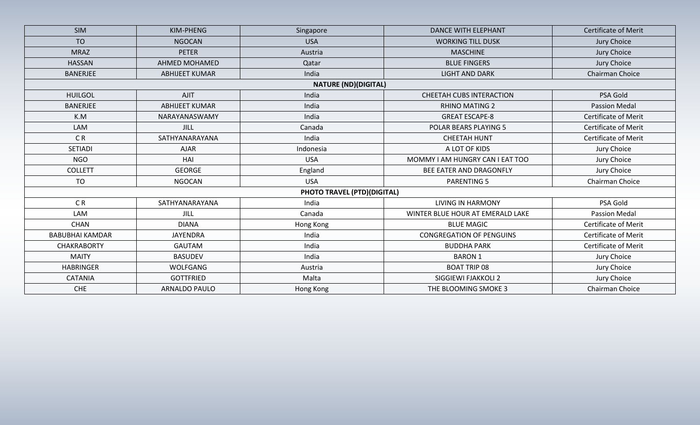| <b>SIM</b>                  | KIM-PHENG             | Singapore                   | <b>DANCE WITH ELEPHANT</b>       | Certificate of Merit        |  |  |  |  |  |
|-----------------------------|-----------------------|-----------------------------|----------------------------------|-----------------------------|--|--|--|--|--|
| <b>TO</b>                   | <b>NGOCAN</b>         | <b>USA</b>                  | <b>WORKING TILL DUSK</b>         | Jury Choice                 |  |  |  |  |  |
| <b>MRAZ</b>                 | <b>PETER</b>          | Austria                     | <b>MASCHINE</b>                  | Jury Choice                 |  |  |  |  |  |
| <b>HASSAN</b>               | <b>AHMED MOHAMED</b>  | Qatar                       | <b>BLUE FINGERS</b>              | Jury Choice                 |  |  |  |  |  |
| <b>BANERJEE</b>             | <b>ABHIJEET KUMAR</b> | India                       | <b>LIGHT AND DARK</b>            | Chairman Choice             |  |  |  |  |  |
| <b>NATURE (ND)(DIGITAL)</b> |                       |                             |                                  |                             |  |  |  |  |  |
| <b>HUILGOL</b>              | <b>AJIT</b>           | India                       | <b>CHEETAH CUBS INTERACTION</b>  | PSA Gold                    |  |  |  |  |  |
| <b>BANERJEE</b>             | <b>ABHIJEET KUMAR</b> | India                       | <b>RHINO MATING 2</b>            | <b>Passion Medal</b>        |  |  |  |  |  |
| K.M                         | NARAYANASWAMY         | India                       | <b>GREAT ESCAPE-8</b>            | <b>Certificate of Merit</b> |  |  |  |  |  |
| LAM                         | <b>JILL</b>           | Canada                      | POLAR BEARS PLAYING 5            | <b>Certificate of Merit</b> |  |  |  |  |  |
| C <sub>R</sub>              | SATHYANARAYANA        | India                       | <b>CHEETAH HUNT</b>              | <b>Certificate of Merit</b> |  |  |  |  |  |
| <b>SETIADI</b>              | <b>AJAR</b>           | Indonesia                   | A LOT OF KIDS                    | Jury Choice                 |  |  |  |  |  |
| <b>NGO</b>                  | HAI                   | <b>USA</b>                  | MOMMY I AM HUNGRY CAN I EAT TOO  | Jury Choice                 |  |  |  |  |  |
| <b>COLLETT</b>              | <b>GEORGE</b>         | England                     | BEE EATER AND DRAGONFLY          | Jury Choice                 |  |  |  |  |  |
| <b>TO</b>                   | <b>NGOCAN</b>         | <b>USA</b>                  | <b>PARENTING 5</b>               | Chairman Choice             |  |  |  |  |  |
|                             |                       | PHOTO TRAVEL (PTD)(DIGITAL) |                                  |                             |  |  |  |  |  |
| C <sub>R</sub>              | SATHYANARAYANA        | India                       | <b>LIVING IN HARMONY</b>         | PSA Gold                    |  |  |  |  |  |
| LAM                         | JILL                  | Canada                      | WINTER BLUE HOUR AT EMERALD LAKE | Passion Medal               |  |  |  |  |  |
| <b>CHAN</b>                 | <b>DIANA</b>          | Hong Kong                   | <b>BLUE MAGIC</b>                | <b>Certificate of Merit</b> |  |  |  |  |  |
| <b>BABUBHAI KAMDAR</b>      | <b>JAYENDRA</b>       | India                       | <b>CONGREGATION OF PENGUINS</b>  | <b>Certificate of Merit</b> |  |  |  |  |  |
| <b>CHAKRABORTY</b>          | <b>GAUTAM</b>         | India                       | <b>BUDDHA PARK</b>               | <b>Certificate of Merit</b> |  |  |  |  |  |
| <b>MAITY</b>                | <b>BASUDEV</b>        | India                       | <b>BARON 1</b>                   | Jury Choice                 |  |  |  |  |  |
| <b>HABRINGER</b>            | <b>WOLFGANG</b>       | Austria                     | <b>BOAT TRIP 08</b>              | Jury Choice                 |  |  |  |  |  |
| <b>CATANIA</b>              | <b>GOTTFRIED</b>      | Malta                       | SIGGIEWI FJAKKOLI 2              | Jury Choice                 |  |  |  |  |  |
| <b>CHE</b>                  | ARNALDO PAULO         | Hong Kong                   | THE BLOOMING SMOKE 3             | Chairman Choice             |  |  |  |  |  |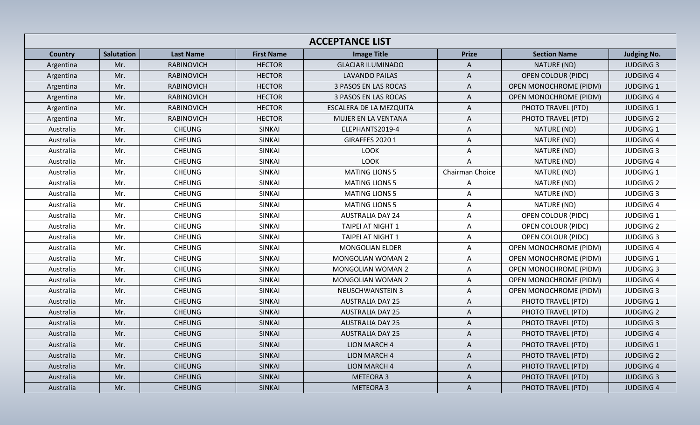| <b>ACCEPTANCE LIST</b> |            |                   |                   |                             |                 |                               |                    |  |  |
|------------------------|------------|-------------------|-------------------|-----------------------------|-----------------|-------------------------------|--------------------|--|--|
| <b>Country</b>         | Salutation | <b>Last Name</b>  | <b>First Name</b> | <b>Image Title</b>          | <b>Prize</b>    | <b>Section Name</b>           | <b>Judging No.</b> |  |  |
| Argentina              | Mr.        | <b>RABINOVICH</b> | <b>HECTOR</b>     | <b>GLACIAR ILUMINADO</b>    | A               | NATURE (ND)                   | <b>JUDGING 3</b>   |  |  |
| Argentina              | Mr.        | <b>RABINOVICH</b> | <b>HECTOR</b>     | <b>LAVANDO PAILAS</b>       | $\mathsf{A}$    | <b>OPEN COLOUR (PIDC)</b>     | <b>JUDGING 4</b>   |  |  |
| Argentina              | Mr.        | <b>RABINOVICH</b> | <b>HECTOR</b>     | <b>3 PASOS EN LAS ROCAS</b> | A               | <b>OPEN MONOCHROME (PIDM)</b> | <b>JUDGING 1</b>   |  |  |
| Argentina              | Mr.        | <b>RABINOVICH</b> | <b>HECTOR</b>     | <b>3 PASOS EN LAS ROCAS</b> | Α               | <b>OPEN MONOCHROME (PIDM)</b> | <b>JUDGING 4</b>   |  |  |
| Argentina              | Mr.        | <b>RABINOVICH</b> | <b>HECTOR</b>     | ESCALERA DE LA MEZQUITA     | Α               | PHOTO TRAVEL (PTD)            | JUDGING 1          |  |  |
| Argentina              | Mr.        | <b>RABINOVICH</b> | <b>HECTOR</b>     | MUJER EN LA VENTANA         | A               | PHOTO TRAVEL (PTD)            | <b>JUDGING 2</b>   |  |  |
| Australia              | Mr.        | <b>CHEUNG</b>     | <b>SINKAI</b>     | ELEPHANTS2019-4             | A               | NATURE (ND)                   | <b>JUDGING 1</b>   |  |  |
| Australia              | Mr.        | <b>CHEUNG</b>     | <b>SINKAI</b>     | <b>GIRAFFES 2020 1</b>      | Α               | NATURE (ND)                   | <b>JUDGING 4</b>   |  |  |
| Australia              | Mr.        | <b>CHEUNG</b>     | <b>SINKAI</b>     | <b>LOOK</b>                 | A               | NATURE (ND)                   | <b>JUDGING 3</b>   |  |  |
| Australia              | Mr.        | <b>CHEUNG</b>     | <b>SINKAI</b>     | <b>LOOK</b>                 | Α               | NATURE (ND)                   | <b>JUDGING 4</b>   |  |  |
| Australia              | Mr.        | <b>CHEUNG</b>     | <b>SINKAI</b>     | <b>MATING LIONS 5</b>       | Chairman Choice | NATURE (ND)                   | <b>JUDGING 1</b>   |  |  |
| Australia              | Mr.        | <b>CHEUNG</b>     | <b>SINKAI</b>     | <b>MATING LIONS 5</b>       | A               | NATURE (ND)                   | <b>JUDGING 2</b>   |  |  |
| Australia              | Mr.        | <b>CHEUNG</b>     | <b>SINKAI</b>     | <b>MATING LIONS 5</b>       | A               | NATURE (ND)                   | <b>JUDGING 3</b>   |  |  |
| Australia              | Mr.        | <b>CHEUNG</b>     | <b>SINKAI</b>     | <b>MATING LIONS 5</b>       | A               | NATURE (ND)                   | <b>JUDGING 4</b>   |  |  |
| Australia              | Mr.        | <b>CHEUNG</b>     | SINKAI            | <b>AUSTRALIA DAY 24</b>     | A               | <b>OPEN COLOUR (PIDC)</b>     | JUDGING 1          |  |  |
| Australia              | Mr.        | <b>CHEUNG</b>     | <b>SINKAI</b>     | <b>TAIPEI AT NIGHT 1</b>    | $\mathsf{A}$    | <b>OPEN COLOUR (PIDC)</b>     | <b>JUDGING 2</b>   |  |  |
| Australia              | Mr.        | <b>CHEUNG</b>     | <b>SINKAI</b>     | <b>TAIPEI AT NIGHT 1</b>    | Α               | <b>OPEN COLOUR (PIDC)</b>     | <b>JUDGING 3</b>   |  |  |
| Australia              | Mr.        | <b>CHEUNG</b>     | <b>SINKAI</b>     | <b>MONGOLIAN ELDER</b>      | A               | <b>OPEN MONOCHROME (PIDM)</b> | <b>JUDGING 4</b>   |  |  |
| Australia              | Mr.        | <b>CHEUNG</b>     | <b>SINKAI</b>     | <b>MONGOLIAN WOMAN 2</b>    | Α               | <b>OPEN MONOCHROME (PIDM)</b> | <b>JUDGING 1</b>   |  |  |
| Australia              | Mr.        | <b>CHEUNG</b>     | <b>SINKAI</b>     | <b>MONGOLIAN WOMAN 2</b>    | Α               | <b>OPEN MONOCHROME (PIDM)</b> | <b>JUDGING 3</b>   |  |  |
| Australia              | Mr.        | <b>CHEUNG</b>     | <b>SINKAI</b>     | <b>MONGOLIAN WOMAN 2</b>    | A               | <b>OPEN MONOCHROME (PIDM)</b> | <b>JUDGING 4</b>   |  |  |
| Australia              | Mr.        | <b>CHEUNG</b>     | SINKAI            | <b>NEUSCHWANSTEIN 3</b>     | A               | <b>OPEN MONOCHROME (PIDM)</b> | <b>JUDGING 3</b>   |  |  |
| Australia              | Mr.        | <b>CHEUNG</b>     | <b>SINKAI</b>     | <b>AUSTRALIA DAY 25</b>     | A               | PHOTO TRAVEL (PTD)            | JUDGING 1          |  |  |
| Australia              | Mr.        | <b>CHEUNG</b>     | <b>SINKAI</b>     | <b>AUSTRALIA DAY 25</b>     | A               | PHOTO TRAVEL (PTD)            | <b>JUDGING 2</b>   |  |  |
| Australia              | Mr.        | <b>CHEUNG</b>     | <b>SINKAI</b>     | <b>AUSTRALIA DAY 25</b>     | A               | PHOTO TRAVEL (PTD)            | <b>JUDGING 3</b>   |  |  |
| Australia              | Mr.        | <b>CHEUNG</b>     | <b>SINKAI</b>     | <b>AUSTRALIA DAY 25</b>     | A               | PHOTO TRAVEL (PTD)            | <b>JUDGING 4</b>   |  |  |
| Australia              | Mr.        | <b>CHEUNG</b>     | <b>SINKAI</b>     | <b>LION MARCH 4</b>         | A               | PHOTO TRAVEL (PTD)            | <b>JUDGING 1</b>   |  |  |
| Australia              | Mr.        | <b>CHEUNG</b>     | <b>SINKAI</b>     | <b>LION MARCH 4</b>         | A               | PHOTO TRAVEL (PTD)            | <b>JUDGING 2</b>   |  |  |
| Australia              | Mr.        | <b>CHEUNG</b>     | <b>SINKAI</b>     | <b>LION MARCH 4</b>         | $\mathsf{A}$    | PHOTO TRAVEL (PTD)            | <b>JUDGING 4</b>   |  |  |
| Australia              | Mr.        | <b>CHEUNG</b>     | <b>SINKAI</b>     | <b>METEORA 3</b>            | A               | PHOTO TRAVEL (PTD)            | <b>JUDGING 3</b>   |  |  |
| Australia              | Mr.        | <b>CHEUNG</b>     | <b>SINKAI</b>     | <b>METEORA 3</b>            | $\mathsf A$     | PHOTO TRAVEL (PTD)            | <b>JUDGING 4</b>   |  |  |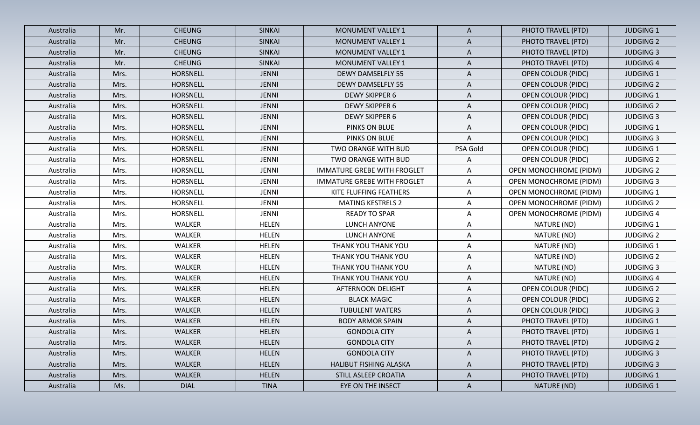| Australia | Mr.  | <b>CHEUNG</b>   | <b>SINKAI</b> | <b>MONUMENT VALLEY 1</b>           | $\mathsf{A}$ | PHOTO TRAVEL (PTD)            | <b>JUDGING 1</b> |
|-----------|------|-----------------|---------------|------------------------------------|--------------|-------------------------------|------------------|
| Australia | Mr.  | <b>CHEUNG</b>   | <b>SINKAI</b> | <b>MONUMENT VALLEY 1</b>           | $\mathsf{A}$ | PHOTO TRAVEL (PTD)            | <b>JUDGING 2</b> |
| Australia | Mr.  | <b>CHEUNG</b>   | <b>SINKAI</b> | <b>MONUMENT VALLEY 1</b>           | $\mathsf{A}$ | PHOTO TRAVEL (PTD)            | <b>JUDGING 3</b> |
| Australia | Mr.  | <b>CHEUNG</b>   | <b>SINKAI</b> | <b>MONUMENT VALLEY 1</b>           | A            | PHOTO TRAVEL (PTD)            | <b>JUDGING 4</b> |
| Australia | Mrs. | <b>HORSNELL</b> | <b>JENNI</b>  | <b>DEWY DAMSELFLY 55</b>           | A            | <b>OPEN COLOUR (PIDC)</b>     | <b>JUDGING 1</b> |
| Australia | Mrs. | <b>HORSNELL</b> | <b>JENNI</b>  | <b>DEWY DAMSELFLY 55</b>           | A            | <b>OPEN COLOUR (PIDC)</b>     | <b>JUDGING 2</b> |
| Australia | Mrs. | HORSNELL        | <b>JENNI</b>  | <b>DEWY SKIPPER 6</b>              | $\mathsf{A}$ | <b>OPEN COLOUR (PIDC)</b>     | <b>JUDGING 1</b> |
| Australia | Mrs. | <b>HORSNELL</b> | <b>JENNI</b>  | <b>DEWY SKIPPER 6</b>              | A            | <b>OPEN COLOUR (PIDC)</b>     | <b>JUDGING 2</b> |
| Australia | Mrs. | <b>HORSNELL</b> | <b>JENNI</b>  | <b>DEWY SKIPPER 6</b>              | A            | <b>OPEN COLOUR (PIDC)</b>     | <b>JUDGING 3</b> |
| Australia | Mrs. | <b>HORSNELL</b> | <b>JENNI</b>  | PINKS ON BLUE                      | Α            | <b>OPEN COLOUR (PIDC)</b>     | <b>JUDGING 1</b> |
| Australia | Mrs. | <b>HORSNELL</b> | <b>JENNI</b>  | PINKS ON BLUE                      | A            | <b>OPEN COLOUR (PIDC)</b>     | <b>JUDGING 3</b> |
| Australia | Mrs. | HORSNELL        | <b>JENNI</b>  | TWO ORANGE WITH BUD                | PSA Gold     | <b>OPEN COLOUR (PIDC)</b>     | <b>JUDGING 1</b> |
| Australia | Mrs. | HORSNELL        | <b>JENNI</b>  | TWO ORANGE WITH BUD                | Α            | <b>OPEN COLOUR (PIDC)</b>     | <b>JUDGING 2</b> |
| Australia | Mrs. | HORSNELL        | <b>JENNI</b>  | <b>IMMATURE GREBE WITH FROGLET</b> | A            | OPEN MONOCHROME (PIDM)        | <b>JUDGING 2</b> |
| Australia | Mrs. | HORSNELL        | <b>JENNI</b>  | <b>IMMATURE GREBE WITH FROGLET</b> | A            | <b>OPEN MONOCHROME (PIDM)</b> | <b>JUDGING 3</b> |
| Australia | Mrs. | HORSNELL        | <b>JENNI</b>  | KITE FLUFFING FEATHERS             | A            | <b>OPEN MONOCHROME (PIDM)</b> | <b>JUDGING 1</b> |
| Australia | Mrs. | HORSNELL        | <b>JENNI</b>  | <b>MATING KESTRELS 2</b>           | A            | <b>OPEN MONOCHROME (PIDM)</b> | <b>JUDGING 2</b> |
| Australia | Mrs. | <b>HORSNELL</b> | <b>JENNI</b>  | <b>READY TO SPAR</b>               | A            | <b>OPEN MONOCHROME (PIDM)</b> | <b>JUDGING 4</b> |
| Australia | Mrs. | WALKER          | <b>HELEN</b>  | LUNCH ANYONE                       | A            | NATURE (ND)                   | <b>JUDGING 1</b> |
| Australia | Mrs. | WALKER          | <b>HELEN</b>  | LUNCH ANYONE                       | A            | NATURE (ND)                   | <b>JUDGING 2</b> |
| Australia | Mrs. | WALKER          | <b>HELEN</b>  | THANK YOU THANK YOU                | A            | NATURE (ND)                   | <b>JUDGING 1</b> |
| Australia | Mrs. | WALKER          | <b>HELEN</b>  | THANK YOU THANK YOU                | A            | NATURE (ND)                   | <b>JUDGING 2</b> |
| Australia | Mrs. | <b>WALKER</b>   | <b>HELEN</b>  | THANK YOU THANK YOU                | A            | NATURE (ND)                   | <b>JUDGING 3</b> |
| Australia | Mrs. | WALKER          | <b>HELEN</b>  | THANK YOU THANK YOU                | A            | NATURE (ND)                   | <b>JUDGING 4</b> |
| Australia | Mrs. | WALKER          | <b>HELEN</b>  | <b>AFTERNOON DELIGHT</b>           | A            | <b>OPEN COLOUR (PIDC)</b>     | <b>JUDGING 2</b> |
| Australia | Mrs. | <b>WALKER</b>   | <b>HELEN</b>  | <b>BLACK MAGIC</b>                 | A            | <b>OPEN COLOUR (PIDC)</b>     | <b>JUDGING 2</b> |
| Australia | Mrs. | WALKER          | <b>HELEN</b>  | <b>TUBULENT WATERS</b>             | Α            | <b>OPEN COLOUR (PIDC)</b>     | <b>JUDGING 3</b> |
| Australia | Mrs. | <b>WALKER</b>   | <b>HELEN</b>  | <b>BODY ARMOR SPAIN</b>            | A            | PHOTO TRAVEL (PTD)            | <b>JUDGING 1</b> |
| Australia | Mrs. | WALKER          | <b>HELEN</b>  | <b>GONDOLA CITY</b>                | A            | PHOTO TRAVEL (PTD)            | <b>JUDGING 1</b> |
| Australia | Mrs. | <b>WALKER</b>   | <b>HELEN</b>  | <b>GONDOLA CITY</b>                | A            | PHOTO TRAVEL (PTD)            | <b>JUDGING 2</b> |
| Australia | Mrs. | WALKER          | <b>HELEN</b>  | <b>GONDOLA CITY</b>                | A            | PHOTO TRAVEL (PTD)            | <b>JUDGING 3</b> |
| Australia | Mrs. | <b>WALKER</b>   | <b>HELEN</b>  | HALIBUT FISHING ALASKA             | $\mathsf{A}$ | PHOTO TRAVEL (PTD)            | <b>JUDGING 3</b> |
| Australia | Mrs. | <b>WALKER</b>   | <b>HELEN</b>  | STILL ASLEEP CROATIA               | $\mathsf{A}$ | PHOTO TRAVEL (PTD)            | <b>JUDGING 1</b> |
| Australia | Ms.  | <b>DIAL</b>     | <b>TINA</b>   | EYE ON THE INSECT                  | $\mathsf{A}$ | NATURE (ND)                   | <b>JUDGING 1</b> |
|           |      |                 |               |                                    |              |                               |                  |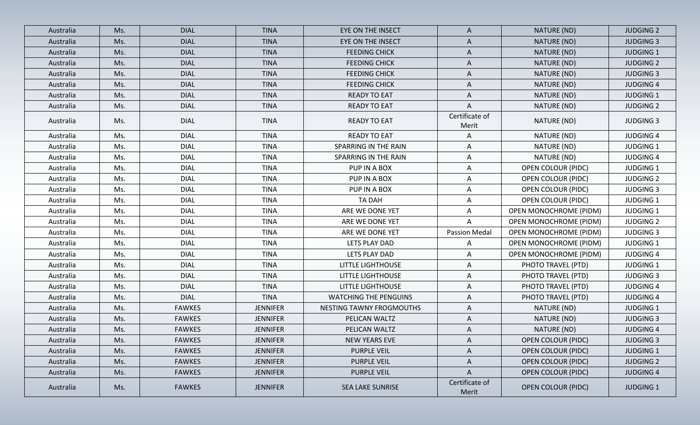| Australia | Ms. | <b>DIAL</b>   | <b>TINA</b>     | EYE ON THE INSECT            | A                       | NATURE (ND)                   | <b>JUDGING 2</b> |
|-----------|-----|---------------|-----------------|------------------------------|-------------------------|-------------------------------|------------------|
| Australia | Ms. | <b>DIAL</b>   | <b>TINA</b>     | EYE ON THE INSECT            | A                       | NATURE (ND)                   | <b>JUDGING 3</b> |
| Australia | Ms. | <b>DIAL</b>   | <b>TINA</b>     | <b>FEEDING CHICK</b>         | A                       | NATURE (ND)                   | <b>JUDGING 1</b> |
| Australia | Ms. | <b>DIAL</b>   | <b>TINA</b>     | <b>FEEDING CHICK</b>         | $\mathsf{A}$            | NATURE (ND)                   | <b>JUDGING 2</b> |
| Australia | Ms. | <b>DIAL</b>   | <b>TINA</b>     | <b>FEEDING CHICK</b>         | A                       | NATURE (ND)                   | <b>JUDGING 3</b> |
| Australia | Ms. | <b>DIAL</b>   | <b>TINA</b>     | <b>FEEDING CHICK</b>         | Α                       | NATURE (ND)                   | <b>JUDGING 4</b> |
| Australia | Ms. | <b>DIAL</b>   | <b>TINA</b>     | <b>READY TO EAT</b>          | A                       | NATURE (ND)                   | <b>JUDGING 1</b> |
| Australia | Ms. | <b>DIAL</b>   | <b>TINA</b>     | <b>READY TO EAT</b>          | A                       | NATURE (ND)                   | <b>JUDGING 2</b> |
| Australia | Ms. | <b>DIAL</b>   | <b>TINA</b>     | <b>READY TO EAT</b>          | Certificate of<br>Merit | NATURE (ND)                   | <b>JUDGING 3</b> |
| Australia | Ms. | <b>DIAL</b>   | <b>TINA</b>     | <b>READY TO EAT</b>          | A                       | NATURE (ND)                   | <b>JUDGING 4</b> |
| Australia | Ms. | <b>DIAL</b>   | <b>TINA</b>     | SPARRING IN THE RAIN         | A                       | NATURE (ND)                   | <b>JUDGING 1</b> |
| Australia | Ms. | <b>DIAL</b>   | <b>TINA</b>     | SPARRING IN THE RAIN         | A                       | NATURE (ND)                   | <b>JUDGING 4</b> |
| Australia | Ms. | <b>DIAL</b>   | <b>TINA</b>     | PUP IN A BOX                 | A                       | <b>OPEN COLOUR (PIDC)</b>     | <b>JUDGING 1</b> |
| Australia | Ms. | <b>DIAL</b>   | <b>TINA</b>     | PUP IN A BOX                 | A                       | <b>OPEN COLOUR (PIDC)</b>     | <b>JUDGING 2</b> |
| Australia | Ms. | <b>DIAL</b>   | <b>TINA</b>     | PUP IN A BOX                 | A                       | <b>OPEN COLOUR (PIDC)</b>     | <b>JUDGING 3</b> |
| Australia | Ms. | <b>DIAL</b>   | <b>TINA</b>     | TA DAH                       | A                       | <b>OPEN COLOUR (PIDC)</b>     | <b>JUDGING 1</b> |
| Australia | Ms. | <b>DIAL</b>   | <b>TINA</b>     | ARE WE DONE YET              | A                       | <b>OPEN MONOCHROME (PIDM)</b> | <b>JUDGING 1</b> |
| Australia | Ms. | <b>DIAL</b>   | <b>TINA</b>     | ARE WE DONE YET              | A                       | <b>OPEN MONOCHROME (PIDM)</b> | <b>JUDGING 2</b> |
| Australia | Ms. | <b>DIAL</b>   | <b>TINA</b>     | ARE WE DONE YET              | <b>Passion Medal</b>    | <b>OPEN MONOCHROME (PIDM)</b> | <b>JUDGING 3</b> |
| Australia | Ms. | <b>DIAL</b>   | <b>TINA</b>     | LETS PLAY DAD                | Α                       | <b>OPEN MONOCHROME (PIDM)</b> | <b>JUDGING 1</b> |
| Australia | Ms. | <b>DIAL</b>   | <b>TINA</b>     | LETS PLAY DAD                | A                       | <b>OPEN MONOCHROME (PIDM)</b> | <b>JUDGING 4</b> |
| Australia | Ms. | <b>DIAL</b>   | <b>TINA</b>     | LITTLE LIGHTHOUSE            | A                       | PHOTO TRAVEL (PTD)            | <b>JUDGING 1</b> |
| Australia | Ms. | <b>DIAL</b>   | <b>TINA</b>     | <b>LITTLE LIGHTHOUSE</b>     | A                       | PHOTO TRAVEL (PTD)            | <b>JUDGING 3</b> |
| Australia | Ms. | <b>DIAL</b>   | <b>TINA</b>     | LITTLE LIGHTHOUSE            | A                       | PHOTO TRAVEL (PTD)            | <b>JUDGING 4</b> |
| Australia | Ms. | <b>DIAL</b>   | <b>TINA</b>     | <b>WATCHING THE PENGUINS</b> | A                       | PHOTO TRAVEL (PTD)            | <b>JUDGING 4</b> |
| Australia | Ms. | <b>FAWKES</b> | <b>JENNIFER</b> | NESTING TAWNY FROGMOUTHS     | A                       | NATURE (ND)                   | <b>JUDGING 1</b> |
| Australia | Ms. | <b>FAWKES</b> | <b>JENNIFER</b> | PELICAN WALTZ                | Α                       | NATURE (ND)                   | <b>JUDGING 3</b> |
| Australia | Ms. | <b>FAWKES</b> | <b>JENNIFER</b> | PELICAN WALTZ                | A                       | NATURE (ND)                   | <b>JUDGING 4</b> |
| Australia | Ms. | <b>FAWKES</b> | <b>JENNIFER</b> | NEW YEARS EVE                | $\mathsf{A}$            | <b>OPEN COLOUR (PIDC)</b>     | <b>JUDGING 3</b> |
| Australia | Ms. | <b>FAWKES</b> | <b>JENNIFER</b> | PURPLE VEIL                  | A                       | <b>OPEN COLOUR (PIDC)</b>     | <b>JUDGING 1</b> |
| Australia | Ms. | <b>FAWKES</b> | <b>JENNIFER</b> | <b>PURPLE VEIL</b>           | $\mathsf{A}$            | <b>OPEN COLOUR (PIDC)</b>     | <b>JUDGING 2</b> |
| Australia | Ms. | <b>FAWKES</b> | <b>JENNIFER</b> | PURPLE VEIL                  | $\mathsf{A}$            | <b>OPEN COLOUR (PIDC)</b>     | <b>JUDGING 4</b> |
| Australia | Ms. | <b>FAWKES</b> | <b>JENNIFER</b> | <b>SEA LAKE SUNRISE</b>      | Certificate of<br>Merit | <b>OPEN COLOUR (PIDC)</b>     | <b>JUDGING 1</b> |
|           |     |               |                 |                              |                         |                               |                  |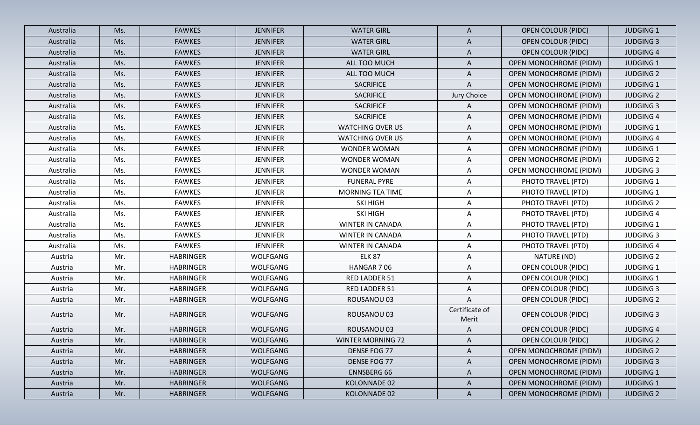| Australia | Ms. | <b>FAWKES</b>    | <b>JENNIFER</b> | <b>WATER GIRL</b>        | $\mathsf{A}$            | <b>OPEN COLOUR (PIDC)</b>     | <b>JUDGING 1</b> |
|-----------|-----|------------------|-----------------|--------------------------|-------------------------|-------------------------------|------------------|
| Australia | Ms. | <b>FAWKES</b>    | <b>JENNIFER</b> | <b>WATER GIRL</b>        | A                       | <b>OPEN COLOUR (PIDC)</b>     | <b>JUDGING 3</b> |
| Australia | Ms. | <b>FAWKES</b>    | <b>JENNIFER</b> | <b>WATER GIRL</b>        | $\mathsf{A}$            | <b>OPEN COLOUR (PIDC)</b>     | <b>JUDGING 4</b> |
| Australia | Ms. | <b>FAWKES</b>    | <b>JENNIFER</b> | ALL TOO MUCH             | A                       | <b>OPEN MONOCHROME (PIDM)</b> | <b>JUDGING 1</b> |
| Australia | Ms. | <b>FAWKES</b>    | <b>JENNIFER</b> | ALL TOO MUCH             | $\mathsf{A}$            | <b>OPEN MONOCHROME (PIDM)</b> | <b>JUDGING 2</b> |
| Australia | Ms. | <b>FAWKES</b>    | <b>JENNIFER</b> | SACRIFICE                | A                       | OPEN MONOCHROME (PIDM)        | <b>JUDGING 1</b> |
| Australia | Ms. | <b>FAWKES</b>    | <b>JENNIFER</b> | SACRIFICE                | Jury Choice             | OPEN MONOCHROME (PIDM)        | <b>JUDGING 2</b> |
| Australia | Ms. | <b>FAWKES</b>    | <b>JENNIFER</b> | SACRIFICE                | A                       | <b>OPEN MONOCHROME (PIDM)</b> | <b>JUDGING 3</b> |
| Australia | Ms. | <b>FAWKES</b>    | <b>JENNIFER</b> | SACRIFICE                | A                       | <b>OPEN MONOCHROME (PIDM)</b> | <b>JUDGING 4</b> |
| Australia | Ms. | <b>FAWKES</b>    | <b>JENNIFER</b> | <b>WATCHING OVER US</b>  | A                       | <b>OPEN MONOCHROME (PIDM)</b> | <b>JUDGING 1</b> |
| Australia | Ms. | <b>FAWKES</b>    | <b>JENNIFER</b> | <b>WATCHING OVER US</b>  | $\mathsf{A}$            | <b>OPEN MONOCHROME (PIDM)</b> | <b>JUDGING 4</b> |
| Australia | Ms. | <b>FAWKES</b>    | <b>JENNIFER</b> | <b>WONDER WOMAN</b>      | A                       | OPEN MONOCHROME (PIDM)        | <b>JUDGING 1</b> |
| Australia | Ms. | <b>FAWKES</b>    | <b>JENNIFER</b> | <b>WONDER WOMAN</b>      | A                       | OPEN MONOCHROME (PIDM)        | <b>JUDGING 2</b> |
| Australia | Ms. | <b>FAWKES</b>    | <b>JENNIFER</b> | <b>WONDER WOMAN</b>      | $\mathsf{A}$            | OPEN MONOCHROME (PIDM)        | <b>JUDGING 3</b> |
| Australia | Ms. | <b>FAWKES</b>    | <b>JENNIFER</b> | <b>FUNERAL PYRE</b>      | A                       | PHOTO TRAVEL (PTD)            | <b>JUDGING 1</b> |
| Australia | Ms. | <b>FAWKES</b>    | <b>JENNIFER</b> | MORNING TEA TIME         | $\mathsf{A}$            | PHOTO TRAVEL (PTD)            | <b>JUDGING 1</b> |
| Australia | Ms. | <b>FAWKES</b>    | <b>JENNIFER</b> | SKI HIGH                 | $\mathsf{A}$            | PHOTO TRAVEL (PTD)            | <b>JUDGING 2</b> |
| Australia | Ms. | <b>FAWKES</b>    | <b>JENNIFER</b> | SKI HIGH                 | $\mathsf{A}$            | PHOTO TRAVEL (PTD)            | <b>JUDGING 4</b> |
| Australia | Ms. | <b>FAWKES</b>    | <b>JENNIFER</b> | WINTER IN CANADA         | $\mathsf{A}$            | PHOTO TRAVEL (PTD)            | <b>JUDGING 1</b> |
| Australia | Ms. | <b>FAWKES</b>    | <b>JENNIFER</b> | <b>WINTER IN CANADA</b>  | A                       | PHOTO TRAVEL (PTD)            | <b>JUDGING 3</b> |
| Australia | Ms. | <b>FAWKES</b>    | <b>JENNIFER</b> | WINTER IN CANADA         | $\mathsf{A}$            | PHOTO TRAVEL (PTD)            | <b>JUDGING 4</b> |
| Austria   | Mr. | <b>HABRINGER</b> | <b>WOLFGANG</b> | <b>ELK 87</b>            | A                       | NATURE (ND)                   | <b>JUDGING 2</b> |
| Austria   | Mr. | <b>HABRINGER</b> | WOLFGANG        | HANGAR 706               | $\mathsf{A}$            | <b>OPEN COLOUR (PIDC)</b>     | <b>JUDGING 1</b> |
| Austria   | Mr. | <b>HABRINGER</b> | WOLFGANG        | RED LADDER 51            | $\mathsf{A}$            | <b>OPEN COLOUR (PIDC)</b>     | <b>JUDGING 1</b> |
| Austria   | Mr. | <b>HABRINGER</b> | WOLFGANG        | RED LADDER 51            | $\mathsf{A}$            | <b>OPEN COLOUR (PIDC)</b>     | <b>JUDGING 3</b> |
| Austria   | Mr. | <b>HABRINGER</b> | WOLFGANG        | ROUSANOU 03              | Α                       | <b>OPEN COLOUR (PIDC)</b>     | <b>JUDGING 2</b> |
| Austria   | Mr. | <b>HABRINGER</b> | WOLFGANG        | ROUSANOU 03              | Certificate of<br>Merit | <b>OPEN COLOUR (PIDC)</b>     | <b>JUDGING 3</b> |
| Austria   | Mr. | <b>HABRINGER</b> | WOLFGANG        | ROUSANOU 03              | $\mathsf{A}$            | <b>OPEN COLOUR (PIDC)</b>     | <b>JUDGING 4</b> |
| Austria   | Mr. | <b>HABRINGER</b> | WOLFGANG        | <b>WINTER MORNING 72</b> | $\mathsf{A}$            | <b>OPEN COLOUR (PIDC)</b>     | <b>JUDGING 2</b> |
| Austria   | Mr. | <b>HABRINGER</b> | WOLFGANG        | DENSE FOG 77             | A                       | <b>OPEN MONOCHROME (PIDM)</b> | <b>JUDGING 2</b> |
| Austria   | Mr. | <b>HABRINGER</b> | WOLFGANG        | DENSE FOG 77             | $\mathsf{A}$            | OPEN MONOCHROME (PIDM)        | <b>JUDGING 3</b> |
| Austria   | Mr. | <b>HABRINGER</b> | WOLFGANG        | <b>ENNSBERG 66</b>       | A                       | OPEN MONOCHROME (PIDM)        | <b>JUDGING 1</b> |
| Austria   | Mr. | <b>HABRINGER</b> | WOLFGANG        | KOLONNADE 02             | $\mathsf{A}$            | <b>OPEN MONOCHROME (PIDM)</b> | <b>JUDGING 1</b> |
| Austria   | Mr. | <b>HABRINGER</b> | <b>WOLFGANG</b> | KOLONNADE 02             | $\mathsf{A}$            | OPEN MONOCHROME (PIDM)        | <b>JUDGING 2</b> |
|           |     |                  |                 |                          |                         |                               |                  |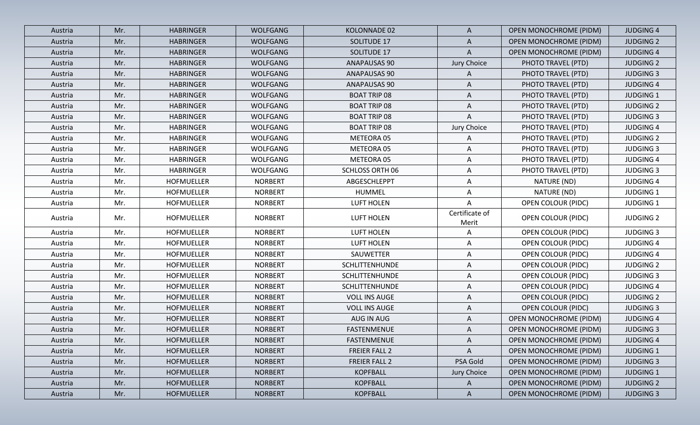| Austria | Mr. | <b>HABRINGER</b>  | <b>WOLFGANG</b> | KOLONNADE 02           | $\mathsf{A}$            | <b>OPEN MONOCHROME (PIDM)</b> | <b>JUDGING 4</b> |
|---------|-----|-------------------|-----------------|------------------------|-------------------------|-------------------------------|------------------|
| Austria | Mr. | <b>HABRINGER</b>  | <b>WOLFGANG</b> | SOLITUDE 17            | A                       | <b>OPEN MONOCHROME (PIDM)</b> | <b>JUDGING 2</b> |
| Austria | Mr. | <b>HABRINGER</b>  | <b>WOLFGANG</b> | SOLITUDE 17            | Α                       | <b>OPEN MONOCHROME (PIDM)</b> | <b>JUDGING 4</b> |
| Austria | Mr. | <b>HABRINGER</b>  | <b>WOLFGANG</b> | ANAPAUSAS 90           | Jury Choice             | PHOTO TRAVEL (PTD)            | <b>JUDGING 2</b> |
| Austria | Mr. | <b>HABRINGER</b>  | <b>WOLFGANG</b> | <b>ANAPAUSAS 90</b>    | A                       | PHOTO TRAVEL (PTD)            | <b>JUDGING 3</b> |
| Austria | Mr. | <b>HABRINGER</b>  | WOLFGANG        | ANAPAUSAS 90           | $\mathsf{A}$            | PHOTO TRAVEL (PTD)            | <b>JUDGING 4</b> |
| Austria | Mr. | <b>HABRINGER</b>  | WOLFGANG        | <b>BOAT TRIP 08</b>    | A                       | PHOTO TRAVEL (PTD)            | <b>JUDGING 1</b> |
| Austria | Mr. | <b>HABRINGER</b>  | WOLFGANG        | <b>BOAT TRIP 08</b>    | A                       | PHOTO TRAVEL (PTD)            | <b>JUDGING 2</b> |
| Austria | Mr. | <b>HABRINGER</b>  | WOLFGANG        | <b>BOAT TRIP 08</b>    | A                       | PHOTO TRAVEL (PTD)            | <b>JUDGING 3</b> |
| Austria | Mr. | <b>HABRINGER</b>  | <b>WOLFGANG</b> | <b>BOAT TRIP 08</b>    | Jury Choice             | PHOTO TRAVEL (PTD)            | <b>JUDGING 4</b> |
| Austria | Mr. | <b>HABRINGER</b>  | <b>WOLFGANG</b> | METEORA 05             | A                       | PHOTO TRAVEL (PTD)            | <b>JUDGING 2</b> |
| Austria | Mr. | <b>HABRINGER</b>  | WOLFGANG        | METEORA 05             | A                       | PHOTO TRAVEL (PTD)            | <b>JUDGING 3</b> |
| Austria | Mr. | <b>HABRINGER</b>  | WOLFGANG        | METEORA 05             | A                       | PHOTO TRAVEL (PTD)            | <b>JUDGING 4</b> |
| Austria | Mr. | <b>HABRINGER</b>  | WOLFGANG        | <b>SCHLOSS ORTH 06</b> | A                       | PHOTO TRAVEL (PTD)            | <b>JUDGING 3</b> |
| Austria | Mr. | <b>HOFMUELLER</b> | <b>NORBERT</b>  | ABGESCHLEPPT           | A                       | NATURE (ND)                   | <b>JUDGING 4</b> |
| Austria | Mr. | <b>HOFMUELLER</b> | <b>NORBERT</b>  | HUMMEL                 | Α                       | NATURE (ND)                   | <b>JUDGING 1</b> |
| Austria | Mr. | <b>HOFMUELLER</b> | <b>NORBERT</b>  | <b>LUFT HOLEN</b>      | A                       | <b>OPEN COLOUR (PIDC)</b>     | <b>JUDGING 1</b> |
| Austria | Mr. | <b>HOFMUELLER</b> | <b>NORBERT</b>  | <b>LUFT HOLEN</b>      | Certificate of<br>Merit | <b>OPEN COLOUR (PIDC)</b>     | <b>JUDGING 2</b> |
| Austria | Mr. | <b>HOFMUELLER</b> | <b>NORBERT</b>  | <b>LUFT HOLEN</b>      | A                       | <b>OPEN COLOUR (PIDC)</b>     | <b>JUDGING 3</b> |
| Austria | Mr. | <b>HOFMUELLER</b> | <b>NORBERT</b>  | <b>LUFT HOLEN</b>      | A                       | <b>OPEN COLOUR (PIDC)</b>     | <b>JUDGING 4</b> |
| Austria | Mr. | <b>HOFMUELLER</b> | <b>NORBERT</b>  | SAUWETTER              | A                       | <b>OPEN COLOUR (PIDC)</b>     | <b>JUDGING 4</b> |
| Austria | Mr. | <b>HOFMUELLER</b> | <b>NORBERT</b>  | SCHLITTENHUNDE         | A                       | <b>OPEN COLOUR (PIDC)</b>     | <b>JUDGING 2</b> |
| Austria | Mr. | <b>HOFMUELLER</b> | <b>NORBERT</b>  | <b>SCHLITTENHUNDE</b>  | A                       | <b>OPEN COLOUR (PIDC)</b>     | <b>JUDGING 3</b> |
| Austria | Mr. | <b>HOFMUELLER</b> | <b>NORBERT</b>  | <b>SCHLITTENHUNDE</b>  | A                       | <b>OPEN COLOUR (PIDC)</b>     | <b>JUDGING 4</b> |
| Austria | Mr. | <b>HOFMUELLER</b> | <b>NORBERT</b>  | <b>VOLL INS AUGE</b>   | A                       | <b>OPEN COLOUR (PIDC)</b>     | <b>JUDGING 2</b> |
| Austria | Mr. | <b>HOFMUELLER</b> | <b>NORBERT</b>  | <b>VOLL INS AUGE</b>   | A                       | <b>OPEN COLOUR (PIDC)</b>     | <b>JUDGING 3</b> |
| Austria | Mr. | <b>HOFMUELLER</b> | <b>NORBERT</b>  | AUG IN AUG             | A                       | <b>OPEN MONOCHROME (PIDM)</b> | <b>JUDGING 4</b> |
| Austria | Mr. | <b>HOFMUELLER</b> | <b>NORBERT</b>  | <b>FASTENMENUE</b>     | A                       | <b>OPEN MONOCHROME (PIDM)</b> | <b>JUDGING 3</b> |
| Austria | Mr. | <b>HOFMUELLER</b> | <b>NORBERT</b>  | <b>FASTENMENUE</b>     | $\mathsf{A}$            | <b>OPEN MONOCHROME (PIDM)</b> | <b>JUDGING 4</b> |
| Austria | Mr. | <b>HOFMUELLER</b> | <b>NORBERT</b>  | FREIER FALL 2          | A                       | <b>OPEN MONOCHROME (PIDM)</b> | <b>JUDGING 1</b> |
| Austria | Mr. | <b>HOFMUELLER</b> | <b>NORBERT</b>  | <b>FREIER FALL 2</b>   | PSA Gold                | OPEN MONOCHROME (PIDM)        | <b>JUDGING 3</b> |
| Austria | Mr. | <b>HOFMUELLER</b> | <b>NORBERT</b>  | <b>KOPFBALL</b>        | Jury Choice             | OPEN MONOCHROME (PIDM)        | <b>JUDGING 1</b> |
| Austria | Mr. | <b>HOFMUELLER</b> | <b>NORBERT</b>  | <b>KOPFBALL</b>        | A                       | OPEN MONOCHROME (PIDM)        | <b>JUDGING 2</b> |
| Austria | Mr. | <b>HOFMUELLER</b> | <b>NORBERT</b>  | KOPFBALL               | $\mathsf{A}$            | OPEN MONOCHROME (PIDM)        | <b>JUDGING 3</b> |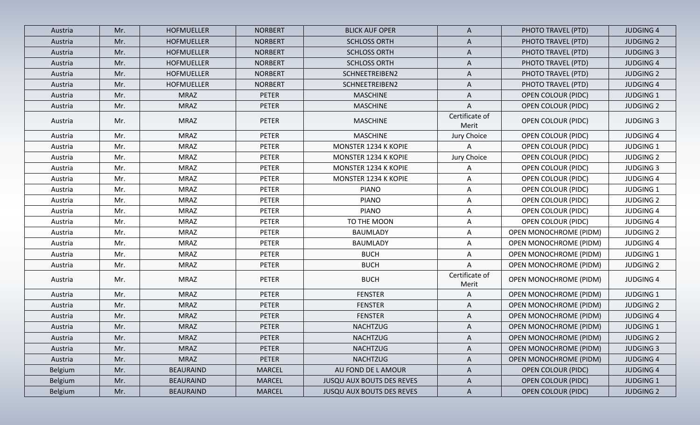| Austria        | Mr. | <b>HOFMUELLER</b> | <b>NORBERT</b> | <b>BLICK AUF OPER</b>            | $\mathsf{A}$            | PHOTO TRAVEL (PTD)            | <b>JUDGING 4</b> |
|----------------|-----|-------------------|----------------|----------------------------------|-------------------------|-------------------------------|------------------|
| Austria        | Mr. | <b>HOFMUELLER</b> | <b>NORBERT</b> | <b>SCHLOSS ORTH</b>              | $\mathsf{A}$            | PHOTO TRAVEL (PTD)            | <b>JUDGING 2</b> |
| Austria        | Mr. | <b>HOFMUELLER</b> | <b>NORBERT</b> | <b>SCHLOSS ORTH</b>              | $\mathsf{A}$            | PHOTO TRAVEL (PTD)            | <b>JUDGING 3</b> |
| Austria        | Mr. | <b>HOFMUELLER</b> | <b>NORBERT</b> | <b>SCHLOSS ORTH</b>              | $\mathsf{A}$            | PHOTO TRAVEL (PTD)            | <b>JUDGING 4</b> |
| Austria        | Mr. | <b>HOFMUELLER</b> | <b>NORBERT</b> | SCHNEETREIBEN2                   | A                       | PHOTO TRAVEL (PTD)            | <b>JUDGING 2</b> |
| Austria        | Mr. | <b>HOFMUELLER</b> | <b>NORBERT</b> | SCHNEETREIBEN2                   | A                       | PHOTO TRAVEL (PTD)            | <b>JUDGING 4</b> |
| Austria        | Mr. | <b>MRAZ</b>       | <b>PETER</b>   | <b>MASCHINE</b>                  | A                       | <b>OPEN COLOUR (PIDC)</b>     | <b>JUDGING 1</b> |
| Austria        | Mr. | <b>MRAZ</b>       | <b>PETER</b>   | <b>MASCHINE</b>                  | A                       | <b>OPEN COLOUR (PIDC)</b>     | <b>JUDGING 2</b> |
| Austria        | Mr. | <b>MRAZ</b>       | <b>PETER</b>   | <b>MASCHINE</b>                  | Certificate of<br>Merit | <b>OPEN COLOUR (PIDC)</b>     | <b>JUDGING 3</b> |
| Austria        | Mr. | <b>MRAZ</b>       | <b>PETER</b>   | <b>MASCHINE</b>                  | Jury Choice             | <b>OPEN COLOUR (PIDC)</b>     | <b>JUDGING 4</b> |
| Austria        | Mr. | <b>MRAZ</b>       | <b>PETER</b>   | MONSTER 1234 K KOPIE             | Α                       | <b>OPEN COLOUR (PIDC)</b>     | <b>JUDGING 1</b> |
| Austria        | Mr. | <b>MRAZ</b>       | <b>PETER</b>   | MONSTER 1234 K KOPIE             | Jury Choice             | <b>OPEN COLOUR (PIDC)</b>     | <b>JUDGING 2</b> |
| Austria        | Mr. | <b>MRAZ</b>       | <b>PETER</b>   | MONSTER 1234 K KOPIE             | A                       | OPEN COLOUR (PIDC)            | <b>JUDGING 3</b> |
| Austria        | Mr. | <b>MRAZ</b>       | <b>PETER</b>   | <b>MONSTER 1234 K KOPIE</b>      | A                       | OPEN COLOUR (PIDC)            | <b>JUDGING 4</b> |
| Austria        | Mr. | <b>MRAZ</b>       | <b>PETER</b>   | <b>PIANO</b>                     | A                       | <b>OPEN COLOUR (PIDC)</b>     | <b>JUDGING 1</b> |
| Austria        | Mr. | <b>MRAZ</b>       | <b>PETER</b>   | <b>PIANO</b>                     | A                       | <b>OPEN COLOUR (PIDC)</b>     | <b>JUDGING 2</b> |
| Austria        | Mr. | <b>MRAZ</b>       | <b>PETER</b>   | <b>PIANO</b>                     | A                       | <b>OPEN COLOUR (PIDC)</b>     | <b>JUDGING 4</b> |
| Austria        | Mr. | <b>MRAZ</b>       | <b>PETER</b>   | TO THE MOON                      | A                       | OPEN COLOUR (PIDC)            | <b>JUDGING 4</b> |
| Austria        | Mr. | <b>MRAZ</b>       | <b>PETER</b>   | <b>BAUMLADY</b>                  | A                       | <b>OPEN MONOCHROME (PIDM)</b> | <b>JUDGING 2</b> |
| Austria        | Mr. | <b>MRAZ</b>       | <b>PETER</b>   | <b>BAUMLADY</b>                  | A                       | <b>OPEN MONOCHROME (PIDM)</b> | <b>JUDGING 4</b> |
| Austria        | Mr. | <b>MRAZ</b>       | <b>PETER</b>   | <b>BUCH</b>                      | A                       | <b>OPEN MONOCHROME (PIDM)</b> | <b>JUDGING 1</b> |
| Austria        | Mr. | <b>MRAZ</b>       | <b>PETER</b>   | <b>BUCH</b>                      | Α                       | <b>OPEN MONOCHROME (PIDM)</b> | <b>JUDGING 2</b> |
| Austria        | Mr. | <b>MRAZ</b>       | <b>PETER</b>   | <b>BUCH</b>                      | Certificate of<br>Merit | <b>OPEN MONOCHROME (PIDM)</b> | <b>JUDGING 4</b> |
| Austria        | Mr. | <b>MRAZ</b>       | <b>PETER</b>   | <b>FENSTER</b>                   | Α                       | <b>OPEN MONOCHROME (PIDM)</b> | <b>JUDGING 1</b> |
| Austria        | Mr. | <b>MRAZ</b>       | <b>PETER</b>   | <b>FENSTER</b>                   | A                       | <b>OPEN MONOCHROME (PIDM)</b> | <b>JUDGING 2</b> |
| Austria        | Mr. | <b>MRAZ</b>       | <b>PETER</b>   | <b>FENSTER</b>                   | A                       | <b>OPEN MONOCHROME (PIDM)</b> | <b>JUDGING 4</b> |
| Austria        | Mr. | <b>MRAZ</b>       | <b>PETER</b>   | <b>NACHTZUG</b>                  | A                       | OPEN MONOCHROME (PIDM)        | <b>JUDGING 1</b> |
| Austria        | Mr. | <b>MRAZ</b>       | PETER          | <b>NACHTZUG</b>                  | A                       | OPEN MONOCHROME (PIDM)        | <b>JUDGING 2</b> |
| Austria        | Mr. | <b>MRAZ</b>       | <b>PETER</b>   | <b>NACHTZUG</b>                  | $\mathsf{A}$            | <b>OPEN MONOCHROME (PIDM)</b> | <b>JUDGING 3</b> |
| Austria        | Mr. | <b>MRAZ</b>       | <b>PETER</b>   | <b>NACHTZUG</b>                  | A                       | <b>OPEN MONOCHROME (PIDM)</b> | <b>JUDGING 4</b> |
| Belgium        | Mr. | <b>BEAURAIND</b>  | <b>MARCEL</b>  | AU FOND DE L AMOUR               | $\mathsf{A}$            | <b>OPEN COLOUR (PIDC)</b>     | <b>JUDGING 4</b> |
| <b>Belgium</b> | Mr. | <b>BEAURAIND</b>  | <b>MARCEL</b>  | <b>JUSQU AUX BOUTS DES REVES</b> | $\mathsf{A}$            | <b>OPEN COLOUR (PIDC)</b>     | <b>JUDGING 1</b> |
| <b>Belgium</b> | Mr. | <b>BEAURAIND</b>  | <b>MARCEL</b>  | <b>JUSQU AUX BOUTS DES REVES</b> | $\mathsf{A}$            | <b>OPEN COLOUR (PIDC)</b>     | <b>JUDGING 2</b> |
|                |     |                   |                |                                  |                         |                               |                  |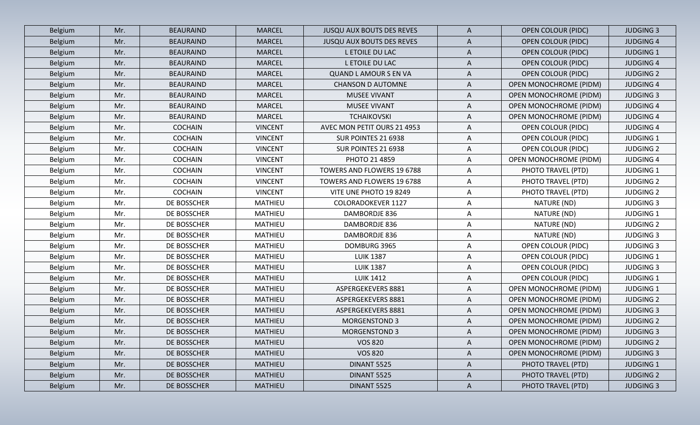| Belgium        | Mr. | <b>BEAURAIND</b> | <b>MARCEL</b>  | <b>JUSQU AUX BOUTS DES REVES</b> | A            | <b>OPEN COLOUR (PIDC)</b>     | <b>JUDGING 3</b> |
|----------------|-----|------------------|----------------|----------------------------------|--------------|-------------------------------|------------------|
| Belgium        | Mr. | <b>BEAURAIND</b> | <b>MARCEL</b>  | <b>JUSQU AUX BOUTS DES REVES</b> | A            | <b>OPEN COLOUR (PIDC)</b>     | <b>JUDGING 4</b> |
| Belgium        | Mr. | <b>BEAURAIND</b> | <b>MARCEL</b>  | L ETOILE DU LAC                  | A            | <b>OPEN COLOUR (PIDC)</b>     | <b>JUDGING 1</b> |
| Belgium        | Mr. | <b>BEAURAIND</b> | <b>MARCEL</b>  | L ETOILE DU LAC                  | A            | <b>OPEN COLOUR (PIDC)</b>     | <b>JUDGING 4</b> |
| Belgium        | Mr. | <b>BEAURAIND</b> | <b>MARCEL</b>  | <b>QUAND L AMOUR S EN VA</b>     | A            | <b>OPEN COLOUR (PIDC)</b>     | <b>JUDGING 2</b> |
| Belgium        | Mr. | <b>BEAURAIND</b> | <b>MARCEL</b>  | <b>CHANSON D AUTOMNE</b>         | A            | <b>OPEN MONOCHROME (PIDM)</b> | <b>JUDGING 4</b> |
| Belgium        | Mr. | <b>BEAURAIND</b> | <b>MARCEL</b>  | <b>MUSEE VIVANT</b>              | A            | <b>OPEN MONOCHROME (PIDM)</b> | <b>JUDGING 3</b> |
| Belgium        | Mr. | <b>BEAURAIND</b> | <b>MARCEL</b>  | MUSEE VIVANT                     | A            | <b>OPEN MONOCHROME (PIDM)</b> | <b>JUDGING 4</b> |
| Belgium        | Mr. | <b>BEAURAIND</b> | <b>MARCEL</b>  | <b>TCHAIKOVSKI</b>               | A            | <b>OPEN MONOCHROME (PIDM)</b> | <b>JUDGING 4</b> |
| Belgium        | Mr. | <b>COCHAIN</b>   | <b>VINCENT</b> | AVEC MON PETIT OURS 21 4953      | A            | <b>OPEN COLOUR (PIDC)</b>     | <b>JUDGING 4</b> |
| Belgium        | Mr. | <b>COCHAIN</b>   | <b>VINCENT</b> | SUR POINTES 21 6938              | A            | <b>OPEN COLOUR (PIDC)</b>     | <b>JUDGING 1</b> |
| Belgium        | Mr. | <b>COCHAIN</b>   | <b>VINCENT</b> | SUR POINTES 21 6938              | A            | <b>OPEN COLOUR (PIDC)</b>     | <b>JUDGING 2</b> |
| Belgium        | Mr. | <b>COCHAIN</b>   | <b>VINCENT</b> | PHOTO 21 4859                    | A            | OPEN MONOCHROME (PIDM)        | <b>JUDGING 4</b> |
| Belgium        | Mr. | <b>COCHAIN</b>   | <b>VINCENT</b> | TOWERS AND FLOWERS 19 6788       | A            | PHOTO TRAVEL (PTD)            | <b>JUDGING 1</b> |
| Belgium        | Mr. | <b>COCHAIN</b>   | <b>VINCENT</b> | TOWERS AND FLOWERS 19 6788       | A            | PHOTO TRAVEL (PTD)            | <b>JUDGING 2</b> |
| Belgium        | Mr. | <b>COCHAIN</b>   | <b>VINCENT</b> | VITE UNE PHOTO 19 8249           | A            | PHOTO TRAVEL (PTD)            | <b>JUDGING 2</b> |
| Belgium        | Mr. | DE BOSSCHER      | <b>MATHIEU</b> | <b>COLORADOKEVER 1127</b>        | Α            | NATURE (ND)                   | <b>JUDGING 3</b> |
| Belgium        | Mr. | DE BOSSCHER      | <b>MATHIEU</b> | DAMBORDJE 836                    | A            | NATURE (ND)                   | <b>JUDGING 1</b> |
| Belgium        | Mr. | DE BOSSCHER      | MATHIEU        | DAMBORDJE 836                    | A            | NATURE (ND)                   | <b>JUDGING 2</b> |
| Belgium        | Mr. | DE BOSSCHER      | MATHIEU        | DAMBORDJE 836                    | Α            | NATURE (ND)                   | <b>JUDGING 3</b> |
| Belgium        | Mr. | DE BOSSCHER      | MATHIEU        | DOMBURG 3965                     | A            | <b>OPEN COLOUR (PIDC)</b>     | <b>JUDGING 3</b> |
| Belgium        | Mr. | DE BOSSCHER      | <b>MATHIEU</b> | <b>LUIK 1387</b>                 | A            | OPEN COLOUR (PIDC)            | <b>JUDGING 1</b> |
| Belgium        | Mr. | DE BOSSCHER      | <b>MATHIEU</b> | <b>LUIK 1387</b>                 | A            | <b>OPEN COLOUR (PIDC)</b>     | <b>JUDGING 3</b> |
| Belgium        | Mr. | DE BOSSCHER      | <b>MATHIEU</b> | <b>LUIK 1412</b>                 | A            | <b>OPEN COLOUR (PIDC)</b>     | <b>JUDGING 1</b> |
| Belgium        | Mr. | DE BOSSCHER      | MATHIEU        | ASPERGEKEVERS 8881               | A            | <b>OPEN MONOCHROME (PIDM)</b> | <b>JUDGING 1</b> |
| Belgium        | Mr. | DE BOSSCHER      | <b>MATHIEU</b> | ASPERGEKEVERS 8881               | A            | <b>OPEN MONOCHROME (PIDM)</b> | <b>JUDGING 2</b> |
| Belgium        | Mr. | DE BOSSCHER      | <b>MATHIEU</b> | ASPERGEKEVERS 8881               | Α            | <b>OPEN MONOCHROME (PIDM)</b> | <b>JUDGING 3</b> |
| Belgium        | Mr. | DE BOSSCHER      | <b>MATHIEU</b> | <b>MORGENSTOND 3</b>             | A            | <b>OPEN MONOCHROME (PIDM)</b> | <b>JUDGING 2</b> |
| Belgium        | Mr. | DE BOSSCHER      | MATHIEU        | <b>MORGENSTOND 3</b>             | A            | <b>OPEN MONOCHROME (PIDM)</b> | <b>JUDGING 3</b> |
| Belgium        | Mr. | DE BOSSCHER      | MATHIEU        | <b>VOS 820</b>                   | $\mathsf{A}$ | OPEN MONOCHROME (PIDM)        | <b>JUDGING 2</b> |
| Belgium        | Mr. | DE BOSSCHER      | MATHIEU        | <b>VOS 820</b>                   | $\mathsf{A}$ | OPEN MONOCHROME (PIDM)        | <b>JUDGING 3</b> |
| Belgium        | Mr. | DE BOSSCHER      | MATHIEU        | <b>DINANT 5525</b>               | $\mathsf{A}$ | PHOTO TRAVEL (PTD)            | <b>JUDGING 1</b> |
| <b>Belgium</b> | Mr. | DE BOSSCHER      | <b>MATHIEU</b> | DINANT 5525                      | $\mathsf{A}$ | PHOTO TRAVEL (PTD)            | <b>JUDGING 2</b> |
| Belgium        | Mr. | DE BOSSCHER      | MATHIEU        | <b>DINANT 5525</b>               | $\mathsf{A}$ | PHOTO TRAVEL (PTD)            | <b>JUDGING 3</b> |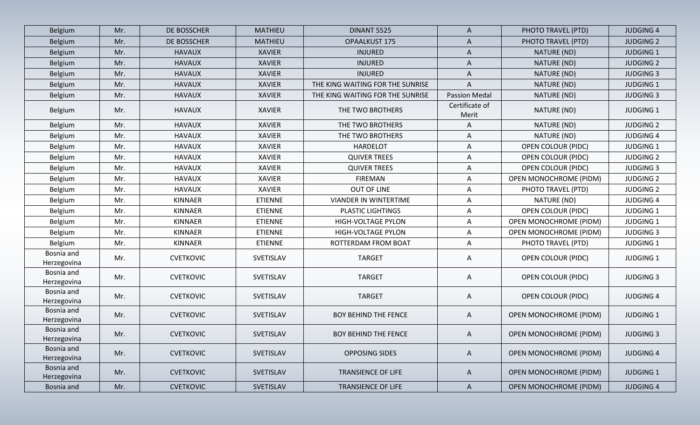| Belgium                   | Mr. | DE BOSSCHER      | <b>MATHIEU</b> | <b>DINANT 5525</b>               | A                       | PHOTO TRAVEL (PTD)            | <b>JUDGING 4</b> |
|---------------------------|-----|------------------|----------------|----------------------------------|-------------------------|-------------------------------|------------------|
| Belgium                   | Mr. | DE BOSSCHER      | <b>MATHIEU</b> | OPAALKUST 175                    | A                       | PHOTO TRAVEL (PTD)            | <b>JUDGING 2</b> |
| Belgium                   | Mr. | <b>HAVAUX</b>    | <b>XAVIER</b>  | <b>INJURED</b>                   | A                       | NATURE (ND)                   | <b>JUDGING 1</b> |
| Belgium                   | Mr. | <b>HAVAUX</b>    | <b>XAVIER</b>  | <b>INJURED</b>                   | A                       | NATURE (ND)                   | <b>JUDGING 2</b> |
| Belgium                   | Mr. | <b>HAVAUX</b>    | <b>XAVIER</b>  | <b>INJURED</b>                   | A                       | NATURE (ND)                   | <b>JUDGING 3</b> |
| Belgium                   | Mr. | <b>HAVAUX</b>    | <b>XAVIER</b>  | THE KING WAITING FOR THE SUNRISE | A                       | NATURE (ND)                   | <b>JUDGING 1</b> |
| Belgium                   | Mr. | <b>HAVAUX</b>    | <b>XAVIER</b>  | THE KING WAITING FOR THE SUNRISE | <b>Passion Medal</b>    | NATURE (ND)                   | <b>JUDGING 3</b> |
| Belgium                   | Mr. | <b>HAVAUX</b>    | <b>XAVIER</b>  | THE TWO BROTHERS                 | Certificate of<br>Merit | NATURE (ND)                   | <b>JUDGING 1</b> |
| Belgium                   | Mr. | <b>HAVAUX</b>    | <b>XAVIER</b>  | THE TWO BROTHERS                 | A                       | NATURE (ND)                   | <b>JUDGING 2</b> |
| Belgium                   | Mr. | <b>HAVAUX</b>    | <b>XAVIER</b>  | THE TWO BROTHERS                 | A                       | NATURE (ND)                   | <b>JUDGING 4</b> |
| Belgium                   | Mr. | <b>HAVAUX</b>    | <b>XAVIER</b>  | <b>HARDELOT</b>                  | A                       | <b>OPEN COLOUR (PIDC)</b>     | <b>JUDGING 1</b> |
| Belgium                   | Mr. | <b>HAVAUX</b>    | <b>XAVIER</b>  | <b>QUIVER TREES</b>              | A                       | <b>OPEN COLOUR (PIDC)</b>     | <b>JUDGING 2</b> |
| Belgium                   | Mr. | <b>HAVAUX</b>    | <b>XAVIER</b>  | <b>QUIVER TREES</b>              | A                       | OPEN COLOUR (PIDC)            | <b>JUDGING 3</b> |
| Belgium                   | Mr. | <b>HAVAUX</b>    | <b>XAVIER</b>  | <b>FIREMAN</b>                   | Α                       | <b>OPEN MONOCHROME (PIDM)</b> | <b>JUDGING 2</b> |
| Belgium                   | Mr. | <b>HAVAUX</b>    | <b>XAVIER</b>  | OUT OF LINE                      | Α                       | PHOTO TRAVEL (PTD)            | <b>JUDGING 2</b> |
| Belgium                   | Mr. | <b>KINNAER</b>   | <b>ETIENNE</b> | <b>VIANDER IN WINTERTIME</b>     | Α                       | NATURE (ND)                   | <b>JUDGING 4</b> |
| Belgium                   | Mr. | <b>KINNAER</b>   | <b>ETIENNE</b> | <b>PLASTIC LIGHTINGS</b>         | A                       | <b>OPEN COLOUR (PIDC)</b>     | <b>JUDGING 1</b> |
| Belgium                   | Mr. | <b>KINNAER</b>   | <b>ETIENNE</b> | HIGH-VOLTAGE PYLON               | A                       | <b>OPEN MONOCHROME (PIDM)</b> | <b>JUDGING 1</b> |
| Belgium                   | Mr. | <b>KINNAER</b>   | <b>ETIENNE</b> | HIGH-VOLTAGE PYLON               | A                       | <b>OPEN MONOCHROME (PIDM)</b> | <b>JUDGING 3</b> |
| Belgium                   | Mr. | <b>KINNAER</b>   | <b>ETIENNE</b> | ROTTERDAM FROM BOAT              | A                       | PHOTO TRAVEL (PTD)            | <b>JUDGING 1</b> |
| Bosnia and<br>Herzegovina | Mr. | <b>CVETKOVIC</b> | SVETISLAV      | <b>TARGET</b>                    | A                       | <b>OPEN COLOUR (PIDC)</b>     | <b>JUDGING 1</b> |
| Bosnia and<br>Herzegovina | Mr. | <b>CVETKOVIC</b> | SVETISLAV      | <b>TARGET</b>                    | A                       | <b>OPEN COLOUR (PIDC)</b>     | <b>JUDGING 3</b> |
| Bosnia and<br>Herzegovina | Mr. | <b>CVETKOVIC</b> | SVETISLAV      | <b>TARGET</b>                    | A                       | <b>OPEN COLOUR (PIDC)</b>     | <b>JUDGING 4</b> |
| Bosnia and<br>Herzegovina | Mr. | <b>CVETKOVIC</b> | SVETISLAV      | <b>BOY BEHIND THE FENCE</b>      | A                       | <b>OPEN MONOCHROME (PIDM)</b> | <b>JUDGING 1</b> |
| Bosnia and<br>Herzegovina | Mr. | <b>CVETKOVIC</b> | SVETISLAV      | <b>BOY BEHIND THE FENCE</b>      | A                       | <b>OPEN MONOCHROME (PIDM)</b> | <b>JUDGING 3</b> |
| Bosnia and<br>Herzegovina | Mr. | <b>CVETKOVIC</b> | SVETISLAV      | OPPOSING SIDES                   | $\mathsf{A}$            | OPEN MONOCHROME (PIDM)        | <b>JUDGING 4</b> |
| Bosnia and<br>Herzegovina | Mr. | <b>CVETKOVIC</b> | SVETISLAV      | <b>TRANSIENCE OF LIFE</b>        | A                       | OPEN MONOCHROME (PIDM)        | <b>JUDGING 1</b> |
| Bosnia and                | Mr. | <b>CVETKOVIC</b> | SVETISLAV      | <b>TRANSIENCE OF LIFE</b>        | $\mathsf{A}$            | <b>OPEN MONOCHROME (PIDM)</b> | <b>JUDGING 4</b> |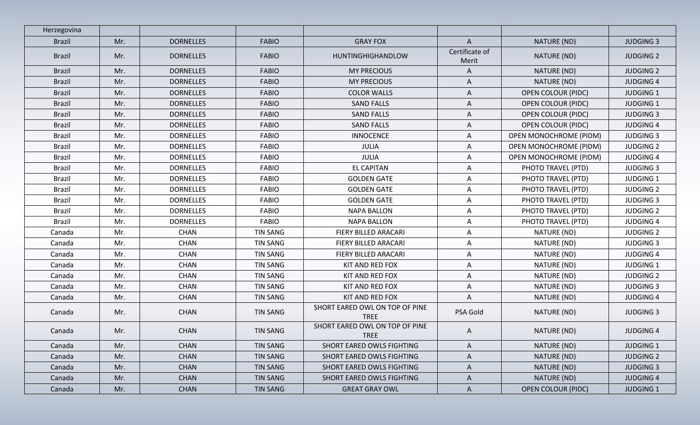| Herzegovina   |     |                  |                 |                                               |                         |                               |                  |
|---------------|-----|------------------|-----------------|-----------------------------------------------|-------------------------|-------------------------------|------------------|
| <b>Brazil</b> | Mr. | <b>DORNELLES</b> | <b>FABIO</b>    | <b>GRAY FOX</b>                               | $\mathsf{A}$            | NATURE (ND)                   | <b>JUDGING 3</b> |
| <b>Brazil</b> | Mr. | <b>DORNELLES</b> | <b>FABIO</b>    | HUNTINGHIGHANDLOW                             | Certificate of<br>Merit | NATURE (ND)                   | <b>JUDGING 2</b> |
| <b>Brazil</b> | Mr. | <b>DORNELLES</b> | <b>FABIO</b>    | <b>MY PRECIOUS</b>                            | $\mathsf{A}$            | NATURE (ND)                   | <b>JUDGING 2</b> |
| <b>Brazil</b> | Mr. | <b>DORNELLES</b> | <b>FABIO</b>    | <b>MY PRECIOUS</b>                            | $\mathsf{A}$            | NATURE (ND)                   | <b>JUDGING 4</b> |
| <b>Brazil</b> | Mr. | <b>DORNELLES</b> | <b>FABIO</b>    | <b>COLOR WALLS</b>                            | A                       | <b>OPEN COLOUR (PIDC)</b>     | <b>JUDGING 1</b> |
| <b>Brazil</b> | Mr. | <b>DORNELLES</b> | <b>FABIO</b>    | <b>SAND FALLS</b>                             | A                       | <b>OPEN COLOUR (PIDC)</b>     | <b>JUDGING 1</b> |
| <b>Brazil</b> | Mr. | <b>DORNELLES</b> | <b>FABIO</b>    | <b>SAND FALLS</b>                             | A                       | <b>OPEN COLOUR (PIDC)</b>     | <b>JUDGING 3</b> |
| <b>Brazil</b> | Mr. | <b>DORNELLES</b> | <b>FABIO</b>    | <b>SAND FALLS</b>                             | A                       | <b>OPEN COLOUR (PIDC)</b>     | <b>JUDGING 4</b> |
| <b>Brazil</b> | Mr. | <b>DORNELLES</b> | <b>FABIO</b>    | <b>INNOCENCE</b>                              | A                       | OPEN MONOCHROME (PIDM)        | <b>JUDGING 3</b> |
| <b>Brazil</b> | Mr. | <b>DORNELLES</b> | <b>FABIO</b>    | <b>JULIA</b>                                  | A                       | <b>OPEN MONOCHROME (PIDM)</b> | <b>JUDGING 2</b> |
| <b>Brazil</b> | Mr. | <b>DORNELLES</b> | <b>FABIO</b>    | JULIA                                         | A                       | <b>OPEN MONOCHROME (PIDM)</b> | <b>JUDGING 4</b> |
| <b>Brazil</b> | Mr. | <b>DORNELLES</b> | <b>FABIO</b>    | <b>EL CAPITAN</b>                             | A                       | PHOTO TRAVEL (PTD)            | <b>JUDGING 3</b> |
| <b>Brazil</b> | Mr. | <b>DORNELLES</b> | <b>FABIO</b>    | <b>GOLDEN GATE</b>                            | A                       | PHOTO TRAVEL (PTD)            | <b>JUDGING 1</b> |
| <b>Brazil</b> | Mr. | <b>DORNELLES</b> | <b>FABIO</b>    | <b>GOLDEN GATE</b>                            | A                       | PHOTO TRAVEL (PTD)            | <b>JUDGING 2</b> |
| <b>Brazil</b> | Mr. | <b>DORNELLES</b> | <b>FABIO</b>    | <b>GOLDEN GATE</b>                            | A                       | PHOTO TRAVEL (PTD)            | <b>JUDGING 3</b> |
| <b>Brazil</b> | Mr. | <b>DORNELLES</b> | <b>FABIO</b>    | <b>NAPA BALLON</b>                            | A                       | PHOTO TRAVEL (PTD)            | <b>JUDGING 2</b> |
| <b>Brazil</b> | Mr. | <b>DORNELLES</b> | <b>FABIO</b>    | <b>NAPA BALLON</b>                            | A                       | PHOTO TRAVEL (PTD)            | <b>JUDGING 4</b> |
| Canada        | Mr. | <b>CHAN</b>      | <b>TIN SANG</b> | FIERY BILLED ARACARI                          | $\mathsf{A}$            | NATURE (ND)                   | <b>JUDGING 2</b> |
| Canada        | Mr. | <b>CHAN</b>      | <b>TIN SANG</b> | FIERY BILLED ARACARI                          | A                       | NATURE (ND)                   | <b>JUDGING 3</b> |
| Canada        | Mr. | <b>CHAN</b>      | <b>TIN SANG</b> | FIERY BILLED ARACARI                          | $\mathsf{A}$            | NATURE (ND)                   | <b>JUDGING 4</b> |
| Canada        | Mr. | <b>CHAN</b>      | TIN SANG        | KIT AND RED FOX                               | A                       | NATURE (ND)                   | <b>JUDGING 1</b> |
| Canada        | Mr. | <b>CHAN</b>      | <b>TIN SANG</b> | KIT AND RED FOX                               | Α                       | NATURE (ND)                   | <b>JUDGING 2</b> |
| Canada        | Mr. | <b>CHAN</b>      | <b>TIN SANG</b> | KIT AND RED FOX                               | A                       | NATURE (ND)                   | <b>JUDGING 3</b> |
| Canada        | Mr. | <b>CHAN</b>      | <b>TIN SANG</b> | KIT AND RED FOX                               | Α                       | NATURE (ND)                   | <b>JUDGING 4</b> |
| Canada        | Mr. | <b>CHAN</b>      | TIN SANG        | SHORT EARED OWL ON TOP OF PINE<br><b>TREE</b> | PSA Gold                | NATURE (ND)                   | <b>JUDGING 3</b> |
| Canada        | Mr. | <b>CHAN</b>      | TIN SANG        | SHORT EARED OWL ON TOP OF PINE<br>TREE        | A                       | NATURE (ND)                   | <b>JUDGING 4</b> |
| Canada        | Mr. | <b>CHAN</b>      | <b>TIN SANG</b> | SHORT EARED OWLS FIGHTING                     | A                       | NATURE (ND)                   | <b>JUDGING 1</b> |
| Canada        | Mr. | <b>CHAN</b>      | TIN SANG        | SHORT EARED OWLS FIGHTING                     | A                       | NATURE (ND)                   | <b>JUDGING 2</b> |
| Canada        | Mr. | <b>CHAN</b>      | TIN SANG        | SHORT EARED OWLS FIGHTING                     | $\mathsf{A}$            | NATURE (ND)                   | <b>JUDGING 3</b> |
| Canada        | Mr. | <b>CHAN</b>      | <b>TIN SANG</b> | SHORT EARED OWLS FIGHTING                     | $\mathsf{A}$            | NATURE (ND)                   | <b>JUDGING 4</b> |
| Canada        | Mr. | <b>CHAN</b>      | <b>TIN SANG</b> | <b>GREAT GRAY OWL</b>                         | $\mathsf{A}$            | <b>OPEN COLOUR (PIDC)</b>     | <b>JUDGING 1</b> |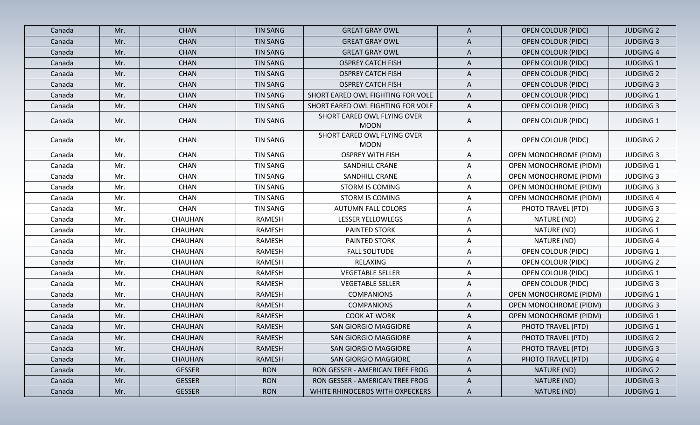| Canada | Mr. | <b>CHAN</b>    | <b>TIN SANG</b> | <b>GREAT GRAY OWL</b>                      | A            | <b>OPEN COLOUR (PIDC)</b>     | <b>JUDGING 2</b> |
|--------|-----|----------------|-----------------|--------------------------------------------|--------------|-------------------------------|------------------|
| Canada | Mr. | <b>CHAN</b>    | <b>TIN SANG</b> | <b>GREAT GRAY OWL</b>                      | A            | <b>OPEN COLOUR (PIDC)</b>     | <b>JUDGING 3</b> |
| Canada | Mr. | <b>CHAN</b>    | <b>TIN SANG</b> | <b>GREAT GRAY OWL</b>                      | A            | <b>OPEN COLOUR (PIDC)</b>     | <b>JUDGING 4</b> |
| Canada | Mr. | <b>CHAN</b>    | <b>TIN SANG</b> | <b>OSPREY CATCH FISH</b>                   | A            | <b>OPEN COLOUR (PIDC)</b>     | <b>JUDGING 1</b> |
| Canada | Mr. | <b>CHAN</b>    | <b>TIN SANG</b> | <b>OSPREY CATCH FISH</b>                   | $\mathsf{A}$ | <b>OPEN COLOUR (PIDC)</b>     | <b>JUDGING 2</b> |
| Canada | Mr. | <b>CHAN</b>    | <b>TIN SANG</b> | <b>OSPREY CATCH FISH</b>                   | A            | <b>OPEN COLOUR (PIDC)</b>     | <b>JUDGING 3</b> |
| Canada | Mr. | <b>CHAN</b>    | <b>TIN SANG</b> | SHORT EARED OWL FIGHTING FOR VOLE          | A            | <b>OPEN COLOUR (PIDC)</b>     | <b>JUDGING 1</b> |
| Canada | Mr. | <b>CHAN</b>    | <b>TIN SANG</b> | SHORT EARED OWL FIGHTING FOR VOLE          | A            | <b>OPEN COLOUR (PIDC)</b>     | <b>JUDGING 3</b> |
| Canada | Mr. | <b>CHAN</b>    | <b>TIN SANG</b> | SHORT EARED OWL FLYING OVER<br><b>MOON</b> | A            | <b>OPEN COLOUR (PIDC)</b>     | <b>JUDGING 1</b> |
| Canada | Mr. | <b>CHAN</b>    | <b>TIN SANG</b> | SHORT EARED OWL FLYING OVER<br><b>MOON</b> | A            | <b>OPEN COLOUR (PIDC)</b>     | <b>JUDGING 2</b> |
| Canada | Mr. | <b>CHAN</b>    | <b>TIN SANG</b> | <b>OSPREY WITH FISH</b>                    | A            | <b>OPEN MONOCHROME (PIDM)</b> | <b>JUDGING 3</b> |
| Canada | Mr. | <b>CHAN</b>    | <b>TIN SANG</b> | <b>SANDHILL CRANE</b>                      | A            | OPEN MONOCHROME (PIDM)        | <b>JUDGING 1</b> |
| Canada | Mr. | <b>CHAN</b>    | TIN SANG        | <b>SANDHILL CRANE</b>                      | Α            | <b>OPEN MONOCHROME (PIDM)</b> | <b>JUDGING 3</b> |
| Canada | Mr. | <b>CHAN</b>    | <b>TIN SANG</b> | <b>STORM IS COMING</b>                     | Α            | <b>OPEN MONOCHROME (PIDM)</b> | <b>JUDGING 3</b> |
| Canada | Mr. | <b>CHAN</b>    | <b>TIN SANG</b> | STORM IS COMING                            | Α            | OPEN MONOCHROME (PIDM)        | <b>JUDGING 4</b> |
| Canada | Mr. | <b>CHAN</b>    | <b>TIN SANG</b> | <b>AUTUMN FALL COLORS</b>                  | Α            | PHOTO TRAVEL (PTD)            | <b>JUDGING 3</b> |
| Canada | Mr. | CHAUHAN        | RAMESH          | <b>LESSER YELLOWLEGS</b>                   | A            | NATURE (ND)                   | <b>JUDGING 2</b> |
| Canada | Mr. | <b>CHAUHAN</b> | RAMESH          | <b>PAINTED STORK</b>                       | A            | NATURE (ND)                   | <b>JUDGING 1</b> |
| Canada | Mr. | <b>CHAUHAN</b> | RAMESH          | <b>PAINTED STORK</b>                       | A            | NATURE (ND)                   | <b>JUDGING 4</b> |
| Canada | Mr. | CHAUHAN        | <b>RAMESH</b>   | <b>FALL SOLITUDE</b>                       | Α            | <b>OPEN COLOUR (PIDC)</b>     | <b>JUDGING 1</b> |
| Canada | Mr. | <b>CHAUHAN</b> | <b>RAMESH</b>   | RELAXING                                   | A            | <b>OPEN COLOUR (PIDC)</b>     | <b>JUDGING 2</b> |
| Canada | Mr. | <b>CHAUHAN</b> | <b>RAMESH</b>   | <b>VEGETABLE SELLER</b>                    | Α            | <b>OPEN COLOUR (PIDC)</b>     | <b>JUDGING 1</b> |
| Canada | Mr. | <b>CHAUHAN</b> | RAMESH          | <b>VEGETABLE SELLER</b>                    | A            | <b>OPEN COLOUR (PIDC)</b>     | <b>JUDGING 3</b> |
| Canada | Mr. | <b>CHAUHAN</b> | RAMESH          | <b>COMPANIONS</b>                          | A            | <b>OPEN MONOCHROME (PIDM)</b> | <b>JUDGING 1</b> |
| Canada | Mr. | CHAUHAN        | RAMESH          | <b>COMPANIONS</b>                          | A            | <b>OPEN MONOCHROME (PIDM)</b> | <b>JUDGING 3</b> |
| Canada | Mr. | CHAUHAN        | <b>RAMESH</b>   | <b>COOK AT WORK</b>                        | A            | <b>OPEN MONOCHROME (PIDM)</b> | <b>JUDGING 1</b> |
| Canada | Mr. | <b>CHAUHAN</b> | <b>RAMESH</b>   | SAN GIORGIO MAGGIORE                       | A            | PHOTO TRAVEL (PTD)            | <b>JUDGING 1</b> |
| Canada | Mr. | CHAUHAN        | RAMESH          | SAN GIORGIO MAGGIORE                       | A            | PHOTO TRAVEL (PTD)            | <b>JUDGING 2</b> |
| Canada | Mr. | <b>CHAUHAN</b> | RAMESH          | SAN GIORGIO MAGGIORE                       | A            | PHOTO TRAVEL (PTD)            | <b>JUDGING 3</b> |
| Canada | Mr. | <b>CHAUHAN</b> | RAMESH          | SAN GIORGIO MAGGIORE                       | A            | PHOTO TRAVEL (PTD)            | <b>JUDGING 4</b> |
| Canada | Mr. | <b>GESSER</b>  | <b>RON</b>      | RON GESSER - AMERICAN TREE FROG            | $\mathsf{A}$ | NATURE (ND)                   | <b>JUDGING 2</b> |
| Canada | Mr. | <b>GESSER</b>  | <b>RON</b>      | RON GESSER - AMERICAN TREE FROG            | $\mathsf{A}$ | NATURE (ND)                   | <b>JUDGING 3</b> |
| Canada | Mr. | <b>GESSER</b>  | <b>RON</b>      | WHITE RHINOCEROS WITH OXPECKERS            | $\mathsf{A}$ | NATURE (ND)                   | <b>JUDGING 1</b> |
|        |     |                |                 |                                            |              |                               |                  |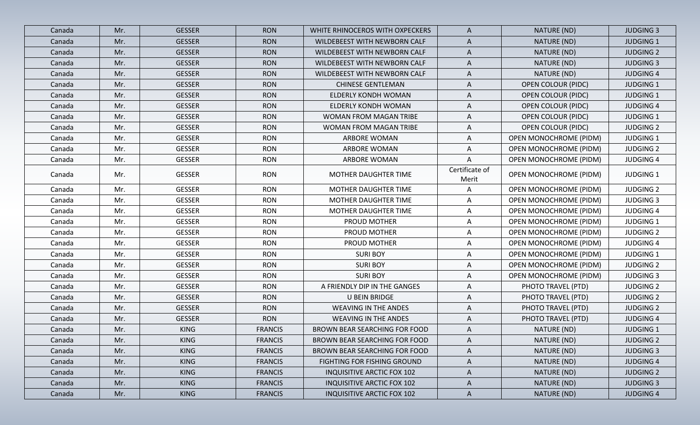| Canada | Mr. | <b>GESSER</b> | <b>RON</b>     | WHITE RHINOCEROS WITH OXPECKERS   | $\mathsf{A}$            | NATURE (ND)                   | <b>JUDGING 3</b> |
|--------|-----|---------------|----------------|-----------------------------------|-------------------------|-------------------------------|------------------|
| Canada | Mr. | <b>GESSER</b> | <b>RON</b>     | WILDEBEEST WITH NEWBORN CALF      | A                       | NATURE (ND)                   | <b>JUDGING 1</b> |
| Canada | Mr. | <b>GESSER</b> | <b>RON</b>     | WILDEBEEST WITH NEWBORN CALF      | A                       | NATURE (ND)                   | <b>JUDGING 2</b> |
| Canada | Mr. | <b>GESSER</b> | <b>RON</b>     | WILDEBEEST WITH NEWBORN CALF      | A                       | NATURE (ND)                   | <b>JUDGING 3</b> |
| Canada | Mr. | <b>GESSER</b> | <b>RON</b>     | WILDEBEEST WITH NEWBORN CALF      | A                       | NATURE (ND)                   | <b>JUDGING 4</b> |
| Canada | Mr. | <b>GESSER</b> | <b>RON</b>     | <b>CHINESE GENTLEMAN</b>          | A                       | <b>OPEN COLOUR (PIDC)</b>     | <b>JUDGING 1</b> |
| Canada | Mr. | <b>GESSER</b> | <b>RON</b>     | ELDERLY KONDH WOMAN               | A                       | <b>OPEN COLOUR (PIDC)</b>     | <b>JUDGING 1</b> |
| Canada | Mr. | <b>GESSER</b> | <b>RON</b>     | ELDERLY KONDH WOMAN               | A                       | <b>OPEN COLOUR (PIDC)</b>     | <b>JUDGING 4</b> |
| Canada | Mr. | <b>GESSER</b> | <b>RON</b>     | WOMAN FROM MAGAN TRIBE            | A                       | <b>OPEN COLOUR (PIDC)</b>     | <b>JUDGING 1</b> |
| Canada | Mr. | <b>GESSER</b> | <b>RON</b>     | WOMAN FROM MAGAN TRIBE            | A                       | <b>OPEN COLOUR (PIDC)</b>     | <b>JUDGING 2</b> |
| Canada | Mr. | <b>GESSER</b> | <b>RON</b>     | <b>ARBORE WOMAN</b>               | A                       | <b>OPEN MONOCHROME (PIDM)</b> | <b>JUDGING 1</b> |
| Canada | Mr. | <b>GESSER</b> | <b>RON</b>     | ARBORE WOMAN                      | A                       | <b>OPEN MONOCHROME (PIDM)</b> | <b>JUDGING 2</b> |
| Canada | Mr. | <b>GESSER</b> | <b>RON</b>     | ARBORE WOMAN                      | A                       | <b>OPEN MONOCHROME (PIDM)</b> | <b>JUDGING 4</b> |
| Canada | Mr. | <b>GESSER</b> | <b>RON</b>     | MOTHER DAUGHTER TIME              | Certificate of<br>Merit | <b>OPEN MONOCHROME (PIDM)</b> | <b>JUDGING 1</b> |
| Canada | Mr. | <b>GESSER</b> | <b>RON</b>     | MOTHER DAUGHTER TIME              | Α                       | <b>OPEN MONOCHROME (PIDM)</b> | <b>JUDGING 2</b> |
| Canada | Mr. | <b>GESSER</b> | <b>RON</b>     | MOTHER DAUGHTER TIME              | A                       | <b>OPEN MONOCHROME (PIDM)</b> | <b>JUDGING 3</b> |
| Canada | Mr. | <b>GESSER</b> | <b>RON</b>     | MOTHER DAUGHTER TIME              | Α                       | <b>OPEN MONOCHROME (PIDM)</b> | <b>JUDGING 4</b> |
| Canada | Mr. | <b>GESSER</b> | <b>RON</b>     | <b>PROUD MOTHER</b>               | A                       | OPEN MONOCHROME (PIDM)        | <b>JUDGING 1</b> |
| Canada | Mr. | <b>GESSER</b> | <b>RON</b>     | <b>PROUD MOTHER</b>               | A                       | OPEN MONOCHROME (PIDM)        | <b>JUDGING 2</b> |
| Canada | Mr. | <b>GESSER</b> | <b>RON</b>     | PROUD MOTHER                      | A                       | OPEN MONOCHROME (PIDM)        | <b>JUDGING 4</b> |
| Canada | Mr. | <b>GESSER</b> | <b>RON</b>     | <b>SURI BOY</b>                   | A                       | <b>OPEN MONOCHROME (PIDM)</b> | <b>JUDGING 1</b> |
| Canada | Mr. | <b>GESSER</b> | <b>RON</b>     | <b>SURI BOY</b>                   | A                       | <b>OPEN MONOCHROME (PIDM)</b> | <b>JUDGING 2</b> |
| Canada | Mr. | <b>GESSER</b> | <b>RON</b>     | <b>SURI BOY</b>                   | Α                       | OPEN MONOCHROME (PIDM)        | <b>JUDGING 3</b> |
| Canada | Mr. | <b>GESSER</b> | <b>RON</b>     | A FRIENDLY DIP IN THE GANGES      | A                       | PHOTO TRAVEL (PTD)            | <b>JUDGING 2</b> |
| Canada | Mr. | <b>GESSER</b> | <b>RON</b>     | U BEIN BRIDGE                     | A                       | PHOTO TRAVEL (PTD)            | <b>JUDGING 2</b> |
| Canada | Mr. | <b>GESSER</b> | <b>RON</b>     | <b>WEAVING IN THE ANDES</b>       | A                       | PHOTO TRAVEL (PTD)            | <b>JUDGING 2</b> |
| Canada | Mr. | <b>GESSER</b> | <b>RON</b>     | <b>WEAVING IN THE ANDES</b>       | A                       | PHOTO TRAVEL (PTD)            | <b>JUDGING 4</b> |
| Canada | Mr. | <b>KING</b>   | <b>FRANCIS</b> | BROWN BEAR SEARCHING FOR FOOD     | A                       | NATURE (ND)                   | <b>JUDGING 1</b> |
| Canada | Mr. | <b>KING</b>   | <b>FRANCIS</b> | BROWN BEAR SEARCHING FOR FOOD     | A                       | NATURE (ND)                   | <b>JUDGING 2</b> |
| Canada | Mr. | <b>KING</b>   | <b>FRANCIS</b> | BROWN BEAR SEARCHING FOR FOOD     | A                       | NATURE (ND)                   | <b>JUDGING 3</b> |
| Canada | Mr. | <b>KING</b>   | <b>FRANCIS</b> | FIGHTING FOR FISHING GROUND       | $\mathsf{A}$            | NATURE (ND)                   | <b>JUDGING 4</b> |
| Canada | Mr. | <b>KING</b>   | <b>FRANCIS</b> | <b>INQUISITIVE ARCTIC FOX 102</b> | $\mathsf{A}$            | NATURE (ND)                   | <b>JUDGING 2</b> |
| Canada | Mr. | <b>KING</b>   | <b>FRANCIS</b> | <b>INQUISITIVE ARCTIC FOX 102</b> | $\mathsf{A}$            | NATURE (ND)                   | <b>JUDGING 3</b> |
| Canada | Mr. | <b>KING</b>   | <b>FRANCIS</b> | <b>INQUISITIVE ARCTIC FOX 102</b> | $\mathsf{A}$            | NATURE (ND)                   | <b>JUDGING 4</b> |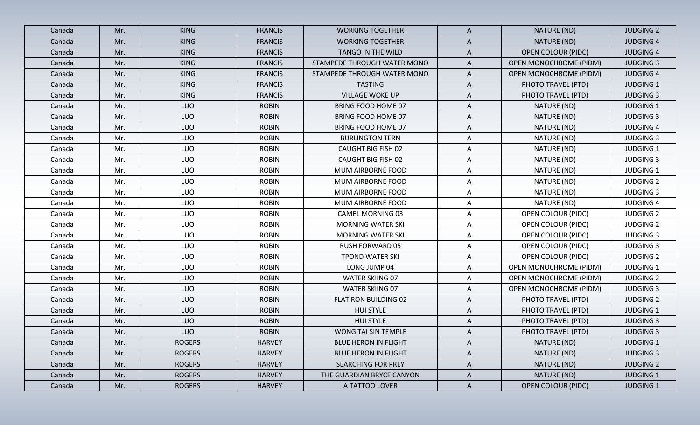| Canada | Mr. | <b>KING</b>   | <b>FRANCIS</b> | <b>WORKING TOGETHER</b>     | A            | NATURE (ND)                   | <b>JUDGING 2</b> |
|--------|-----|---------------|----------------|-----------------------------|--------------|-------------------------------|------------------|
| Canada | Mr. | <b>KING</b>   | <b>FRANCIS</b> | <b>WORKING TOGETHER</b>     | A            | NATURE (ND)                   | <b>JUDGING 4</b> |
| Canada | Mr. | <b>KING</b>   | <b>FRANCIS</b> | TANGO IN THE WILD           | A            | <b>OPEN COLOUR (PIDC)</b>     | <b>JUDGING 4</b> |
| Canada | Mr. | <b>KING</b>   | <b>FRANCIS</b> | STAMPEDE THROUGH WATER MONO | A            | OPEN MONOCHROME (PIDM)        | <b>JUDGING 3</b> |
| Canada | Mr. | <b>KING</b>   | <b>FRANCIS</b> | STAMPEDE THROUGH WATER MONO | A            | OPEN MONOCHROME (PIDM)        | <b>JUDGING 4</b> |
| Canada | Mr. | <b>KING</b>   | <b>FRANCIS</b> | <b>TASTING</b>              | A            | PHOTO TRAVEL (PTD)            | <b>JUDGING 1</b> |
| Canada | Mr. | <b>KING</b>   | <b>FRANCIS</b> | <b>VILLAGE WOKE UP</b>      | A            | PHOTO TRAVEL (PTD)            | <b>JUDGING 3</b> |
| Canada | Mr. | <b>LUO</b>    | <b>ROBIN</b>   | BRING FOOD HOME 07          | Α            | NATURE (ND)                   | <b>JUDGING 1</b> |
| Canada | Mr. | <b>LUO</b>    | <b>ROBIN</b>   | <b>BRING FOOD HOME 07</b>   | A            | NATURE (ND)                   | <b>JUDGING 3</b> |
| Canada | Mr. | <b>LUO</b>    | <b>ROBIN</b>   | BRING FOOD HOME 07          | A            | NATURE (ND)                   | <b>JUDGING 4</b> |
| Canada | Mr. | <b>LUO</b>    | <b>ROBIN</b>   | <b>BURLINGTON TERN</b>      | Α            | NATURE (ND)                   | <b>JUDGING 3</b> |
| Canada | Mr. | <b>LUO</b>    | <b>ROBIN</b>   | <b>CAUGHT BIG FISH 02</b>   | A            | NATURE (ND)                   | <b>JUDGING 1</b> |
| Canada | Mr. | <b>LUO</b>    | <b>ROBIN</b>   | <b>CAUGHT BIG FISH 02</b>   | A            | NATURE (ND)                   | <b>JUDGING 3</b> |
| Canada | Mr. | <b>LUO</b>    | <b>ROBIN</b>   | MUM AIRBORNE FOOD           | Α            | NATURE (ND)                   | <b>JUDGING 1</b> |
| Canada | Mr. | <b>LUO</b>    | <b>ROBIN</b>   | MUM AIRBORNE FOOD           | A            | NATURE (ND)                   | <b>JUDGING 2</b> |
| Canada | Mr. | <b>LUO</b>    | <b>ROBIN</b>   | MUM AIRBORNE FOOD           | Α            | NATURE (ND)                   | <b>JUDGING 3</b> |
| Canada | Mr. | <b>LUO</b>    | <b>ROBIN</b>   | MUM AIRBORNE FOOD           | Α            | NATURE (ND)                   | <b>JUDGING 4</b> |
| Canada | Mr. | LUO           | <b>ROBIN</b>   | <b>CAMEL MORNING 03</b>     | Α            | <b>OPEN COLOUR (PIDC)</b>     | <b>JUDGING 2</b> |
| Canada | Mr. | <b>LUO</b>    | <b>ROBIN</b>   | <b>MORNING WATER SKI</b>    | A            | <b>OPEN COLOUR (PIDC)</b>     | <b>JUDGING 2</b> |
| Canada | Mr. | <b>LUO</b>    | <b>ROBIN</b>   | <b>MORNING WATER SKI</b>    | Α            | <b>OPEN COLOUR (PIDC)</b>     | <b>JUDGING 3</b> |
| Canada | Mr. | <b>LUO</b>    | <b>ROBIN</b>   | <b>RUSH FORWARD 05</b>      | A            | <b>OPEN COLOUR (PIDC)</b>     | <b>JUDGING 3</b> |
| Canada | Mr. | <b>LUO</b>    | <b>ROBIN</b>   | <b>TPOND WATER SKI</b>      | A            | <b>OPEN COLOUR (PIDC)</b>     | <b>JUDGING 2</b> |
| Canada | Mr. | <b>LUO</b>    | <b>ROBIN</b>   | LONG JUMP 04                | A            | <b>OPEN MONOCHROME (PIDM)</b> | <b>JUDGING 1</b> |
| Canada | Mr. | LUO           | <b>ROBIN</b>   | <b>WATER SKIING 07</b>      | A            | <b>OPEN MONOCHROME (PIDM)</b> | <b>JUDGING 2</b> |
| Canada | Mr. | <b>LUO</b>    | <b>ROBIN</b>   | <b>WATER SKIING 07</b>      | Α            | <b>OPEN MONOCHROME (PIDM)</b> | <b>JUDGING 3</b> |
| Canada | Mr. | <b>LUO</b>    | <b>ROBIN</b>   | <b>FLATIRON BUILDING 02</b> | A            | PHOTO TRAVEL (PTD)            | <b>JUDGING 2</b> |
| Canada | Mr. | <b>LUO</b>    | <b>ROBIN</b>   | <b>HUI STYLE</b>            | A            | PHOTO TRAVEL (PTD)            | <b>JUDGING 1</b> |
| Canada | Mr. | <b>LUO</b>    | <b>ROBIN</b>   | <b>HUI STYLE</b>            | A            | PHOTO TRAVEL (PTD)            | <b>JUDGING 3</b> |
| Canada | Mr. | LUO           | <b>ROBIN</b>   | WONG TAI SIN TEMPLE         | A            | PHOTO TRAVEL (PTD)            | <b>JUDGING 3</b> |
| Canada | Mr. | <b>ROGERS</b> | <b>HARVEY</b>  | <b>BLUE HERON IN FLIGHT</b> | A            | NATURE (ND)                   | <b>JUDGING 1</b> |
| Canada | Mr. | <b>ROGERS</b> | <b>HARVEY</b>  | <b>BLUE HERON IN FLIGHT</b> | A            | NATURE (ND)                   | <b>JUDGING 3</b> |
| Canada | Mr. | <b>ROGERS</b> | <b>HARVEY</b>  | <b>SEARCHING FOR PREY</b>   | A            | NATURE (ND)                   | <b>JUDGING 2</b> |
| Canada | Mr. | <b>ROGERS</b> | <b>HARVEY</b>  | THE GUARDIAN BRYCE CANYON   | A            | NATURE (ND)                   | <b>JUDGING 1</b> |
| Canada | Mr. | <b>ROGERS</b> | <b>HARVEY</b>  | A TATTOO LOVER              | $\mathsf{A}$ | <b>OPEN COLOUR (PIDC)</b>     | <b>JUDGING 1</b> |
|        |     |               |                |                             |              |                               |                  |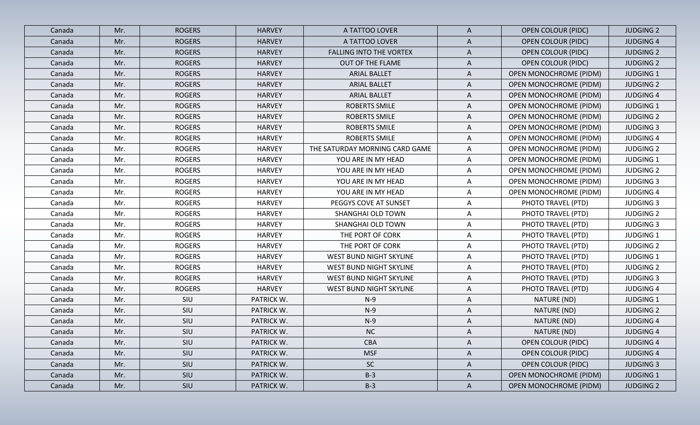| Canada | Mr. | <b>ROGERS</b> | <b>HARVEY</b> | A TATTOO LOVER                 | $\mathsf{A}$ | <b>OPEN COLOUR (PIDC)</b>     | <b>JUDGING 2</b> |
|--------|-----|---------------|---------------|--------------------------------|--------------|-------------------------------|------------------|
| Canada | Mr. | <b>ROGERS</b> | <b>HARVEY</b> | A TATTOO LOVER                 | $\mathsf{A}$ | <b>OPEN COLOUR (PIDC)</b>     | <b>JUDGING 4</b> |
| Canada | Mr. | <b>ROGERS</b> | <b>HARVEY</b> | <b>FALLING INTO THE VORTEX</b> | $\mathsf{A}$ | <b>OPEN COLOUR (PIDC)</b>     | <b>JUDGING 2</b> |
| Canada | Mr. | <b>ROGERS</b> | <b>HARVEY</b> | OUT OF THE FLAME               | $\mathsf{A}$ | <b>OPEN COLOUR (PIDC)</b>     | <b>JUDGING 2</b> |
| Canada | Mr. | <b>ROGERS</b> | <b>HARVEY</b> | <b>ARIAL BALLET</b>            | $\mathsf{A}$ | <b>OPEN MONOCHROME (PIDM)</b> | <b>JUDGING 1</b> |
| Canada | Mr. | <b>ROGERS</b> | <b>HARVEY</b> | <b>ARIAL BALLET</b>            | A            | OPEN MONOCHROME (PIDM)        | <b>JUDGING 2</b> |
| Canada | Mr. | <b>ROGERS</b> | <b>HARVEY</b> | <b>ARIAL BALLET</b>            | A            | <b>OPEN MONOCHROME (PIDM)</b> | <b>JUDGING 4</b> |
| Canada | Mr. | <b>ROGERS</b> | <b>HARVEY</b> | <b>ROBERTS SMILE</b>           | A            | <b>OPEN MONOCHROME (PIDM)</b> | <b>JUDGING 1</b> |
| Canada | Mr. | <b>ROGERS</b> | <b>HARVEY</b> | ROBERTS SMILE                  | A            | <b>OPEN MONOCHROME (PIDM)</b> | <b>JUDGING 2</b> |
| Canada | Mr. | <b>ROGERS</b> | <b>HARVEY</b> | ROBERTS SMILE                  | A            | OPEN MONOCHROME (PIDM)        | <b>JUDGING 3</b> |
| Canada | Mr. | <b>ROGERS</b> | <b>HARVEY</b> | ROBERTS SMILE                  | $\mathsf{A}$ | OPEN MONOCHROME (PIDM)        | <b>JUDGING 4</b> |
| Canada | Mr. | <b>ROGERS</b> | <b>HARVEY</b> | THE SATURDAY MORNING CARD GAME | $\mathsf{A}$ | OPEN MONOCHROME (PIDM)        | <b>JUDGING 2</b> |
| Canada | Mr. | <b>ROGERS</b> | <b>HARVEY</b> | YOU ARE IN MY HEAD             | $\mathsf{A}$ | OPEN MONOCHROME (PIDM)        | <b>JUDGING 1</b> |
| Canada | Mr. | <b>ROGERS</b> | <b>HARVEY</b> | YOU ARE IN MY HEAD             | A            | <b>OPEN MONOCHROME (PIDM)</b> | <b>JUDGING 2</b> |
| Canada | Mr. | <b>ROGERS</b> | <b>HARVEY</b> | YOU ARE IN MY HEAD             | A            | <b>OPEN MONOCHROME (PIDM)</b> | <b>JUDGING 3</b> |
| Canada | Mr. | <b>ROGERS</b> | <b>HARVEY</b> | YOU ARE IN MY HEAD             | $\mathsf{A}$ | OPEN MONOCHROME (PIDM)        | <b>JUDGING 4</b> |
| Canada | Mr. | <b>ROGERS</b> | <b>HARVEY</b> | PEGGYS COVE AT SUNSET          | $\mathsf{A}$ | PHOTO TRAVEL (PTD)            | <b>JUDGING 3</b> |
| Canada | Mr. | <b>ROGERS</b> | <b>HARVEY</b> | SHANGHAI OLD TOWN              | $\mathsf{A}$ | PHOTO TRAVEL (PTD)            | <b>JUDGING 2</b> |
| Canada | Mr. | <b>ROGERS</b> | <b>HARVEY</b> | SHANGHAI OLD TOWN              | $\mathsf{A}$ | PHOTO TRAVEL (PTD)            | <b>JUDGING 3</b> |
| Canada | Mr. | <b>ROGERS</b> | <b>HARVEY</b> | THE PORT OF CORK               | A            | PHOTO TRAVEL (PTD)            | <b>JUDGING 1</b> |
| Canada | Mr. | <b>ROGERS</b> | <b>HARVEY</b> | THE PORT OF CORK               | $\mathsf{A}$ | PHOTO TRAVEL (PTD)            | <b>JUDGING 2</b> |
| Canada | Mr. | <b>ROGERS</b> | <b>HARVEY</b> | WEST BUND NIGHT SKYLINE        | $\mathsf{A}$ | PHOTO TRAVEL (PTD)            | <b>JUDGING 1</b> |
| Canada | Mr. | <b>ROGERS</b> | <b>HARVEY</b> | WEST BUND NIGHT SKYLINE        | $\mathsf{A}$ | PHOTO TRAVEL (PTD)            | <b>JUDGING 2</b> |
| Canada | Mr. | <b>ROGERS</b> | <b>HARVEY</b> | WEST BUND NIGHT SKYLINE        | $\mathsf{A}$ | PHOTO TRAVEL (PTD)            | <b>JUDGING 3</b> |
| Canada | Mr. | <b>ROGERS</b> | <b>HARVEY</b> | WEST BUND NIGHT SKYLINE        | $\mathsf{A}$ | PHOTO TRAVEL (PTD)            | <b>JUDGING 4</b> |
| Canada | Mr. | SIU           | PATRICK W.    | $N-9$                          | A            | NATURE (ND)                   | <b>JUDGING 1</b> |
| Canada | Mr. | SIU           | PATRICK W.    | $N-9$                          | A            | NATURE (ND)                   | <b>JUDGING 2</b> |
| Canada | Mr. | SIU           | PATRICK W.    | $N-9$                          | A            | NATURE (ND)                   | <b>JUDGING 4</b> |
| Canada | Mr. | SIU           | PATRICK W.    | <b>NC</b>                      | A            | NATURE (ND)                   | <b>JUDGING 4</b> |
| Canada | Mr. | SIU           | PATRICK W.    | <b>CBA</b>                     | $\mathsf{A}$ | <b>OPEN COLOUR (PIDC)</b>     | <b>JUDGING 4</b> |
| Canada | Mr. | SIU           | PATRICK W.    | <b>MSF</b>                     | $\mathsf{A}$ | <b>OPEN COLOUR (PIDC)</b>     | <b>JUDGING 4</b> |
| Canada | Mr. | SIU           | PATRICK W.    | <b>SC</b>                      | A            | <b>OPEN COLOUR (PIDC)</b>     | <b>JUDGING 3</b> |
| Canada | Mr. | SIU           | PATRICK W.    | $B-3$                          | $\mathsf{A}$ | <b>OPEN MONOCHROME (PIDM)</b> | <b>JUDGING 1</b> |
| Canada | Mr. | SIU           | PATRICK W.    | $B-3$                          | $\mathsf{A}$ | OPEN MONOCHROME (PIDM)        | <b>JUDGING 2</b> |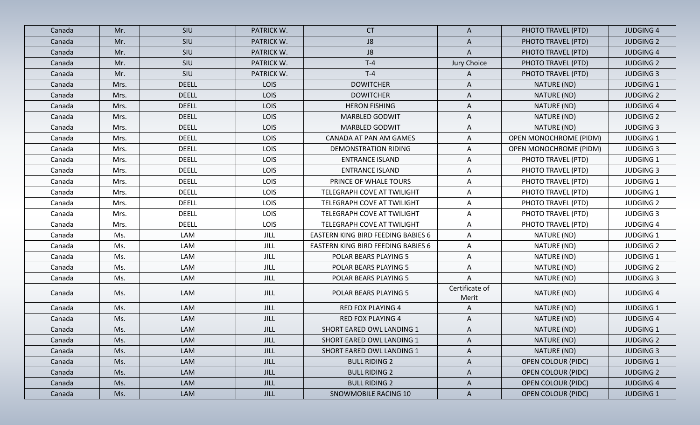| Canada | Mr.  | SIU          | PATRICK W.  | <b>CT</b>                                 | A                       | PHOTO TRAVEL (PTD)            | <b>JUDGING 4</b> |
|--------|------|--------------|-------------|-------------------------------------------|-------------------------|-------------------------------|------------------|
| Canada | Mr.  | SIU          | PATRICK W.  | J8                                        | A                       | PHOTO TRAVEL (PTD)            | <b>JUDGING 2</b> |
| Canada | Mr.  | SIU          | PATRICK W.  | J8                                        | A                       | PHOTO TRAVEL (PTD)            | <b>JUDGING 4</b> |
| Canada | Mr.  | SIU          | PATRICK W.  | $T-4$                                     | Jury Choice             | PHOTO TRAVEL (PTD)            | <b>JUDGING 2</b> |
| Canada | Mr.  | SIU          | PATRICK W.  | $T-4$                                     | A                       | PHOTO TRAVEL (PTD)            | <b>JUDGING 3</b> |
| Canada | Mrs. | <b>DEELL</b> | LOIS        | <b>DOWITCHER</b>                          | A                       | NATURE (ND)                   | <b>JUDGING 1</b> |
| Canada | Mrs. | <b>DEELL</b> | LOIS        | <b>DOWITCHER</b>                          | A                       | NATURE (ND)                   | <b>JUDGING 2</b> |
| Canada | Mrs. | <b>DEELL</b> | LOIS        | <b>HERON FISHING</b>                      | Α                       | NATURE (ND)                   | <b>JUDGING 4</b> |
| Canada | Mrs. | <b>DEELL</b> | LOIS        | <b>MARBLED GODWIT</b>                     | A                       | NATURE (ND)                   | <b>JUDGING 2</b> |
| Canada | Mrs. | <b>DEELL</b> | LOIS        | <b>MARBLED GODWIT</b>                     | A                       | NATURE (ND)                   | <b>JUDGING 3</b> |
| Canada | Mrs. | <b>DEELL</b> | LOIS        | CANADA AT PAN AM GAMES                    | Α                       | <b>OPEN MONOCHROME (PIDM)</b> | <b>JUDGING 1</b> |
| Canada | Mrs. | <b>DEELL</b> | LOIS        | <b>DEMONSTRATION RIDING</b>               | A                       | <b>OPEN MONOCHROME (PIDM)</b> | <b>JUDGING 3</b> |
| Canada | Mrs. | <b>DEELL</b> | LOIS        | <b>ENTRANCE ISLAND</b>                    | Α                       | PHOTO TRAVEL (PTD)            | <b>JUDGING 1</b> |
| Canada | Mrs. | <b>DEELL</b> | LOIS        | <b>ENTRANCE ISLAND</b>                    | A                       | PHOTO TRAVEL (PTD)            | <b>JUDGING 3</b> |
| Canada | Mrs. | <b>DEELL</b> | LOIS        | PRINCE OF WHALE TOURS                     | A                       | PHOTO TRAVEL (PTD)            | <b>JUDGING 1</b> |
| Canada | Mrs. | <b>DEELL</b> | LOIS        | TELEGRAPH COVE AT TWILIGHT                | A                       | PHOTO TRAVEL (PTD)            | <b>JUDGING 1</b> |
| Canada | Mrs. | <b>DEELL</b> | LOIS        | TELEGRAPH COVE AT TWILIGHT                | A                       | PHOTO TRAVEL (PTD)            | <b>JUDGING 2</b> |
| Canada | Mrs. | <b>DEELL</b> | LOIS        | TELEGRAPH COVE AT TWILIGHT                | A                       | PHOTO TRAVEL (PTD)            | <b>JUDGING 3</b> |
| Canada | Mrs. | <b>DEELL</b> | LOIS        | TELEGRAPH COVE AT TWILIGHT                | A                       | PHOTO TRAVEL (PTD)            | <b>JUDGING 4</b> |
| Canada | Ms.  | LAM          | JILL        | <b>EASTERN KING BIRD FEEDING BABIES 6</b> | A                       | NATURE (ND)                   | <b>JUDGING 1</b> |
| Canada | Ms.  | LAM          | JILL        | EASTERN KING BIRD FEEDING BABIES 6        | A                       | NATURE (ND)                   | <b>JUDGING 2</b> |
| Canada | Ms.  | LAM          | JILL        | POLAR BEARS PLAYING 5                     | A                       | NATURE (ND)                   | <b>JUDGING 1</b> |
| Canada | Ms.  | LAM          | JILL        | POLAR BEARS PLAYING 5                     | A                       | NATURE (ND)                   | <b>JUDGING 2</b> |
| Canada | Ms.  | LAM          | JILL        | POLAR BEARS PLAYING 5                     | Α                       | NATURE (ND)                   | <b>JUDGING 3</b> |
| Canada | Ms.  | LAM          | JILL        | POLAR BEARS PLAYING 5                     | Certificate of<br>Merit | NATURE (ND)                   | <b>JUDGING 4</b> |
| Canada | Ms.  | <b>LAM</b>   | <b>JILL</b> | <b>RED FOX PLAYING 4</b>                  | A                       | NATURE (ND)                   | <b>JUDGING 1</b> |
| Canada | Ms.  | LAM          | <b>JILL</b> | <b>RED FOX PLAYING 4</b>                  | Α                       | NATURE (ND)                   | <b>JUDGING 4</b> |
| Canada | Ms.  | LAM          | JILL        | SHORT EARED OWL LANDING 1                 | A                       | NATURE (ND)                   | <b>JUDGING 1</b> |
| Canada | Ms.  | LAM          | JILL        | SHORT EARED OWL LANDING 1                 | $\mathsf{A}$            | NATURE (ND)                   | <b>JUDGING 2</b> |
| Canada | Ms.  | LAM          | JILL        | SHORT EARED OWL LANDING 1                 | A                       | NATURE (ND)                   | <b>JUDGING 3</b> |
| Canada | Ms.  | LAM          | JILL        | <b>BULL RIDING 2</b>                      | $\mathsf{A}$            | <b>OPEN COLOUR (PIDC)</b>     | <b>JUDGING 1</b> |
| Canada | Ms.  | LAM          | <b>JILL</b> | <b>BULL RIDING 2</b>                      | $\mathsf{A}$            | <b>OPEN COLOUR (PIDC)</b>     | <b>JUDGING 2</b> |
| Canada | Ms.  | LAM          | JILL        | <b>BULL RIDING 2</b>                      | A                       | <b>OPEN COLOUR (PIDC)</b>     | <b>JUDGING 4</b> |
| Canada | Ms.  | LAM          | JILL        | SNOWMOBILE RACING 10                      | $\mathsf{A}$            | <b>OPEN COLOUR (PIDC)</b>     | <b>JUDGING 1</b> |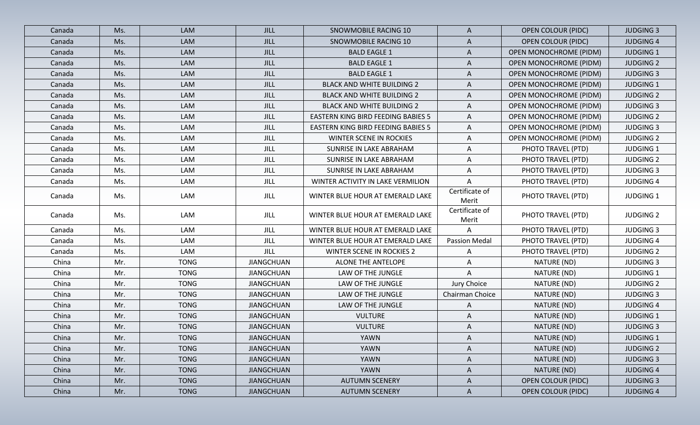| Canada | Ms. | <b>LAM</b>  | <b>JILL</b>       | SNOWMOBILE RACING 10                      | A                       | <b>OPEN COLOUR (PIDC)</b>     | <b>JUDGING 3</b> |
|--------|-----|-------------|-------------------|-------------------------------------------|-------------------------|-------------------------------|------------------|
| Canada | Ms. | LAM         | <b>JILL</b>       | SNOWMOBILE RACING 10                      | A                       | <b>OPEN COLOUR (PIDC)</b>     | <b>JUDGING 4</b> |
| Canada | Ms. | LAM         | <b>JILL</b>       | <b>BALD EAGLE 1</b>                       | A                       | <b>OPEN MONOCHROME (PIDM)</b> | <b>JUDGING 1</b> |
| Canada | Ms. | LAM         | JILL              | <b>BALD EAGLE 1</b>                       | A                       | <b>OPEN MONOCHROME (PIDM)</b> | <b>JUDGING 2</b> |
| Canada | Ms. | LAM         | JILL              | <b>BALD EAGLE 1</b>                       | A                       | <b>OPEN MONOCHROME (PIDM)</b> | <b>JUDGING 3</b> |
| Canada | Ms. | LAM         | <b>JILL</b>       | <b>BLACK AND WHITE BUILDING 2</b>         | A                       | <b>OPEN MONOCHROME (PIDM)</b> | <b>JUDGING 1</b> |
| Canada | Ms. | LAM         | <b>JILL</b>       | <b>BLACK AND WHITE BUILDING 2</b>         | A                       | <b>OPEN MONOCHROME (PIDM)</b> | <b>JUDGING 2</b> |
| Canada | Ms. | LAM         | <b>JILL</b>       | <b>BLACK AND WHITE BUILDING 2</b>         | A                       | <b>OPEN MONOCHROME (PIDM)</b> | <b>JUDGING 3</b> |
| Canada | Ms. | LAM         | <b>JILL</b>       | EASTERN KING BIRD FEEDING BABIES 5        | A                       | <b>OPEN MONOCHROME (PIDM)</b> | <b>JUDGING 2</b> |
| Canada | Ms. | LAM         | <b>JILL</b>       | <b>EASTERN KING BIRD FEEDING BABIES 5</b> | A                       | OPEN MONOCHROME (PIDM)        | <b>JUDGING 3</b> |
| Canada | Ms. | LAM         | <b>JILL</b>       | WINTER SCENE IN ROCKIES                   | Α                       | <b>OPEN MONOCHROME (PIDM)</b> | <b>JUDGING 2</b> |
| Canada | Ms. | LAM         | $_{\rm JILL}$     | SUNRISE IN LAKE ABRAHAM                   | A                       | PHOTO TRAVEL (PTD)            | <b>JUDGING 1</b> |
| Canada | Ms. | LAM         | JILL              | SUNRISE IN LAKE ABRAHAM                   | A                       | PHOTO TRAVEL (PTD)            | <b>JUDGING 2</b> |
| Canada | Ms. | LAM         | <b>JILL</b>       | SUNRISE IN LAKE ABRAHAM                   | Α                       | PHOTO TRAVEL (PTD)            | <b>JUDGING 3</b> |
| Canada | Ms. | LAM         | JILL              | WINTER ACTIVITY IN LAKE VERMILION         | A                       | PHOTO TRAVEL (PTD)            | <b>JUDGING 4</b> |
| Canada | Ms. | LAM         | JILL              | WINTER BLUE HOUR AT EMERALD LAKE          | Certificate of<br>Merit | PHOTO TRAVEL (PTD)            | <b>JUDGING 1</b> |
| Canada | Ms. | LAM         | <b>JILL</b>       | WINTER BLUE HOUR AT EMERALD LAKE          | Certificate of<br>Merit | PHOTO TRAVEL (PTD)            | <b>JUDGING 2</b> |
| Canada | Ms. | LAM         | <b>JILL</b>       | WINTER BLUE HOUR AT EMERALD LAKE          | $\mathsf{A}$            | PHOTO TRAVEL (PTD)            | <b>JUDGING 3</b> |
| Canada | Ms. | LAM         | JILL              | WINTER BLUE HOUR AT EMERALD LAKE          | <b>Passion Medal</b>    | PHOTO TRAVEL (PTD)            | <b>JUDGING 4</b> |
| Canada | Ms. | LAM         | JILL              | <b>WINTER SCENE IN ROCKIES 2</b>          | Α                       | PHOTO TRAVEL (PTD)            | <b>JUDGING 2</b> |
| China  | Mr. | <b>TONG</b> | <b>JIANGCHUAN</b> | ALONE THE ANTELOPE                        | Α                       | NATURE (ND)                   | <b>JUDGING 3</b> |
| China  | Mr. | <b>TONG</b> | <b>JIANGCHUAN</b> | LAW OF THE JUNGLE                         | A                       | NATURE (ND)                   | <b>JUDGING 1</b> |
| China  | Mr. | <b>TONG</b> | <b>JIANGCHUAN</b> | LAW OF THE JUNGLE                         | Jury Choice             | NATURE (ND)                   | <b>JUDGING 2</b> |
| China  | Mr. | <b>TONG</b> | <b>JIANGCHUAN</b> | LAW OF THE JUNGLE                         | Chairman Choice         | NATURE (ND)                   | <b>JUDGING 3</b> |
| China  | Mr. | <b>TONG</b> | <b>JIANGCHUAN</b> | LAW OF THE JUNGLE                         | A                       | NATURE (ND)                   | <b>JUDGING 4</b> |
| China  | Mr. | <b>TONG</b> | <b>JIANGCHUAN</b> | <b>VULTURE</b>                            | A                       | NATURE (ND)                   | <b>JUDGING 1</b> |
| China  | Mr. | <b>TONG</b> | <b>JIANGCHUAN</b> | <b>VULTURE</b>                            | A                       | NATURE (ND)                   | <b>JUDGING 3</b> |
| China  | Mr. | <b>TONG</b> | JIANGCHUAN        | YAWN                                      | A                       | NATURE (ND)                   | <b>JUDGING 1</b> |
| China  | Mr. | <b>TONG</b> | <b>JIANGCHUAN</b> | YAWN                                      | A                       | NATURE (ND)                   | <b>JUDGING 2</b> |
| China  | Mr. | <b>TONG</b> | <b>JIANGCHUAN</b> | YAWN                                      | A                       | NATURE (ND)                   | <b>JUDGING 3</b> |
| China  | Mr. | <b>TONG</b> | <b>JIANGCHUAN</b> | YAWN                                      | $\mathsf{A}$            | NATURE (ND)                   | <b>JUDGING 4</b> |
| China  | Mr. | <b>TONG</b> | <b>JIANGCHUAN</b> | <b>AUTUMN SCENERY</b>                     | A                       | <b>OPEN COLOUR (PIDC)</b>     | <b>JUDGING 3</b> |
| China  | Mr. | <b>TONG</b> | <b>JIANGCHUAN</b> | <b>AUTUMN SCENERY</b>                     | $\mathsf{A}$            | <b>OPEN COLOUR (PIDC)</b>     | <b>JUDGING 4</b> |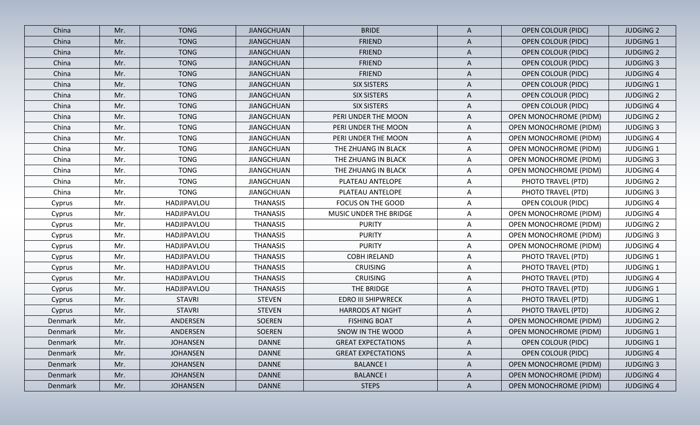| China   | Mr. | <b>TONG</b>     | <b>JIANGCHUAN</b> | <b>BRIDE</b>              | $\mathsf{A}$ | <b>OPEN COLOUR (PIDC)</b>     | <b>JUDGING 2</b> |
|---------|-----|-----------------|-------------------|---------------------------|--------------|-------------------------------|------------------|
| China   | Mr. | <b>TONG</b>     | <b>JIANGCHUAN</b> | <b>FRIEND</b>             | Α            | <b>OPEN COLOUR (PIDC)</b>     | <b>JUDGING 1</b> |
| China   | Mr. | <b>TONG</b>     | <b>JIANGCHUAN</b> | <b>FRIEND</b>             | $\mathsf{A}$ | <b>OPEN COLOUR (PIDC)</b>     | <b>JUDGING 2</b> |
| China   | Mr. | <b>TONG</b>     | <b>JIANGCHUAN</b> | <b>FRIEND</b>             | A            | <b>OPEN COLOUR (PIDC)</b>     | <b>JUDGING 3</b> |
| China   | Mr. | <b>TONG</b>     | <b>JIANGCHUAN</b> | <b>FRIEND</b>             | A            | <b>OPEN COLOUR (PIDC)</b>     | <b>JUDGING 4</b> |
| China   | Mr. | <b>TONG</b>     | <b>JIANGCHUAN</b> | <b>SIX SISTERS</b>        | A            | <b>OPEN COLOUR (PIDC)</b>     | <b>JUDGING 1</b> |
| China   | Mr. | <b>TONG</b>     | <b>JIANGCHUAN</b> | <b>SIX SISTERS</b>        | Α            | <b>OPEN COLOUR (PIDC)</b>     | <b>JUDGING 2</b> |
| China   | Mr. | <b>TONG</b>     | <b>JIANGCHUAN</b> | <b>SIX SISTERS</b>        | A            | <b>OPEN COLOUR (PIDC)</b>     | <b>JUDGING 4</b> |
| China   | Mr. | <b>TONG</b>     | <b>JIANGCHUAN</b> | PERI UNDER THE MOON       | A            | <b>OPEN MONOCHROME (PIDM)</b> | <b>JUDGING 2</b> |
| China   | Mr. | <b>TONG</b>     | <b>JIANGCHUAN</b> | PERI UNDER THE MOON       | Α            | <b>OPEN MONOCHROME (PIDM)</b> | <b>JUDGING 3</b> |
| China   | Mr. | <b>TONG</b>     | <b>JIANGCHUAN</b> | PERI UNDER THE MOON       | A            | OPEN MONOCHROME (PIDM)        | <b>JUDGING 4</b> |
| China   | Mr. | <b>TONG</b>     | <b>JIANGCHUAN</b> | THE ZHUANG IN BLACK       | A            | OPEN MONOCHROME (PIDM)        | <b>JUDGING 1</b> |
| China   | Mr. | <b>TONG</b>     | <b>JIANGCHUAN</b> | THE ZHUANG IN BLACK       | Α            | <b>OPEN MONOCHROME (PIDM)</b> | <b>JUDGING 3</b> |
| China   | Mr. | <b>TONG</b>     | <b>JIANGCHUAN</b> | THE ZHUANG IN BLACK       | A            | OPEN MONOCHROME (PIDM)        | <b>JUDGING 4</b> |
| China   | Mr. | <b>TONG</b>     | <b>JIANGCHUAN</b> | PLATEAU ANTELOPE          | A            | PHOTO TRAVEL (PTD)            | <b>JUDGING 2</b> |
| China   | Mr. | <b>TONG</b>     | <b>JIANGCHUAN</b> | PLATEAU ANTELOPE          | A            | PHOTO TRAVEL (PTD)            | <b>JUDGING 3</b> |
| Cyprus  | Mr. | HADJIPAVLOU     | <b>THANASIS</b>   | FOCUS ON THE GOOD         | A            | <b>OPEN COLOUR (PIDC)</b>     | <b>JUDGING 4</b> |
| Cyprus  | Mr. | HADJIPAVLOU     | <b>THANASIS</b>   | MUSIC UNDER THE BRIDGE    | A            | <b>OPEN MONOCHROME (PIDM)</b> | <b>JUDGING 4</b> |
| Cyprus  | Mr. | HADJIPAVLOU     | <b>THANASIS</b>   | <b>PURITY</b>             | A            | <b>OPEN MONOCHROME (PIDM)</b> | <b>JUDGING 2</b> |
| Cyprus  | Mr. | HADJIPAVLOU     | <b>THANASIS</b>   | <b>PURITY</b>             | Α            | <b>OPEN MONOCHROME (PIDM)</b> | <b>JUDGING 3</b> |
| Cyprus  | Mr. | HADJIPAVLOU     | <b>THANASIS</b>   | <b>PURITY</b>             | A            | OPEN MONOCHROME (PIDM)        | <b>JUDGING 4</b> |
| Cyprus  | Mr. | HADJIPAVLOU     | <b>THANASIS</b>   | <b>COBH IRELAND</b>       | Α            | PHOTO TRAVEL (PTD)            | <b>JUDGING 1</b> |
| Cyprus  | Mr. | HADJIPAVLOU     | <b>THANASIS</b>   | <b>CRUISING</b>           | A            | PHOTO TRAVEL (PTD)            | <b>JUDGING 1</b> |
| Cyprus  | Mr. | HADJIPAVLOU     | <b>THANASIS</b>   | <b>CRUISING</b>           | A            | PHOTO TRAVEL (PTD)            | <b>JUDGING 4</b> |
| Cyprus  | Mr. | HADJIPAVLOU     | <b>THANASIS</b>   | THE BRIDGE                | A            | PHOTO TRAVEL (PTD)            | <b>JUDGING 1</b> |
| Cyprus  | Mr. | <b>STAVRI</b>   | <b>STEVEN</b>     | <b>EDRO III SHIPWRECK</b> | A            | PHOTO TRAVEL (PTD)            | <b>JUDGING 1</b> |
| Cyprus  | Mr. | <b>STAVRI</b>   | <b>STEVEN</b>     | <b>HARRODS AT NIGHT</b>   | Α            | PHOTO TRAVEL (PTD)            | <b>JUDGING 2</b> |
| Denmark | Mr. | ANDERSEN        | SOEREN            | <b>FISHING BOAT</b>       | A            | <b>OPEN MONOCHROME (PIDM)</b> | <b>JUDGING 2</b> |
| Denmark | Mr. | ANDERSEN        | SOEREN            | SNOW IN THE WOOD          | A            | OPEN MONOCHROME (PIDM)        | <b>JUDGING 1</b> |
| Denmark | Mr. | <b>JOHANSEN</b> | <b>DANNE</b>      | <b>GREAT EXPECTATIONS</b> | A            | <b>OPEN COLOUR (PIDC)</b>     | <b>JUDGING 1</b> |
| Denmark | Mr. | <b>JOHANSEN</b> | <b>DANNE</b>      | <b>GREAT EXPECTATIONS</b> | $\mathsf{A}$ | <b>OPEN COLOUR (PIDC)</b>     | <b>JUDGING 4</b> |
| Denmark | Mr. | <b>JOHANSEN</b> | <b>DANNE</b>      | <b>BALANCE I</b>          | A            | <b>OPEN MONOCHROME (PIDM)</b> | <b>JUDGING 3</b> |
| Denmark | Mr. | <b>JOHANSEN</b> | <b>DANNE</b>      | <b>BALANCE I</b>          | $\mathsf{A}$ | <b>OPEN MONOCHROME (PIDM)</b> | <b>JUDGING 4</b> |
| Denmark | Mr. | <b>JOHANSEN</b> | <b>DANNE</b>      | <b>STEPS</b>              | $\mathsf{A}$ | OPEN MONOCHROME (PIDM)        | <b>JUDGING 4</b> |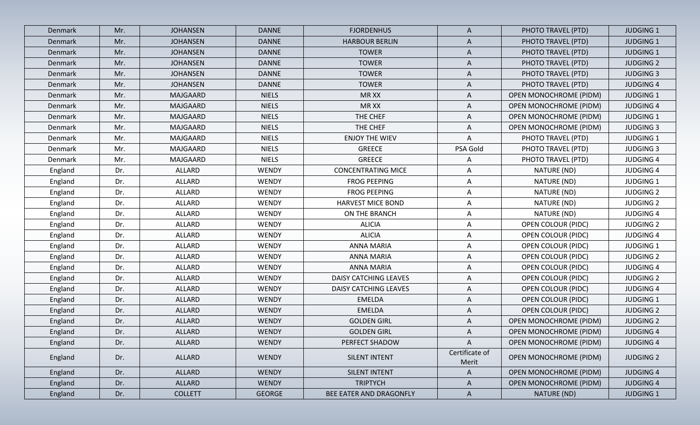| Denmark | Mr. | <b>JOHANSEN</b> | <b>DANNE</b>  | <b>FJORDENHUS</b>            | A                       | PHOTO TRAVEL (PTD)            | <b>JUDGING 1</b> |
|---------|-----|-----------------|---------------|------------------------------|-------------------------|-------------------------------|------------------|
| Denmark | Mr. | <b>JOHANSEN</b> | <b>DANNE</b>  | <b>HARBOUR BERLIN</b>        | A                       | PHOTO TRAVEL (PTD)            | <b>JUDGING 1</b> |
| Denmark | Mr. | <b>JOHANSEN</b> | <b>DANNE</b>  | <b>TOWER</b>                 | $\mathsf{A}$            | PHOTO TRAVEL (PTD)            | <b>JUDGING 1</b> |
| Denmark | Mr. | <b>JOHANSEN</b> | <b>DANNE</b>  | <b>TOWER</b>                 | $\mathsf{A}$            | PHOTO TRAVEL (PTD)            | <b>JUDGING 2</b> |
| Denmark | Mr. | <b>JOHANSEN</b> | <b>DANNE</b>  | <b>TOWER</b>                 | A                       | PHOTO TRAVEL (PTD)            | <b>JUDGING 3</b> |
| Denmark | Mr. | <b>JOHANSEN</b> | <b>DANNE</b>  | <b>TOWER</b>                 | A                       | PHOTO TRAVEL (PTD)            | <b>JUDGING 4</b> |
| Denmark | Mr. | MAJGAARD        | <b>NIELS</b>  | MR XX                        | A                       | <b>OPEN MONOCHROME (PIDM)</b> | <b>JUDGING 1</b> |
| Denmark | Mr. | MAJGAARD        | <b>NIELS</b>  | MR XX                        | A                       | <b>OPEN MONOCHROME (PIDM)</b> | <b>JUDGING 4</b> |
| Denmark | Mr. | MAJGAARD        | <b>NIELS</b>  | THE CHEF                     | A                       | <b>OPEN MONOCHROME (PIDM)</b> | <b>JUDGING 1</b> |
| Denmark | Mr. | MAJGAARD        | <b>NIELS</b>  | THE CHEF                     | A                       | OPEN MONOCHROME (PIDM)        | <b>JUDGING 3</b> |
| Denmark | Mr. | MAJGAARD        | <b>NIELS</b>  | <b>ENJOY THE WIEV</b>        | A                       | PHOTO TRAVEL (PTD)            | <b>JUDGING 1</b> |
| Denmark | Mr. | MAJGAARD        | <b>NIELS</b>  | <b>GREECE</b>                | PSA Gold                | PHOTO TRAVEL (PTD)            | <b>JUDGING 3</b> |
| Denmark | Mr. | MAJGAARD        | <b>NIELS</b>  | <b>GREECE</b>                | A                       | PHOTO TRAVEL (PTD)            | <b>JUDGING 4</b> |
| England | Dr. | ALLARD          | <b>WENDY</b>  | <b>CONCENTRATING MICE</b>    | A                       | NATURE (ND)                   | <b>JUDGING 4</b> |
| England | Dr. | ALLARD          | <b>WENDY</b>  | <b>FROG PEEPING</b>          | A                       | NATURE (ND)                   | <b>JUDGING 1</b> |
| England | Dr. | ALLARD          | <b>WENDY</b>  | FROG PEEPING                 | $\mathsf{A}$            | NATURE (ND)                   | <b>JUDGING 2</b> |
| England | Dr. | ALLARD          | WENDY         | <b>HARVEST MICE BOND</b>     | Α                       | NATURE (ND)                   | <b>JUDGING 2</b> |
| England | Dr. | ALLARD          | <b>WENDY</b>  | ON THE BRANCH                | $\mathsf{A}$            | NATURE (ND)                   | <b>JUDGING 4</b> |
| England | Dr. | ALLARD          | <b>WENDY</b>  | <b>ALICIA</b>                | $\mathsf{A}$            | <b>OPEN COLOUR (PIDC)</b>     | <b>JUDGING 2</b> |
| England | Dr. | ALLARD          | <b>WENDY</b>  | <b>ALICIA</b>                | $\mathsf{A}$            | <b>OPEN COLOUR (PIDC)</b>     | <b>JUDGING 4</b> |
| England | Dr. | ALLARD          | WENDY         | ANNA MARIA                   | A                       | <b>OPEN COLOUR (PIDC)</b>     | <b>JUDGING 1</b> |
| England | Dr. | ALLARD          | <b>WENDY</b>  | ANNA MARIA                   | A                       | <b>OPEN COLOUR (PIDC)</b>     | <b>JUDGING 2</b> |
| England | Dr. | ALLARD          | <b>WENDY</b>  | <b>ANNA MARIA</b>            | $\mathsf{A}$            | <b>OPEN COLOUR (PIDC)</b>     | <b>JUDGING 4</b> |
| England | Dr. | ALLARD          | <b>WENDY</b>  | <b>DAISY CATCHING LEAVES</b> | A                       | <b>OPEN COLOUR (PIDC)</b>     | <b>JUDGING 2</b> |
| England | Dr. | ALLARD          | <b>WENDY</b>  | DAISY CATCHING LEAVES        | $\mathsf{A}$            | <b>OPEN COLOUR (PIDC)</b>     | <b>JUDGING 4</b> |
| England | Dr. | ALLARD          | <b>WENDY</b>  | <b>EMELDA</b>                | A                       | <b>OPEN COLOUR (PIDC)</b>     | <b>JUDGING 1</b> |
| England | Dr. | ALLARD          | WENDY         | EMELDA                       | A                       | <b>OPEN COLOUR (PIDC)</b>     | <b>JUDGING 2</b> |
| England | Dr. | ALLARD          | WENDY         | <b>GOLDEN GIRL</b>           | A                       | <b>OPEN MONOCHROME (PIDM)</b> | <b>JUDGING 2</b> |
| England | Dr. | ALLARD          | <b>WENDY</b>  | <b>GOLDEN GIRL</b>           | A                       | <b>OPEN MONOCHROME (PIDM)</b> | <b>JUDGING 4</b> |
| England | Dr. | ALLARD          | <b>WENDY</b>  | PERFECT SHADOW               | $\mathsf{A}$            | <b>OPEN MONOCHROME (PIDM)</b> | <b>JUDGING 4</b> |
| England | Dr. | ALLARD          | <b>WENDY</b>  | SILENT INTENT                | Certificate of<br>Merit | OPEN MONOCHROME (PIDM)        | <b>JUDGING 2</b> |
| England | Dr. | ALLARD          | <b>WENDY</b>  | SILENT INTENT                | A                       | <b>OPEN MONOCHROME (PIDM)</b> | <b>JUDGING 4</b> |
| England | Dr. | ALLARD          | <b>WENDY</b>  | <b>TRIPTYCH</b>              | $\mathsf{A}$            | OPEN MONOCHROME (PIDM)        | <b>JUDGING 4</b> |
| England | Dr. | <b>COLLETT</b>  | <b>GEORGE</b> | BEE EATER AND DRAGONFLY      | $\mathsf{A}$            | NATURE (ND)                   | <b>JUDGING 1</b> |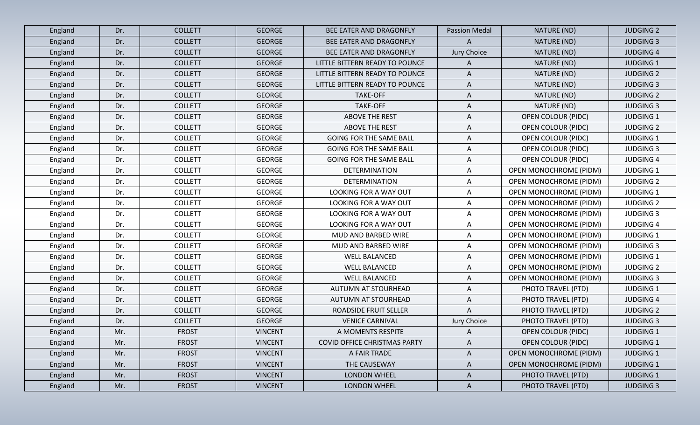| England | Dr. | <b>COLLETT</b> | <b>GEORGE</b>  | BEE EATER AND DRAGONFLY        | <b>Passion Medal</b> | NATURE (ND)                   | <b>JUDGING 2</b> |
|---------|-----|----------------|----------------|--------------------------------|----------------------|-------------------------------|------------------|
| England | Dr. | <b>COLLETT</b> | <b>GEORGE</b>  | BEE EATER AND DRAGONFLY        | A                    | NATURE (ND)                   | <b>JUDGING 3</b> |
| England | Dr. | <b>COLLETT</b> | <b>GEORGE</b>  | BEE EATER AND DRAGONFLY        | Jury Choice          | NATURE (ND)                   | <b>JUDGING 4</b> |
| England | Dr. | <b>COLLETT</b> | <b>GEORGE</b>  | LITTLE BITTERN READY TO POUNCE | A                    | NATURE (ND)                   | <b>JUDGING 1</b> |
| England | Dr. | <b>COLLETT</b> | <b>GEORGE</b>  | LITTLE BITTERN READY TO POUNCE | $\mathsf{A}$         | NATURE (ND)                   | <b>JUDGING 2</b> |
| England | Dr. | <b>COLLETT</b> | <b>GEORGE</b>  | LITTLE BITTERN READY TO POUNCE | A                    | NATURE (ND)                   | <b>JUDGING 3</b> |
| England | Dr. | <b>COLLETT</b> | <b>GEORGE</b>  | <b>TAKE-OFF</b>                | A                    | NATURE (ND)                   | <b>JUDGING 2</b> |
| England | Dr. | <b>COLLETT</b> | <b>GEORGE</b>  | TAKE-OFF                       | A                    | NATURE (ND)                   | <b>JUDGING 3</b> |
| England | Dr. | <b>COLLETT</b> | <b>GEORGE</b>  | <b>ABOVE THE REST</b>          | $\mathsf{A}$         | <b>OPEN COLOUR (PIDC)</b>     | <b>JUDGING 1</b> |
| England | Dr. | <b>COLLETT</b> | <b>GEORGE</b>  | <b>ABOVE THE REST</b>          | A                    | OPEN COLOUR (PIDC)            | <b>JUDGING 2</b> |
| England | Dr. | <b>COLLETT</b> | <b>GEORGE</b>  | <b>GOING FOR THE SAME BALL</b> | $\mathsf{A}$         | <b>OPEN COLOUR (PIDC)</b>     | <b>JUDGING 1</b> |
| England | Dr. | <b>COLLETT</b> | <b>GEORGE</b>  | <b>GOING FOR THE SAME BALL</b> | A                    | <b>OPEN COLOUR (PIDC)</b>     | <b>JUDGING 3</b> |
| England | Dr. | <b>COLLETT</b> | <b>GEORGE</b>  | <b>GOING FOR THE SAME BALL</b> | A                    | <b>OPEN COLOUR (PIDC)</b>     | <b>JUDGING 4</b> |
| England | Dr. | <b>COLLETT</b> | <b>GEORGE</b>  | <b>DETERMINATION</b>           | A                    | <b>OPEN MONOCHROME (PIDM)</b> | <b>JUDGING 1</b> |
| England | Dr. | <b>COLLETT</b> | <b>GEORGE</b>  | DETERMINATION                  | A                    | <b>OPEN MONOCHROME (PIDM)</b> | <b>JUDGING 2</b> |
| England | Dr. | <b>COLLETT</b> | <b>GEORGE</b>  | <b>LOOKING FOR A WAY OUT</b>   | A                    | OPEN MONOCHROME (PIDM)        | <b>JUDGING 1</b> |
| England | Dr. | <b>COLLETT</b> | <b>GEORGE</b>  | <b>LOOKING FOR A WAY OUT</b>   | A                    | <b>OPEN MONOCHROME (PIDM)</b> | <b>JUDGING 2</b> |
| England | Dr. | <b>COLLETT</b> | <b>GEORGE</b>  | LOOKING FOR A WAY OUT          | A                    | <b>OPEN MONOCHROME (PIDM)</b> | <b>JUDGING 3</b> |
| England | Dr. | <b>COLLETT</b> | <b>GEORGE</b>  | <b>LOOKING FOR A WAY OUT</b>   | $\mathsf{A}$         | <b>OPEN MONOCHROME (PIDM)</b> | <b>JUDGING 4</b> |
| England | Dr. | <b>COLLETT</b> | <b>GEORGE</b>  | MUD AND BARBED WIRE            | A                    | <b>OPEN MONOCHROME (PIDM)</b> | <b>JUDGING 1</b> |
| England | Dr. | <b>COLLETT</b> | <b>GEORGE</b>  | MUD AND BARBED WIRE            | A                    | <b>OPEN MONOCHROME (PIDM)</b> | <b>JUDGING 3</b> |
| England | Dr. | <b>COLLETT</b> | <b>GEORGE</b>  | <b>WELL BALANCED</b>           | $\mathsf{A}$         | <b>OPEN MONOCHROME (PIDM)</b> | <b>JUDGING 1</b> |
| England | Dr. | <b>COLLETT</b> | <b>GEORGE</b>  | <b>WELL BALANCED</b>           | $\mathsf{A}$         | OPEN MONOCHROME (PIDM)        | <b>JUDGING 2</b> |
| England | Dr. | <b>COLLETT</b> | <b>GEORGE</b>  | <b>WELL BALANCED</b>           | A                    | OPEN MONOCHROME (PIDM)        | <b>JUDGING 3</b> |
| England | Dr. | <b>COLLETT</b> | <b>GEORGE</b>  | AUTUMN AT STOURHEAD            | A                    | PHOTO TRAVEL (PTD)            | <b>JUDGING 1</b> |
| England | Dr. | <b>COLLETT</b> | <b>GEORGE</b>  | AUTUMN AT STOURHEAD            | A                    | PHOTO TRAVEL (PTD)            | <b>JUDGING 4</b> |
| England | Dr. | <b>COLLETT</b> | <b>GEORGE</b>  | <b>ROADSIDE FRUIT SELLER</b>   | A                    | PHOTO TRAVEL (PTD)            | <b>JUDGING 2</b> |
| England | Dr. | <b>COLLETT</b> | <b>GEORGE</b>  | <b>VENICE CARNIVAL</b>         | Jury Choice          | PHOTO TRAVEL (PTD)            | <b>JUDGING 3</b> |
| England | Mr. | <b>FROST</b>   | <b>VINCENT</b> | A MOMENTS RESPITE              | A                    | <b>OPEN COLOUR (PIDC)</b>     | <b>JUDGING 1</b> |
| England | Mr. | <b>FROST</b>   | <b>VINCENT</b> | COVID OFFICE CHRISTMAS PARTY   | A                    | <b>OPEN COLOUR (PIDC)</b>     | <b>JUDGING 1</b> |
| England | Mr. | <b>FROST</b>   | <b>VINCENT</b> | A FAIR TRADE                   | $\mathsf{A}$         | <b>OPEN MONOCHROME (PIDM)</b> | <b>JUDGING 1</b> |
| England | Mr. | <b>FROST</b>   | <b>VINCENT</b> | THE CAUSEWAY                   | $\mathsf{A}$         | <b>OPEN MONOCHROME (PIDM)</b> | <b>JUDGING 1</b> |
| England | Mr. | <b>FROST</b>   | <b>VINCENT</b> | LONDON WHEEL                   | $\mathsf{A}$         | PHOTO TRAVEL (PTD)            | <b>JUDGING 1</b> |
| England | Mr. | <b>FROST</b>   | <b>VINCENT</b> | LONDON WHEEL                   | $\mathsf{A}$         | PHOTO TRAVEL (PTD)            | <b>JUDGING 3</b> |
|         |     |                |                |                                |                      |                               |                  |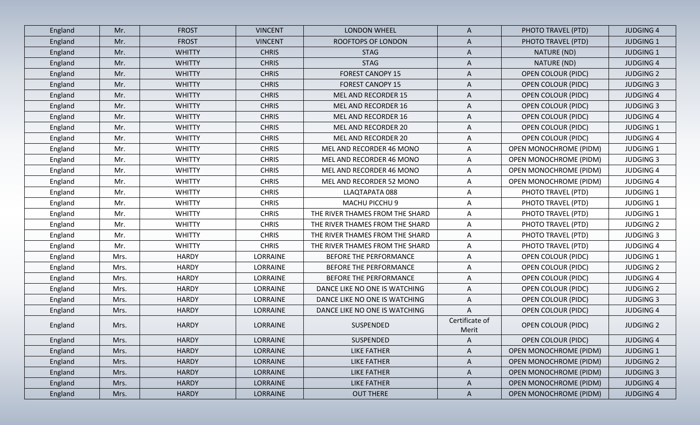| England | Mr.  | <b>FROST</b>  | <b>VINCENT</b> | <b>LONDON WHEEL</b>             | $\mathsf{A}$            | PHOTO TRAVEL (PTD)            | <b>JUDGING 4</b> |
|---------|------|---------------|----------------|---------------------------------|-------------------------|-------------------------------|------------------|
| England | Mr.  | <b>FROST</b>  | <b>VINCENT</b> | <b>ROOFTOPS OF LONDON</b>       | A                       | PHOTO TRAVEL (PTD)            | <b>JUDGING 1</b> |
| England | Mr.  | <b>WHITTY</b> | <b>CHRIS</b>   | <b>STAG</b>                     | $\mathsf{A}$            | NATURE (ND)                   | <b>JUDGING 1</b> |
| England | Mr.  | <b>WHITTY</b> | <b>CHRIS</b>   | <b>STAG</b>                     | $\mathsf{A}$            | NATURE (ND)                   | <b>JUDGING 4</b> |
| England | Mr.  | <b>WHITTY</b> | <b>CHRIS</b>   | <b>FOREST CANOPY 15</b>         | A                       | <b>OPEN COLOUR (PIDC)</b>     | <b>JUDGING 2</b> |
| England | Mr.  | <b>WHITTY</b> | <b>CHRIS</b>   | <b>FOREST CANOPY 15</b>         | A                       | <b>OPEN COLOUR (PIDC)</b>     | <b>JUDGING 3</b> |
| England | Mr.  | <b>WHITTY</b> | <b>CHRIS</b>   | MEL AND RECORDER 15             | A                       | <b>OPEN COLOUR (PIDC)</b>     | <b>JUDGING 4</b> |
| England | Mr.  | <b>WHITTY</b> | <b>CHRIS</b>   | MEL AND RECORDER 16             | A                       | <b>OPEN COLOUR (PIDC)</b>     | <b>JUDGING 3</b> |
| England | Mr.  | <b>WHITTY</b> | <b>CHRIS</b>   | MEL AND RECORDER 16             | A                       | <b>OPEN COLOUR (PIDC)</b>     | <b>JUDGING 4</b> |
| England | Mr.  | <b>WHITTY</b> | <b>CHRIS</b>   | MEL AND RECORDER 20             | A                       | <b>OPEN COLOUR (PIDC)</b>     | <b>JUDGING 1</b> |
| England | Mr.  | <b>WHITTY</b> | <b>CHRIS</b>   | MEL AND RECORDER 20             | A                       | <b>OPEN COLOUR (PIDC)</b>     | <b>JUDGING 4</b> |
| England | Mr.  | <b>WHITTY</b> | <b>CHRIS</b>   | MEL AND RECORDER 46 MONO        | A                       | <b>OPEN MONOCHROME (PIDM)</b> | <b>JUDGING 1</b> |
| England | Mr.  | <b>WHITTY</b> | <b>CHRIS</b>   | MEL AND RECORDER 46 MONO        | A                       | <b>OPEN MONOCHROME (PIDM)</b> | <b>JUDGING 3</b> |
| England | Mr.  | <b>WHITTY</b> | <b>CHRIS</b>   | MEL AND RECORDER 46 MONO        | A                       | <b>OPEN MONOCHROME (PIDM)</b> | <b>JUDGING 4</b> |
| England | Mr.  | <b>WHITTY</b> | <b>CHRIS</b>   | MEL AND RECORDER 52 MONO        | A                       | <b>OPEN MONOCHROME (PIDM)</b> | <b>JUDGING 4</b> |
| England | Mr.  | <b>WHITTY</b> | <b>CHRIS</b>   | LLAQTAPATA 088                  | $\mathsf{A}$            | PHOTO TRAVEL (PTD)            | <b>JUDGING 1</b> |
| England | Mr.  | <b>WHITTY</b> | <b>CHRIS</b>   | MACHU PICCHU 9                  | A                       | PHOTO TRAVEL (PTD)            | <b>JUDGING 1</b> |
| England | Mr.  | <b>WHITTY</b> | <b>CHRIS</b>   | THE RIVER THAMES FROM THE SHARD | A                       | PHOTO TRAVEL (PTD)            | <b>JUDGING 1</b> |
| England | Mr.  | <b>WHITTY</b> | <b>CHRIS</b>   | THE RIVER THAMES FROM THE SHARD | A                       | PHOTO TRAVEL (PTD)            | <b>JUDGING 2</b> |
| England | Mr.  | <b>WHITTY</b> | <b>CHRIS</b>   | THE RIVER THAMES FROM THE SHARD | A                       | PHOTO TRAVEL (PTD)            | <b>JUDGING 3</b> |
| England | Mr.  | <b>WHITTY</b> | <b>CHRIS</b>   | THE RIVER THAMES FROM THE SHARD | $\mathsf{A}$            | PHOTO TRAVEL (PTD)            | <b>JUDGING 4</b> |
| England | Mrs. | <b>HARDY</b>  | LORRAINE       | BEFORE THE PERFORMANCE          | A                       | <b>OPEN COLOUR (PIDC)</b>     | <b>JUDGING 1</b> |
| England | Mrs. | <b>HARDY</b>  | LORRAINE       | BEFORE THE PERFORMANCE          | $\mathsf{A}$            | <b>OPEN COLOUR (PIDC)</b>     | <b>JUDGING 2</b> |
| England | Mrs. | <b>HARDY</b>  | LORRAINE       | BEFORE THE PERFORMANCE          | A                       | OPEN COLOUR (PIDC)            | <b>JUDGING 4</b> |
| England | Mrs. | <b>HARDY</b>  | LORRAINE       | DANCE LIKE NO ONE IS WATCHING   | A                       | <b>OPEN COLOUR (PIDC)</b>     | <b>JUDGING 2</b> |
| England | Mrs. | <b>HARDY</b>  | LORRAINE       | DANCE LIKE NO ONE IS WATCHING   | $\mathsf{A}$            | <b>OPEN COLOUR (PIDC)</b>     | <b>JUDGING 3</b> |
| England | Mrs. | <b>HARDY</b>  | LORRAINE       | DANCE LIKE NO ONE IS WATCHING   | A                       | <b>OPEN COLOUR (PIDC)</b>     | <b>JUDGING 4</b> |
| England | Mrs. | <b>HARDY</b>  | LORRAINE       | SUSPENDED                       | Certificate of<br>Merit | <b>OPEN COLOUR (PIDC)</b>     | <b>JUDGING 2</b> |
| England | Mrs. | <b>HARDY</b>  | LORRAINE       | SUSPENDED                       | $\mathsf{A}$            | <b>OPEN COLOUR (PIDC)</b>     | <b>JUDGING 4</b> |
| England | Mrs. | <b>HARDY</b>  | LORRAINE       | <b>LIKE FATHER</b>              | A                       | <b>OPEN MONOCHROME (PIDM)</b> | <b>JUDGING 1</b> |
| England | Mrs. | <b>HARDY</b>  | LORRAINE       | <b>LIKE FATHER</b>              | $\mathsf{A}$            | OPEN MONOCHROME (PIDM)        | <b>JUDGING 2</b> |
| England | Mrs. | <b>HARDY</b>  | LORRAINE       | <b>LIKE FATHER</b>              | $\mathsf{A}$            | OPEN MONOCHROME (PIDM)        | <b>JUDGING 3</b> |
| England | Mrs. | <b>HARDY</b>  | LORRAINE       | <b>LIKE FATHER</b>              | $\mathsf{A}$            | <b>OPEN MONOCHROME (PIDM)</b> | <b>JUDGING 4</b> |
| England | Mrs. | <b>HARDY</b>  | LORRAINE       | <b>OUT THERE</b>                | $\mathsf{A}$            | OPEN MONOCHROME (PIDM)        | <b>JUDGING 4</b> |
|         |      |               |                |                                 |                         |                               |                  |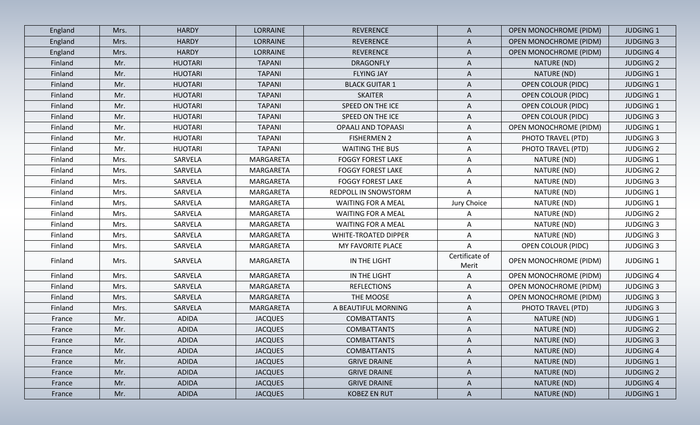| England | Mrs. | <b>HARDY</b>   | LORRAINE        | <b>REVERENCE</b>            | $\mathsf{A}$            | <b>OPEN MONOCHROME (PIDM)</b> | <b>JUDGING 1</b> |
|---------|------|----------------|-----------------|-----------------------------|-------------------------|-------------------------------|------------------|
| England | Mrs. | <b>HARDY</b>   | <b>LORRAINE</b> | <b>REVERENCE</b>            | A                       | <b>OPEN MONOCHROME (PIDM)</b> | <b>JUDGING 3</b> |
| England | Mrs. | <b>HARDY</b>   | <b>LORRAINE</b> | <b>REVERENCE</b>            | $\mathsf{A}$            | <b>OPEN MONOCHROME (PIDM)</b> | <b>JUDGING 4</b> |
| Finland | Mr.  | <b>HUOTARI</b> | <b>TAPANI</b>   | <b>DRAGONFLY</b>            | A                       | NATURE (ND)                   | <b>JUDGING 2</b> |
| Finland | Mr.  | <b>HUOTARI</b> | <b>TAPANI</b>   | <b>FLYING JAY</b>           | $\mathsf{A}$            | NATURE (ND)                   | <b>JUDGING 1</b> |
| Finland | Mr.  | <b>HUOTARI</b> | <b>TAPANI</b>   | <b>BLACK GUITAR 1</b>       | A                       | <b>OPEN COLOUR (PIDC)</b>     | <b>JUDGING 1</b> |
| Finland | Mr.  | <b>HUOTARI</b> | <b>TAPANI</b>   | <b>SKAITER</b>              | A                       | <b>OPEN COLOUR (PIDC)</b>     | <b>JUDGING 1</b> |
| Finland | Mr.  | <b>HUOTARI</b> | <b>TAPANI</b>   | SPEED ON THE ICE            | A                       | <b>OPEN COLOUR (PIDC)</b>     | <b>JUDGING 1</b> |
| Finland | Mr.  | <b>HUOTARI</b> | <b>TAPANI</b>   | SPEED ON THE ICE            | A                       | <b>OPEN COLOUR (PIDC)</b>     | <b>JUDGING 3</b> |
| Finland | Mr.  | <b>HUOTARI</b> | <b>TAPANI</b>   | <b>OPAALI AND TOPAASI</b>   | A                       | <b>OPEN MONOCHROME (PIDM)</b> | <b>JUDGING 1</b> |
| Finland | Mr.  | <b>HUOTARI</b> | <b>TAPANI</b>   | <b>FISHERMEN 2</b>          | $\mathsf{A}$            | PHOTO TRAVEL (PTD)            | <b>JUDGING 3</b> |
| Finland | Mr.  | <b>HUOTARI</b> | <b>TAPANI</b>   | <b>WAITING THE BUS</b>      | $\mathsf{A}$            | PHOTO TRAVEL (PTD)            | <b>JUDGING 2</b> |
| Finland | Mrs. | SARVELA        | MARGARETA       | <b>FOGGY FOREST LAKE</b>    | A                       | NATURE (ND)                   | <b>JUDGING 1</b> |
| Finland | Mrs. | SARVELA        | MARGARETA       | <b>FOGGY FOREST LAKE</b>    | $\mathsf{A}$            | NATURE (ND)                   | <b>JUDGING 2</b> |
| Finland | Mrs. | SARVELA        | MARGARETA       | <b>FOGGY FOREST LAKE</b>    | A                       | NATURE (ND)                   | <b>JUDGING 3</b> |
| Finland | Mrs. | SARVELA        | MARGARETA       | REDPOLL IN SNOWSTORM        | A                       | NATURE (ND)                   | <b>JUDGING 1</b> |
| Finland | Mrs. | SARVELA        | MARGARETA       | <b>WAITING FOR A MEAL</b>   | Jury Choice             | NATURE (ND)                   | <b>JUDGING 1</b> |
| Finland | Mrs. | SARVELA        | MARGARETA       | <b>WAITING FOR A MEAL</b>   | A                       | NATURE (ND)                   | <b>JUDGING 2</b> |
| Finland | Mrs. | SARVELA        | MARGARETA       | <b>WAITING FOR A MEAL</b>   | A                       | NATURE (ND)                   | <b>JUDGING 3</b> |
| Finland | Mrs. | SARVELA        | MARGARETA       | <b>WHITE-TROATED DIPPER</b> | A                       | NATURE (ND)                   | <b>JUDGING 3</b> |
| Finland | Mrs. | SARVELA        | MARGARETA       | MY FAVORITE PLACE           | A                       | <b>OPEN COLOUR (PIDC)</b>     | <b>JUDGING 3</b> |
| Finland | Mrs. | SARVELA        | MARGARETA       | IN THE LIGHT                | Certificate of<br>Merit | <b>OPEN MONOCHROME (PIDM)</b> | <b>JUDGING 1</b> |
| Finland | Mrs. | SARVELA        | MARGARETA       | IN THE LIGHT                | $\mathsf{A}$            | <b>OPEN MONOCHROME (PIDM)</b> | <b>JUDGING 4</b> |
| Finland | Mrs. | SARVELA        | MARGARETA       | <b>REFLECTIONS</b>          | A                       | OPEN MONOCHROME (PIDM)        | <b>JUDGING 3</b> |
| Finland | Mrs. | SARVELA        | MARGARETA       | THE MOOSE                   | $\mathsf{A}$            | OPEN MONOCHROME (PIDM)        | <b>JUDGING 3</b> |
| Finland | Mrs. | SARVELA        | MARGARETA       | A BEAUTIFUL MORNING         | A                       | PHOTO TRAVEL (PTD)            | <b>JUDGING 3</b> |
| France  | Mr.  | ADIDA          | <b>JACQUES</b>  | <b>COMBATTANTS</b>          | A                       | NATURE (ND)                   | <b>JUDGING 1</b> |
| France  | Mr.  | ADIDA          | <b>JACQUES</b>  | <b>COMBATTANTS</b>          | A                       | NATURE (ND)                   | <b>JUDGING 2</b> |
| France  | Mr.  | ADIDA          | <b>JACQUES</b>  | <b>COMBATTANTS</b>          | $\mathsf{A}$            | NATURE (ND)                   | <b>JUDGING 3</b> |
| France  | Mr.  | ADIDA          | <b>JACQUES</b>  | <b>COMBATTANTS</b>          | A                       | NATURE (ND)                   | <b>JUDGING 4</b> |
| France  | Mr.  | ADIDA          | <b>JACQUES</b>  | <b>GRIVE DRAINE</b>         | $\mathsf{A}$            | NATURE (ND)                   | <b>JUDGING 1</b> |
| France  | Mr.  | ADIDA          | <b>JACQUES</b>  | <b>GRIVE DRAINE</b>         | A                       | NATURE (ND)                   | <b>JUDGING 2</b> |
| France  | Mr.  | <b>ADIDA</b>   | <b>JACQUES</b>  | <b>GRIVE DRAINE</b>         | $\mathsf{A}$            | NATURE (ND)                   | <b>JUDGING 4</b> |
| France  | Mr.  | ADIDA          | <b>JACQUES</b>  | KOBEZ EN RUT                | $\mathsf{A}$            | NATURE (ND)                   | <b>JUDGING 1</b> |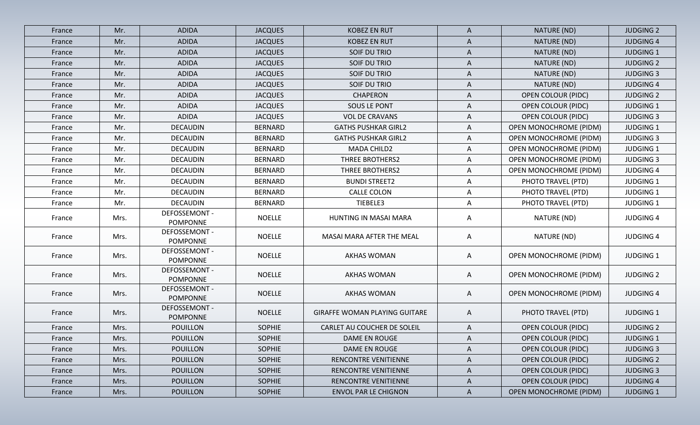| France | Mr.  | <b>ADIDA</b>                            | <b>JACQUES</b> | <b>KOBEZ EN RUT</b>                  | A            | NATURE (ND)                   | <b>JUDGING 2</b> |
|--------|------|-----------------------------------------|----------------|--------------------------------------|--------------|-------------------------------|------------------|
| France | Mr.  | <b>ADIDA</b>                            | <b>JACQUES</b> | <b>KOBEZ EN RUT</b>                  | $\mathsf{A}$ | NATURE (ND)                   | <b>JUDGING 4</b> |
| France | Mr.  | ADIDA                                   | <b>JACQUES</b> | SOIF DU TRIO                         | Α            | NATURE (ND)                   | <b>JUDGING 1</b> |
| France | Mr.  | <b>ADIDA</b>                            | <b>JACQUES</b> | SOIF DU TRIO                         | $\mathsf{A}$ | NATURE (ND)                   | <b>JUDGING 2</b> |
| France | Mr.  | <b>ADIDA</b>                            | <b>JACQUES</b> | SOIF DU TRIO                         | A            | NATURE (ND)                   | <b>JUDGING 3</b> |
| France | Mr.  | <b>ADIDA</b>                            | <b>JACQUES</b> | SOIF DU TRIO                         | Α            | NATURE (ND)                   | <b>JUDGING 4</b> |
| France | Mr.  | <b>ADIDA</b>                            | <b>JACQUES</b> | <b>CHAPERON</b>                      | A            | <b>OPEN COLOUR (PIDC)</b>     | <b>JUDGING 2</b> |
| France | Mr.  | <b>ADIDA</b>                            | <b>JACQUES</b> | <b>SOUS LE PONT</b>                  | A            | <b>OPEN COLOUR (PIDC)</b>     | <b>JUDGING 1</b> |
| France | Mr.  | <b>ADIDA</b>                            | <b>JACQUES</b> | <b>VOL DE CRAVANS</b>                | A            | <b>OPEN COLOUR (PIDC)</b>     | <b>JUDGING 3</b> |
| France | Mr.  | <b>DECAUDIN</b>                         | <b>BERNARD</b> | <b>GATHS PUSHKAR GIRL2</b>           | Α            | <b>OPEN MONOCHROME (PIDM)</b> | <b>JUDGING 1</b> |
| France | Mr.  | <b>DECAUDIN</b>                         | <b>BERNARD</b> | <b>GATHS PUSHKAR GIRL2</b>           | A            | <b>OPEN MONOCHROME (PIDM)</b> | <b>JUDGING 3</b> |
| France | Mr.  | <b>DECAUDIN</b>                         | <b>BERNARD</b> | MADA CHILD2                          | A            | OPEN MONOCHROME (PIDM)        | <b>JUDGING 1</b> |
| France | Mr.  | <b>DECAUDIN</b>                         | <b>BERNARD</b> | <b>THREE BROTHERS2</b>               | A            | <b>OPEN MONOCHROME (PIDM)</b> | <b>JUDGING 3</b> |
| France | Mr.  | <b>DECAUDIN</b>                         | <b>BERNARD</b> | <b>THREE BROTHERS2</b>               | A            | <b>OPEN MONOCHROME (PIDM)</b> | <b>JUDGING 4</b> |
| France | Mr.  | <b>DECAUDIN</b>                         | <b>BERNARD</b> | <b>BUNDI STREET2</b>                 | Α            | PHOTO TRAVEL (PTD)            | <b>JUDGING 1</b> |
| France | Mr.  | <b>DECAUDIN</b>                         | <b>BERNARD</b> | <b>CALLE COLON</b>                   | A            | PHOTO TRAVEL (PTD)            | <b>JUDGING 1</b> |
| France | Mr.  | <b>DECAUDIN</b>                         | <b>BERNARD</b> | TIEBELE3                             | A            | PHOTO TRAVEL (PTD)            | <b>JUDGING 1</b> |
| France | Mrs. | DEFOSSEMONT -<br><b>POMPONNE</b>        | <b>NOELLE</b>  | HUNTING IN MASAI MARA                | A            | NATURE (ND)                   | <b>JUDGING 4</b> |
| France | Mrs. | DEFOSSEMONT -<br><b>POMPONNE</b>        | <b>NOELLE</b>  | MASAI MARA AFTER THE MEAL            | A            | NATURE (ND)                   | <b>JUDGING 4</b> |
| France | Mrs. | DEFOSSEMONT -<br><b>POMPONNE</b>        | <b>NOELLE</b>  | <b>AKHAS WOMAN</b>                   | A            | <b>OPEN MONOCHROME (PIDM)</b> | <b>JUDGING 1</b> |
| France | Mrs. | <b>DEFOSSEMONT -</b><br><b>POMPONNE</b> | <b>NOELLE</b>  | <b>AKHAS WOMAN</b>                   | A            | <b>OPEN MONOCHROME (PIDM)</b> | <b>JUDGING 2</b> |
| France | Mrs. | DEFOSSEMONT -<br><b>POMPONNE</b>        | <b>NOELLE</b>  | <b>AKHAS WOMAN</b>                   | A            | <b>OPEN MONOCHROME (PIDM)</b> | <b>JUDGING 4</b> |
| France | Mrs. | DEFOSSEMONT -<br><b>POMPONNE</b>        | <b>NOELLE</b>  | <b>GIRAFFE WOMAN PLAYING GUITARE</b> | A            | PHOTO TRAVEL (PTD)            | <b>JUDGING 1</b> |
| France | Mrs. | POUILLON                                | <b>SOPHIE</b>  | CARLET AU COUCHER DE SOLEIL          | A            | <b>OPEN COLOUR (PIDC)</b>     | <b>JUDGING 2</b> |
| France | Mrs. | <b>POUILLON</b>                         | <b>SOPHIE</b>  | DAME EN ROUGE                        | $\mathsf{A}$ | <b>OPEN COLOUR (PIDC)</b>     | <b>JUDGING 1</b> |
| France | Mrs. | <b>POUILLON</b>                         | <b>SOPHIE</b>  | DAME EN ROUGE                        | A            | <b>OPEN COLOUR (PIDC)</b>     | <b>JUDGING 3</b> |
| France | Mrs. | <b>POUILLON</b>                         | <b>SOPHIE</b>  | RENCONTRE VENITIENNE                 | A            | <b>OPEN COLOUR (PIDC)</b>     | <b>JUDGING 2</b> |
| France | Mrs. | <b>POUILLON</b>                         | <b>SOPHIE</b>  | RENCONTRE VENITIENNE                 | $\mathsf{A}$ | <b>OPEN COLOUR (PIDC)</b>     | <b>JUDGING 3</b> |
| France | Mrs. | <b>POUILLON</b>                         | <b>SOPHIE</b>  | RENCONTRE VENITIENNE                 | $\mathsf{A}$ | <b>OPEN COLOUR (PIDC)</b>     | <b>JUDGING 4</b> |
| France | Mrs. | <b>POUILLON</b>                         | <b>SOPHIE</b>  | <b>ENVOL PAR LE CHIGNON</b>          | $\mathsf{A}$ | <b>OPEN MONOCHROME (PIDM)</b> | <b>JUDGING 1</b> |
|        |      |                                         |                |                                      |              |                               |                  |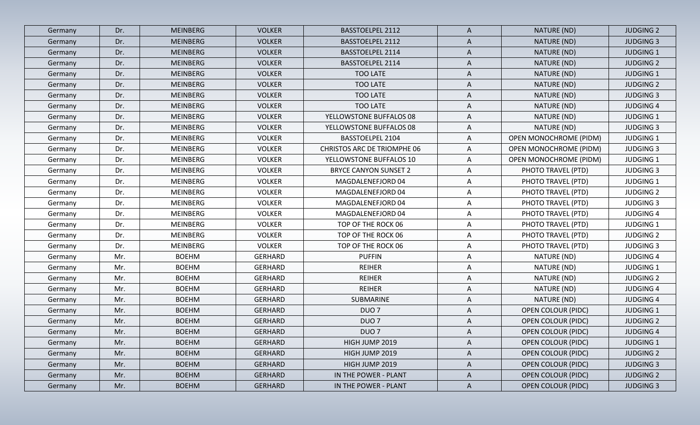| Germany | Dr. | <b>MEINBERG</b> | <b>VOLKER</b>  | <b>BASSTOELPEL 2112</b>            | $\mathsf{A}$ | NATURE (ND)                   | <b>JUDGING 2</b> |
|---------|-----|-----------------|----------------|------------------------------------|--------------|-------------------------------|------------------|
| Germany | Dr. | MEINBERG        | <b>VOLKER</b>  | <b>BASSTOELPEL 2112</b>            | A            | NATURE (ND)                   | <b>JUDGING 3</b> |
| Germany | Dr. | <b>MEINBERG</b> | <b>VOLKER</b>  | <b>BASSTOELPEL 2114</b>            | $\mathsf{A}$ | NATURE (ND)                   | <b>JUDGING 1</b> |
| Germany | Dr. | <b>MEINBERG</b> | <b>VOLKER</b>  | <b>BASSTOELPEL 2114</b>            | A            | NATURE (ND)                   | <b>JUDGING 2</b> |
| Germany | Dr. | MEINBERG        | <b>VOLKER</b>  | TOO LATE                           | $\mathsf{A}$ | NATURE (ND)                   | <b>JUDGING 1</b> |
| Germany | Dr. | <b>MEINBERG</b> | <b>VOLKER</b>  | <b>TOO LATE</b>                    | A            | NATURE (ND)                   | <b>JUDGING 2</b> |
| Germany | Dr. | MEINBERG        | <b>VOLKER</b>  | TOO LATE                           | A            | NATURE (ND)                   | <b>JUDGING 3</b> |
| Germany | Dr. | MEINBERG        | <b>VOLKER</b>  | TOO LATE                           | A            | NATURE (ND)                   | <b>JUDGING 4</b> |
| Germany | Dr. | <b>MEINBERG</b> | <b>VOLKER</b>  | YELLOWSTONE BUFFALOS 08            | A            | NATURE (ND)                   | <b>JUDGING 1</b> |
| Germany | Dr. | MEINBERG        | <b>VOLKER</b>  | YELLOWSTONE BUFFALOS 08            | A            | NATURE (ND)                   | <b>JUDGING 3</b> |
| Germany | Dr. | MEINBERG        | <b>VOLKER</b>  | BASSTOELPEL 2104                   | $\mathsf{A}$ | <b>OPEN MONOCHROME (PIDM)</b> | <b>JUDGING 1</b> |
| Germany | Dr. | MEINBERG        | <b>VOLKER</b>  | <b>CHRISTOS ARC DE TRIOMPHE 06</b> | A            | OPEN MONOCHROME (PIDM)        | <b>JUDGING 3</b> |
| Germany | Dr. | <b>MEINBERG</b> | <b>VOLKER</b>  | YELLOWSTONE BUFFALOS 10            | A            | <b>OPEN MONOCHROME (PIDM)</b> | <b>JUDGING 1</b> |
| Germany | Dr. | MEINBERG        | <b>VOLKER</b>  | <b>BRYCE CANYON SUNSET 2</b>       | $\mathsf{A}$ | PHOTO TRAVEL (PTD)            | <b>JUDGING 3</b> |
| Germany | Dr. | <b>MEINBERG</b> | <b>VOLKER</b>  | MAGDALENEFJORD 04                  | A            | PHOTO TRAVEL (PTD)            | <b>JUDGING 1</b> |
| Germany | Dr. | <b>MEINBERG</b> | <b>VOLKER</b>  | MAGDALENEFJORD 04                  | $\mathsf{A}$ | PHOTO TRAVEL (PTD)            | <b>JUDGING 2</b> |
| Germany | Dr. | MEINBERG        | <b>VOLKER</b>  | MAGDALENEFJORD 04                  | A            | PHOTO TRAVEL (PTD)            | <b>JUDGING 3</b> |
| Germany | Dr. | MEINBERG        | <b>VOLKER</b>  | MAGDALENEFJORD 04                  | $\mathsf{A}$ | PHOTO TRAVEL (PTD)            | <b>JUDGING 4</b> |
| Germany | Dr. | MEINBERG        | <b>VOLKER</b>  | TOP OF THE ROCK 06                 | A            | PHOTO TRAVEL (PTD)            | <b>JUDGING 1</b> |
| Germany | Dr. | MEINBERG        | <b>VOLKER</b>  | TOP OF THE ROCK 06                 | A            | PHOTO TRAVEL (PTD)            | <b>JUDGING 2</b> |
| Germany | Dr. | MEINBERG        | <b>VOLKER</b>  | TOP OF THE ROCK 06                 | $\mathsf{A}$ | PHOTO TRAVEL (PTD)            | <b>JUDGING 3</b> |
| Germany | Mr. | <b>BOEHM</b>    | <b>GERHARD</b> | <b>PUFFIN</b>                      | A            | NATURE (ND)                   | <b>JUDGING 4</b> |
| Germany | Mr. | <b>BOEHM</b>    | <b>GERHARD</b> | <b>REIHER</b>                      | $\mathsf{A}$ | NATURE (ND)                   | <b>JUDGING 1</b> |
| Germany | Mr. | <b>BOEHM</b>    | <b>GERHARD</b> | <b>REIHER</b>                      | A            | NATURE (ND)                   | <b>JUDGING 2</b> |
| Germany | Mr. | <b>BOEHM</b>    | <b>GERHARD</b> | <b>REIHER</b>                      | A            | NATURE (ND)                   | <b>JUDGING 4</b> |
| Germany | Mr. | <b>BOEHM</b>    | <b>GERHARD</b> | SUBMARINE                          | A            | NATURE (ND)                   | <b>JUDGING 4</b> |
| Germany | Mr. | <b>BOEHM</b>    | <b>GERHARD</b> | DUO <sub>7</sub>                   | A            | <b>OPEN COLOUR (PIDC)</b>     | <b>JUDGING 1</b> |
| Germany | Mr. | <b>BOEHM</b>    | <b>GERHARD</b> | DUO <sub>7</sub>                   | A            | <b>OPEN COLOUR (PIDC)</b>     | <b>JUDGING 2</b> |
| Germany | Mr. | <b>BOEHM</b>    | <b>GERHARD</b> | DUO <sub>7</sub>                   | A            | <b>OPEN COLOUR (PIDC)</b>     | <b>JUDGING 4</b> |
| Germany | Mr. | <b>BOEHM</b>    | GERHARD        | HIGH JUMP 2019                     | A            | <b>OPEN COLOUR (PIDC)</b>     | <b>JUDGING 1</b> |
| Germany | Mr. | <b>BOEHM</b>    | GERHARD        | HIGH JUMP 2019                     | $\mathsf{A}$ | <b>OPEN COLOUR (PIDC)</b>     | <b>JUDGING 2</b> |
| Germany | Mr. | <b>BOEHM</b>    | GERHARD        | HIGH JUMP 2019                     | A            | <b>OPEN COLOUR (PIDC)</b>     | <b>JUDGING 3</b> |
| Germany | Mr. | <b>BOEHM</b>    | <b>GERHARD</b> | IN THE POWER - PLANT               | $\mathsf{A}$ | <b>OPEN COLOUR (PIDC)</b>     | <b>JUDGING 2</b> |
| Germany | Mr. | <b>BOEHM</b>    | <b>GERHARD</b> | IN THE POWER - PLANT               | $\mathsf{A}$ | <b>OPEN COLOUR (PIDC)</b>     | <b>JUDGING 3</b> |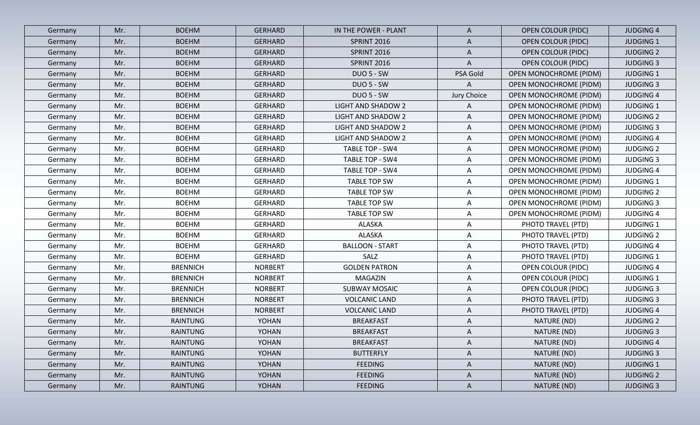| Germany | Mr. | <b>BOEHM</b>    | <b>GERHARD</b> | IN THE POWER - PLANT   | $\mathsf{A}$ | <b>OPEN COLOUR (PIDC)</b>     | <b>JUDGING 4</b> |
|---------|-----|-----------------|----------------|------------------------|--------------|-------------------------------|------------------|
| Germany | Mr. | <b>BOEHM</b>    | <b>GERHARD</b> | <b>SPRINT 2016</b>     | A            | <b>OPEN COLOUR (PIDC)</b>     | <b>JUDGING 1</b> |
| Germany | Mr. | <b>BOEHM</b>    | <b>GERHARD</b> | SPRINT 2016            | $\mathsf{A}$ | <b>OPEN COLOUR (PIDC)</b>     | <b>JUDGING 2</b> |
| Germany | Mr. | <b>BOEHM</b>    | <b>GERHARD</b> | SPRINT 2016            | A            | <b>OPEN COLOUR (PIDC)</b>     | <b>JUDGING 3</b> |
| Germany | Mr. | <b>BOEHM</b>    | <b>GERHARD</b> | <b>DUO 5 - SW</b>      | PSA Gold     | <b>OPEN MONOCHROME (PIDM)</b> | <b>JUDGING 1</b> |
| Germany | Mr. | <b>BOEHM</b>    | <b>GERHARD</b> | <b>DUO 5 - SW</b>      | A            | OPEN MONOCHROME (PIDM)        | <b>JUDGING 3</b> |
| Germany | Mr. | <b>BOEHM</b>    | GERHARD        | <b>DUO 5 - SW</b>      | Jury Choice  | OPEN MONOCHROME (PIDM)        | <b>JUDGING 4</b> |
| Germany | Mr. | <b>BOEHM</b>    | <b>GERHARD</b> | LIGHT AND SHADOW 2     | A            | <b>OPEN MONOCHROME (PIDM)</b> | <b>JUDGING 1</b> |
| Germany | Mr. | <b>BOEHM</b>    | <b>GERHARD</b> | LIGHT AND SHADOW 2     | A            | OPEN MONOCHROME (PIDM)        | <b>JUDGING 2</b> |
| Germany | Mr. | <b>BOEHM</b>    | <b>GERHARD</b> | LIGHT AND SHADOW 2     | A            | OPEN MONOCHROME (PIDM)        | <b>JUDGING 3</b> |
| Germany | Mr. | <b>BOEHM</b>    | GERHARD        | LIGHT AND SHADOW 2     | $\mathsf{A}$ | <b>OPEN MONOCHROME (PIDM)</b> | <b>JUDGING 4</b> |
| Germany | Mr. | <b>BOEHM</b>    | <b>GERHARD</b> | TABLE TOP - SW4        | A            | OPEN MONOCHROME (PIDM)        | <b>JUDGING 2</b> |
| Germany | Mr. | <b>BOEHM</b>    | <b>GERHARD</b> | TABLE TOP - SW4        | A            | OPEN MONOCHROME (PIDM)        | <b>JUDGING 3</b> |
| Germany | Mr. | <b>BOEHM</b>    | <b>GERHARD</b> | TABLE TOP - SW4        | A            | <b>OPEN MONOCHROME (PIDM)</b> | <b>JUDGING 4</b> |
| Germany | Mr. | <b>BOEHM</b>    | <b>GERHARD</b> | <b>TABLE TOP SW</b>    | A            | <b>OPEN MONOCHROME (PIDM)</b> | <b>JUDGING 1</b> |
| Germany | Mr. | <b>BOEHM</b>    | GERHARD        | TABLE TOP SW           | $\mathsf{A}$ | OPEN MONOCHROME (PIDM)        | <b>JUDGING 2</b> |
| Germany | Mr. | <b>BOEHM</b>    | <b>GERHARD</b> | <b>TABLE TOP SW</b>    | A            | OPEN MONOCHROME (PIDM)        | <b>JUDGING 3</b> |
| Germany | Mr. | <b>BOEHM</b>    | GERHARD        | <b>TABLE TOP SW</b>    | A            | OPEN MONOCHROME (PIDM)        | <b>JUDGING 4</b> |
| Germany | Mr. | <b>BOEHM</b>    | GERHARD        | ALASKA                 | A            | PHOTO TRAVEL (PTD)            | <b>JUDGING 1</b> |
| Germany | Mr. | <b>BOEHM</b>    | GERHARD        | ALASKA                 | A            | PHOTO TRAVEL (PTD)            | <b>JUDGING 2</b> |
| Germany | Mr. | <b>BOEHM</b>    | GERHARD        | <b>BALLOON - START</b> | $\mathsf{A}$ | PHOTO TRAVEL (PTD)            | <b>JUDGING 4</b> |
| Germany | Mr. | <b>BOEHM</b>    | <b>GERHARD</b> | SALZ                   | A            | PHOTO TRAVEL (PTD)            | <b>JUDGING 1</b> |
| Germany | Mr. | <b>BRENNICH</b> | <b>NORBERT</b> | <b>GOLDEN PATRON</b>   | A            | <b>OPEN COLOUR (PIDC)</b>     | <b>JUDGING 4</b> |
| Germany | Mr. | <b>BRENNICH</b> | <b>NORBERT</b> | <b>MAGAZIN</b>         | A            | <b>OPEN COLOUR (PIDC)</b>     | <b>JUDGING 1</b> |
| Germany | Mr. | <b>BRENNICH</b> | <b>NORBERT</b> | <b>SUBWAY MOSAIC</b>   | A            | <b>OPEN COLOUR (PIDC)</b>     | <b>JUDGING 3</b> |
| Germany | Mr. | <b>BRENNICH</b> | <b>NORBERT</b> | <b>VOLCANIC LAND</b>   | A            | PHOTO TRAVEL (PTD)            | <b>JUDGING 3</b> |
| Germany | Mr. | <b>BRENNICH</b> | <b>NORBERT</b> | <b>VOLCANIC LAND</b>   | A            | PHOTO TRAVEL (PTD)            | <b>JUDGING 4</b> |
| Germany | Mr. | <b>RAINTUNG</b> | YOHAN          | <b>BREAKFAST</b>       | A            | NATURE (ND)                   | <b>JUDGING 2</b> |
| Germany | Mr. | <b>RAINTUNG</b> | YOHAN          | <b>BREAKFAST</b>       | A            | NATURE (ND)                   | <b>JUDGING 3</b> |
| Germany | Mr. | RAINTUNG        | YOHAN          | <b>BREAKFAST</b>       | $\mathsf{A}$ | NATURE (ND)                   | <b>JUDGING 4</b> |
| Germany | Mr. | RAINTUNG        | YOHAN          | <b>BUTTERFLY</b>       | $\mathsf{A}$ | NATURE (ND)                   | <b>JUDGING 3</b> |
| Germany | Mr. | <b>RAINTUNG</b> | <b>YOHAN</b>   | <b>FEEDING</b>         | $\mathsf{A}$ | NATURE (ND)                   | <b>JUDGING 1</b> |
| Germany | Mr. | RAINTUNG        | YOHAN          | <b>FEEDING</b>         | $\mathsf{A}$ | NATURE (ND)                   | <b>JUDGING 2</b> |
| Germany | Mr. | RAINTUNG        | YOHAN          | <b>FEEDING</b>         | $\mathsf{A}$ | NATURE (ND)                   | <b>JUDGING 3</b> |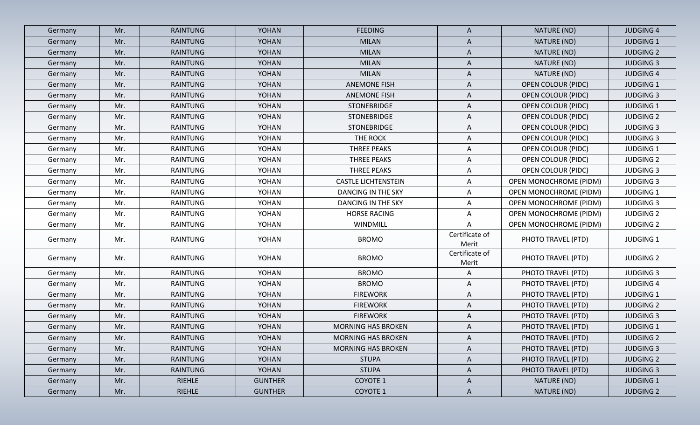| Germany | Mr. | <b>RAINTUNG</b> | <b>YOHAN</b>   | <b>FEEDING</b>             | A                       | NATURE (ND)                   | <b>JUDGING 4</b> |
|---------|-----|-----------------|----------------|----------------------------|-------------------------|-------------------------------|------------------|
| Germany | Mr. | <b>RAINTUNG</b> | <b>YOHAN</b>   | <b>MILAN</b>               | A                       | NATURE (ND)                   | <b>JUDGING 1</b> |
| Germany | Mr. | RAINTUNG        | <b>YOHAN</b>   | <b>MILAN</b>               | $\mathsf{A}$            | NATURE (ND)                   | <b>JUDGING 2</b> |
| Germany | Mr. | <b>RAINTUNG</b> | YOHAN          | <b>MILAN</b>               | A                       | NATURE (ND)                   | <b>JUDGING 3</b> |
| Germany | Mr. | <b>RAINTUNG</b> | <b>YOHAN</b>   | <b>MILAN</b>               | A                       | NATURE (ND)                   | <b>JUDGING 4</b> |
| Germany | Mr. | <b>RAINTUNG</b> | <b>YOHAN</b>   | <b>ANEMONE FISH</b>        | A                       | <b>OPEN COLOUR (PIDC)</b>     | <b>JUDGING 1</b> |
| Germany | Mr. | <b>RAINTUNG</b> | <b>YOHAN</b>   | <b>ANEMONE FISH</b>        | A                       | <b>OPEN COLOUR (PIDC)</b>     | <b>JUDGING 3</b> |
| Germany | Mr. | RAINTUNG        | YOHAN          | STONEBRIDGE                | A                       | <b>OPEN COLOUR (PIDC)</b>     | <b>JUDGING 1</b> |
| Germany | Mr. | <b>RAINTUNG</b> | <b>YOHAN</b>   | STONEBRIDGE                | A                       | <b>OPEN COLOUR (PIDC)</b>     | <b>JUDGING 2</b> |
| Germany | Mr. | RAINTUNG        | YOHAN          | STONEBRIDGE                | A                       | <b>OPEN COLOUR (PIDC)</b>     | <b>JUDGING 3</b> |
| Germany | Mr. | RAINTUNG        | YOHAN          | THE ROCK                   | $\mathsf{A}$            | <b>OPEN COLOUR (PIDC)</b>     | <b>JUDGING 3</b> |
| Germany | Mr. | <b>RAINTUNG</b> | <b>YOHAN</b>   | THREE PEAKS                | A                       | <b>OPEN COLOUR (PIDC)</b>     | <b>JUDGING 1</b> |
| Germany | Mr. | <b>RAINTUNG</b> | YOHAN          | <b>THREE PEAKS</b>         | A                       | <b>OPEN COLOUR (PIDC)</b>     | <b>JUDGING 2</b> |
| Germany | Mr. | <b>RAINTUNG</b> | YOHAN          | <b>THREE PEAKS</b>         | $\mathsf{A}$            | <b>OPEN COLOUR (PIDC)</b>     | <b>JUDGING 3</b> |
| Germany | Mr. | RAINTUNG        | YOHAN          | <b>CASTLE LICHTENSTEIN</b> | A                       | <b>OPEN MONOCHROME (PIDM)</b> | <b>JUDGING 3</b> |
| Germany | Mr. | RAINTUNG        | YOHAN          | DANCING IN THE SKY         | $\mathsf{A}$            | OPEN MONOCHROME (PIDM)        | <b>JUDGING 1</b> |
| Germany | Mr. | RAINTUNG        | YOHAN          | <b>DANCING IN THE SKY</b>  | $\mathsf{A}$            | <b>OPEN MONOCHROME (PIDM)</b> | <b>JUDGING 3</b> |
| Germany | Mr. | <b>RAINTUNG</b> | YOHAN          | <b>HORSE RACING</b>        | A                       | <b>OPEN MONOCHROME (PIDM)</b> | <b>JUDGING 2</b> |
| Germany | Mr. | RAINTUNG        | YOHAN          | WINDMILL                   | A                       | OPEN MONOCHROME (PIDM)        | <b>JUDGING 2</b> |
| Germany | Mr. | RAINTUNG        | YOHAN          | <b>BROMO</b>               | Certificate of<br>Merit | PHOTO TRAVEL (PTD)            | <b>JUDGING 1</b> |
| Germany | Mr. | <b>RAINTUNG</b> | YOHAN          | <b>BROMO</b>               | Certificate of<br>Merit | PHOTO TRAVEL (PTD)            | <b>JUDGING 2</b> |
| Germany | Mr. | RAINTUNG        | YOHAN          | <b>BROMO</b>               | A                       | PHOTO TRAVEL (PTD)            | <b>JUDGING 3</b> |
| Germany | Mr. | <b>RAINTUNG</b> | YOHAN          | <b>BROMO</b>               | $\mathsf{A}$            | PHOTO TRAVEL (PTD)            | <b>JUDGING 4</b> |
| Germany | Mr. | <b>RAINTUNG</b> | YOHAN          | <b>FIREWORK</b>            | A                       | PHOTO TRAVEL (PTD)            | <b>JUDGING 1</b> |
| Germany | Mr. | <b>RAINTUNG</b> | YOHAN          | <b>FIREWORK</b>            | A                       | PHOTO TRAVEL (PTD)            | <b>JUDGING 2</b> |
| Germany | Mr. | RAINTUNG        | YOHAN          | <b>FIREWORK</b>            | A                       | PHOTO TRAVEL (PTD)            | <b>JUDGING 3</b> |
| Germany | Mr. | <b>RAINTUNG</b> | YOHAN          | <b>MORNING HAS BROKEN</b>  | A                       | PHOTO TRAVEL (PTD)            | <b>JUDGING 1</b> |
| Germany | Mr. | RAINTUNG        | YOHAN          | <b>MORNING HAS BROKEN</b>  | A                       | PHOTO TRAVEL (PTD)            | <b>JUDGING 2</b> |
| Germany | Mr. | RAINTUNG        | YOHAN          | <b>MORNING HAS BROKEN</b>  | A                       | PHOTO TRAVEL (PTD)            | <b>JUDGING 3</b> |
| Germany | Mr. | RAINTUNG        | YOHAN          | <b>STUPA</b>               | A                       | PHOTO TRAVEL (PTD)            | <b>JUDGING 2</b> |
| Germany | Mr. | RAINTUNG        | YOHAN          | <b>STUPA</b>               | $\mathsf{A}$            | PHOTO TRAVEL (PTD)            | <b>JUDGING 3</b> |
| Germany | Mr. | RIEHLE          | <b>GUNTHER</b> | COYOTE 1                   | $\mathsf{A}$            | NATURE (ND)                   | <b>JUDGING 1</b> |
| Germany | Mr. | RIEHLE          | <b>GUNTHER</b> | COYOTE 1                   | $\mathsf{A}$            | NATURE (ND)                   | <b>JUDGING 2</b> |
|         |     |                 |                |                            |                         |                               |                  |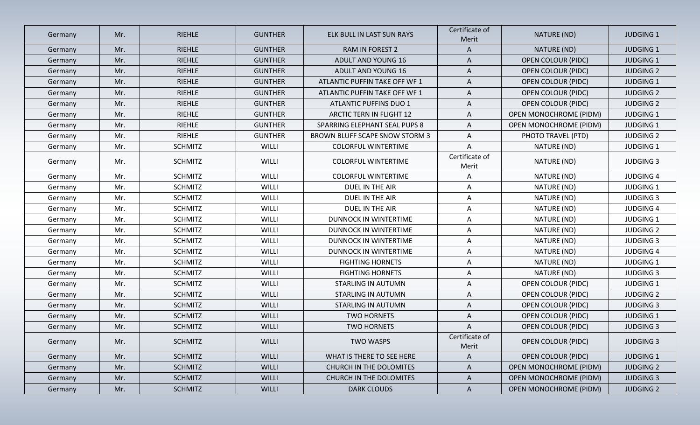| Germany | Mr. | RIEHLE         | <b>GUNTHER</b> | ELK BULL IN LAST SUN RAYS       | Certificate of<br>Merit | NATURE (ND)                   | <b>JUDGING 1</b> |
|---------|-----|----------------|----------------|---------------------------------|-------------------------|-------------------------------|------------------|
| Germany | Mr. | <b>RIEHLE</b>  | <b>GUNTHER</b> | RAM IN FOREST 2                 | A                       | NATURE (ND)                   | <b>JUDGING 1</b> |
| Germany | Mr. | <b>RIEHLE</b>  | <b>GUNTHER</b> | ADULT AND YOUNG 16              | A                       | <b>OPEN COLOUR (PIDC)</b>     | <b>JUDGING 1</b> |
| Germany | Mr. | <b>RIEHLE</b>  | <b>GUNTHER</b> | ADULT AND YOUNG 16              | $\mathsf{A}$            | <b>OPEN COLOUR (PIDC)</b>     | <b>JUDGING 2</b> |
| Germany | Mr. | RIEHLE         | <b>GUNTHER</b> | ATLANTIC PUFFIN TAKE OFF WF 1   | A                       | <b>OPEN COLOUR (PIDC)</b>     | <b>JUDGING 1</b> |
| Germany | Mr. | RIEHLE         | <b>GUNTHER</b> | ATLANTIC PUFFIN TAKE OFF WF 1   | A                       | <b>OPEN COLOUR (PIDC)</b>     | <b>JUDGING 2</b> |
| Germany | Mr. | <b>RIEHLE</b>  | <b>GUNTHER</b> | ATLANTIC PUFFINS DUO 1          | A                       | <b>OPEN COLOUR (PIDC)</b>     | <b>JUDGING 2</b> |
| Germany | Mr. | RIEHLE         | <b>GUNTHER</b> | <b>ARCTIC TERN IN FLIGHT 12</b> | A                       | <b>OPEN MONOCHROME (PIDM)</b> | <b>JUDGING 1</b> |
| Germany | Mr. | <b>RIEHLE</b>  | <b>GUNTHER</b> | SPARRING ELEPHANT SEAL PUPS 8   | A                       | <b>OPEN MONOCHROME (PIDM)</b> | <b>JUDGING 1</b> |
| Germany | Mr. | RIEHLE         | <b>GUNTHER</b> | BROWN BLUFF SCAPE SNOW STORM 3  | A                       | PHOTO TRAVEL (PTD)            | <b>JUDGING 2</b> |
| Germany | Mr. | <b>SCHMITZ</b> | <b>WILLI</b>   | <b>COLORFUL WINTERTIME</b>      | A                       | NATURE (ND)                   | <b>JUDGING 1</b> |
| Germany | Mr. | <b>SCHMITZ</b> | <b>WILLI</b>   | <b>COLORFUL WINTERTIME</b>      | Certificate of<br>Merit | NATURE (ND)                   | <b>JUDGING 3</b> |
| Germany | Mr. | <b>SCHMITZ</b> | <b>WILLI</b>   | <b>COLORFUL WINTERTIME</b>      | A                       | NATURE (ND)                   | <b>JUDGING 4</b> |
| Germany | Mr. | <b>SCHMITZ</b> | <b>WILLI</b>   | DUEL IN THE AIR                 | Α                       | NATURE (ND)                   | <b>JUDGING 1</b> |
| Germany | Mr. | <b>SCHMITZ</b> | <b>WILLI</b>   | DUEL IN THE AIR                 | A                       | NATURE (ND)                   | <b>JUDGING 3</b> |
| Germany | Mr. | <b>SCHMITZ</b> | WILLI          | DUEL IN THE AIR                 | A                       | NATURE (ND)                   | <b>JUDGING 4</b> |
| Germany | Mr. | <b>SCHMITZ</b> | <b>WILLI</b>   | <b>DUNNOCK IN WINTERTIME</b>    | Α                       | NATURE (ND)                   | <b>JUDGING 1</b> |
| Germany | Mr. | <b>SCHMITZ</b> | <b>WILLI</b>   | <b>DUNNOCK IN WINTERTIME</b>    | A                       | NATURE (ND)                   | <b>JUDGING 2</b> |
| Germany | Mr. | <b>SCHMITZ</b> | <b>WILLI</b>   | DUNNOCK IN WINTERTIME           | A                       | NATURE (ND)                   | <b>JUDGING 3</b> |
| Germany | Mr. | <b>SCHMITZ</b> | WILLI          | DUNNOCK IN WINTERTIME           | Α                       | NATURE (ND)                   | <b>JUDGING 4</b> |
| Germany | Mr. | <b>SCHMITZ</b> | <b>WILLI</b>   | <b>FIGHTING HORNETS</b>         | A                       | NATURE (ND)                   | <b>JUDGING 1</b> |
| Germany | Mr. | <b>SCHMITZ</b> | <b>WILLI</b>   | <b>FIGHTING HORNETS</b>         | Α                       | NATURE (ND)                   | <b>JUDGING 3</b> |
| Germany | Mr. | <b>SCHMITZ</b> | <b>WILLI</b>   | <b>STARLING IN AUTUMN</b>       | Α                       | <b>OPEN COLOUR (PIDC)</b>     | <b>JUDGING 1</b> |
| Germany | Mr. | <b>SCHMITZ</b> | <b>WILLI</b>   | <b>STARLING IN AUTUMN</b>       | A                       | <b>OPEN COLOUR (PIDC)</b>     | <b>JUDGING 2</b> |
| Germany | Mr. | <b>SCHMITZ</b> | <b>WILLI</b>   | <b>STARLING IN AUTUMN</b>       | A                       | <b>OPEN COLOUR (PIDC)</b>     | <b>JUDGING 3</b> |
| Germany | Mr. | <b>SCHMITZ</b> | WILLI          | <b>TWO HORNETS</b>              | A                       | <b>OPEN COLOUR (PIDC)</b>     | <b>JUDGING 1</b> |
| Germany | Mr. | <b>SCHMITZ</b> | WILLI          | <b>TWO HORNETS</b>              | A                       | <b>OPEN COLOUR (PIDC)</b>     | <b>JUDGING 3</b> |
| Germany | Mr. | <b>SCHMITZ</b> | <b>WILLI</b>   | <b>TWO WASPS</b>                | Certificate of<br>Merit | <b>OPEN COLOUR (PIDC)</b>     | <b>JUDGING 3</b> |
| Germany | Mr. | <b>SCHMITZ</b> | <b>WILLI</b>   | WHAT IS THERE TO SEE HERE       | A                       | <b>OPEN COLOUR (PIDC)</b>     | <b>JUDGING 1</b> |
| Germany | Mr. | <b>SCHMITZ</b> | <b>WILLI</b>   | CHURCH IN THE DOLOMITES         | A                       | <b>OPEN MONOCHROME (PIDM)</b> | <b>JUDGING 2</b> |
| Germany | Mr. | <b>SCHMITZ</b> | <b>WILLI</b>   | CHURCH IN THE DOLOMITES         | $\mathsf{A}$            | OPEN MONOCHROME (PIDM)        | <b>JUDGING 3</b> |
| Germany | Mr. | <b>SCHMITZ</b> | <b>WILLI</b>   | <b>DARK CLOUDS</b>              | $\mathsf{A}$            | <b>OPEN MONOCHROME (PIDM)</b> | <b>JUDGING 2</b> |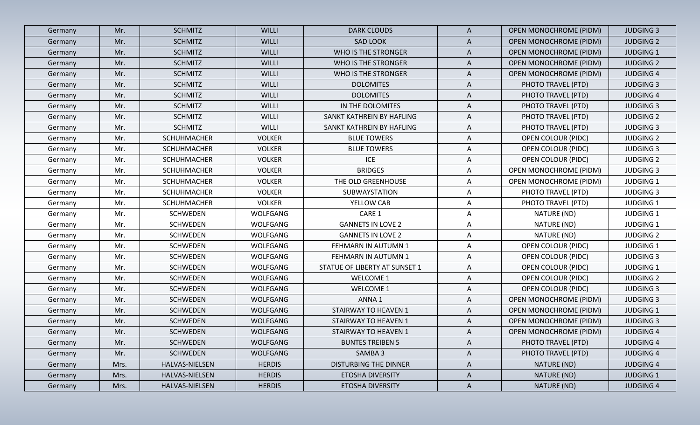| Germany | Mr.  | <b>SCHMITZ</b>     | <b>WILLI</b>    | <b>DARK CLOUDS</b>            | $\mathsf{A}$ | <b>OPEN MONOCHROME (PIDM)</b> | <b>JUDGING 3</b> |
|---------|------|--------------------|-----------------|-------------------------------|--------------|-------------------------------|------------------|
| Germany | Mr.  | <b>SCHMITZ</b>     | <b>WILLI</b>    | <b>SAD LOOK</b>               | A            | OPEN MONOCHROME (PIDM)        | <b>JUDGING 2</b> |
| Germany | Mr.  | <b>SCHMITZ</b>     | <b>WILLI</b>    | WHO IS THE STRONGER           | A            | <b>OPEN MONOCHROME (PIDM)</b> | <b>JUDGING 1</b> |
| Germany | Mr.  | <b>SCHMITZ</b>     | <b>WILLI</b>    | WHO IS THE STRONGER           | A            | <b>OPEN MONOCHROME (PIDM)</b> | <b>JUDGING 2</b> |
| Germany | Mr.  | <b>SCHMITZ</b>     | <b>WILLI</b>    | WHO IS THE STRONGER           | $\mathsf{A}$ | <b>OPEN MONOCHROME (PIDM)</b> | <b>JUDGING 4</b> |
| Germany | Mr.  | <b>SCHMITZ</b>     | <b>WILLI</b>    | <b>DOLOMITES</b>              | A            | PHOTO TRAVEL (PTD)            | <b>JUDGING 3</b> |
| Germany | Mr.  | <b>SCHMITZ</b>     | <b>WILLI</b>    | <b>DOLOMITES</b>              | A            | PHOTO TRAVEL (PTD)            | <b>JUDGING 4</b> |
| Germany | Mr.  | <b>SCHMITZ</b>     | WILLI           | IN THE DOLOMITES              | A            | PHOTO TRAVEL (PTD)            | <b>JUDGING 3</b> |
| Germany | Mr.  | <b>SCHMITZ</b>     | WILLI           | SANKT KATHREIN BY HAFLING     | A            | PHOTO TRAVEL (PTD)            | <b>JUDGING 2</b> |
| Germany | Mr.  | <b>SCHMITZ</b>     | <b>WILLI</b>    | SANKT KATHREIN BY HAFLING     | A            | PHOTO TRAVEL (PTD)            | <b>JUDGING 3</b> |
| Germany | Mr.  | SCHUHMACHER        | <b>VOLKER</b>   | <b>BLUE TOWERS</b>            | $\mathsf{A}$ | <b>OPEN COLOUR (PIDC)</b>     | <b>JUDGING 2</b> |
| Germany | Mr.  | <b>SCHUHMACHER</b> | <b>VOLKER</b>   | <b>BLUE TOWERS</b>            | A            | <b>OPEN COLOUR (PIDC)</b>     | <b>JUDGING 3</b> |
| Germany | Mr.  | <b>SCHUHMACHER</b> | <b>VOLKER</b>   | <b>ICE</b>                    | A            | <b>OPEN COLOUR (PIDC)</b>     | <b>JUDGING 2</b> |
| Germany | Mr.  | SCHUHMACHER        | <b>VOLKER</b>   | <b>BRIDGES</b>                | A            | <b>OPEN MONOCHROME (PIDM)</b> | <b>JUDGING 3</b> |
| Germany | Mr.  | <b>SCHUHMACHER</b> | <b>VOLKER</b>   | THE OLD GREENHOUSE            | A            | <b>OPEN MONOCHROME (PIDM)</b> | <b>JUDGING 1</b> |
| Germany | Mr.  | <b>SCHUHMACHER</b> | <b>VOLKER</b>   | SUBWAYSTATION                 | $\mathsf{A}$ | PHOTO TRAVEL (PTD)            | <b>JUDGING 3</b> |
| Germany | Mr.  | <b>SCHUHMACHER</b> | <b>VOLKER</b>   | YELLOW CAB                    | A            | PHOTO TRAVEL (PTD)            | <b>JUDGING 1</b> |
| Germany | Mr.  | <b>SCHWEDEN</b>    | WOLFGANG        | CARE 1                        | $\mathsf{A}$ | NATURE (ND)                   | <b>JUDGING 1</b> |
| Germany | Mr.  | <b>SCHWEDEN</b>    | WOLFGANG        | <b>GANNETS IN LOVE 2</b>      | A            | NATURE (ND)                   | <b>JUDGING 1</b> |
| Germany | Mr.  | <b>SCHWEDEN</b>    | WOLFGANG        | <b>GANNETS IN LOVE 2</b>      | A            | NATURE (ND)                   | <b>JUDGING 2</b> |
| Germany | Mr.  | <b>SCHWEDEN</b>    | WOLFGANG        | FEHMARN IN AUTUMN 1           | $\mathsf{A}$ | <b>OPEN COLOUR (PIDC)</b>     | <b>JUDGING 1</b> |
| Germany | Mr.  | <b>SCHWEDEN</b>    | <b>WOLFGANG</b> | FEHMARN IN AUTUMN 1           | $\mathsf{A}$ | <b>OPEN COLOUR (PIDC)</b>     | <b>JUDGING 3</b> |
| Germany | Mr.  | <b>SCHWEDEN</b>    | WOLFGANG        | STATUE OF LIBERTY AT SUNSET 1 | $\mathsf{A}$ | <b>OPEN COLOUR (PIDC)</b>     | <b>JUDGING 1</b> |
| Germany | Mr.  | <b>SCHWEDEN</b>    | WOLFGANG        | WELCOME 1                     | A            | <b>OPEN COLOUR (PIDC)</b>     | <b>JUDGING 2</b> |
| Germany | Mr.  | <b>SCHWEDEN</b>    | WOLFGANG        | <b>WELCOME 1</b>              | A            | <b>OPEN COLOUR (PIDC)</b>     | <b>JUDGING 3</b> |
| Germany | Mr.  | <b>SCHWEDEN</b>    | WOLFGANG        | ANNA <sub>1</sub>             | A            | <b>OPEN MONOCHROME (PIDM)</b> | <b>JUDGING 3</b> |
| Germany | Mr.  | <b>SCHWEDEN</b>    | <b>WOLFGANG</b> | STAIRWAY TO HEAVEN 1          | A            | <b>OPEN MONOCHROME (PIDM)</b> | <b>JUDGING 1</b> |
| Germany | Mr.  | <b>SCHWEDEN</b>    | <b>WOLFGANG</b> | STAIRWAY TO HEAVEN 1          | A            | <b>OPEN MONOCHROME (PIDM)</b> | <b>JUDGING 3</b> |
| Germany | Mr.  | <b>SCHWEDEN</b>    | <b>WOLFGANG</b> | STAIRWAY TO HEAVEN 1          | A            | <b>OPEN MONOCHROME (PIDM)</b> | <b>JUDGING 4</b> |
| Germany | Mr.  | <b>SCHWEDEN</b>    | WOLFGANG        | <b>BUNTES TREIBEN 5</b>       | $\mathsf{A}$ | PHOTO TRAVEL (PTD)            | <b>JUDGING 4</b> |
| Germany | Mr.  | <b>SCHWEDEN</b>    | <b>WOLFGANG</b> | SAMBA 3                       | $\mathsf{A}$ | PHOTO TRAVEL (PTD)            | <b>JUDGING 4</b> |
| Germany | Mrs. | HALVAS-NIELSEN     | <b>HERDIS</b>   | <b>DISTURBING THE DINNER</b>  | A            | NATURE (ND)                   | <b>JUDGING 4</b> |
| Germany | Mrs. | HALVAS-NIELSEN     | <b>HERDIS</b>   | <b>ETOSHA DIVERSITY</b>       | $\mathsf{A}$ | NATURE (ND)                   | <b>JUDGING 1</b> |
| Germany | Mrs. | HALVAS-NIELSEN     | <b>HERDIS</b>   | ETOSHA DIVERSITY              | $\mathsf{A}$ | NATURE (ND)                   | <b>JUDGING 4</b> |
|         |      |                    |                 |                               |              |                               |                  |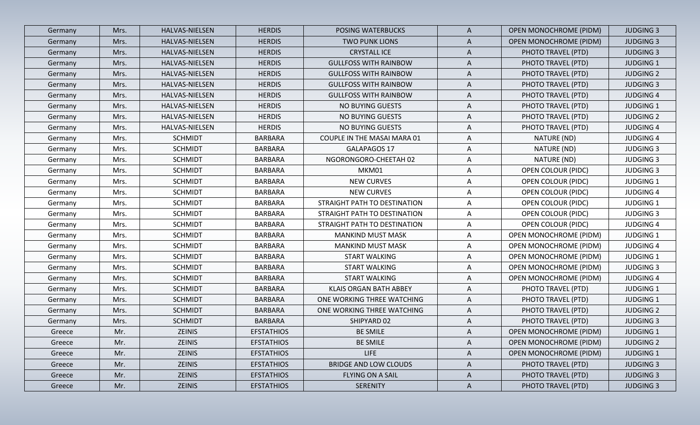| <b>HALVAS-NIELSEN</b><br><b>HERDIS</b><br><b>POSING WATERBUCKS</b><br>Germany<br>Mrs.<br><b>HERDIS</b><br>HALVAS-NIELSEN<br><b>TWO PUNK LIONS</b><br>Germany<br>Mrs.<br>HALVAS-NIELSEN<br><b>HERDIS</b><br><b>CRYSTALL ICE</b><br>Germany<br>Mrs.<br>Mrs.<br>HALVAS-NIELSEN<br><b>HERDIS</b><br><b>GULLFOSS WITH RAINBOW</b><br>Germany<br>HALVAS-NIELSEN<br><b>HERDIS</b><br>Germany<br>Mrs.<br><b>GULLFOSS WITH RAINBOW</b><br>Germany<br>HALVAS-NIELSEN<br><b>HERDIS</b><br><b>GULLFOSS WITH RAINBOW</b><br>Mrs.<br>HALVAS-NIELSEN<br><b>HERDIS</b><br><b>GULLFOSS WITH RAINBOW</b><br>Germany<br>Mrs.<br>HALVAS-NIELSEN<br><b>HERDIS</b><br>NO BUYING GUESTS<br>Germany<br>Mrs.<br>HALVAS-NIELSEN<br><b>HERDIS</b><br>NO BUYING GUESTS<br>Germany<br>Mrs.<br>HALVAS-NIELSEN<br><b>HERDIS</b><br>NO BUYING GUESTS<br>Germany<br>Mrs.<br><b>SCHMIDT</b><br><b>BARBARA</b><br>COUPLE IN THE MASAI MARA 01<br>Germany<br>Mrs.<br><b>SCHMIDT</b><br>GALAPAGOS 17<br>Germany<br>Mrs.<br>BARBARA<br><b>SCHMIDT</b><br><b>BARBARA</b><br>NGORONGORO-CHEETAH 02<br>Germany<br>Mrs.<br><b>SCHMIDT</b><br><b>BARBARA</b><br>MKM01<br>Germany<br>Mrs.<br><b>SCHMIDT</b><br><b>BARBARA</b><br><b>NEW CURVES</b><br>Germany<br>Mrs.<br><b>SCHMIDT</b><br>Mrs.<br><b>BARBARA</b><br><b>NEW CURVES</b><br>Germany<br><b>SCHMIDT</b><br><b>BARBARA</b><br>STRAIGHT PATH TO DESTINATION<br>Mrs.<br>Germany<br><b>SCHMIDT</b><br><b>BARBARA</b><br>STRAIGHT PATH TO DESTINATION<br>Germany<br>Mrs.<br><b>SCHMIDT</b><br><b>BARBARA</b><br>STRAIGHT PATH TO DESTINATION<br>Germany<br>Mrs.<br><b>SCHMIDT</b><br><b>BARBARA</b><br><b>MANKIND MUST MASK</b><br>Germany<br>Mrs. | A<br>$\mathsf{A}$<br>A<br>A<br>A<br>A<br>A | <b>OPEN MONOCHROME (PIDM)</b><br><b>OPEN MONOCHROME (PIDM)</b><br>PHOTO TRAVEL (PTD)<br>PHOTO TRAVEL (PTD)<br>PHOTO TRAVEL (PTD) | <b>JUDGING 3</b><br><b>JUDGING 3</b><br><b>JUDGING 3</b><br><b>JUDGING 1</b><br><b>JUDGING 2</b> |
|---------------------------------------------------------------------------------------------------------------------------------------------------------------------------------------------------------------------------------------------------------------------------------------------------------------------------------------------------------------------------------------------------------------------------------------------------------------------------------------------------------------------------------------------------------------------------------------------------------------------------------------------------------------------------------------------------------------------------------------------------------------------------------------------------------------------------------------------------------------------------------------------------------------------------------------------------------------------------------------------------------------------------------------------------------------------------------------------------------------------------------------------------------------------------------------------------------------------------------------------------------------------------------------------------------------------------------------------------------------------------------------------------------------------------------------------------------------------------------------------------------------------------------------------------------------------------------------------------------------------------------------------------------------|--------------------------------------------|----------------------------------------------------------------------------------------------------------------------------------|--------------------------------------------------------------------------------------------------|
|                                                                                                                                                                                                                                                                                                                                                                                                                                                                                                                                                                                                                                                                                                                                                                                                                                                                                                                                                                                                                                                                                                                                                                                                                                                                                                                                                                                                                                                                                                                                                                                                                                                               |                                            |                                                                                                                                  |                                                                                                  |
|                                                                                                                                                                                                                                                                                                                                                                                                                                                                                                                                                                                                                                                                                                                                                                                                                                                                                                                                                                                                                                                                                                                                                                                                                                                                                                                                                                                                                                                                                                                                                                                                                                                               |                                            |                                                                                                                                  |                                                                                                  |
|                                                                                                                                                                                                                                                                                                                                                                                                                                                                                                                                                                                                                                                                                                                                                                                                                                                                                                                                                                                                                                                                                                                                                                                                                                                                                                                                                                                                                                                                                                                                                                                                                                                               |                                            |                                                                                                                                  |                                                                                                  |
|                                                                                                                                                                                                                                                                                                                                                                                                                                                                                                                                                                                                                                                                                                                                                                                                                                                                                                                                                                                                                                                                                                                                                                                                                                                                                                                                                                                                                                                                                                                                                                                                                                                               |                                            |                                                                                                                                  |                                                                                                  |
|                                                                                                                                                                                                                                                                                                                                                                                                                                                                                                                                                                                                                                                                                                                                                                                                                                                                                                                                                                                                                                                                                                                                                                                                                                                                                                                                                                                                                                                                                                                                                                                                                                                               |                                            |                                                                                                                                  |                                                                                                  |
|                                                                                                                                                                                                                                                                                                                                                                                                                                                                                                                                                                                                                                                                                                                                                                                                                                                                                                                                                                                                                                                                                                                                                                                                                                                                                                                                                                                                                                                                                                                                                                                                                                                               |                                            | PHOTO TRAVEL (PTD)                                                                                                               | <b>JUDGING 3</b>                                                                                 |
|                                                                                                                                                                                                                                                                                                                                                                                                                                                                                                                                                                                                                                                                                                                                                                                                                                                                                                                                                                                                                                                                                                                                                                                                                                                                                                                                                                                                                                                                                                                                                                                                                                                               |                                            | PHOTO TRAVEL (PTD)                                                                                                               | <b>JUDGING 4</b>                                                                                 |
|                                                                                                                                                                                                                                                                                                                                                                                                                                                                                                                                                                                                                                                                                                                                                                                                                                                                                                                                                                                                                                                                                                                                                                                                                                                                                                                                                                                                                                                                                                                                                                                                                                                               | A                                          | PHOTO TRAVEL (PTD)                                                                                                               | <b>JUDGING 1</b>                                                                                 |
|                                                                                                                                                                                                                                                                                                                                                                                                                                                                                                                                                                                                                                                                                                                                                                                                                                                                                                                                                                                                                                                                                                                                                                                                                                                                                                                                                                                                                                                                                                                                                                                                                                                               | A                                          | PHOTO TRAVEL (PTD)                                                                                                               | <b>JUDGING 2</b>                                                                                 |
|                                                                                                                                                                                                                                                                                                                                                                                                                                                                                                                                                                                                                                                                                                                                                                                                                                                                                                                                                                                                                                                                                                                                                                                                                                                                                                                                                                                                                                                                                                                                                                                                                                                               | A                                          | PHOTO TRAVEL (PTD)                                                                                                               | <b>JUDGING 4</b>                                                                                 |
|                                                                                                                                                                                                                                                                                                                                                                                                                                                                                                                                                                                                                                                                                                                                                                                                                                                                                                                                                                                                                                                                                                                                                                                                                                                                                                                                                                                                                                                                                                                                                                                                                                                               | A                                          | NATURE (ND)                                                                                                                      | <b>JUDGING 4</b>                                                                                 |
|                                                                                                                                                                                                                                                                                                                                                                                                                                                                                                                                                                                                                                                                                                                                                                                                                                                                                                                                                                                                                                                                                                                                                                                                                                                                                                                                                                                                                                                                                                                                                                                                                                                               | A                                          | NATURE (ND)                                                                                                                      | <b>JUDGING 3</b>                                                                                 |
|                                                                                                                                                                                                                                                                                                                                                                                                                                                                                                                                                                                                                                                                                                                                                                                                                                                                                                                                                                                                                                                                                                                                                                                                                                                                                                                                                                                                                                                                                                                                                                                                                                                               | A                                          | NATURE (ND)                                                                                                                      | <b>JUDGING 3</b>                                                                                 |
|                                                                                                                                                                                                                                                                                                                                                                                                                                                                                                                                                                                                                                                                                                                                                                                                                                                                                                                                                                                                                                                                                                                                                                                                                                                                                                                                                                                                                                                                                                                                                                                                                                                               | A                                          | OPEN COLOUR (PIDC)                                                                                                               | <b>JUDGING 3</b>                                                                                 |
|                                                                                                                                                                                                                                                                                                                                                                                                                                                                                                                                                                                                                                                                                                                                                                                                                                                                                                                                                                                                                                                                                                                                                                                                                                                                                                                                                                                                                                                                                                                                                                                                                                                               | A                                          | OPEN COLOUR (PIDC)                                                                                                               | <b>JUDGING 1</b>                                                                                 |
|                                                                                                                                                                                                                                                                                                                                                                                                                                                                                                                                                                                                                                                                                                                                                                                                                                                                                                                                                                                                                                                                                                                                                                                                                                                                                                                                                                                                                                                                                                                                                                                                                                                               | A                                          | <b>OPEN COLOUR (PIDC)</b>                                                                                                        | <b>JUDGING 4</b>                                                                                 |
|                                                                                                                                                                                                                                                                                                                                                                                                                                                                                                                                                                                                                                                                                                                                                                                                                                                                                                                                                                                                                                                                                                                                                                                                                                                                                                                                                                                                                                                                                                                                                                                                                                                               | A                                          | <b>OPEN COLOUR (PIDC)</b>                                                                                                        | <b>JUDGING 1</b>                                                                                 |
|                                                                                                                                                                                                                                                                                                                                                                                                                                                                                                                                                                                                                                                                                                                                                                                                                                                                                                                                                                                                                                                                                                                                                                                                                                                                                                                                                                                                                                                                                                                                                                                                                                                               | A                                          | <b>OPEN COLOUR (PIDC)</b>                                                                                                        | <b>JUDGING 3</b>                                                                                 |
|                                                                                                                                                                                                                                                                                                                                                                                                                                                                                                                                                                                                                                                                                                                                                                                                                                                                                                                                                                                                                                                                                                                                                                                                                                                                                                                                                                                                                                                                                                                                                                                                                                                               | A                                          | <b>OPEN COLOUR (PIDC)</b>                                                                                                        | <b>JUDGING 4</b>                                                                                 |
|                                                                                                                                                                                                                                                                                                                                                                                                                                                                                                                                                                                                                                                                                                                                                                                                                                                                                                                                                                                                                                                                                                                                                                                                                                                                                                                                                                                                                                                                                                                                                                                                                                                               | A                                          | <b>OPEN MONOCHROME (PIDM)</b>                                                                                                    | <b>JUDGING 1</b>                                                                                 |
| <b>SCHMIDT</b><br><b>BARBARA</b><br><b>MANKIND MUST MASK</b><br>Germany<br>Mrs.                                                                                                                                                                                                                                                                                                                                                                                                                                                                                                                                                                                                                                                                                                                                                                                                                                                                                                                                                                                                                                                                                                                                                                                                                                                                                                                                                                                                                                                                                                                                                                               | A                                          | <b>OPEN MONOCHROME (PIDM)</b>                                                                                                    | <b>JUDGING 4</b>                                                                                 |
| <b>SCHMIDT</b><br>Germany<br><b>BARBARA</b><br><b>START WALKING</b><br>Mrs.                                                                                                                                                                                                                                                                                                                                                                                                                                                                                                                                                                                                                                                                                                                                                                                                                                                                                                                                                                                                                                                                                                                                                                                                                                                                                                                                                                                                                                                                                                                                                                                   | A                                          | <b>OPEN MONOCHROME (PIDM)</b>                                                                                                    | <b>JUDGING 1</b>                                                                                 |
| <b>SCHMIDT</b><br><b>BARBARA</b><br>START WALKING<br>Mrs.<br>Germany                                                                                                                                                                                                                                                                                                                                                                                                                                                                                                                                                                                                                                                                                                                                                                                                                                                                                                                                                                                                                                                                                                                                                                                                                                                                                                                                                                                                                                                                                                                                                                                          | A                                          | OPEN MONOCHROME (PIDM)                                                                                                           | <b>JUDGING 3</b>                                                                                 |
| <b>SCHMIDT</b><br><b>BARBARA</b><br>START WALKING<br>Germany<br>Mrs.                                                                                                                                                                                                                                                                                                                                                                                                                                                                                                                                                                                                                                                                                                                                                                                                                                                                                                                                                                                                                                                                                                                                                                                                                                                                                                                                                                                                                                                                                                                                                                                          | A                                          | OPEN MONOCHROME (PIDM)                                                                                                           | <b>JUDGING 4</b>                                                                                 |
| <b>SCHMIDT</b><br>Germany<br><b>BARBARA</b><br>KLAIS ORGAN BATH ABBEY<br>Mrs.                                                                                                                                                                                                                                                                                                                                                                                                                                                                                                                                                                                                                                                                                                                                                                                                                                                                                                                                                                                                                                                                                                                                                                                                                                                                                                                                                                                                                                                                                                                                                                                 | A                                          | PHOTO TRAVEL (PTD)                                                                                                               | <b>JUDGING 1</b>                                                                                 |
| <b>SCHMIDT</b><br><b>BARBARA</b><br>ONE WORKING THREE WATCHING<br>Germany<br>Mrs.                                                                                                                                                                                                                                                                                                                                                                                                                                                                                                                                                                                                                                                                                                                                                                                                                                                                                                                                                                                                                                                                                                                                                                                                                                                                                                                                                                                                                                                                                                                                                                             | A                                          | PHOTO TRAVEL (PTD)                                                                                                               | <b>JUDGING 1</b>                                                                                 |
| <b>SCHMIDT</b><br>Germany<br>Mrs.<br><b>BARBARA</b><br>ONE WORKING THREE WATCHING                                                                                                                                                                                                                                                                                                                                                                                                                                                                                                                                                                                                                                                                                                                                                                                                                                                                                                                                                                                                                                                                                                                                                                                                                                                                                                                                                                                                                                                                                                                                                                             | A                                          | PHOTO TRAVEL (PTD)                                                                                                               | <b>JUDGING 2</b>                                                                                 |
| <b>SCHMIDT</b><br><b>BARBARA</b><br>Germany<br>Mrs.<br>SHIPYARD 02                                                                                                                                                                                                                                                                                                                                                                                                                                                                                                                                                                                                                                                                                                                                                                                                                                                                                                                                                                                                                                                                                                                                                                                                                                                                                                                                                                                                                                                                                                                                                                                            | A                                          | PHOTO TRAVEL (PTD)                                                                                                               | <b>JUDGING 3</b>                                                                                 |
| ZEINIS<br><b>EFSTATHIOS</b><br><b>BE SMILE</b><br>Greece<br>Mr.                                                                                                                                                                                                                                                                                                                                                                                                                                                                                                                                                                                                                                                                                                                                                                                                                                                                                                                                                                                                                                                                                                                                                                                                                                                                                                                                                                                                                                                                                                                                                                                               | A                                          | <b>OPEN MONOCHROME (PIDM)</b>                                                                                                    | <b>JUDGING 1</b>                                                                                 |
| Mr.<br>ZEINIS<br><b>EFSTATHIOS</b><br><b>BE SMILE</b><br>Greece                                                                                                                                                                                                                                                                                                                                                                                                                                                                                                                                                                                                                                                                                                                                                                                                                                                                                                                                                                                                                                                                                                                                                                                                                                                                                                                                                                                                                                                                                                                                                                                               | A                                          | <b>OPEN MONOCHROME (PIDM)</b>                                                                                                    | <b>JUDGING 2</b>                                                                                 |
| ZEINIS<br><b>EFSTATHIOS</b><br><b>LIFE</b><br>Mr.<br>Greece                                                                                                                                                                                                                                                                                                                                                                                                                                                                                                                                                                                                                                                                                                                                                                                                                                                                                                                                                                                                                                                                                                                                                                                                                                                                                                                                                                                                                                                                                                                                                                                                   | $\mathsf{A}$                               | OPEN MONOCHROME (PIDM)                                                                                                           | <b>JUDGING 1</b>                                                                                 |
| Mr.<br>ZEINIS<br><b>EFSTATHIOS</b><br>BRIDGE AND LOW CLOUDS<br>Greece                                                                                                                                                                                                                                                                                                                                                                                                                                                                                                                                                                                                                                                                                                                                                                                                                                                                                                                                                                                                                                                                                                                                                                                                                                                                                                                                                                                                                                                                                                                                                                                         | $\mathsf{A}$                               | PHOTO TRAVEL (PTD)                                                                                                               | <b>JUDGING 3</b>                                                                                 |
| Mr.<br>ZEINIS<br><b>EFSTATHIOS</b><br>FLYING ON A SAIL<br>Greece                                                                                                                                                                                                                                                                                                                                                                                                                                                                                                                                                                                                                                                                                                                                                                                                                                                                                                                                                                                                                                                                                                                                                                                                                                                                                                                                                                                                                                                                                                                                                                                              |                                            | PHOTO TRAVEL (PTD)                                                                                                               | <b>JUDGING 3</b>                                                                                 |
| Mr.<br>ZEINIS<br><b>EFSTATHIOS</b><br><b>SERENITY</b><br>Greece                                                                                                                                                                                                                                                                                                                                                                                                                                                                                                                                                                                                                                                                                                                                                                                                                                                                                                                                                                                                                                                                                                                                                                                                                                                                                                                                                                                                                                                                                                                                                                                               | $\mathsf{A}$                               |                                                                                                                                  |                                                                                                  |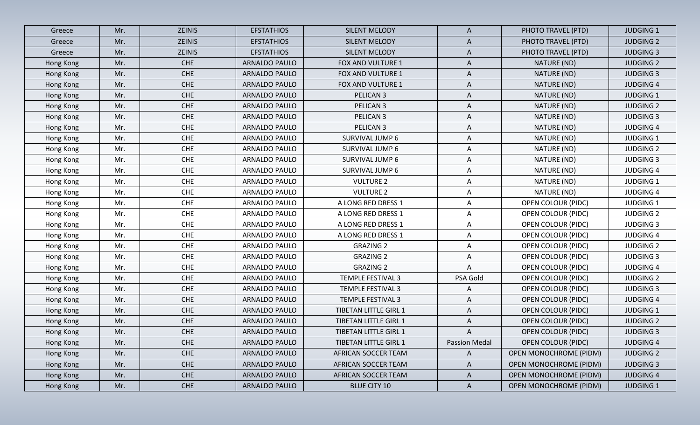| Greece    | Mr. | <b>ZEINIS</b> | <b>EFSTATHIOS</b>    | <b>SILENT MELODY</b>         | $\mathsf{A}$  | PHOTO TRAVEL (PTD)            | <b>JUDGING 1</b> |
|-----------|-----|---------------|----------------------|------------------------------|---------------|-------------------------------|------------------|
| Greece    | Mr. | <b>ZEINIS</b> | <b>EFSTATHIOS</b>    | <b>SILENT MELODY</b>         | A             | PHOTO TRAVEL (PTD)            | <b>JUDGING 2</b> |
| Greece    | Mr. | <b>ZEINIS</b> | <b>EFSTATHIOS</b>    | <b>SILENT MELODY</b>         | $\mathsf{A}$  | PHOTO TRAVEL (PTD)            | <b>JUDGING 3</b> |
| Hong Kong | Mr. | <b>CHE</b>    | ARNALDO PAULO        | FOX AND VULTURE 1            | $\mathsf{A}$  | NATURE (ND)                   | <b>JUDGING 2</b> |
| Hong Kong | Mr. | <b>CHE</b>    | ARNALDO PAULO        | FOX AND VULTURE 1            | $\mathsf{A}$  | NATURE (ND)                   | <b>JUDGING 3</b> |
| Hong Kong | Mr. | <b>CHE</b>    | ARNALDO PAULO        | FOX AND VULTURE 1            | $\mathsf{A}$  | NATURE (ND)                   | <b>JUDGING 4</b> |
| Hong Kong | Mr. | <b>CHE</b>    | ARNALDO PAULO        | PELICAN <sub>3</sub>         | A             | NATURE (ND)                   | <b>JUDGING 1</b> |
| Hong Kong | Mr. | <b>CHE</b>    | ARNALDO PAULO        | PELICAN <sub>3</sub>         | A             | NATURE (ND)                   | <b>JUDGING 2</b> |
| Hong Kong | Mr. | <b>CHE</b>    | <b>ARNALDO PAULO</b> | PELICAN <sub>3</sub>         | $\mathsf{A}$  | NATURE (ND)                   | <b>JUDGING 3</b> |
| Hong Kong | Mr. | <b>CHE</b>    | ARNALDO PAULO        | PELICAN <sub>3</sub>         | A             | NATURE (ND)                   | <b>JUDGING 4</b> |
| Hong Kong | Mr. | <b>CHE</b>    | ARNALDO PAULO        | SURVIVAL JUMP 6              | $\mathsf{A}$  | NATURE (ND)                   | <b>JUDGING 1</b> |
| Hong Kong | Mr. | <b>CHE</b>    | ARNALDO PAULO        | SURVIVAL JUMP 6              | A             | NATURE (ND)                   | <b>JUDGING 2</b> |
| Hong Kong | Mr. | <b>CHE</b>    | ARNALDO PAULO        | SURVIVAL JUMP 6              | A             | NATURE (ND)                   | <b>JUDGING 3</b> |
| Hong Kong | Mr. | <b>CHE</b>    | ARNALDO PAULO        | SURVIVAL JUMP 6              | A             | NATURE (ND)                   | <b>JUDGING 4</b> |
| Hong Kong | Mr. | <b>CHE</b>    | ARNALDO PAULO        | <b>VULTURE 2</b>             | A             | NATURE (ND)                   | <b>JUDGING 1</b> |
| Hong Kong | Mr. | <b>CHE</b>    | ARNALDO PAULO        | <b>VULTURE 2</b>             | $\mathsf{A}$  | NATURE (ND)                   | <b>JUDGING 4</b> |
| Hong Kong | Mr. | <b>CHE</b>    | ARNALDO PAULO        | A LONG RED DRESS 1           | $\mathsf{A}$  | OPEN COLOUR (PIDC)            | <b>JUDGING 1</b> |
| Hong Kong | Mr. | <b>CHE</b>    | ARNALDO PAULO        | A LONG RED DRESS 1           | $\mathsf{A}$  | <b>OPEN COLOUR (PIDC)</b>     | <b>JUDGING 2</b> |
| Hong Kong | Mr. | <b>CHE</b>    | ARNALDO PAULO        | A LONG RED DRESS 1           | $\mathsf{A}$  | OPEN COLOUR (PIDC)            | <b>JUDGING 3</b> |
| Hong Kong | Mr. | <b>CHE</b>    | ARNALDO PAULO        | A LONG RED DRESS 1           | A             | <b>OPEN COLOUR (PIDC)</b>     | <b>JUDGING 4</b> |
| Hong Kong | Mr. | <b>CHE</b>    | ARNALDO PAULO        | <b>GRAZING 2</b>             | $\mathsf{A}$  | OPEN COLOUR (PIDC)            | <b>JUDGING 2</b> |
| Hong Kong | Mr. | <b>CHE</b>    | ARNALDO PAULO        | <b>GRAZING 2</b>             | $\mathsf{A}$  | <b>OPEN COLOUR (PIDC)</b>     | <b>JUDGING 3</b> |
| Hong Kong | Mr. | <b>CHE</b>    | ARNALDO PAULO        | <b>GRAZING 2</b>             | A             | <b>OPEN COLOUR (PIDC)</b>     | <b>JUDGING 4</b> |
| Hong Kong | Mr. | <b>CHE</b>    | ARNALDO PAULO        | <b>TEMPLE FESTIVAL 3</b>     | PSA Gold      | OPEN COLOUR (PIDC)            | <b>JUDGING 2</b> |
| Hong Kong | Mr. | <b>CHE</b>    | ARNALDO PAULO        | <b>TEMPLE FESTIVAL 3</b>     | A             | <b>OPEN COLOUR (PIDC)</b>     | <b>JUDGING 3</b> |
| Hong Kong | Mr. | <b>CHE</b>    | ARNALDO PAULO        | <b>TEMPLE FESTIVAL 3</b>     | $\mathsf{A}$  | <b>OPEN COLOUR (PIDC)</b>     | <b>JUDGING 4</b> |
| Hong Kong | Mr. | <b>CHE</b>    | ARNALDO PAULO        | TIBETAN LITTLE GIRL 1        | A             | <b>OPEN COLOUR (PIDC)</b>     | <b>JUDGING 1</b> |
| Hong Kong | Mr. | <b>CHE</b>    | ARNALDO PAULO        | TIBETAN LITTLE GIRL 1        | A             | <b>OPEN COLOUR (PIDC)</b>     | <b>JUDGING 2</b> |
| Hong Kong | Mr. | <b>CHE</b>    | <b>ARNALDO PAULO</b> | <b>TIBETAN LITTLE GIRL 1</b> | A             | <b>OPEN COLOUR (PIDC)</b>     | <b>JUDGING 3</b> |
| Hong Kong | Mr. | <b>CHE</b>    | ARNALDO PAULO        | TIBETAN LITTLE GIRL 1        | Passion Medal | <b>OPEN COLOUR (PIDC)</b>     | <b>JUDGING 4</b> |
| Hong Kong | Mr. | <b>CHE</b>    | ARNALDO PAULO        | AFRICAN SOCCER TEAM          | $\mathsf{A}$  | <b>OPEN MONOCHROME (PIDM)</b> | <b>JUDGING 2</b> |
| Hong Kong | Mr. | <b>CHE</b>    | <b>ARNALDO PAULO</b> | AFRICAN SOCCER TEAM          | $\mathsf{A}$  | <b>OPEN MONOCHROME (PIDM)</b> | <b>JUDGING 3</b> |
| Hong Kong | Mr. | <b>CHE</b>    | ARNALDO PAULO        | AFRICAN SOCCER TEAM          | $\mathsf{A}$  | <b>OPEN MONOCHROME (PIDM)</b> | <b>JUDGING 4</b> |
| Hong Kong | Mr. | <b>CHE</b>    | ARNALDO PAULO        | <b>BLUE CITY 10</b>          | $\mathsf{A}$  | <b>OPEN MONOCHROME (PIDM)</b> | <b>JUDGING 1</b> |
|           |     |               |                      |                              |               |                               |                  |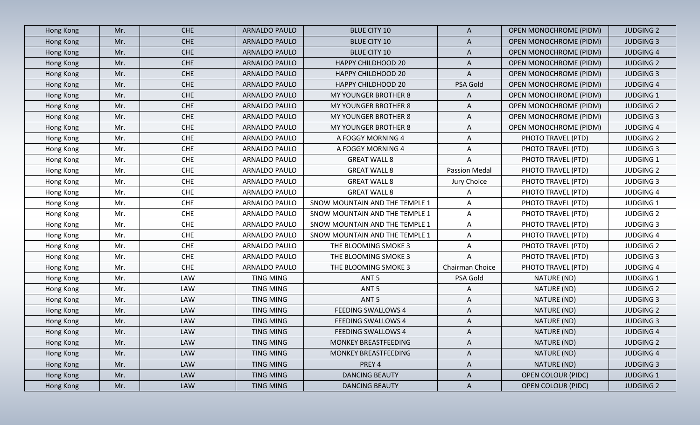| Hong Kong | Mr. | <b>CHE</b> | ARNALDO PAULO        | <b>BLUE CITY 10</b>            | $\mathsf{A}$         | <b>OPEN MONOCHROME (PIDM)</b> | <b>JUDGING 2</b> |
|-----------|-----|------------|----------------------|--------------------------------|----------------------|-------------------------------|------------------|
| Hong Kong | Mr. | <b>CHE</b> | <b>ARNALDO PAULO</b> | <b>BLUE CITY 10</b>            | $\mathsf{A}$         | OPEN MONOCHROME (PIDM)        | <b>JUDGING 3</b> |
| Hong Kong | Mr. | <b>CHE</b> | <b>ARNALDO PAULO</b> | <b>BLUE CITY 10</b>            | $\mathsf{A}$         | <b>OPEN MONOCHROME (PIDM)</b> | <b>JUDGING 4</b> |
| Hong Kong | Mr. | CHE        | ARNALDO PAULO        | <b>HAPPY CHILDHOOD 20</b>      | $\mathsf{A}$         | <b>OPEN MONOCHROME (PIDM)</b> | <b>JUDGING 2</b> |
| Hong Kong | Mr. | <b>CHE</b> | ARNALDO PAULO        | <b>HAPPY CHILDHOOD 20</b>      | $\mathsf{A}$         | <b>OPEN MONOCHROME (PIDM)</b> | <b>JUDGING 3</b> |
| Hong Kong | Mr. | <b>CHE</b> | ARNALDO PAULO        | <b>HAPPY CHILDHOOD 20</b>      | PSA Gold             | <b>OPEN MONOCHROME (PIDM)</b> | <b>JUDGING 4</b> |
| Hong Kong | Mr. | <b>CHE</b> | ARNALDO PAULO        | MY YOUNGER BROTHER 8           | A                    | <b>OPEN MONOCHROME (PIDM)</b> | <b>JUDGING 1</b> |
| Hong Kong | Mr. | <b>CHE</b> | ARNALDO PAULO        | MY YOUNGER BROTHER 8           | A                    | OPEN MONOCHROME (PIDM)        | <b>JUDGING 2</b> |
| Hong Kong | Mr. | <b>CHE</b> | <b>ARNALDO PAULO</b> | MY YOUNGER BROTHER 8           | A                    | <b>OPEN MONOCHROME (PIDM)</b> | <b>JUDGING 3</b> |
| Hong Kong | Mr. | <b>CHE</b> | ARNALDO PAULO        | MY YOUNGER BROTHER 8           | A                    | OPEN MONOCHROME (PIDM)        | <b>JUDGING 4</b> |
| Hong Kong | Mr. | <b>CHE</b> | ARNALDO PAULO        | A FOGGY MORNING 4              | A                    | PHOTO TRAVEL (PTD)            | <b>JUDGING 2</b> |
| Hong Kong | Mr. | CHE        | ARNALDO PAULO        | A FOGGY MORNING 4              | A                    | PHOTO TRAVEL (PTD)            | <b>JUDGING 3</b> |
| Hong Kong | Mr. | <b>CHE</b> | ARNALDO PAULO        | <b>GREAT WALL 8</b>            | A                    | PHOTO TRAVEL (PTD)            | <b>JUDGING 1</b> |
| Hong Kong | Mr. | <b>CHE</b> | ARNALDO PAULO        | <b>GREAT WALL 8</b>            | <b>Passion Medal</b> | PHOTO TRAVEL (PTD)            | <b>JUDGING 2</b> |
| Hong Kong | Mr. | <b>CHE</b> | ARNALDO PAULO        | <b>GREAT WALL 8</b>            | Jury Choice          | PHOTO TRAVEL (PTD)            | <b>JUDGING 3</b> |
| Hong Kong | Mr. | <b>CHE</b> | ARNALDO PAULO        | <b>GREAT WALL 8</b>            | A                    | PHOTO TRAVEL (PTD)            | <b>JUDGING 4</b> |
| Hong Kong | Mr. | <b>CHE</b> | ARNALDO PAULO        | SNOW MOUNTAIN AND THE TEMPLE 1 | A                    | PHOTO TRAVEL (PTD)            | <b>JUDGING 1</b> |
| Hong Kong | Mr. | <b>CHE</b> | ARNALDO PAULO        | SNOW MOUNTAIN AND THE TEMPLE 1 | $\mathsf{A}$         | PHOTO TRAVEL (PTD)            | <b>JUDGING 2</b> |
| Hong Kong | Mr. | CHE        | ARNALDO PAULO        | SNOW MOUNTAIN AND THE TEMPLE 1 | A                    | PHOTO TRAVEL (PTD)            | <b>JUDGING 3</b> |
| Hong Kong | Mr. | <b>CHE</b> | ARNALDO PAULO        | SNOW MOUNTAIN AND THE TEMPLE 1 | A                    | PHOTO TRAVEL (PTD)            | <b>JUDGING 4</b> |
| Hong Kong | Mr. | <b>CHE</b> | ARNALDO PAULO        | THE BLOOMING SMOKE 3           | A                    | PHOTO TRAVEL (PTD)            | <b>JUDGING 2</b> |
| Hong Kong | Mr. | CHE        | ARNALDO PAULO        | THE BLOOMING SMOKE 3           | A                    | PHOTO TRAVEL (PTD)            | <b>JUDGING 3</b> |
| Hong Kong | Mr. | <b>CHE</b> | ARNALDO PAULO        | THE BLOOMING SMOKE 3           | Chairman Choice      | PHOTO TRAVEL (PTD)            | <b>JUDGING 4</b> |
| Hong Kong | Mr. | LAW        | <b>TING MING</b>     | ANT <sub>5</sub>               | PSA Gold             | NATURE (ND)                   | <b>JUDGING 1</b> |
| Hong Kong | Mr. | LAW        | TING MING            | ANT <sub>5</sub>               | A                    | NATURE (ND)                   | <b>JUDGING 2</b> |
| Hong Kong | Mr. | <b>LAW</b> | <b>TING MING</b>     | ANT <sub>5</sub>               | A                    | NATURE (ND)                   | <b>JUDGING 3</b> |
| Hong Kong | Mr. | <b>LAW</b> | <b>TING MING</b>     | <b>FEEDING SWALLOWS 4</b>      | A                    | NATURE (ND)                   | <b>JUDGING 2</b> |
| Hong Kong | Mr. | LAW        | TING MING            | <b>FEEDING SWALLOWS 4</b>      | A                    | NATURE (ND)                   | <b>JUDGING 3</b> |
| Hong Kong | Mr. | <b>LAW</b> | <b>TING MING</b>     | <b>FEEDING SWALLOWS 4</b>      | $\mathsf{A}$         | NATURE (ND)                   | <b>JUDGING 4</b> |
| Hong Kong | Mr. | <b>LAW</b> | TING MING            | MONKEY BREASTFEEDING           | A                    | NATURE (ND)                   | <b>JUDGING 2</b> |
| Hong Kong | Mr. | LAW        | TING MING            | MONKEY BREASTFEEDING           | $\mathsf{A}$         | NATURE (ND)                   | <b>JUDGING 4</b> |
| Hong Kong | Mr. | <b>LAW</b> | TING MING            | PREY 4                         | $\mathsf{A}$         | NATURE (ND)                   | <b>JUDGING 3</b> |
| Hong Kong | Mr. | <b>LAW</b> | TING MING            | <b>DANCING BEAUTY</b>          | $\mathsf{A}$         | <b>OPEN COLOUR (PIDC)</b>     | <b>JUDGING 1</b> |
| Hong Kong | Mr. | <b>LAW</b> | TING MING            | <b>DANCING BEAUTY</b>          | $\mathsf{A}$         | <b>OPEN COLOUR (PIDC)</b>     | <b>JUDGING 2</b> |
|           |     |            |                      |                                |                      |                               |                  |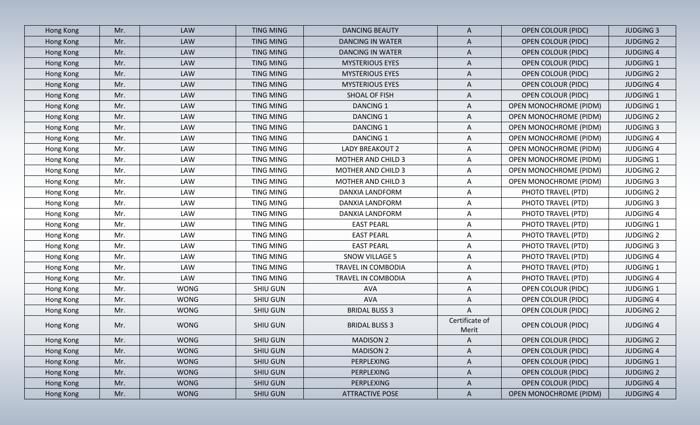| Hong Kong        | Mr. | <b>LAW</b>  | <b>TING MING</b> | <b>DANCING BEAUTY</b>     | $\mathsf{A}$            | <b>OPEN COLOUR (PIDC)</b>     | <b>JUDGING 3</b> |
|------------------|-----|-------------|------------------|---------------------------|-------------------------|-------------------------------|------------------|
| Hong Kong        | Mr. | <b>LAW</b>  | <b>TING MING</b> | <b>DANCING IN WATER</b>   | $\mathsf{A}$            | <b>OPEN COLOUR (PIDC)</b>     | <b>JUDGING 2</b> |
| Hong Kong        | Mr. | <b>LAW</b>  | <b>TING MING</b> | <b>DANCING IN WATER</b>   | A                       | <b>OPEN COLOUR (PIDC)</b>     | <b>JUDGING 4</b> |
| Hong Kong        | Mr. | <b>LAW</b>  | TING MING        | <b>MYSTERIOUS EYES</b>    | $\mathsf{A}$            | <b>OPEN COLOUR (PIDC)</b>     | <b>JUDGING 1</b> |
| Hong Kong        | Mr. | <b>LAW</b>  | <b>TING MING</b> | <b>MYSTERIOUS EYES</b>    | $\mathsf{A}$            | <b>OPEN COLOUR (PIDC)</b>     | <b>JUDGING 2</b> |
| Hong Kong        | Mr. | <b>LAW</b>  | <b>TING MING</b> | <b>MYSTERIOUS EYES</b>    | $\mathsf{A}$            | <b>OPEN COLOUR (PIDC)</b>     | <b>JUDGING 4</b> |
| Hong Kong        | Mr. | LAW         | <b>TING MING</b> | SHOAL OF FISH             | A                       | <b>OPEN COLOUR (PIDC)</b>     | <b>JUDGING 1</b> |
| Hong Kong        | Mr. | <b>LAW</b>  | <b>TING MING</b> | <b>DANCING 1</b>          | A                       | <b>OPEN MONOCHROME (PIDM)</b> | <b>JUDGING 1</b> |
| Hong Kong        | Mr. | LAW         | <b>TING MING</b> | <b>DANCING 1</b>          | $\mathsf{A}$            | <b>OPEN MONOCHROME (PIDM)</b> | <b>JUDGING 2</b> |
| Hong Kong        | Mr. | <b>LAW</b>  | <b>TING MING</b> | <b>DANCING 1</b>          | A                       | <b>OPEN MONOCHROME (PIDM)</b> | <b>JUDGING 3</b> |
| Hong Kong        | Mr. | <b>LAW</b>  | <b>TING MING</b> | <b>DANCING 1</b>          | A                       | <b>OPEN MONOCHROME (PIDM)</b> | <b>JUDGING 4</b> |
| Hong Kong        | Mr. | LAW         | <b>TING MING</b> | LADY BREAKOUT 2           | A                       | OPEN MONOCHROME (PIDM)        | <b>JUDGING 4</b> |
| Hong Kong        | Mr. | LAW         | TING MING        | <b>MOTHER AND CHILD 3</b> | A                       | <b>OPEN MONOCHROME (PIDM)</b> | <b>JUDGING 1</b> |
| Hong Kong        | Mr. | LAW         | <b>TING MING</b> | <b>MOTHER AND CHILD 3</b> | A                       | OPEN MONOCHROME (PIDM)        | <b>JUDGING 2</b> |
| Hong Kong        | Mr. | LAW         | <b>TING MING</b> | <b>MOTHER AND CHILD 3</b> | A                       | <b>OPEN MONOCHROME (PIDM)</b> | <b>JUDGING 3</b> |
| Hong Kong        | Mr. | LAW         | TING MING        | DANXIA LANDFORM           | $\mathsf{A}$            | PHOTO TRAVEL (PTD)            | <b>JUDGING 2</b> |
| Hong Kong        | Mr. | LAW         | <b>TING MING</b> | DANXIA LANDFORM           | $\mathsf{A}$            | PHOTO TRAVEL (PTD)            | <b>JUDGING 3</b> |
| Hong Kong        | Mr. | LAW         | TING MING        | DANXIA LANDFORM           | A                       | PHOTO TRAVEL (PTD)            | <b>JUDGING 4</b> |
| Hong Kong        | Mr. | LAW         | TING MING        | <b>EAST PEARL</b>         | $\mathsf{A}$            | PHOTO TRAVEL (PTD)            | <b>JUDGING 1</b> |
| Hong Kong        | Mr. | LAW         | TING MING        | <b>EAST PEARL</b>         | A                       | PHOTO TRAVEL (PTD)            | <b>JUDGING 2</b> |
| Hong Kong        | Mr. | LAW         | TING MING        | <b>EAST PEARL</b>         | A                       | PHOTO TRAVEL (PTD)            | <b>JUDGING 3</b> |
| Hong Kong        | Mr. | LAW         | TING MING        | <b>SNOW VILLAGE 5</b>     | $\mathsf{A}$            | PHOTO TRAVEL (PTD)            | <b>JUDGING 4</b> |
| Hong Kong        | Mr. | LAW         | <b>TING MING</b> | TRAVEL IN COMBODIA        | A                       | PHOTO TRAVEL (PTD)            | <b>JUDGING 1</b> |
| Hong Kong        | Mr. | LAW         | <b>TING MING</b> | TRAVEL IN COMBODIA        | A                       | PHOTO TRAVEL (PTD)            | <b>JUDGING 4</b> |
| Hong Kong        | Mr. | <b>WONG</b> | <b>SHIU GUN</b>  | AVA                       | A                       | <b>OPEN COLOUR (PIDC)</b>     | <b>JUDGING 1</b> |
| Hong Kong        | Mr. | <b>WONG</b> | <b>SHIU GUN</b>  | <b>AVA</b>                | $\mathsf{A}$            | OPEN COLOUR (PIDC)            | <b>JUDGING 4</b> |
| Hong Kong        | Mr. | <b>WONG</b> | SHIU GUN         | <b>BRIDAL BLISS 3</b>     | A                       | <b>OPEN COLOUR (PIDC)</b>     | <b>JUDGING 2</b> |
| Hong Kong        | Mr. | <b>WONG</b> | <b>SHIU GUN</b>  | <b>BRIDAL BLISS 3</b>     | Certificate of<br>Merit | <b>OPEN COLOUR (PIDC)</b>     | <b>JUDGING 4</b> |
| Hong Kong        | Mr. | <b>WONG</b> | SHIU GUN         | <b>MADISON 2</b>          | $\mathsf{A}$            | <b>OPEN COLOUR (PIDC)</b>     | <b>JUDGING 2</b> |
| Hong Kong        | Mr. | <b>WONG</b> | SHIU GUN         | <b>MADISON 2</b>          | $\mathsf{A}$            | <b>OPEN COLOUR (PIDC)</b>     | <b>JUDGING 4</b> |
| Hong Kong        | Mr. | <b>WONG</b> | <b>SHIU GUN</b>  | PERPLEXING                | $\mathsf{A}$            | <b>OPEN COLOUR (PIDC)</b>     | <b>JUDGING 1</b> |
| Hong Kong        | Mr. | <b>WONG</b> | <b>SHIU GUN</b>  | PERPLEXING                | $\mathsf{A}$            | <b>OPEN COLOUR (PIDC)</b>     | <b>JUDGING 2</b> |
| <b>Hong Kong</b> | Mr. | <b>WONG</b> | <b>SHIU GUN</b>  | PERPLEXING                | $\mathsf{A}$            | <b>OPEN COLOUR (PIDC)</b>     | <b>JUDGING 4</b> |
| Hong Kong        | Mr. | <b>WONG</b> | <b>SHIU GUN</b>  | <b>ATTRACTIVE POSE</b>    | $\mathsf{A}$            | <b>OPEN MONOCHROME (PIDM)</b> | <b>JUDGING 4</b> |
|                  |     |             |                  |                           |                         |                               |                  |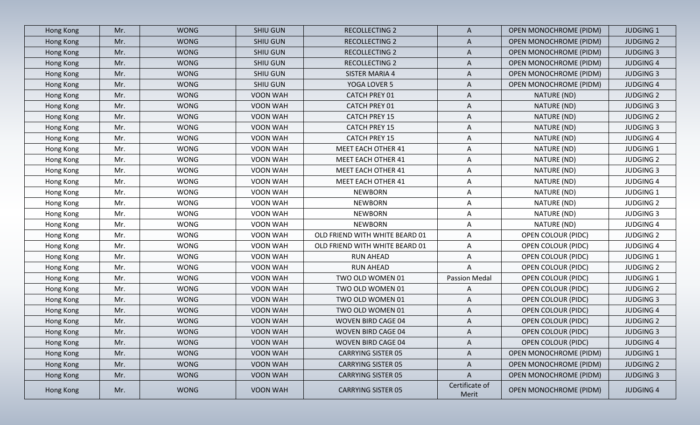| <b>WONG</b><br><b>SHIU GUN</b><br><b>RECOLLECTING 2</b><br>$\mathsf{A}$<br><b>OPEN MONOCHROME (PIDM)</b><br><b>JUDGING 1</b><br>Hong Kong<br>Mr.<br><b>WONG</b><br>Mr.<br>SHIU GUN<br><b>RECOLLECTING 2</b><br>$\mathsf{A}$<br>OPEN MONOCHROME (PIDM)<br><b>JUDGING 2</b><br>Hong Kong<br><b>WONG</b><br>Mr.<br><b>SHIU GUN</b><br><b>RECOLLECTING 2</b><br><b>OPEN MONOCHROME (PIDM)</b><br><b>JUDGING 3</b><br>Hong Kong<br>$\mathsf{A}$<br><b>WONG</b><br><b>SHIU GUN</b><br><b>JUDGING 4</b><br>Hong Kong<br>Mr.<br>RECOLLECTING 2<br>A<br><b>OPEN MONOCHROME (PIDM)</b><br><b>WONG</b><br>SHIU GUN<br>$\mathsf{A}$<br><b>JUDGING 3</b><br>Mr.<br>SISTER MARIA 4<br>OPEN MONOCHROME (PIDM)<br>Hong Kong<br><b>WONG</b><br>SHIU GUN<br>YOGA LOVER 5<br><b>JUDGING 4</b><br>Hong Kong<br>Mr.<br>A<br>OPEN MONOCHROME (PIDM)<br>Mr.<br><b>WONG</b><br>VOON WAH<br><b>CATCH PREY 01</b><br>A<br>NATURE (ND)<br>Hong Kong<br><b>JUDGING 2</b><br><b>WONG</b><br>VOON WAH<br>CATCH PREY 01<br>NATURE (ND)<br><b>JUDGING 3</b><br>Hong Kong<br>Mr.<br>A<br>Mr.<br><b>WONG</b><br>A<br>VOON WAH<br><b>CATCH PREY 15</b><br>NATURE (ND)<br><b>JUDGING 2</b><br>Hong Kong<br><b>WONG</b><br>Mr.<br>VOON WAH<br><b>CATCH PREY 15</b><br>A<br>NATURE (ND)<br><b>JUDGING 3</b><br>Hong Kong<br><b>WONG</b><br><b>CATCH PREY 15</b><br><b>JUDGING 4</b><br>Mr.<br>VOON WAH<br>A<br>NATURE (ND)<br>Hong Kong<br><b>WONG</b><br><b>MEET EACH OTHER 41</b><br>$\mathsf{A}$<br><b>JUDGING 1</b><br>Mr.<br>VOON WAH<br>NATURE (ND)<br>Hong Kong<br><b>WONG</b><br>A<br>Mr.<br>VOON WAH<br><b>MEET EACH OTHER 41</b><br>NATURE (ND)<br><b>JUDGING 2</b><br>Hong Kong<br><b>WONG</b><br>VOON WAH<br>NATURE (ND)<br>Mr.<br><b>MEET EACH OTHER 41</b><br>A<br><b>JUDGING 3</b><br>Hong Kong<br><b>WONG</b><br>Mr.<br>VOON WAH<br>MEET EACH OTHER 41<br>NATURE (ND)<br><b>JUDGING 4</b><br>Hong Kong<br>A<br>Mr.<br><b>WONG</b><br><b>NEWBORN</b><br>A<br>NATURE (ND)<br><b>JUDGING 1</b><br>VOON WAH<br>Hong Kong<br><b>WONG</b><br><b>NEWBORN</b><br>A<br>Mr.<br>VOON WAH<br>NATURE (ND)<br><b>JUDGING 2</b><br>Hong Kong<br><b>WONG</b><br>VOON WAH<br><b>NEWBORN</b><br>NATURE (ND)<br><b>JUDGING 3</b><br>Hong Kong<br>Mr.<br>A<br><b>WONG</b><br><b>NEWBORN</b><br>A<br>NATURE (ND)<br>Mr.<br>VOON WAH<br><b>JUDGING 4</b><br>Hong Kong<br><b>WONG</b><br>VOON WAH<br>OLD FRIEND WITH WHITE BEARD 01<br><b>OPEN COLOUR (PIDC)</b><br>Hong Kong<br>Mr.<br>A<br><b>JUDGING 2</b><br><b>WONG</b><br>VOON WAH<br><b>OPEN COLOUR (PIDC)</b><br>Mr.<br>OLD FRIEND WITH WHITE BEARD 01<br>A<br><b>JUDGING 4</b><br>Hong Kong<br><b>WONG</b><br>Mr.<br>VOON WAH<br><b>RUN AHEAD</b><br><b>OPEN COLOUR (PIDC)</b><br><b>JUDGING 1</b><br>Hong Kong<br>A<br><b>WONG</b><br>A<br>Mr.<br>VOON WAH<br><b>RUN AHEAD</b><br><b>OPEN COLOUR (PIDC)</b><br><b>JUDGING 2</b><br>Hong Kong<br><b>WONG</b><br><b>Passion Medal</b><br>Mr.<br>VOON WAH<br>TWO OLD WOMEN 01<br>OPEN COLOUR (PIDC)<br><b>JUDGING 1</b><br>Hong Kong<br><b>WONG</b><br>Hong Kong<br>Mr.<br>VOON WAH<br>TWO OLD WOMEN 01<br>A<br><b>OPEN COLOUR (PIDC)</b><br><b>JUDGING 2</b><br><b>WONG</b><br>Mr.<br>VOON WAH<br>TWO OLD WOMEN 01<br>A<br><b>OPEN COLOUR (PIDC)</b><br><b>JUDGING 3</b><br>Hong Kong<br>Mr.<br><b>WONG</b><br>VOON WAH<br>TWO OLD WOMEN 01<br><b>OPEN COLOUR (PIDC)</b><br><b>JUDGING 4</b><br>Hong Kong<br>A<br><b>WONG</b><br><b>OPEN COLOUR (PIDC)</b><br><b>JUDGING 2</b><br>Hong Kong<br>Mr.<br>VOON WAH<br><b>WOVEN BIRD CAGE 04</b><br>A<br><b>WONG</b><br>A<br><b>JUDGING 3</b><br>VOON WAH<br><b>WOVEN BIRD CAGE 04</b><br><b>OPEN COLOUR (PIDC)</b><br>Hong Kong<br>Mr.<br><b>WONG</b><br><b>OPEN COLOUR (PIDC)</b><br>Mr.<br>VOON WAH<br>WOVEN BIRD CAGE 04<br><b>JUDGING 4</b><br>Hong Kong<br>A<br><b>WONG</b><br>$\mathsf{A}$<br><b>OPEN MONOCHROME (PIDM)</b><br><b>JUDGING 1</b><br>Mr.<br>VOON WAH<br><b>CARRYING SISTER 05</b><br>Hong Kong<br><b>WONG</b><br><b>CARRYING SISTER 05</b><br><b>OPEN MONOCHROME (PIDM)</b><br>Hong Kong<br>Mr.<br>VOON WAH<br>A<br><b>JUDGING 2</b><br><b>OPEN MONOCHROME (PIDM)</b><br>Hong Kong<br>Mr.<br><b>WONG</b><br>VOON WAH<br><b>JUDGING 3</b><br><b>CARRYING SISTER 05</b><br>A<br>Certificate of<br><b>WONG</b><br><b>OPEN MONOCHROME (PIDM)</b><br>VOON WAH<br><b>CARRYING SISTER 05</b><br><b>JUDGING 4</b><br>Hong Kong<br>Mr.<br>Merit |  |  |  |  |  |
|-------------------------------------------------------------------------------------------------------------------------------------------------------------------------------------------------------------------------------------------------------------------------------------------------------------------------------------------------------------------------------------------------------------------------------------------------------------------------------------------------------------------------------------------------------------------------------------------------------------------------------------------------------------------------------------------------------------------------------------------------------------------------------------------------------------------------------------------------------------------------------------------------------------------------------------------------------------------------------------------------------------------------------------------------------------------------------------------------------------------------------------------------------------------------------------------------------------------------------------------------------------------------------------------------------------------------------------------------------------------------------------------------------------------------------------------------------------------------------------------------------------------------------------------------------------------------------------------------------------------------------------------------------------------------------------------------------------------------------------------------------------------------------------------------------------------------------------------------------------------------------------------------------------------------------------------------------------------------------------------------------------------------------------------------------------------------------------------------------------------------------------------------------------------------------------------------------------------------------------------------------------------------------------------------------------------------------------------------------------------------------------------------------------------------------------------------------------------------------------------------------------------------------------------------------------------------------------------------------------------------------------------------------------------------------------------------------------------------------------------------------------------------------------------------------------------------------------------------------------------------------------------------------------------------------------------------------------------------------------------------------------------------------------------------------------------------------------------------------------------------------------------------------------------------------------------------------------------------------------------------------------------------------------------------------------------------------------------------------------------------------------------------------------------------------------------------------------------------------------------------------------------------------------------------------------------------------------------------------------------------------------------------------------------------------------------------------------------------------------------------------------------------------------------------------------------------------------------------------------------------------------------------------------------------------------------------------------------------------------------------------------------------------------------------------------------------------------------------------------------------------------------------------------------------------------------------------------------------------------------------------------------------------------------------------------------------------------------------------------------|--|--|--|--|--|
|                                                                                                                                                                                                                                                                                                                                                                                                                                                                                                                                                                                                                                                                                                                                                                                                                                                                                                                                                                                                                                                                                                                                                                                                                                                                                                                                                                                                                                                                                                                                                                                                                                                                                                                                                                                                                                                                                                                                                                                                                                                                                                                                                                                                                                                                                                                                                                                                                                                                                                                                                                                                                                                                                                                                                                                                                                                                                                                                                                                                                                                                                                                                                                                                                                                                                                                                                                                                                                                                                                                                                                                                                                                                                                                                                                                                                                                                                                                                                                                                                                                                                                                                                                                                                                                                                                                                                                   |  |  |  |  |  |
|                                                                                                                                                                                                                                                                                                                                                                                                                                                                                                                                                                                                                                                                                                                                                                                                                                                                                                                                                                                                                                                                                                                                                                                                                                                                                                                                                                                                                                                                                                                                                                                                                                                                                                                                                                                                                                                                                                                                                                                                                                                                                                                                                                                                                                                                                                                                                                                                                                                                                                                                                                                                                                                                                                                                                                                                                                                                                                                                                                                                                                                                                                                                                                                                                                                                                                                                                                                                                                                                                                                                                                                                                                                                                                                                                                                                                                                                                                                                                                                                                                                                                                                                                                                                                                                                                                                                                                   |  |  |  |  |  |
|                                                                                                                                                                                                                                                                                                                                                                                                                                                                                                                                                                                                                                                                                                                                                                                                                                                                                                                                                                                                                                                                                                                                                                                                                                                                                                                                                                                                                                                                                                                                                                                                                                                                                                                                                                                                                                                                                                                                                                                                                                                                                                                                                                                                                                                                                                                                                                                                                                                                                                                                                                                                                                                                                                                                                                                                                                                                                                                                                                                                                                                                                                                                                                                                                                                                                                                                                                                                                                                                                                                                                                                                                                                                                                                                                                                                                                                                                                                                                                                                                                                                                                                                                                                                                                                                                                                                                                   |  |  |  |  |  |
|                                                                                                                                                                                                                                                                                                                                                                                                                                                                                                                                                                                                                                                                                                                                                                                                                                                                                                                                                                                                                                                                                                                                                                                                                                                                                                                                                                                                                                                                                                                                                                                                                                                                                                                                                                                                                                                                                                                                                                                                                                                                                                                                                                                                                                                                                                                                                                                                                                                                                                                                                                                                                                                                                                                                                                                                                                                                                                                                                                                                                                                                                                                                                                                                                                                                                                                                                                                                                                                                                                                                                                                                                                                                                                                                                                                                                                                                                                                                                                                                                                                                                                                                                                                                                                                                                                                                                                   |  |  |  |  |  |
|                                                                                                                                                                                                                                                                                                                                                                                                                                                                                                                                                                                                                                                                                                                                                                                                                                                                                                                                                                                                                                                                                                                                                                                                                                                                                                                                                                                                                                                                                                                                                                                                                                                                                                                                                                                                                                                                                                                                                                                                                                                                                                                                                                                                                                                                                                                                                                                                                                                                                                                                                                                                                                                                                                                                                                                                                                                                                                                                                                                                                                                                                                                                                                                                                                                                                                                                                                                                                                                                                                                                                                                                                                                                                                                                                                                                                                                                                                                                                                                                                                                                                                                                                                                                                                                                                                                                                                   |  |  |  |  |  |
|                                                                                                                                                                                                                                                                                                                                                                                                                                                                                                                                                                                                                                                                                                                                                                                                                                                                                                                                                                                                                                                                                                                                                                                                                                                                                                                                                                                                                                                                                                                                                                                                                                                                                                                                                                                                                                                                                                                                                                                                                                                                                                                                                                                                                                                                                                                                                                                                                                                                                                                                                                                                                                                                                                                                                                                                                                                                                                                                                                                                                                                                                                                                                                                                                                                                                                                                                                                                                                                                                                                                                                                                                                                                                                                                                                                                                                                                                                                                                                                                                                                                                                                                                                                                                                                                                                                                                                   |  |  |  |  |  |
|                                                                                                                                                                                                                                                                                                                                                                                                                                                                                                                                                                                                                                                                                                                                                                                                                                                                                                                                                                                                                                                                                                                                                                                                                                                                                                                                                                                                                                                                                                                                                                                                                                                                                                                                                                                                                                                                                                                                                                                                                                                                                                                                                                                                                                                                                                                                                                                                                                                                                                                                                                                                                                                                                                                                                                                                                                                                                                                                                                                                                                                                                                                                                                                                                                                                                                                                                                                                                                                                                                                                                                                                                                                                                                                                                                                                                                                                                                                                                                                                                                                                                                                                                                                                                                                                                                                                                                   |  |  |  |  |  |
|                                                                                                                                                                                                                                                                                                                                                                                                                                                                                                                                                                                                                                                                                                                                                                                                                                                                                                                                                                                                                                                                                                                                                                                                                                                                                                                                                                                                                                                                                                                                                                                                                                                                                                                                                                                                                                                                                                                                                                                                                                                                                                                                                                                                                                                                                                                                                                                                                                                                                                                                                                                                                                                                                                                                                                                                                                                                                                                                                                                                                                                                                                                                                                                                                                                                                                                                                                                                                                                                                                                                                                                                                                                                                                                                                                                                                                                                                                                                                                                                                                                                                                                                                                                                                                                                                                                                                                   |  |  |  |  |  |
|                                                                                                                                                                                                                                                                                                                                                                                                                                                                                                                                                                                                                                                                                                                                                                                                                                                                                                                                                                                                                                                                                                                                                                                                                                                                                                                                                                                                                                                                                                                                                                                                                                                                                                                                                                                                                                                                                                                                                                                                                                                                                                                                                                                                                                                                                                                                                                                                                                                                                                                                                                                                                                                                                                                                                                                                                                                                                                                                                                                                                                                                                                                                                                                                                                                                                                                                                                                                                                                                                                                                                                                                                                                                                                                                                                                                                                                                                                                                                                                                                                                                                                                                                                                                                                                                                                                                                                   |  |  |  |  |  |
|                                                                                                                                                                                                                                                                                                                                                                                                                                                                                                                                                                                                                                                                                                                                                                                                                                                                                                                                                                                                                                                                                                                                                                                                                                                                                                                                                                                                                                                                                                                                                                                                                                                                                                                                                                                                                                                                                                                                                                                                                                                                                                                                                                                                                                                                                                                                                                                                                                                                                                                                                                                                                                                                                                                                                                                                                                                                                                                                                                                                                                                                                                                                                                                                                                                                                                                                                                                                                                                                                                                                                                                                                                                                                                                                                                                                                                                                                                                                                                                                                                                                                                                                                                                                                                                                                                                                                                   |  |  |  |  |  |
|                                                                                                                                                                                                                                                                                                                                                                                                                                                                                                                                                                                                                                                                                                                                                                                                                                                                                                                                                                                                                                                                                                                                                                                                                                                                                                                                                                                                                                                                                                                                                                                                                                                                                                                                                                                                                                                                                                                                                                                                                                                                                                                                                                                                                                                                                                                                                                                                                                                                                                                                                                                                                                                                                                                                                                                                                                                                                                                                                                                                                                                                                                                                                                                                                                                                                                                                                                                                                                                                                                                                                                                                                                                                                                                                                                                                                                                                                                                                                                                                                                                                                                                                                                                                                                                                                                                                                                   |  |  |  |  |  |
|                                                                                                                                                                                                                                                                                                                                                                                                                                                                                                                                                                                                                                                                                                                                                                                                                                                                                                                                                                                                                                                                                                                                                                                                                                                                                                                                                                                                                                                                                                                                                                                                                                                                                                                                                                                                                                                                                                                                                                                                                                                                                                                                                                                                                                                                                                                                                                                                                                                                                                                                                                                                                                                                                                                                                                                                                                                                                                                                                                                                                                                                                                                                                                                                                                                                                                                                                                                                                                                                                                                                                                                                                                                                                                                                                                                                                                                                                                                                                                                                                                                                                                                                                                                                                                                                                                                                                                   |  |  |  |  |  |
|                                                                                                                                                                                                                                                                                                                                                                                                                                                                                                                                                                                                                                                                                                                                                                                                                                                                                                                                                                                                                                                                                                                                                                                                                                                                                                                                                                                                                                                                                                                                                                                                                                                                                                                                                                                                                                                                                                                                                                                                                                                                                                                                                                                                                                                                                                                                                                                                                                                                                                                                                                                                                                                                                                                                                                                                                                                                                                                                                                                                                                                                                                                                                                                                                                                                                                                                                                                                                                                                                                                                                                                                                                                                                                                                                                                                                                                                                                                                                                                                                                                                                                                                                                                                                                                                                                                                                                   |  |  |  |  |  |
|                                                                                                                                                                                                                                                                                                                                                                                                                                                                                                                                                                                                                                                                                                                                                                                                                                                                                                                                                                                                                                                                                                                                                                                                                                                                                                                                                                                                                                                                                                                                                                                                                                                                                                                                                                                                                                                                                                                                                                                                                                                                                                                                                                                                                                                                                                                                                                                                                                                                                                                                                                                                                                                                                                                                                                                                                                                                                                                                                                                                                                                                                                                                                                                                                                                                                                                                                                                                                                                                                                                                                                                                                                                                                                                                                                                                                                                                                                                                                                                                                                                                                                                                                                                                                                                                                                                                                                   |  |  |  |  |  |
|                                                                                                                                                                                                                                                                                                                                                                                                                                                                                                                                                                                                                                                                                                                                                                                                                                                                                                                                                                                                                                                                                                                                                                                                                                                                                                                                                                                                                                                                                                                                                                                                                                                                                                                                                                                                                                                                                                                                                                                                                                                                                                                                                                                                                                                                                                                                                                                                                                                                                                                                                                                                                                                                                                                                                                                                                                                                                                                                                                                                                                                                                                                                                                                                                                                                                                                                                                                                                                                                                                                                                                                                                                                                                                                                                                                                                                                                                                                                                                                                                                                                                                                                                                                                                                                                                                                                                                   |  |  |  |  |  |
|                                                                                                                                                                                                                                                                                                                                                                                                                                                                                                                                                                                                                                                                                                                                                                                                                                                                                                                                                                                                                                                                                                                                                                                                                                                                                                                                                                                                                                                                                                                                                                                                                                                                                                                                                                                                                                                                                                                                                                                                                                                                                                                                                                                                                                                                                                                                                                                                                                                                                                                                                                                                                                                                                                                                                                                                                                                                                                                                                                                                                                                                                                                                                                                                                                                                                                                                                                                                                                                                                                                                                                                                                                                                                                                                                                                                                                                                                                                                                                                                                                                                                                                                                                                                                                                                                                                                                                   |  |  |  |  |  |
|                                                                                                                                                                                                                                                                                                                                                                                                                                                                                                                                                                                                                                                                                                                                                                                                                                                                                                                                                                                                                                                                                                                                                                                                                                                                                                                                                                                                                                                                                                                                                                                                                                                                                                                                                                                                                                                                                                                                                                                                                                                                                                                                                                                                                                                                                                                                                                                                                                                                                                                                                                                                                                                                                                                                                                                                                                                                                                                                                                                                                                                                                                                                                                                                                                                                                                                                                                                                                                                                                                                                                                                                                                                                                                                                                                                                                                                                                                                                                                                                                                                                                                                                                                                                                                                                                                                                                                   |  |  |  |  |  |
|                                                                                                                                                                                                                                                                                                                                                                                                                                                                                                                                                                                                                                                                                                                                                                                                                                                                                                                                                                                                                                                                                                                                                                                                                                                                                                                                                                                                                                                                                                                                                                                                                                                                                                                                                                                                                                                                                                                                                                                                                                                                                                                                                                                                                                                                                                                                                                                                                                                                                                                                                                                                                                                                                                                                                                                                                                                                                                                                                                                                                                                                                                                                                                                                                                                                                                                                                                                                                                                                                                                                                                                                                                                                                                                                                                                                                                                                                                                                                                                                                                                                                                                                                                                                                                                                                                                                                                   |  |  |  |  |  |
|                                                                                                                                                                                                                                                                                                                                                                                                                                                                                                                                                                                                                                                                                                                                                                                                                                                                                                                                                                                                                                                                                                                                                                                                                                                                                                                                                                                                                                                                                                                                                                                                                                                                                                                                                                                                                                                                                                                                                                                                                                                                                                                                                                                                                                                                                                                                                                                                                                                                                                                                                                                                                                                                                                                                                                                                                                                                                                                                                                                                                                                                                                                                                                                                                                                                                                                                                                                                                                                                                                                                                                                                                                                                                                                                                                                                                                                                                                                                                                                                                                                                                                                                                                                                                                                                                                                                                                   |  |  |  |  |  |
|                                                                                                                                                                                                                                                                                                                                                                                                                                                                                                                                                                                                                                                                                                                                                                                                                                                                                                                                                                                                                                                                                                                                                                                                                                                                                                                                                                                                                                                                                                                                                                                                                                                                                                                                                                                                                                                                                                                                                                                                                                                                                                                                                                                                                                                                                                                                                                                                                                                                                                                                                                                                                                                                                                                                                                                                                                                                                                                                                                                                                                                                                                                                                                                                                                                                                                                                                                                                                                                                                                                                                                                                                                                                                                                                                                                                                                                                                                                                                                                                                                                                                                                                                                                                                                                                                                                                                                   |  |  |  |  |  |
|                                                                                                                                                                                                                                                                                                                                                                                                                                                                                                                                                                                                                                                                                                                                                                                                                                                                                                                                                                                                                                                                                                                                                                                                                                                                                                                                                                                                                                                                                                                                                                                                                                                                                                                                                                                                                                                                                                                                                                                                                                                                                                                                                                                                                                                                                                                                                                                                                                                                                                                                                                                                                                                                                                                                                                                                                                                                                                                                                                                                                                                                                                                                                                                                                                                                                                                                                                                                                                                                                                                                                                                                                                                                                                                                                                                                                                                                                                                                                                                                                                                                                                                                                                                                                                                                                                                                                                   |  |  |  |  |  |
|                                                                                                                                                                                                                                                                                                                                                                                                                                                                                                                                                                                                                                                                                                                                                                                                                                                                                                                                                                                                                                                                                                                                                                                                                                                                                                                                                                                                                                                                                                                                                                                                                                                                                                                                                                                                                                                                                                                                                                                                                                                                                                                                                                                                                                                                                                                                                                                                                                                                                                                                                                                                                                                                                                                                                                                                                                                                                                                                                                                                                                                                                                                                                                                                                                                                                                                                                                                                                                                                                                                                                                                                                                                                                                                                                                                                                                                                                                                                                                                                                                                                                                                                                                                                                                                                                                                                                                   |  |  |  |  |  |
|                                                                                                                                                                                                                                                                                                                                                                                                                                                                                                                                                                                                                                                                                                                                                                                                                                                                                                                                                                                                                                                                                                                                                                                                                                                                                                                                                                                                                                                                                                                                                                                                                                                                                                                                                                                                                                                                                                                                                                                                                                                                                                                                                                                                                                                                                                                                                                                                                                                                                                                                                                                                                                                                                                                                                                                                                                                                                                                                                                                                                                                                                                                                                                                                                                                                                                                                                                                                                                                                                                                                                                                                                                                                                                                                                                                                                                                                                                                                                                                                                                                                                                                                                                                                                                                                                                                                                                   |  |  |  |  |  |
|                                                                                                                                                                                                                                                                                                                                                                                                                                                                                                                                                                                                                                                                                                                                                                                                                                                                                                                                                                                                                                                                                                                                                                                                                                                                                                                                                                                                                                                                                                                                                                                                                                                                                                                                                                                                                                                                                                                                                                                                                                                                                                                                                                                                                                                                                                                                                                                                                                                                                                                                                                                                                                                                                                                                                                                                                                                                                                                                                                                                                                                                                                                                                                                                                                                                                                                                                                                                                                                                                                                                                                                                                                                                                                                                                                                                                                                                                                                                                                                                                                                                                                                                                                                                                                                                                                                                                                   |  |  |  |  |  |
|                                                                                                                                                                                                                                                                                                                                                                                                                                                                                                                                                                                                                                                                                                                                                                                                                                                                                                                                                                                                                                                                                                                                                                                                                                                                                                                                                                                                                                                                                                                                                                                                                                                                                                                                                                                                                                                                                                                                                                                                                                                                                                                                                                                                                                                                                                                                                                                                                                                                                                                                                                                                                                                                                                                                                                                                                                                                                                                                                                                                                                                                                                                                                                                                                                                                                                                                                                                                                                                                                                                                                                                                                                                                                                                                                                                                                                                                                                                                                                                                                                                                                                                                                                                                                                                                                                                                                                   |  |  |  |  |  |
|                                                                                                                                                                                                                                                                                                                                                                                                                                                                                                                                                                                                                                                                                                                                                                                                                                                                                                                                                                                                                                                                                                                                                                                                                                                                                                                                                                                                                                                                                                                                                                                                                                                                                                                                                                                                                                                                                                                                                                                                                                                                                                                                                                                                                                                                                                                                                                                                                                                                                                                                                                                                                                                                                                                                                                                                                                                                                                                                                                                                                                                                                                                                                                                                                                                                                                                                                                                                                                                                                                                                                                                                                                                                                                                                                                                                                                                                                                                                                                                                                                                                                                                                                                                                                                                                                                                                                                   |  |  |  |  |  |
|                                                                                                                                                                                                                                                                                                                                                                                                                                                                                                                                                                                                                                                                                                                                                                                                                                                                                                                                                                                                                                                                                                                                                                                                                                                                                                                                                                                                                                                                                                                                                                                                                                                                                                                                                                                                                                                                                                                                                                                                                                                                                                                                                                                                                                                                                                                                                                                                                                                                                                                                                                                                                                                                                                                                                                                                                                                                                                                                                                                                                                                                                                                                                                                                                                                                                                                                                                                                                                                                                                                                                                                                                                                                                                                                                                                                                                                                                                                                                                                                                                                                                                                                                                                                                                                                                                                                                                   |  |  |  |  |  |
|                                                                                                                                                                                                                                                                                                                                                                                                                                                                                                                                                                                                                                                                                                                                                                                                                                                                                                                                                                                                                                                                                                                                                                                                                                                                                                                                                                                                                                                                                                                                                                                                                                                                                                                                                                                                                                                                                                                                                                                                                                                                                                                                                                                                                                                                                                                                                                                                                                                                                                                                                                                                                                                                                                                                                                                                                                                                                                                                                                                                                                                                                                                                                                                                                                                                                                                                                                                                                                                                                                                                                                                                                                                                                                                                                                                                                                                                                                                                                                                                                                                                                                                                                                                                                                                                                                                                                                   |  |  |  |  |  |
|                                                                                                                                                                                                                                                                                                                                                                                                                                                                                                                                                                                                                                                                                                                                                                                                                                                                                                                                                                                                                                                                                                                                                                                                                                                                                                                                                                                                                                                                                                                                                                                                                                                                                                                                                                                                                                                                                                                                                                                                                                                                                                                                                                                                                                                                                                                                                                                                                                                                                                                                                                                                                                                                                                                                                                                                                                                                                                                                                                                                                                                                                                                                                                                                                                                                                                                                                                                                                                                                                                                                                                                                                                                                                                                                                                                                                                                                                                                                                                                                                                                                                                                                                                                                                                                                                                                                                                   |  |  |  |  |  |
|                                                                                                                                                                                                                                                                                                                                                                                                                                                                                                                                                                                                                                                                                                                                                                                                                                                                                                                                                                                                                                                                                                                                                                                                                                                                                                                                                                                                                                                                                                                                                                                                                                                                                                                                                                                                                                                                                                                                                                                                                                                                                                                                                                                                                                                                                                                                                                                                                                                                                                                                                                                                                                                                                                                                                                                                                                                                                                                                                                                                                                                                                                                                                                                                                                                                                                                                                                                                                                                                                                                                                                                                                                                                                                                                                                                                                                                                                                                                                                                                                                                                                                                                                                                                                                                                                                                                                                   |  |  |  |  |  |
|                                                                                                                                                                                                                                                                                                                                                                                                                                                                                                                                                                                                                                                                                                                                                                                                                                                                                                                                                                                                                                                                                                                                                                                                                                                                                                                                                                                                                                                                                                                                                                                                                                                                                                                                                                                                                                                                                                                                                                                                                                                                                                                                                                                                                                                                                                                                                                                                                                                                                                                                                                                                                                                                                                                                                                                                                                                                                                                                                                                                                                                                                                                                                                                                                                                                                                                                                                                                                                                                                                                                                                                                                                                                                                                                                                                                                                                                                                                                                                                                                                                                                                                                                                                                                                                                                                                                                                   |  |  |  |  |  |
|                                                                                                                                                                                                                                                                                                                                                                                                                                                                                                                                                                                                                                                                                                                                                                                                                                                                                                                                                                                                                                                                                                                                                                                                                                                                                                                                                                                                                                                                                                                                                                                                                                                                                                                                                                                                                                                                                                                                                                                                                                                                                                                                                                                                                                                                                                                                                                                                                                                                                                                                                                                                                                                                                                                                                                                                                                                                                                                                                                                                                                                                                                                                                                                                                                                                                                                                                                                                                                                                                                                                                                                                                                                                                                                                                                                                                                                                                                                                                                                                                                                                                                                                                                                                                                                                                                                                                                   |  |  |  |  |  |
|                                                                                                                                                                                                                                                                                                                                                                                                                                                                                                                                                                                                                                                                                                                                                                                                                                                                                                                                                                                                                                                                                                                                                                                                                                                                                                                                                                                                                                                                                                                                                                                                                                                                                                                                                                                                                                                                                                                                                                                                                                                                                                                                                                                                                                                                                                                                                                                                                                                                                                                                                                                                                                                                                                                                                                                                                                                                                                                                                                                                                                                                                                                                                                                                                                                                                                                                                                                                                                                                                                                                                                                                                                                                                                                                                                                                                                                                                                                                                                                                                                                                                                                                                                                                                                                                                                                                                                   |  |  |  |  |  |
|                                                                                                                                                                                                                                                                                                                                                                                                                                                                                                                                                                                                                                                                                                                                                                                                                                                                                                                                                                                                                                                                                                                                                                                                                                                                                                                                                                                                                                                                                                                                                                                                                                                                                                                                                                                                                                                                                                                                                                                                                                                                                                                                                                                                                                                                                                                                                                                                                                                                                                                                                                                                                                                                                                                                                                                                                                                                                                                                                                                                                                                                                                                                                                                                                                                                                                                                                                                                                                                                                                                                                                                                                                                                                                                                                                                                                                                                                                                                                                                                                                                                                                                                                                                                                                                                                                                                                                   |  |  |  |  |  |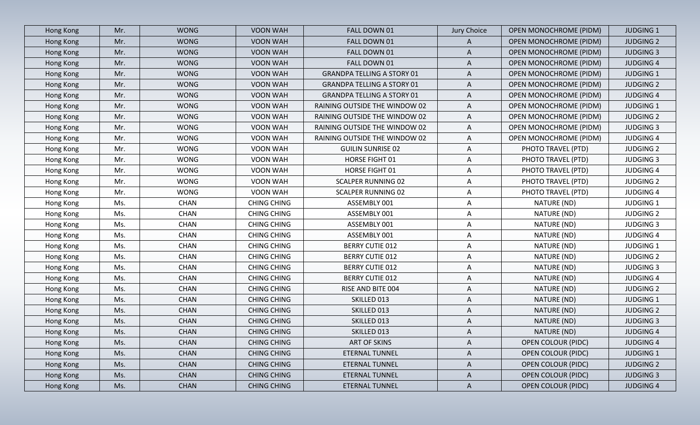| Hong Kong | Mr. | <b>WONG</b> | VOON WAH           | FALL DOWN 01                      | Jury Choice  | <b>OPEN MONOCHROME (PIDM)</b> | <b>JUDGING 1</b> |
|-----------|-----|-------------|--------------------|-----------------------------------|--------------|-------------------------------|------------------|
| Hong Kong | Mr. | <b>WONG</b> | <b>VOON WAH</b>    | FALL DOWN 01                      | A            | <b>OPEN MONOCHROME (PIDM)</b> | <b>JUDGING 2</b> |
| Hong Kong | Mr. | <b>WONG</b> | VOON WAH           | FALL DOWN 01                      | $\mathsf{A}$ | OPEN MONOCHROME (PIDM)        | <b>JUDGING 3</b> |
| Hong Kong | Mr. | <b>WONG</b> | VOON WAH           | FALL DOWN 01                      | A            | OPEN MONOCHROME (PIDM)        | <b>JUDGING 4</b> |
| Hong Kong | Mr. | <b>WONG</b> | VOON WAH           | <b>GRANDPA TELLING A STORY 01</b> | $\mathsf{A}$ | <b>OPEN MONOCHROME (PIDM)</b> | <b>JUDGING 1</b> |
| Hong Kong | Mr. | <b>WONG</b> | VOON WAH           | <b>GRANDPA TELLING A STORY 01</b> | $\mathsf{A}$ | OPEN MONOCHROME (PIDM)        | <b>JUDGING 2</b> |
| Hong Kong | Mr. | <b>WONG</b> | VOON WAH           | <b>GRANDPA TELLING A STORY 01</b> | $\mathsf{A}$ | <b>OPEN MONOCHROME (PIDM)</b> | <b>JUDGING 4</b> |
| Hong Kong | Mr. | <b>WONG</b> | VOON WAH           | RAINING OUTSIDE THE WINDOW 02     | $\mathsf{A}$ | <b>OPEN MONOCHROME (PIDM)</b> | <b>JUDGING 1</b> |
| Hong Kong | Mr. | <b>WONG</b> | VOON WAH           | RAINING OUTSIDE THE WINDOW 02     | $\mathsf{A}$ | <b>OPEN MONOCHROME (PIDM)</b> | <b>JUDGING 2</b> |
| Hong Kong | Mr. | <b>WONG</b> | VOON WAH           | RAINING OUTSIDE THE WINDOW 02     | A            | <b>OPEN MONOCHROME (PIDM)</b> | <b>JUDGING 3</b> |
| Hong Kong | Mr. | <b>WONG</b> | VOON WAH           | RAINING OUTSIDE THE WINDOW 02     | $\mathsf{A}$ | <b>OPEN MONOCHROME (PIDM)</b> | <b>JUDGING 4</b> |
| Hong Kong | Mr. | <b>WONG</b> | VOON WAH           | <b>GUILIN SUNRISE 02</b>          | $\mathsf{A}$ | PHOTO TRAVEL (PTD)            | <b>JUDGING 2</b> |
| Hong Kong | Mr. | <b>WONG</b> | VOON WAH           | HORSE FIGHT 01                    | $\mathsf{A}$ | PHOTO TRAVEL (PTD)            | <b>JUDGING 3</b> |
| Hong Kong | Mr. | <b>WONG</b> | VOON WAH           | HORSE FIGHT 01                    | $\mathsf{A}$ | PHOTO TRAVEL (PTD)            | <b>JUDGING 4</b> |
| Hong Kong | Mr. | <b>WONG</b> | VOON WAH           | <b>SCALPER RUNNING 02</b>         | $\mathsf{A}$ | PHOTO TRAVEL (PTD)            | <b>JUDGING 2</b> |
| Hong Kong | Mr. | <b>WONG</b> | VOON WAH           | <b>SCALPER RUNNING 02</b>         | $\mathsf{A}$ | PHOTO TRAVEL (PTD)            | <b>JUDGING 4</b> |
| Hong Kong | Ms. | <b>CHAN</b> | <b>CHING CHING</b> | ASSEMBLY 001                      | A            | NATURE (ND)                   | <b>JUDGING 1</b> |
| Hong Kong | Ms. | <b>CHAN</b> | <b>CHING CHING</b> | ASSEMBLY 001                      | $\mathsf{A}$ | NATURE (ND)                   | <b>JUDGING 2</b> |
| Hong Kong | Ms. | <b>CHAN</b> | <b>CHING CHING</b> | ASSEMBLY 001                      | $\mathsf{A}$ | NATURE (ND)                   | <b>JUDGING 3</b> |
| Hong Kong | Ms. | <b>CHAN</b> | <b>CHING CHING</b> | ASSEMBLY 001                      | A            | NATURE (ND)                   | <b>JUDGING 4</b> |
| Hong Kong | Ms. | <b>CHAN</b> | <b>CHING CHING</b> | <b>BERRY CUTIE 012</b>            | $\mathsf{A}$ | NATURE (ND)                   | <b>JUDGING 1</b> |
| Hong Kong | Ms. | <b>CHAN</b> | <b>CHING CHING</b> | <b>BERRY CUTIE 012</b>            | A            | NATURE (ND)                   | <b>JUDGING 2</b> |
| Hong Kong | Ms. | <b>CHAN</b> | <b>CHING CHING</b> | <b>BERRY CUTIE 012</b>            | $\mathsf{A}$ | NATURE (ND)                   | <b>JUDGING 3</b> |
| Hong Kong | Ms. | <b>CHAN</b> | <b>CHING CHING</b> | <b>BERRY CUTIE 012</b>            | A            | NATURE (ND)                   | <b>JUDGING 4</b> |
| Hong Kong | Ms. | <b>CHAN</b> | <b>CHING CHING</b> | RISE AND BITE 004                 | $\mathsf{A}$ | NATURE (ND)                   | <b>JUDGING 2</b> |
| Hong Kong | Ms. | <b>CHAN</b> | <b>CHING CHING</b> | SKILLED 013                       | A            | NATURE (ND)                   | <b>JUDGING 1</b> |
| Hong Kong | Ms. | <b>CHAN</b> | <b>CHING CHING</b> | SKILLED 013                       | A            | NATURE (ND)                   | <b>JUDGING 2</b> |
| Hong Kong | Ms. | <b>CHAN</b> | <b>CHING CHING</b> | SKILLED 013                       | A            | NATURE (ND)                   | <b>JUDGING 3</b> |
| Hong Kong | Ms. | <b>CHAN</b> | <b>CHING CHING</b> | SKILLED 013                       | $\mathsf{A}$ | NATURE (ND)                   | <b>JUDGING 4</b> |
| Hong Kong | Ms. | <b>CHAN</b> | <b>CHING CHING</b> | ART OF SKINS                      | $\mathsf{A}$ | <b>OPEN COLOUR (PIDC)</b>     | <b>JUDGING 4</b> |
| Hong Kong | Ms. | <b>CHAN</b> | <b>CHING CHING</b> | <b>ETERNAL TUNNEL</b>             | $\mathsf{A}$ | <b>OPEN COLOUR (PIDC)</b>     | <b>JUDGING 1</b> |
| Hong Kong | Ms. | <b>CHAN</b> | <b>CHING CHING</b> | <b>ETERNAL TUNNEL</b>             | $\mathsf{A}$ | <b>OPEN COLOUR (PIDC)</b>     | <b>JUDGING 2</b> |
| Hong Kong | Ms. | <b>CHAN</b> | <b>CHING CHING</b> | <b>ETERNAL TUNNEL</b>             | $\mathsf{A}$ | <b>OPEN COLOUR (PIDC)</b>     | <b>JUDGING 3</b> |
| Hong Kong | Ms. | <b>CHAN</b> | <b>CHING CHING</b> | ETERNAL TUNNEL                    | $\mathsf{A}$ | <b>OPEN COLOUR (PIDC)</b>     | <b>JUDGING 4</b> |
|           |     |             |                    |                                   |              |                               |                  |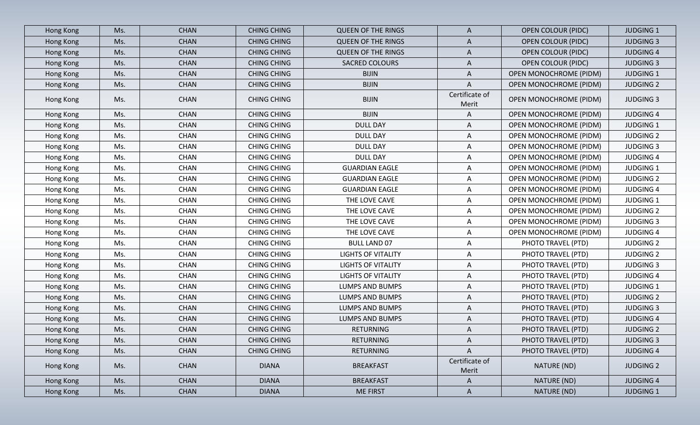| Hong Kong | Ms. | <b>CHAN</b> | <b>CHING CHING</b> | <b>QUEEN OF THE RINGS</b> | A                       | <b>OPEN COLOUR (PIDC)</b>     | <b>JUDGING 1</b> |
|-----------|-----|-------------|--------------------|---------------------------|-------------------------|-------------------------------|------------------|
| Hong Kong | Ms. | <b>CHAN</b> | <b>CHING CHING</b> | <b>QUEEN OF THE RINGS</b> | A                       | <b>OPEN COLOUR (PIDC)</b>     | <b>JUDGING 3</b> |
| Hong Kong | Ms. | <b>CHAN</b> | <b>CHING CHING</b> | <b>QUEEN OF THE RINGS</b> | A                       | <b>OPEN COLOUR (PIDC)</b>     | <b>JUDGING 4</b> |
| Hong Kong | Ms. | <b>CHAN</b> | <b>CHING CHING</b> | SACRED COLOURS            | $\mathsf{A}$            | <b>OPEN COLOUR (PIDC)</b>     | <b>JUDGING 3</b> |
| Hong Kong | Ms. | <b>CHAN</b> | <b>CHING CHING</b> | <b>BIJIN</b>              | A                       | <b>OPEN MONOCHROME (PIDM)</b> | <b>JUDGING 1</b> |
| Hong Kong | Ms. | <b>CHAN</b> | <b>CHING CHING</b> | <b>BIJIN</b>              | A                       | <b>OPEN MONOCHROME (PIDM)</b> | <b>JUDGING 2</b> |
| Hong Kong | Ms. | <b>CHAN</b> | <b>CHING CHING</b> | <b>BIJIN</b>              | Certificate of<br>Merit | <b>OPEN MONOCHROME (PIDM)</b> | <b>JUDGING 3</b> |
| Hong Kong | Ms. | <b>CHAN</b> | <b>CHING CHING</b> | <b>BIJIN</b>              | A                       | <b>OPEN MONOCHROME (PIDM)</b> | <b>JUDGING 4</b> |
| Hong Kong | Ms. | <b>CHAN</b> | <b>CHING CHING</b> | <b>DULL DAY</b>           | A                       | <b>OPEN MONOCHROME (PIDM)</b> | <b>JUDGING 1</b> |
| Hong Kong | Ms. | <b>CHAN</b> | <b>CHING CHING</b> | <b>DULL DAY</b>           | A                       | <b>OPEN MONOCHROME (PIDM)</b> | <b>JUDGING 2</b> |
| Hong Kong | Ms. | <b>CHAN</b> | <b>CHING CHING</b> | <b>DULL DAY</b>           | A                       | OPEN MONOCHROME (PIDM)        | <b>JUDGING 3</b> |
| Hong Kong | Ms. | <b>CHAN</b> | <b>CHING CHING</b> | <b>DULL DAY</b>           | A                       | OPEN MONOCHROME (PIDM)        | <b>JUDGING 4</b> |
| Hong Kong | Ms. | <b>CHAN</b> | <b>CHING CHING</b> | <b>GUARDIAN EAGLE</b>     | A                       | <b>OPEN MONOCHROME (PIDM)</b> | <b>JUDGING 1</b> |
| Hong Kong | Ms. | <b>CHAN</b> | <b>CHING CHING</b> | <b>GUARDIAN EAGLE</b>     | A                       | <b>OPEN MONOCHROME (PIDM)</b> | <b>JUDGING 2</b> |
| Hong Kong | Ms. | <b>CHAN</b> | <b>CHING CHING</b> | <b>GUARDIAN EAGLE</b>     | A                       | <b>OPEN MONOCHROME (PIDM)</b> | <b>JUDGING 4</b> |
| Hong Kong | Ms. | <b>CHAN</b> | <b>CHING CHING</b> | THE LOVE CAVE             | A                       | OPEN MONOCHROME (PIDM)        | <b>JUDGING 1</b> |
| Hong Kong | Ms. | <b>CHAN</b> | <b>CHING CHING</b> | THE LOVE CAVE             | A                       | <b>OPEN MONOCHROME (PIDM)</b> | <b>JUDGING 2</b> |
| Hong Kong | Ms. | <b>CHAN</b> | <b>CHING CHING</b> | THE LOVE CAVE             | A                       | <b>OPEN MONOCHROME (PIDM)</b> | <b>JUDGING 3</b> |
| Hong Kong | Ms. | <b>CHAN</b> | <b>CHING CHING</b> | THE LOVE CAVE             | A                       | <b>OPEN MONOCHROME (PIDM)</b> | <b>JUDGING 4</b> |
| Hong Kong | Ms. | <b>CHAN</b> | <b>CHING CHING</b> | <b>BULL LAND 07</b>       | A                       | PHOTO TRAVEL (PTD)            | <b>JUDGING 2</b> |
| Hong Kong | Ms. | <b>CHAN</b> | <b>CHING CHING</b> | <b>LIGHTS OF VITALITY</b> | A                       | PHOTO TRAVEL (PTD)            | <b>JUDGING 2</b> |
| Hong Kong | Ms. | <b>CHAN</b> | <b>CHING CHING</b> | <b>LIGHTS OF VITALITY</b> | A                       | PHOTO TRAVEL (PTD)            | <b>JUDGING 3</b> |
| Hong Kong | Ms. | <b>CHAN</b> | <b>CHING CHING</b> | <b>LIGHTS OF VITALITY</b> | $\mathsf{A}$            | PHOTO TRAVEL (PTD)            | <b>JUDGING 4</b> |
| Hong Kong | Ms. | <b>CHAN</b> | <b>CHING CHING</b> | <b>LUMPS AND BUMPS</b>    | A                       | PHOTO TRAVEL (PTD)            | <b>JUDGING 1</b> |
| Hong Kong | Ms. | <b>CHAN</b> | <b>CHING CHING</b> | <b>LUMPS AND BUMPS</b>    | A                       | PHOTO TRAVEL (PTD)            | <b>JUDGING 2</b> |
| Hong Kong | Ms. | <b>CHAN</b> | <b>CHING CHING</b> | LUMPS AND BUMPS           | A                       | PHOTO TRAVEL (PTD)            | <b>JUDGING 3</b> |
| Hong Kong | Ms. | <b>CHAN</b> | <b>CHING CHING</b> | LUMPS AND BUMPS           | A                       | PHOTO TRAVEL (PTD)            | <b>JUDGING 4</b> |
| Hong Kong | Ms. | <b>CHAN</b> | <b>CHING CHING</b> | <b>RETURNING</b>          | $\mathsf{A}$            | PHOTO TRAVEL (PTD)            | <b>JUDGING 2</b> |
| Hong Kong | Ms. | <b>CHAN</b> | <b>CHING CHING</b> | RETURNING                 | $\mathsf{A}$            | PHOTO TRAVEL (PTD)            | <b>JUDGING 3</b> |
| Hong Kong | Ms. | <b>CHAN</b> | <b>CHING CHING</b> | RETURNING                 | A                       | PHOTO TRAVEL (PTD)            | <b>JUDGING 4</b> |
| Hong Kong | Ms. | <b>CHAN</b> | <b>DIANA</b>       | <b>BREAKFAST</b>          | Certificate of<br>Merit | NATURE (ND)                   | <b>JUDGING 2</b> |
| Hong Kong | Ms. | <b>CHAN</b> | <b>DIANA</b>       | <b>BREAKFAST</b>          | $\mathsf{A}$            | NATURE (ND)                   | <b>JUDGING 4</b> |
| Hong Kong | Ms. | <b>CHAN</b> | <b>DIANA</b>       | <b>ME FIRST</b>           | $\mathsf{A}$            | NATURE (ND)                   | <b>JUDGING 1</b> |
|           |     |             |                    |                           |                         |                               |                  |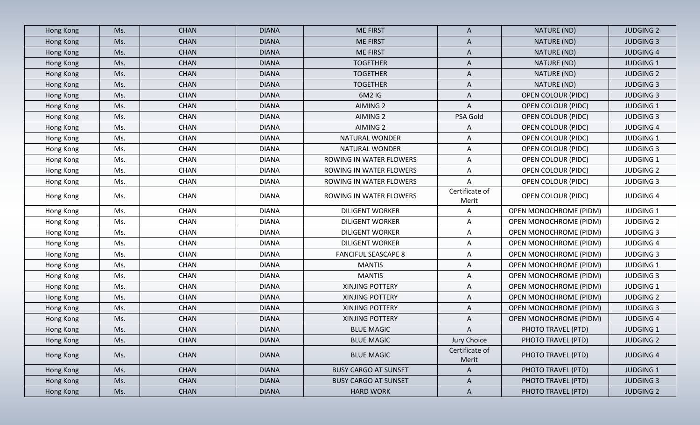| Hong Kong | Ms. | <b>CHAN</b> | <b>DIANA</b> | <b>ME FIRST</b>             | A                       | NATURE (ND)                   | <b>JUDGING 2</b> |
|-----------|-----|-------------|--------------|-----------------------------|-------------------------|-------------------------------|------------------|
| Hong Kong | Ms. | <b>CHAN</b> | <b>DIANA</b> | <b>ME FIRST</b>             | $\mathsf{A}$            | NATURE (ND)                   | <b>JUDGING 3</b> |
| Hong Kong | Ms. | <b>CHAN</b> | <b>DIANA</b> | <b>ME FIRST</b>             | $\mathsf{A}$            | NATURE (ND)                   | <b>JUDGING 4</b> |
| Hong Kong | Ms. | <b>CHAN</b> | <b>DIANA</b> | <b>TOGETHER</b>             | $\mathsf{A}$            | NATURE (ND)                   | <b>JUDGING 1</b> |
| Hong Kong | Ms. | <b>CHAN</b> | <b>DIANA</b> | <b>TOGETHER</b>             | $\mathsf{A}$            | NATURE (ND)                   | <b>JUDGING 2</b> |
| Hong Kong | Ms. | <b>CHAN</b> | <b>DIANA</b> | <b>TOGETHER</b>             | A                       | NATURE (ND)                   | <b>JUDGING 3</b> |
| Hong Kong | Ms. | <b>CHAN</b> | <b>DIANA</b> | 6M2 IG                      | $\mathsf{A}$            | OPEN COLOUR (PIDC)            | <b>JUDGING 3</b> |
| Hong Kong | Ms. | <b>CHAN</b> | <b>DIANA</b> | AIMING 2                    | A                       | <b>OPEN COLOUR (PIDC)</b>     | <b>JUDGING 1</b> |
| Hong Kong | Ms. | <b>CHAN</b> | <b>DIANA</b> | AIMING 2                    | PSA Gold                | <b>OPEN COLOUR (PIDC)</b>     | <b>JUDGING 3</b> |
| Hong Kong | Ms. | <b>CHAN</b> | <b>DIANA</b> | AIMING 2                    | A                       | <b>OPEN COLOUR (PIDC)</b>     | <b>JUDGING 4</b> |
| Hong Kong | Ms. | <b>CHAN</b> | <b>DIANA</b> | NATURAL WONDER              | A                       | <b>OPEN COLOUR (PIDC)</b>     | <b>JUDGING 1</b> |
| Hong Kong | Ms. | <b>CHAN</b> | <b>DIANA</b> | NATURAL WONDER              | $\mathsf{A}$            | OPEN COLOUR (PIDC)            | <b>JUDGING 3</b> |
| Hong Kong | Ms. | <b>CHAN</b> | <b>DIANA</b> | ROWING IN WATER FLOWERS     | A                       | <b>OPEN COLOUR (PIDC)</b>     | <b>JUDGING 1</b> |
| Hong Kong | Ms. | <b>CHAN</b> | <b>DIANA</b> | ROWING IN WATER FLOWERS     | A                       | OPEN COLOUR (PIDC)            | <b>JUDGING 2</b> |
| Hong Kong | Ms. | CHAN        | <b>DIANA</b> | ROWING IN WATER FLOWERS     | A                       | <b>OPEN COLOUR (PIDC)</b>     | <b>JUDGING 3</b> |
| Hong Kong | Ms. | <b>CHAN</b> | <b>DIANA</b> | ROWING IN WATER FLOWERS     | Certificate of<br>Merit | <b>OPEN COLOUR (PIDC)</b>     | <b>JUDGING 4</b> |
| Hong Kong | Ms. | <b>CHAN</b> | <b>DIANA</b> | <b>DILIGENT WORKER</b>      | Α                       | <b>OPEN MONOCHROME (PIDM)</b> | <b>JUDGING 1</b> |
| Hong Kong | Ms. | CHAN        | <b>DIANA</b> | <b>DILIGENT WORKER</b>      | A                       | <b>OPEN MONOCHROME (PIDM)</b> | <b>JUDGING 2</b> |
| Hong Kong | Ms. | CHAN        | <b>DIANA</b> | <b>DILIGENT WORKER</b>      | A                       | OPEN MONOCHROME (PIDM)        | <b>JUDGING 3</b> |
| Hong Kong | Ms. | <b>CHAN</b> | <b>DIANA</b> | <b>DILIGENT WORKER</b>      | Α                       | <b>OPEN MONOCHROME (PIDM)</b> | <b>JUDGING 4</b> |
| Hong Kong | Ms. | <b>CHAN</b> | <b>DIANA</b> | <b>FANCIFUL SEASCAPE 8</b>  | A                       | OPEN MONOCHROME (PIDM)        | <b>JUDGING 3</b> |
| Hong Kong | Ms. | <b>CHAN</b> | <b>DIANA</b> | <b>MANTIS</b>               | $\mathsf{A}$            | OPEN MONOCHROME (PIDM)        | <b>JUDGING 1</b> |
| Hong Kong | Ms. | <b>CHAN</b> | <b>DIANA</b> | <b>MANTIS</b>               | A                       | <b>OPEN MONOCHROME (PIDM)</b> | <b>JUDGING 3</b> |
| Hong Kong | Ms. | <b>CHAN</b> | <b>DIANA</b> | XINJING POTTERY             | A                       | OPEN MONOCHROME (PIDM)        | <b>JUDGING 1</b> |
| Hong Kong | Ms. | <b>CHAN</b> | <b>DIANA</b> | XINJING POTTERY             | A                       | <b>OPEN MONOCHROME (PIDM)</b> | <b>JUDGING 2</b> |
| Hong Kong | Ms. | <b>CHAN</b> | <b>DIANA</b> | <b>XINJING POTTERY</b>      | $\mathsf{A}$            | OPEN MONOCHROME (PIDM)        | <b>JUDGING 3</b> |
| Hong Kong | Ms. | <b>CHAN</b> | <b>DIANA</b> | XINJING POTTERY             | A                       | <b>OPEN MONOCHROME (PIDM)</b> | <b>JUDGING 4</b> |
| Hong Kong | Ms. | <b>CHAN</b> | <b>DIANA</b> | <b>BLUE MAGIC</b>           | $\mathsf{A}$            | PHOTO TRAVEL (PTD)            | <b>JUDGING 1</b> |
| Hong Kong | Ms. | <b>CHAN</b> | <b>DIANA</b> | <b>BLUE MAGIC</b>           | Jury Choice             | PHOTO TRAVEL (PTD)            | <b>JUDGING 2</b> |
| Hong Kong | Ms. | <b>CHAN</b> | <b>DIANA</b> | <b>BLUE MAGIC</b>           | Certificate of<br>Merit | PHOTO TRAVEL (PTD)            | <b>JUDGING 4</b> |
| Hong Kong | Ms. | <b>CHAN</b> | <b>DIANA</b> | <b>BUSY CARGO AT SUNSET</b> | $\mathsf{A}$            | PHOTO TRAVEL (PTD)            | <b>JUDGING 1</b> |
| Hong Kong | Ms. | <b>CHAN</b> | <b>DIANA</b> | <b>BUSY CARGO AT SUNSET</b> | $\mathsf{A}$            | PHOTO TRAVEL (PTD)            | <b>JUDGING 3</b> |
| Hong Kong | Ms. | <b>CHAN</b> | <b>DIANA</b> | <b>HARD WORK</b>            | $\mathsf{A}$            | PHOTO TRAVEL (PTD)            | <b>JUDGING 2</b> |
|           |     |             |              |                             |                         |                               |                  |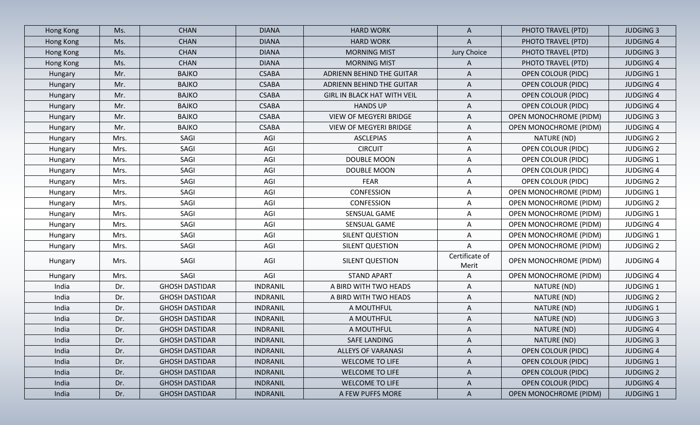| Hong Kong | Ms.  | <b>CHAN</b>           | <b>DIANA</b>    | <b>HARD WORK</b>                   | $\mathsf{A}$            | PHOTO TRAVEL (PTD)            | <b>JUDGING 3</b> |
|-----------|------|-----------------------|-----------------|------------------------------------|-------------------------|-------------------------------|------------------|
| Hong Kong | Ms.  | <b>CHAN</b>           | <b>DIANA</b>    | <b>HARD WORK</b>                   | A                       | PHOTO TRAVEL (PTD)            | <b>JUDGING 4</b> |
| Hong Kong | Ms.  | <b>CHAN</b>           | <b>DIANA</b>    | <b>MORNING MIST</b>                | Jury Choice             | PHOTO TRAVEL (PTD)            | <b>JUDGING 3</b> |
| Hong Kong | Ms.  | <b>CHAN</b>           | <b>DIANA</b>    | <b>MORNING MIST</b>                | A                       | PHOTO TRAVEL (PTD)            | <b>JUDGING 4</b> |
| Hungary   | Mr.  | <b>BAJKO</b>          | <b>CSABA</b>    | ADRIENN BEHIND THE GUITAR          | A                       | <b>OPEN COLOUR (PIDC)</b>     | <b>JUDGING 1</b> |
| Hungary   | Mr.  | <b>BAJKO</b>          | <b>CSABA</b>    | ADRIENN BEHIND THE GUITAR          | A                       | <b>OPEN COLOUR (PIDC)</b>     | <b>JUDGING 4</b> |
| Hungary   | Mr.  | <b>BAJKO</b>          | <b>CSABA</b>    | <b>GIRL IN BLACK HAT WITH VEIL</b> | A                       | <b>OPEN COLOUR (PIDC)</b>     | <b>JUDGING 4</b> |
| Hungary   | Mr.  | <b>BAJKO</b>          | <b>CSABA</b>    | <b>HANDS UP</b>                    | A                       | <b>OPEN COLOUR (PIDC)</b>     | <b>JUDGING 4</b> |
| Hungary   | Mr.  | <b>BAJKO</b>          | <b>CSABA</b>    | <b>VIEW OF MEGYERI BRIDGE</b>      | A                       | <b>OPEN MONOCHROME (PIDM)</b> | <b>JUDGING 3</b> |
| Hungary   | Mr.  | <b>BAJKO</b>          | <b>CSABA</b>    | <b>VIEW OF MEGYERI BRIDGE</b>      | Α                       | <b>OPEN MONOCHROME (PIDM)</b> | <b>JUDGING 4</b> |
| Hungary   | Mrs. | SAGI                  | AGI             | <b>ASCLEPIAS</b>                   | A                       | NATURE (ND)                   | <b>JUDGING 2</b> |
| Hungary   | Mrs. | SAGI                  | AGI             | <b>CIRCUIT</b>                     | A                       | <b>OPEN COLOUR (PIDC)</b>     | <b>JUDGING 2</b> |
| Hungary   | Mrs. | SAGI                  | AGI             | DOUBLE MOON                        | A                       | <b>OPEN COLOUR (PIDC)</b>     | <b>JUDGING 1</b> |
| Hungary   | Mrs. | SAGI                  | AGI             | DOUBLE MOON                        | A                       | <b>OPEN COLOUR (PIDC)</b>     | <b>JUDGING 4</b> |
| Hungary   | Mrs. | SAGI                  | AGI             | <b>FEAR</b>                        | A                       | <b>OPEN COLOUR (PIDC)</b>     | <b>JUDGING 2</b> |
| Hungary   | Mrs. | SAGI                  | AGI             | <b>CONFESSION</b>                  | A                       | <b>OPEN MONOCHROME (PIDM)</b> | <b>JUDGING 1</b> |
| Hungary   | Mrs. | SAGI                  | AGI             | <b>CONFESSION</b>                  | Α                       | <b>OPEN MONOCHROME (PIDM)</b> | <b>JUDGING 2</b> |
| Hungary   | Mrs. | SAGI                  | AGI             | SENSUAL GAME                       | A                       | <b>OPEN MONOCHROME (PIDM)</b> | <b>JUDGING 1</b> |
| Hungary   | Mrs. | SAGI                  | AGI             | SENSUAL GAME                       | A                       | OPEN MONOCHROME (PIDM)        | <b>JUDGING 4</b> |
| Hungary   | Mrs. | SAGI                  | AGI             | <b>SILENT QUESTION</b>             | Α                       | <b>OPEN MONOCHROME (PIDM)</b> | <b>JUDGING 1</b> |
| Hungary   | Mrs. | SAGI                  | AGI             | SILENT QUESTION                    | Α                       | OPEN MONOCHROME (PIDM)        | <b>JUDGING 2</b> |
| Hungary   | Mrs. | SAGI                  | AGI             | SILENT QUESTION                    | Certificate of<br>Merit | <b>OPEN MONOCHROME (PIDM)</b> | <b>JUDGING 4</b> |
| Hungary   | Mrs. | SAGI                  | AGI             | <b>STAND APART</b>                 | A                       | <b>OPEN MONOCHROME (PIDM)</b> | <b>JUDGING 4</b> |
| India     | Dr.  | <b>GHOSH DASTIDAR</b> | <b>INDRANIL</b> | A BIRD WITH TWO HEADS              | Α                       | NATURE (ND)                   | <b>JUDGING 1</b> |
| India     | Dr.  | <b>GHOSH DASTIDAR</b> | <b>INDRANIL</b> | A BIRD WITH TWO HEADS              | A                       | NATURE (ND)                   | <b>JUDGING 2</b> |
| India     | Dr.  | <b>GHOSH DASTIDAR</b> | <b>INDRANIL</b> | A MOUTHFUL                         | Α                       | NATURE (ND)                   | <b>JUDGING 1</b> |
| India     | Dr.  | <b>GHOSH DASTIDAR</b> | <b>INDRANIL</b> | A MOUTHFUL                         | Α                       | NATURE (ND)                   | <b>JUDGING 3</b> |
| India     | Dr.  | <b>GHOSH DASTIDAR</b> | <b>INDRANIL</b> | A MOUTHFUL                         | A                       | NATURE (ND)                   | <b>JUDGING 4</b> |
| India     | Dr.  | <b>GHOSH DASTIDAR</b> | <b>INDRANIL</b> | SAFE LANDING                       | $\mathsf{A}$            | NATURE (ND)                   | <b>JUDGING 3</b> |
| India     | Dr.  | <b>GHOSH DASTIDAR</b> | <b>INDRANIL</b> | <b>ALLEYS OF VARANASI</b>          | A                       | <b>OPEN COLOUR (PIDC)</b>     | <b>JUDGING 4</b> |
| India     | Dr.  | <b>GHOSH DASTIDAR</b> | <b>INDRANIL</b> | WELCOME TO LIFE                    | $\mathsf{A}$            | <b>OPEN COLOUR (PIDC)</b>     | <b>JUDGING 1</b> |
| India     | Dr.  | <b>GHOSH DASTIDAR</b> | <b>INDRANIL</b> | WELCOME TO LIFE                    | A                       | <b>OPEN COLOUR (PIDC)</b>     | <b>JUDGING 2</b> |
| India     | Dr.  | <b>GHOSH DASTIDAR</b> | <b>INDRANIL</b> | WELCOME TO LIFE                    | $\mathsf{A}$            | <b>OPEN COLOUR (PIDC)</b>     | <b>JUDGING 4</b> |
| India     | Dr.  | <b>GHOSH DASTIDAR</b> | <b>INDRANIL</b> | A FEW PUFFS MORE                   | $\mathsf{A}$            | <b>OPEN MONOCHROME (PIDM)</b> | <b>JUDGING 1</b> |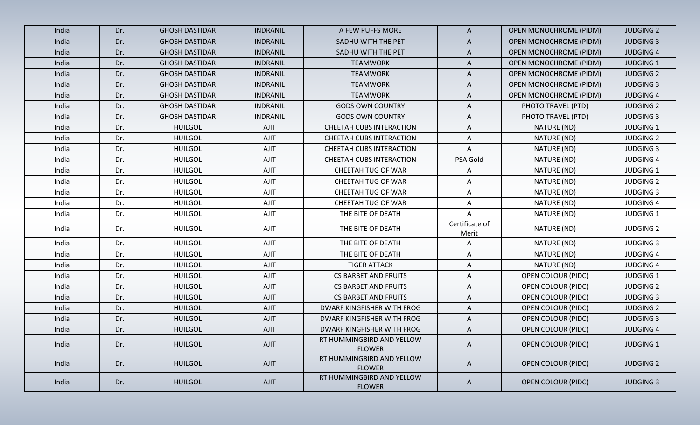| India | Dr. | <b>GHOSH DASTIDAR</b> | <b>INDRANIL</b> | A FEW PUFFS MORE                           | $\mathsf{A}$            | <b>OPEN MONOCHROME (PIDM)</b> | <b>JUDGING 2</b> |
|-------|-----|-----------------------|-----------------|--------------------------------------------|-------------------------|-------------------------------|------------------|
| India | Dr. | <b>GHOSH DASTIDAR</b> | <b>INDRANIL</b> | SADHU WITH THE PET                         | A                       | <b>OPEN MONOCHROME (PIDM)</b> | <b>JUDGING 3</b> |
| India | Dr. | <b>GHOSH DASTIDAR</b> | <b>INDRANIL</b> | SADHU WITH THE PET                         | A                       | <b>OPEN MONOCHROME (PIDM)</b> | <b>JUDGING 4</b> |
| India | Dr. | <b>GHOSH DASTIDAR</b> | <b>INDRANIL</b> | <b>TEAMWORK</b>                            | A                       | <b>OPEN MONOCHROME (PIDM)</b> | <b>JUDGING 1</b> |
| India | Dr. | <b>GHOSH DASTIDAR</b> | <b>INDRANIL</b> | <b>TEAMWORK</b>                            | A                       | <b>OPEN MONOCHROME (PIDM)</b> | <b>JUDGING 2</b> |
| India | Dr. | <b>GHOSH DASTIDAR</b> | <b>INDRANIL</b> | <b>TEAMWORK</b>                            | A                       | <b>OPEN MONOCHROME (PIDM)</b> | <b>JUDGING 3</b> |
| India | Dr. | <b>GHOSH DASTIDAR</b> | <b>INDRANIL</b> | <b>TEAMWORK</b>                            | A                       | <b>OPEN MONOCHROME (PIDM)</b> | <b>JUDGING 4</b> |
| India | Dr. | <b>GHOSH DASTIDAR</b> | <b>INDRANIL</b> | <b>GODS OWN COUNTRY</b>                    | $\mathsf{A}$            | PHOTO TRAVEL (PTD)            | <b>JUDGING 2</b> |
| India | Dr. | <b>GHOSH DASTIDAR</b> | <b>INDRANIL</b> | <b>GODS OWN COUNTRY</b>                    | A                       | PHOTO TRAVEL (PTD)            | <b>JUDGING 3</b> |
| India | Dr. | <b>HUILGOL</b>        | AJIT            | CHEETAH CUBS INTERACTION                   | A                       | NATURE (ND)                   | <b>JUDGING 1</b> |
| India | Dr. | <b>HUILGOL</b>        | AJIT            | CHEETAH CUBS INTERACTION                   | A                       | NATURE (ND)                   | <b>JUDGING 2</b> |
| India | Dr. | <b>HUILGOL</b>        | AJIT            | CHEETAH CUBS INTERACTION                   | Α                       | NATURE (ND)                   | <b>JUDGING 3</b> |
| India | Dr. | <b>HUILGOL</b>        | AJIT            | <b>CHEETAH CUBS INTERACTION</b>            | PSA Gold                | NATURE (ND)                   | <b>JUDGING 4</b> |
| India | Dr. | <b>HUILGOL</b>        | AJIT            | CHEETAH TUG OF WAR                         | A                       | NATURE (ND)                   | <b>JUDGING 1</b> |
| India | Dr. | <b>HUILGOL</b>        | AJIT            | CHEETAH TUG OF WAR                         | A                       | NATURE (ND)                   | <b>JUDGING 2</b> |
| India | Dr. | <b>HUILGOL</b>        | AJIT            | CHEETAH TUG OF WAR                         | A                       | NATURE (ND)                   | <b>JUDGING 3</b> |
| India | Dr. | <b>HUILGOL</b>        | AJIT            | CHEETAH TUG OF WAR                         | A                       | NATURE (ND)                   | <b>JUDGING 4</b> |
| India | Dr. | <b>HUILGOL</b>        | AJIT            | THE BITE OF DEATH                          | A                       | NATURE (ND)                   | <b>JUDGING 1</b> |
| India | Dr. | <b>HUILGOL</b>        | AJIT            | THE BITE OF DEATH                          | Certificate of<br>Merit | NATURE (ND)                   | <b>JUDGING 2</b> |
| India | Dr. | <b>HUILGOL</b>        | AJIT            | THE BITE OF DEATH                          | A                       | NATURE (ND)                   | <b>JUDGING 3</b> |
| India | Dr. | <b>HUILGOL</b>        | AJIT            | THE BITE OF DEATH                          | A                       | NATURE (ND)                   | <b>JUDGING 4</b> |
| India | Dr. | <b>HUILGOL</b>        | AJIT            | <b>TIGER ATTACK</b>                        | Α                       | NATURE (ND)                   | <b>JUDGING 4</b> |
| India | Dr. | <b>HUILGOL</b>        | AJIT            | <b>CS BARBET AND FRUITS</b>                | $\mathsf{A}$            | <b>OPEN COLOUR (PIDC)</b>     | <b>JUDGING 1</b> |
| India | Dr. | <b>HUILGOL</b>        | AJIT            | <b>CS BARBET AND FRUITS</b>                | A                       | <b>OPEN COLOUR (PIDC)</b>     | <b>JUDGING 2</b> |
| India | Dr. | <b>HUILGOL</b>        | AJIT            | <b>CS BARBET AND FRUITS</b>                | A                       | <b>OPEN COLOUR (PIDC)</b>     | <b>JUDGING 3</b> |
| India | Dr. | <b>HUILGOL</b>        | AJIT            | <b>DWARF KINGFISHER WITH FROG</b>          | A                       | <b>OPEN COLOUR (PIDC)</b>     | <b>JUDGING 2</b> |
| India | Dr. | <b>HUILGOL</b>        | AJIT            | <b>DWARF KINGFISHER WITH FROG</b>          | A                       | <b>OPEN COLOUR (PIDC)</b>     | <b>JUDGING 3</b> |
| India | Dr. | <b>HUILGOL</b>        | AJIT            | <b>DWARF KINGFISHER WITH FROG</b>          | A                       | <b>OPEN COLOUR (PIDC)</b>     | <b>JUDGING 4</b> |
| India | Dr. | <b>HUILGOL</b>        | AJIT            | RT HUMMINGBIRD AND YELLOW<br><b>FLOWER</b> | $\mathsf{A}$            | <b>OPEN COLOUR (PIDC)</b>     | <b>JUDGING 1</b> |
| India | Dr. | <b>HUILGOL</b>        | <b>AJIT</b>     | RT HUMMINGBIRD AND YELLOW<br><b>FLOWER</b> | $\mathsf{A}$            | <b>OPEN COLOUR (PIDC)</b>     | <b>JUDGING 2</b> |
| India | Dr. | <b>HUILGOL</b>        | AJIT            | RT HUMMINGBIRD AND YELLOW<br><b>FLOWER</b> | $\mathsf{A}$            | <b>OPEN COLOUR (PIDC)</b>     | <b>JUDGING 3</b> |
|       |     |                       |                 |                                            |                         |                               |                  |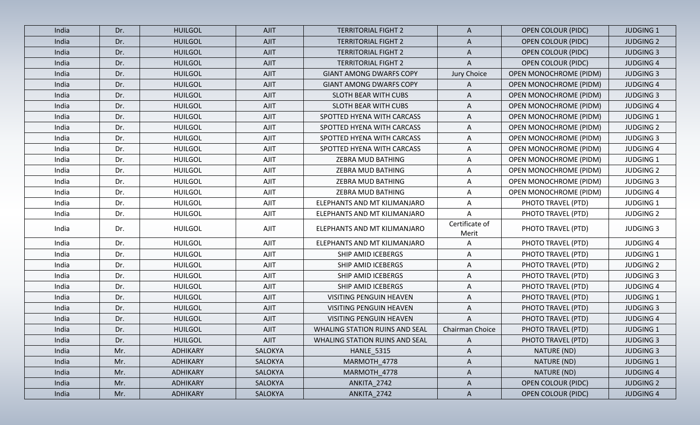| India | Dr. | <b>HUILGOL</b>  | <b>AJIT</b>    | <b>TERRITORIAL FIGHT 2</b>            | A                       | <b>OPEN COLOUR (PIDC)</b>     | <b>JUDGING 1</b> |
|-------|-----|-----------------|----------------|---------------------------------------|-------------------------|-------------------------------|------------------|
| India | Dr. | <b>HUILGOL</b>  | <b>AJIT</b>    | <b>TERRITORIAL FIGHT 2</b>            | A                       | <b>OPEN COLOUR (PIDC)</b>     | <b>JUDGING 2</b> |
| India | Dr. | <b>HUILGOL</b>  | <b>AJIT</b>    | <b>TERRITORIAL FIGHT 2</b>            | A                       | <b>OPEN COLOUR (PIDC)</b>     | <b>JUDGING 3</b> |
| India | Dr. | <b>HUILGOL</b>  | <b>AJIT</b>    | <b>TERRITORIAL FIGHT 2</b>            | A                       | <b>OPEN COLOUR (PIDC)</b>     | <b>JUDGING 4</b> |
| India | Dr. | <b>HUILGOL</b>  | <b>AJIT</b>    | <b>GIANT AMONG DWARFS COPY</b>        | Jury Choice             | <b>OPEN MONOCHROME (PIDM)</b> | <b>JUDGING 3</b> |
| India | Dr. | <b>HUILGOL</b>  | AJIT           | <b>GIANT AMONG DWARFS COPY</b>        | A                       | <b>OPEN MONOCHROME (PIDM)</b> | <b>JUDGING 4</b> |
| India | Dr. | <b>HUILGOL</b>  | <b>AJIT</b>    | SLOTH BEAR WITH CUBS                  | A                       | <b>OPEN MONOCHROME (PIDM)</b> | <b>JUDGING 3</b> |
| India | Dr. | <b>HUILGOL</b>  | AJIT           | SLOTH BEAR WITH CUBS                  | A                       | <b>OPEN MONOCHROME (PIDM)</b> | <b>JUDGING 4</b> |
| India | Dr. | <b>HUILGOL</b>  | AJIT           | SPOTTED HYENA WITH CARCASS            | A                       | <b>OPEN MONOCHROME (PIDM)</b> | <b>JUDGING 1</b> |
| India | Dr. | <b>HUILGOL</b>  | <b>AJIT</b>    | SPOTTED HYENA WITH CARCASS            | A                       | <b>OPEN MONOCHROME (PIDM)</b> | <b>JUDGING 2</b> |
| India | Dr. | <b>HUILGOL</b>  | AJIT           | SPOTTED HYENA WITH CARCASS            | A                       | <b>OPEN MONOCHROME (PIDM)</b> | <b>JUDGING 3</b> |
| India | Dr. | <b>HUILGOL</b>  | AJIT           | SPOTTED HYENA WITH CARCASS            | A                       | OPEN MONOCHROME (PIDM)        | <b>JUDGING 4</b> |
| India | Dr. | <b>HUILGOL</b>  | AJIT           | ZEBRA MUD BATHING                     | Α                       | <b>OPEN MONOCHROME (PIDM)</b> | <b>JUDGING 1</b> |
| India | Dr. | <b>HUILGOL</b>  | AJIT           | ZEBRA MUD BATHING                     | A                       | OPEN MONOCHROME (PIDM)        | <b>JUDGING 2</b> |
| India | Dr. | <b>HUILGOL</b>  | <b>AJIT</b>    | ZEBRA MUD BATHING                     | Α                       | <b>OPEN MONOCHROME (PIDM)</b> | <b>JUDGING 3</b> |
| India | Dr. | <b>HUILGOL</b>  | AJIT           | ZEBRA MUD BATHING                     | Α                       | OPEN MONOCHROME (PIDM)        | <b>JUDGING 4</b> |
| India | Dr. | <b>HUILGOL</b>  | <b>AJIT</b>    | ELEPHANTS AND MT KILIMANJARO          | A                       | PHOTO TRAVEL (PTD)            | <b>JUDGING 1</b> |
| India | Dr. | <b>HUILGOL</b>  | AJIT           | ELEPHANTS AND MT KILIMANJARO          | A                       | PHOTO TRAVEL (PTD)            | <b>JUDGING 2</b> |
| India | Dr. | <b>HUILGOL</b>  | AJIT           | ELEPHANTS AND MT KILIMANJARO          | Certificate of<br>Merit | PHOTO TRAVEL (PTD)            | <b>JUDGING 3</b> |
| India | Dr. | <b>HUILGOL</b>  | <b>AJIT</b>    | ELEPHANTS AND MT KILIMANJARO          | Α                       | PHOTO TRAVEL (PTD)            | <b>JUDGING 4</b> |
| India | Dr. | <b>HUILGOL</b>  | AJIT           | SHIP AMID ICEBERGS                    | A                       | PHOTO TRAVEL (PTD)            | <b>JUDGING 1</b> |
| India | Dr. | <b>HUILGOL</b>  | AJIT           | SHIP AMID ICEBERGS                    | Α                       | PHOTO TRAVEL (PTD)            | <b>JUDGING 2</b> |
| India | Dr. | <b>HUILGOL</b>  | AJIT           | SHIP AMID ICEBERGS                    | A                       | PHOTO TRAVEL (PTD)            | <b>JUDGING 3</b> |
| India | Dr. | <b>HUILGOL</b>  | <b>AJIT</b>    | SHIP AMID ICEBERGS                    | A                       | PHOTO TRAVEL (PTD)            | <b>JUDGING 4</b> |
| India | Dr. | <b>HUILGOL</b>  | <b>AJIT</b>    | <b>VISITING PENGUIN HEAVEN</b>        | A                       | PHOTO TRAVEL (PTD)            | <b>JUDGING 1</b> |
| India | Dr. | <b>HUILGOL</b>  | <b>AJIT</b>    | VISITING PENGUIN HEAVEN               | A                       | PHOTO TRAVEL (PTD)            | <b>JUDGING 3</b> |
| India | Dr. | <b>HUILGOL</b>  | <b>AJIT</b>    | <b>VISITING PENGUIN HEAVEN</b>        | A                       | PHOTO TRAVEL (PTD)            | <b>JUDGING 4</b> |
| India | Dr. | <b>HUILGOL</b>  | AJIT           | <b>WHALING STATION RUINS AND SEAL</b> | Chairman Choice         | PHOTO TRAVEL (PTD)            | <b>JUDGING 1</b> |
| India | Dr. | <b>HUILGOL</b>  | AJIT           | WHALING STATION RUINS AND SEAL        | $\mathsf{A}$            | PHOTO TRAVEL (PTD)            | <b>JUDGING 3</b> |
| India | Mr. | <b>ADHIKARY</b> | SALOKYA        | <b>HANLE_5315</b>                     | A                       | NATURE (ND)                   | <b>JUDGING 3</b> |
| India | Mr. | ADHIKARY        | SALOKYA        | MARMOTH_4778                          | $\mathsf{A}$            | NATURE (ND)                   | <b>JUDGING 1</b> |
| India | Mr. | ADHIKARY        | SALOKYA        | MARMOTH_4778                          | A                       | NATURE (ND)                   | <b>JUDGING 4</b> |
| India | Mr. | <b>ADHIKARY</b> | SALOKYA        | ANKITA_2742                           | $\mathsf{A}$            | <b>OPEN COLOUR (PIDC)</b>     | <b>JUDGING 2</b> |
| India | Mr. | ADHIKARY        | <b>SALOKYA</b> | ANKITA_2742                           | $\mathsf{A}$            | <b>OPEN COLOUR (PIDC)</b>     | <b>JUDGING 4</b> |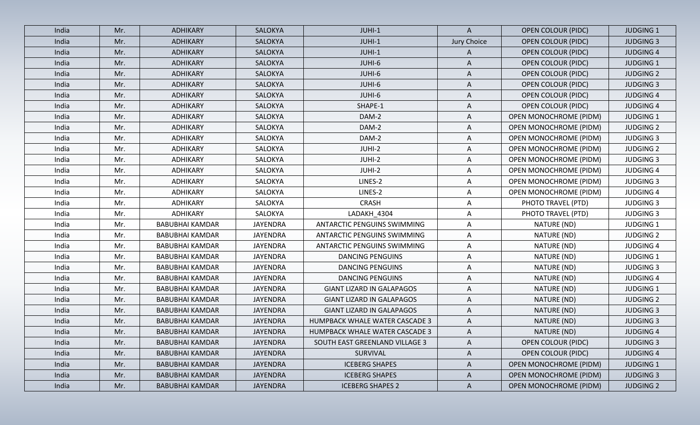| India | Mr. | <b>ADHIKARY</b>        | <b>SALOKYA</b>  | JUHI-1                             | $\mathsf{A}$ | <b>OPEN COLOUR (PIDC)</b>     | <b>JUDGING 1</b> |
|-------|-----|------------------------|-----------------|------------------------------------|--------------|-------------------------------|------------------|
| India | Mr. | <b>ADHIKARY</b>        | <b>SALOKYA</b>  | JUHI-1                             | Jury Choice  | <b>OPEN COLOUR (PIDC)</b>     | <b>JUDGING 3</b> |
| India | Mr. | <b>ADHIKARY</b>        | SALOKYA         | JUHI-1                             | A            | <b>OPEN COLOUR (PIDC)</b>     | <b>JUDGING 4</b> |
| India | Mr. | <b>ADHIKARY</b>        | SALOKYA         | JUHI-6                             | $\mathsf{A}$ | <b>OPEN COLOUR (PIDC)</b>     | <b>JUDGING 1</b> |
| India | Mr. | ADHIKARY               | SALOKYA         | JUHI-6                             | $\mathsf{A}$ | <b>OPEN COLOUR (PIDC)</b>     | <b>JUDGING 2</b> |
| India | Mr. | <b>ADHIKARY</b>        | SALOKYA         | JUHI-6                             | A            | <b>OPEN COLOUR (PIDC)</b>     | <b>JUDGING 3</b> |
| India | Mr. | ADHIKARY               | SALOKYA         | JUHI-6                             | A            | <b>OPEN COLOUR (PIDC)</b>     | <b>JUDGING 4</b> |
| India | Mr. | <b>ADHIKARY</b>        | SALOKYA         | SHAPE-1                            | A            | <b>OPEN COLOUR (PIDC)</b>     | <b>JUDGING 4</b> |
| India | Mr. | <b>ADHIKARY</b>        | SALOKYA         | DAM-2                              | A            | <b>OPEN MONOCHROME (PIDM)</b> | <b>JUDGING 1</b> |
| India | Mr. | <b>ADHIKARY</b>        | SALOKYA         | DAM-2                              | Α            | <b>OPEN MONOCHROME (PIDM)</b> | <b>JUDGING 2</b> |
| India | Mr. | <b>ADHIKARY</b>        | SALOKYA         | DAM-2                              | $\mathsf{A}$ | <b>OPEN MONOCHROME (PIDM)</b> | <b>JUDGING 3</b> |
| India | Mr. | ADHIKARY               | SALOKYA         | JUHI-2                             | A            | OPEN MONOCHROME (PIDM)        | <b>JUDGING 2</b> |
| India | Mr. | <b>ADHIKARY</b>        | SALOKYA         | JUHI-2                             | A            | OPEN MONOCHROME (PIDM)        | <b>JUDGING 3</b> |
| India | Mr. | <b>ADHIKARY</b>        | SALOKYA         | JUHI-2                             | A            | <b>OPEN MONOCHROME (PIDM)</b> | <b>JUDGING 4</b> |
| India | Mr. | <b>ADHIKARY</b>        | SALOKYA         | LINES-2                            | A            | <b>OPEN MONOCHROME (PIDM)</b> | <b>JUDGING 3</b> |
| India | Mr. | <b>ADHIKARY</b>        | SALOKYA         | LINES-2                            | $\mathsf{A}$ | <b>OPEN MONOCHROME (PIDM)</b> | <b>JUDGING 4</b> |
| India | Mr. | <b>ADHIKARY</b>        | SALOKYA         | <b>CRASH</b>                       | A            | PHOTO TRAVEL (PTD)            | <b>JUDGING 3</b> |
| India | Mr. | <b>ADHIKARY</b>        | SALOKYA         | LADAKH_4304                        | $\mathsf{A}$ | PHOTO TRAVEL (PTD)            | <b>JUDGING 3</b> |
| India | Mr. | <b>BABUBHAI KAMDAR</b> | <b>JAYENDRA</b> | ANTARCTIC PENGUINS SWIMMING        | $\mathsf{A}$ | NATURE (ND)                   | <b>JUDGING 1</b> |
| India | Mr. | <b>BABUBHAI KAMDAR</b> | <b>JAYENDRA</b> | <b>ANTARCTIC PENGUINS SWIMMING</b> | A            | NATURE (ND)                   | <b>JUDGING 2</b> |
| India | Mr. | <b>BABUBHAI KAMDAR</b> | <b>JAYENDRA</b> | ANTARCTIC PENGUINS SWIMMING        | $\mathsf{A}$ | NATURE (ND)                   | <b>JUDGING 4</b> |
| India | Mr. | <b>BABUBHAI KAMDAR</b> | <b>JAYENDRA</b> | <b>DANCING PENGUINS</b>            | Α            | NATURE (ND)                   | <b>JUDGING 1</b> |
| India | Mr. | <b>BABUBHAI KAMDAR</b> | JAYENDRA        | <b>DANCING PENGUINS</b>            | A            | NATURE (ND)                   | <b>JUDGING 3</b> |
| India | Mr. | <b>BABUBHAI KAMDAR</b> | <b>JAYENDRA</b> | <b>DANCING PENGUINS</b>            | A            | NATURE (ND)                   | <b>JUDGING 4</b> |
| India | Mr. | <b>BABUBHAI KAMDAR</b> | <b>JAYENDRA</b> | <b>GIANT LIZARD IN GALAPAGOS</b>   | A            | NATURE (ND)                   | <b>JUDGING 1</b> |
| India | Mr. | <b>BABUBHAI KAMDAR</b> | <b>JAYENDRA</b> | <b>GIANT LIZARD IN GALAPAGOS</b>   | A            | NATURE (ND)                   | <b>JUDGING 2</b> |
| India | Mr. | <b>BABUBHAI KAMDAR</b> | <b>JAYENDRA</b> | <b>GIANT LIZARD IN GALAPAGOS</b>   | A            | NATURE (ND)                   | <b>JUDGING 3</b> |
| India | Mr. | <b>BABUBHAI KAMDAR</b> | <b>JAYENDRA</b> | HUMPBACK WHALE WATER CASCADE 3     | $\mathsf{A}$ | NATURE (ND)                   | <b>JUDGING 3</b> |
| India | Mr. | <b>BABUBHAI KAMDAR</b> | <b>JAYENDRA</b> | HUMPBACK WHALE WATER CASCADE 3     | A            | NATURE (ND)                   | <b>JUDGING 4</b> |
| India | Mr. | <b>BABUBHAI KAMDAR</b> | <b>JAYENDRA</b> | SOUTH EAST GREENLAND VILLAGE 3     | A            | <b>OPEN COLOUR (PIDC)</b>     | <b>JUDGING 3</b> |
| India | Mr. | <b>BABUBHAI KAMDAR</b> | <b>JAYENDRA</b> | SURVIVAL                           | $\mathsf{A}$ | <b>OPEN COLOUR (PIDC)</b>     | <b>JUDGING 4</b> |
| India | Mr. | <b>BABUBHAI KAMDAR</b> | <b>JAYENDRA</b> | <b>ICEBERG SHAPES</b>              | A            | <b>OPEN MONOCHROME (PIDM)</b> | <b>JUDGING 1</b> |
| India | Mr. | <b>BABUBHAI KAMDAR</b> | <b>JAYENDRA</b> | <b>ICEBERG SHAPES</b>              | $\mathsf{A}$ | <b>OPEN MONOCHROME (PIDM)</b> | <b>JUDGING 3</b> |
| India | Mr. | <b>BABUBHAI KAMDAR</b> | JAYENDRA        | <b>ICEBERG SHAPES 2</b>            | $\mathsf{A}$ | <b>OPEN MONOCHROME (PIDM)</b> | <b>JUDGING 2</b> |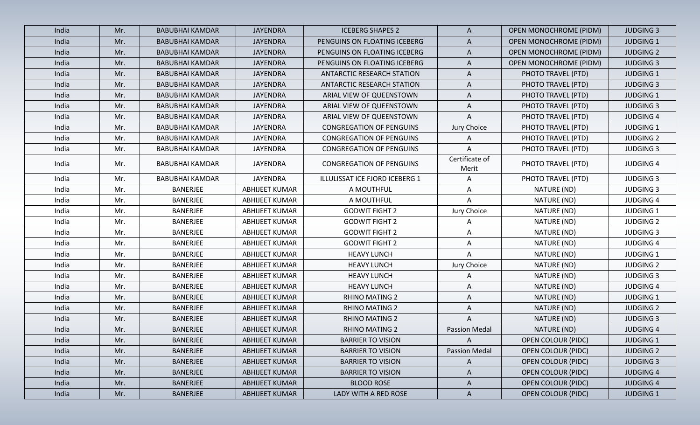| India | Mr. | <b>BABUBHAI KAMDAR</b> | <b>JAYENDRA</b>       | <b>ICEBERG SHAPES 2</b>           | $\mathsf{A}$            | <b>OPEN MONOCHROME (PIDM)</b> | <b>JUDGING 3</b> |
|-------|-----|------------------------|-----------------------|-----------------------------------|-------------------------|-------------------------------|------------------|
| India | Mr. | <b>BABUBHAI KAMDAR</b> | <b>JAYENDRA</b>       | PENGUINS ON FLOATING ICEBERG      | $\mathsf{A}$            | <b>OPEN MONOCHROME (PIDM)</b> | <b>JUDGING 1</b> |
| India | Mr. | <b>BABUBHAI KAMDAR</b> | <b>JAYENDRA</b>       | PENGUINS ON FLOATING ICEBERG      | $\mathsf{A}$            | <b>OPEN MONOCHROME (PIDM)</b> | <b>JUDGING 2</b> |
| India | Mr. | <b>BABUBHAI KAMDAR</b> | <b>JAYENDRA</b>       | PENGUINS ON FLOATING ICEBERG      | $\mathsf{A}$            | <b>OPEN MONOCHROME (PIDM)</b> | <b>JUDGING 3</b> |
| India | Mr. | <b>BABUBHAI KAMDAR</b> | <b>JAYENDRA</b>       | <b>ANTARCTIC RESEARCH STATION</b> | $\mathsf{A}$            | PHOTO TRAVEL (PTD)            | <b>JUDGING 1</b> |
| India | Mr. | <b>BABUBHAI KAMDAR</b> | <b>JAYENDRA</b>       | ANTARCTIC RESEARCH STATION        | $\mathsf{A}$            | PHOTO TRAVEL (PTD)            | <b>JUDGING 3</b> |
| India | Mr. | <b>BABUBHAI KAMDAR</b> | <b>JAYENDRA</b>       | ARIAL VIEW OF QUEENSTOWN          | $\mathsf{A}$            | PHOTO TRAVEL (PTD)            | <b>JUDGING 1</b> |
| India | Mr. | <b>BABUBHAI KAMDAR</b> | <b>JAYENDRA</b>       | ARIAL VIEW OF QUEENSTOWN          | $\mathsf{A}$            | PHOTO TRAVEL (PTD)            | <b>JUDGING 3</b> |
| India | Mr. | <b>BABUBHAI KAMDAR</b> | <b>JAYENDRA</b>       | ARIAL VIEW OF QUEENSTOWN          | A                       | PHOTO TRAVEL (PTD)            | <b>JUDGING 4</b> |
| India | Mr. | <b>BABUBHAI KAMDAR</b> | <b>JAYENDRA</b>       | <b>CONGREGATION OF PENGUINS</b>   | Jury Choice             | PHOTO TRAVEL (PTD)            | <b>JUDGING 1</b> |
| India | Mr. | <b>BABUBHAI KAMDAR</b> | <b>JAYENDRA</b>       | <b>CONGREGATION OF PENGUINS</b>   | A                       | PHOTO TRAVEL (PTD)            | <b>JUDGING 2</b> |
| India | Mr. | <b>BABUBHAI KAMDAR</b> | <b>JAYENDRA</b>       | <b>CONGREGATION OF PENGUINS</b>   | A                       | PHOTO TRAVEL (PTD)            | <b>JUDGING 3</b> |
| India | Mr. | <b>BABUBHAI KAMDAR</b> | <b>JAYENDRA</b>       | <b>CONGREGATION OF PENGUINS</b>   | Certificate of<br>Merit | PHOTO TRAVEL (PTD)            | <b>JUDGING 4</b> |
| India | Mr. | <b>BABUBHAI KAMDAR</b> | <b>JAYENDRA</b>       | ILLULISSAT ICE FJORD ICEBERG 1    | A                       | PHOTO TRAVEL (PTD)            | <b>JUDGING 3</b> |
| India | Mr. | BANERJEE               | <b>ABHIJEET KUMAR</b> | A MOUTHFUL                        | A                       | NATURE (ND)                   | <b>JUDGING 3</b> |
| India | Mr. | BANERJEE               | <b>ABHIJEET KUMAR</b> | A MOUTHFUL                        | Α                       | NATURE (ND)                   | <b>JUDGING 4</b> |
| India | Mr. | <b>BANERJEE</b>        | ABHIJEET KUMAR        | <b>GODWIT FIGHT 2</b>             | Jury Choice             | NATURE (ND)                   | <b>JUDGING 1</b> |
| India | Mr. | <b>BANERJEE</b>        | ABHIJEET KUMAR        | <b>GODWIT FIGHT 2</b>             | A                       | NATURE (ND)                   | <b>JUDGING 2</b> |
| India | Mr. | <b>BANERJEE</b>        | ABHIJEET KUMAR        | <b>GODWIT FIGHT 2</b>             | $\mathsf{A}$            | NATURE (ND)                   | <b>JUDGING 3</b> |
| India | Mr. | <b>BANERJEE</b>        | <b>ABHIJEET KUMAR</b> | <b>GODWIT FIGHT 2</b>             | A                       | NATURE (ND)                   | <b>JUDGING 4</b> |
| India | Mr. | BANERJEE               | <b>ABHIJEET KUMAR</b> | <b>HEAVY LUNCH</b>                | Α                       | NATURE (ND)                   | <b>JUDGING 1</b> |
| India | Mr. | <b>BANERJEE</b>        | ABHIJEET KUMAR        | <b>HEAVY LUNCH</b>                | Jury Choice             | NATURE (ND)                   | <b>JUDGING 2</b> |
| India | Mr. | <b>BANERJEE</b>        | ABHIJEET KUMAR        | <b>HEAVY LUNCH</b>                | Α                       | NATURE (ND)                   | <b>JUDGING 3</b> |
| India | Mr. | <b>BANERJEE</b>        | <b>ABHIJEET KUMAR</b> | <b>HEAVY LUNCH</b>                | A                       | NATURE (ND)                   | <b>JUDGING 4</b> |
| India | Mr. | <b>BANERJEE</b>        | <b>ABHIJEET KUMAR</b> | <b>RHINO MATING 2</b>             | A                       | NATURE (ND)                   | <b>JUDGING 1</b> |
| India | Mr. | BANERJEE               | ABHIJEET KUMAR        | <b>RHINO MATING 2</b>             | $\mathsf{A}$            | NATURE (ND)                   | <b>JUDGING 2</b> |
| India | Mr. | <b>BANERJEE</b>        | <b>ABHIJEET KUMAR</b> | <b>RHINO MATING 2</b>             | A                       | NATURE (ND)                   | <b>JUDGING 3</b> |
| India | Mr. | <b>BANERJEE</b>        | <b>ABHIJEET KUMAR</b> | <b>RHINO MATING 2</b>             | <b>Passion Medal</b>    | NATURE (ND)                   | <b>JUDGING 4</b> |
| India | Mr. | <b>BANERJEE</b>        | ABHIJEET KUMAR        | <b>BARRIER TO VISION</b>          | $\mathsf{A}$            | <b>OPEN COLOUR (PIDC)</b>     | <b>JUDGING 1</b> |
| India | Mr. | <b>BANERJEE</b>        | ABHIJEET KUMAR        | <b>BARRIER TO VISION</b>          | <b>Passion Medal</b>    | <b>OPEN COLOUR (PIDC)</b>     | <b>JUDGING 2</b> |
| India | Mr. | BANERJEE               | ABHIJEET KUMAR        | <b>BARRIER TO VISION</b>          | $\mathsf{A}$            | <b>OPEN COLOUR (PIDC)</b>     | <b>JUDGING 3</b> |
| India | Mr. | <b>BANERJEE</b>        | <b>ABHIJEET KUMAR</b> | <b>BARRIER TO VISION</b>          | $\mathsf{A}$            | <b>OPEN COLOUR (PIDC)</b>     | <b>JUDGING 4</b> |
| India | Mr. | BANERJEE               | <b>ABHIJEET KUMAR</b> | <b>BLOOD ROSE</b>                 | $\mathsf{A}$            | <b>OPEN COLOUR (PIDC)</b>     | <b>JUDGING 4</b> |
| India | Mr. | <b>BANERJEE</b>        | ABHIJEET KUMAR        | LADY WITH A RED ROSE              | $\mathsf{A}$            | <b>OPEN COLOUR (PIDC)</b>     | <b>JUDGING 1</b> |
|       |     |                        |                       |                                   |                         |                               |                  |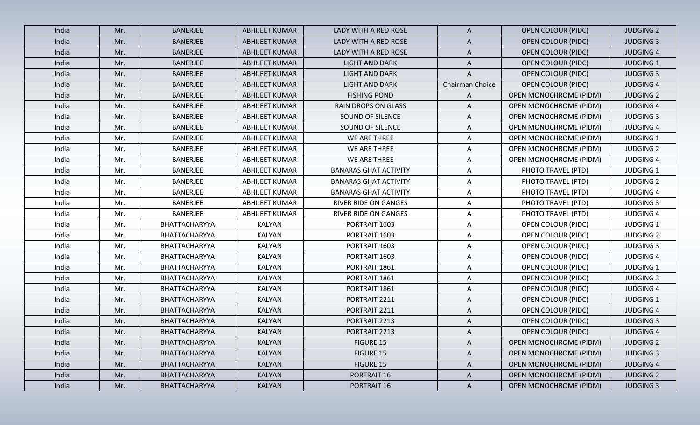| India | Mr. | <b>BANERJEE</b> | ABHIJEET KUMAR        | LADY WITH A RED ROSE         | A               | <b>OPEN COLOUR (PIDC)</b>     | <b>JUDGING 2</b> |
|-------|-----|-----------------|-----------------------|------------------------------|-----------------|-------------------------------|------------------|
| India | Mr. | <b>BANERJEE</b> | <b>ABHIJEET KUMAR</b> | LADY WITH A RED ROSE         | $\mathsf{A}$    | <b>OPEN COLOUR (PIDC)</b>     | <b>JUDGING 3</b> |
| India | Mr. | <b>BANERJEE</b> | <b>ABHIJEET KUMAR</b> | LADY WITH A RED ROSE         | A               | <b>OPEN COLOUR (PIDC)</b>     | <b>JUDGING 4</b> |
| India | Mr. | <b>BANERJEE</b> | <b>ABHIJEET KUMAR</b> | <b>LIGHT AND DARK</b>        | A               | <b>OPEN COLOUR (PIDC)</b>     | <b>JUDGING 1</b> |
| India | Mr. | <b>BANERJEE</b> | ABHIJEET KUMAR        | <b>LIGHT AND DARK</b>        | A               | <b>OPEN COLOUR (PIDC)</b>     | <b>JUDGING 3</b> |
| India | Mr. | <b>BANERJEE</b> | ABHIJEET KUMAR        | <b>LIGHT AND DARK</b>        | Chairman Choice | <b>OPEN COLOUR (PIDC)</b>     | <b>JUDGING 4</b> |
| India | Mr. | <b>BANERJEE</b> | <b>ABHIJEET KUMAR</b> | <b>FISHING POND</b>          | $\mathsf{A}$    | OPEN MONOCHROME (PIDM)        | <b>JUDGING 2</b> |
| India | Mr. | <b>BANERJEE</b> | ABHIJEET KUMAR        | RAIN DROPS ON GLASS          | A               | <b>OPEN MONOCHROME (PIDM)</b> | <b>JUDGING 4</b> |
| India | Mr. | <b>BANERJEE</b> | ABHIJEET KUMAR        | SOUND OF SILENCE             | A               | <b>OPEN MONOCHROME (PIDM)</b> | <b>JUDGING 3</b> |
| India | Mr. | <b>BANERJEE</b> | ABHIJEET KUMAR        | SOUND OF SILENCE             | A               | <b>OPEN MONOCHROME (PIDM)</b> | <b>JUDGING 4</b> |
| India | Mr. | <b>BANERJEE</b> | ABHIJEET KUMAR        | WE ARE THREE                 | A               | <b>OPEN MONOCHROME (PIDM)</b> | <b>JUDGING 1</b> |
| India | Mr. | <b>BANERJEE</b> | ABHIJEET KUMAR        | WE ARE THREE                 | A               | <b>OPEN MONOCHROME (PIDM)</b> | <b>JUDGING 2</b> |
| India | Mr. | <b>BANERJEE</b> | ABHIJEET KUMAR        | WE ARE THREE                 | A               | OPEN MONOCHROME (PIDM)        | <b>JUDGING 4</b> |
| India | Mr. | BANERJEE        | <b>ABHIJEET KUMAR</b> | <b>BANARAS GHAT ACTIVITY</b> | A               | PHOTO TRAVEL (PTD)            | <b>JUDGING 1</b> |
| India | Mr. | <b>BANERJEE</b> | <b>ABHIJEET KUMAR</b> | <b>BANARAS GHAT ACTIVITY</b> | A               | PHOTO TRAVEL (PTD)            | <b>JUDGING 2</b> |
| India | Mr. | <b>BANERJEE</b> | <b>ABHIJEET KUMAR</b> | <b>BANARAS GHAT ACTIVITY</b> | A               | PHOTO TRAVEL (PTD)            | <b>JUDGING 4</b> |
| India | Mr. | <b>BANERJEE</b> | ABHIJEET KUMAR        | <b>RIVER RIDE ON GANGES</b>  | Α               | PHOTO TRAVEL (PTD)            | <b>JUDGING 3</b> |
| India | Mr. | <b>BANERJEE</b> | ABHIJEET KUMAR        | <b>RIVER RIDE ON GANGES</b>  | A               | PHOTO TRAVEL (PTD)            | <b>JUDGING 4</b> |
| India | Mr. | BHATTACHARYYA   | <b>KALYAN</b>         | PORTRAIT 1603                | A               | <b>OPEN COLOUR (PIDC)</b>     | <b>JUDGING 1</b> |
| India | Mr. | BHATTACHARYYA   | <b>KALYAN</b>         | PORTRAIT 1603                | Α               | <b>OPEN COLOUR (PIDC)</b>     | <b>JUDGING 2</b> |
| India | Mr. | BHATTACHARYYA   | <b>KALYAN</b>         | PORTRAIT 1603                | A               | <b>OPEN COLOUR (PIDC)</b>     | <b>JUDGING 3</b> |
| India | Mr. | BHATTACHARYYA   | <b>KALYAN</b>         | PORTRAIT 1603                | Α               | <b>OPEN COLOUR (PIDC)</b>     | <b>JUDGING 4</b> |
| India | Mr. | BHATTACHARYYA   | <b>KALYAN</b>         | PORTRAIT 1861                | $\mathsf{A}$    | <b>OPEN COLOUR (PIDC)</b>     | <b>JUDGING 1</b> |
| India | Mr. | BHATTACHARYYA   | <b>KALYAN</b>         | PORTRAIT 1861                | A               | <b>OPEN COLOUR (PIDC)</b>     | <b>JUDGING 3</b> |
| India | Mr. | BHATTACHARYYA   | <b>KALYAN</b>         | PORTRAIT 1861                | A               | <b>OPEN COLOUR (PIDC)</b>     | <b>JUDGING 4</b> |
| India | Mr. | BHATTACHARYYA   | <b>KALYAN</b>         | PORTRAIT 2211                | A               | <b>OPEN COLOUR (PIDC)</b>     | <b>JUDGING 1</b> |
| India | Mr. | BHATTACHARYYA   | <b>KALYAN</b>         | PORTRAIT 2211                | A               | <b>OPEN COLOUR (PIDC)</b>     | <b>JUDGING 4</b> |
| India | Mr. | BHATTACHARYYA   | <b>KALYAN</b>         | PORTRAIT 2213                | A               | <b>OPEN COLOUR (PIDC)</b>     | <b>JUDGING 3</b> |
| India | Mr. | BHATTACHARYYA   | <b>KALYAN</b>         | PORTRAIT 2213                | A               | <b>OPEN COLOUR (PIDC)</b>     | <b>JUDGING 4</b> |
| India | Mr. | BHATTACHARYYA   | <b>KALYAN</b>         | <b>FIGURE 15</b>             | $\mathsf{A}$    | <b>OPEN MONOCHROME (PIDM)</b> | <b>JUDGING 2</b> |
| India | Mr. | BHATTACHARYYA   | <b>KALYAN</b>         | FIGURE 15                    | $\mathsf{A}$    | <b>OPEN MONOCHROME (PIDM)</b> | <b>JUDGING 3</b> |
| India | Mr. | BHATTACHARYYA   | <b>KALYAN</b>         | FIGURE 15                    | $\mathsf{A}$    | <b>OPEN MONOCHROME (PIDM)</b> | <b>JUDGING 4</b> |
| India | Mr. | BHATTACHARYYA   | <b>KALYAN</b>         | PORTRAIT 16                  | $\mathsf{A}$    | <b>OPEN MONOCHROME (PIDM)</b> | <b>JUDGING 2</b> |
| India | Mr. | BHATTACHARYYA   | <b>KALYAN</b>         | PORTRAIT 16                  | $\mathsf{A}$    | OPEN MONOCHROME (PIDM)        | <b>JUDGING 3</b> |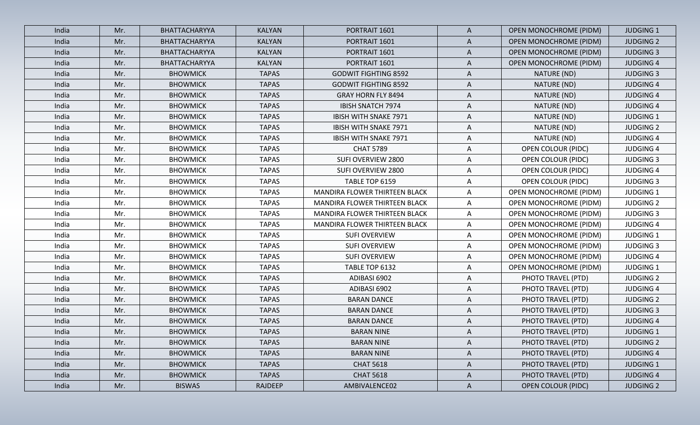| India | Mr. | BHATTACHARYYA   | <b>KALYAN</b>  | PORTRAIT 1601                 | $\mathsf{A}$ | <b>OPEN MONOCHROME (PIDM)</b> | <b>JUDGING 1</b> |
|-------|-----|-----------------|----------------|-------------------------------|--------------|-------------------------------|------------------|
| India | Mr. | BHATTACHARYYA   | <b>KALYAN</b>  | PORTRAIT 1601                 | A            | OPEN MONOCHROME (PIDM)        | <b>JUDGING 2</b> |
| India | Mr. | BHATTACHARYYA   | <b>KALYAN</b>  | PORTRAIT 1601                 | A            | <b>OPEN MONOCHROME (PIDM)</b> | <b>JUDGING 3</b> |
| India | Mr. | BHATTACHARYYA   | <b>KALYAN</b>  | PORTRAIT 1601                 | A            | <b>OPEN MONOCHROME (PIDM)</b> | <b>JUDGING 4</b> |
| India | Mr. | <b>BHOWMICK</b> | <b>TAPAS</b>   | <b>GODWIT FIGHTING 8592</b>   | $\mathsf{A}$ | NATURE (ND)                   | <b>JUDGING 3</b> |
| India | Mr. | <b>BHOWMICK</b> | <b>TAPAS</b>   | <b>GODWIT FIGHTING 8592</b>   | $\mathsf{A}$ | NATURE (ND)                   | <b>JUDGING 4</b> |
| India | Mr. | <b>BHOWMICK</b> | <b>TAPAS</b>   | <b>GRAY HORN FLY 8494</b>     | A            | NATURE (ND)                   | <b>JUDGING 4</b> |
| India | Mr. | <b>BHOWMICK</b> | <b>TAPAS</b>   | <b>IBISH SNATCH 7974</b>      | A            | NATURE (ND)                   | <b>JUDGING 4</b> |
| India | Mr. | <b>BHOWMICK</b> | <b>TAPAS</b>   | IBISH WITH SNAKE 7971         | A            | NATURE (ND)                   | <b>JUDGING 1</b> |
| India | Mr. | <b>BHOWMICK</b> | <b>TAPAS</b>   | IBISH WITH SNAKE 7971         | A            | NATURE (ND)                   | <b>JUDGING 2</b> |
| India | Mr. | <b>BHOWMICK</b> | <b>TAPAS</b>   | IBISH WITH SNAKE 7971         | $\mathsf{A}$ | NATURE (ND)                   | <b>JUDGING 4</b> |
| India | Mr. | <b>BHOWMICK</b> | <b>TAPAS</b>   | <b>CHAT 5789</b>              | $\mathsf{A}$ | <b>OPEN COLOUR (PIDC)</b>     | <b>JUDGING 4</b> |
| India | Mr. | <b>BHOWMICK</b> | <b>TAPAS</b>   | SUFI OVERVIEW 2800            | A            | <b>OPEN COLOUR (PIDC)</b>     | <b>JUDGING 3</b> |
| India | Mr. | <b>BHOWMICK</b> | <b>TAPAS</b>   | SUFI OVERVIEW 2800            | $\mathsf{A}$ | <b>OPEN COLOUR (PIDC)</b>     | <b>JUDGING 4</b> |
| India | Mr. | <b>BHOWMICK</b> | <b>TAPAS</b>   | TABLE TOP 6159                | A            | <b>OPEN COLOUR (PIDC)</b>     | <b>JUDGING 3</b> |
| India | Mr. | <b>BHOWMICK</b> | <b>TAPAS</b>   | MANDIRA FLOWER THIRTEEN BLACK | $\mathsf{A}$ | <b>OPEN MONOCHROME (PIDM)</b> | <b>JUDGING 1</b> |
| India | Mr. | <b>BHOWMICK</b> | <b>TAPAS</b>   | MANDIRA FLOWER THIRTEEN BLACK | $\mathsf{A}$ | <b>OPEN MONOCHROME (PIDM)</b> | <b>JUDGING 2</b> |
| India | Mr. | <b>BHOWMICK</b> | <b>TAPAS</b>   | MANDIRA FLOWER THIRTEEN BLACK | A            | OPEN MONOCHROME (PIDM)        | <b>JUDGING 3</b> |
| India | Mr. | <b>BHOWMICK</b> | <b>TAPAS</b>   | MANDIRA FLOWER THIRTEEN BLACK | $\mathsf{A}$ | <b>OPEN MONOCHROME (PIDM)</b> | <b>JUDGING 4</b> |
| India | Mr. | <b>BHOWMICK</b> | <b>TAPAS</b>   | <b>SUFI OVERVIEW</b>          | A            | <b>OPEN MONOCHROME (PIDM)</b> | <b>JUDGING 1</b> |
| India | Mr. | <b>BHOWMICK</b> | <b>TAPAS</b>   | <b>SUFI OVERVIEW</b>          | A            | <b>OPEN MONOCHROME (PIDM)</b> | <b>JUDGING 3</b> |
| India | Mr. | <b>BHOWMICK</b> | <b>TAPAS</b>   | <b>SUFI OVERVIEW</b>          | A            | <b>OPEN MONOCHROME (PIDM)</b> | <b>JUDGING 4</b> |
| India | Mr. | <b>BHOWMICK</b> | <b>TAPAS</b>   | TABLE TOP 6132                | $\mathsf{A}$ | <b>OPEN MONOCHROME (PIDM)</b> | <b>JUDGING 1</b> |
| India | Mr. | <b>BHOWMICK</b> | <b>TAPAS</b>   | ADIBASI 6902                  | A            | PHOTO TRAVEL (PTD)            | <b>JUDGING 2</b> |
| India | Mr. | <b>BHOWMICK</b> | <b>TAPAS</b>   | ADIBASI 6902                  | $\mathsf{A}$ | PHOTO TRAVEL (PTD)            | <b>JUDGING 4</b> |
| India | Mr. | <b>BHOWMICK</b> | <b>TAPAS</b>   | <b>BARAN DANCE</b>            | A            | PHOTO TRAVEL (PTD)            | <b>JUDGING 2</b> |
| India | Mr. | <b>BHOWMICK</b> | <b>TAPAS</b>   | <b>BARAN DANCE</b>            | A            | PHOTO TRAVEL (PTD)            | <b>JUDGING 3</b> |
| India | Mr. | <b>BHOWMICK</b> | <b>TAPAS</b>   | <b>BARAN DANCE</b>            | $\mathsf{A}$ | PHOTO TRAVEL (PTD)            | <b>JUDGING 4</b> |
| India | Mr. | <b>BHOWMICK</b> | <b>TAPAS</b>   | <b>BARAN NINE</b>             | A            | PHOTO TRAVEL (PTD)            | <b>JUDGING 1</b> |
| India | Mr. | <b>BHOWMICK</b> | <b>TAPAS</b>   | <b>BARAN NINE</b>             | A            | PHOTO TRAVEL (PTD)            | <b>JUDGING 2</b> |
| India | Mr. | <b>BHOWMICK</b> | <b>TAPAS</b>   | <b>BARAN NINE</b>             | $\mathsf{A}$ | PHOTO TRAVEL (PTD)            | <b>JUDGING 4</b> |
| India | Mr. | <b>BHOWMICK</b> | <b>TAPAS</b>   | <b>CHAT 5618</b>              | $\mathsf{A}$ | PHOTO TRAVEL (PTD)            | <b>JUDGING 1</b> |
| India | Mr. | <b>BHOWMICK</b> | <b>TAPAS</b>   | <b>CHAT 5618</b>              | $\mathsf{A}$ | PHOTO TRAVEL (PTD)            | <b>JUDGING 4</b> |
| India | Mr. | <b>BISWAS</b>   | <b>RAJDEEP</b> | AMBIVALENCE02                 | $\mathsf{A}$ | <b>OPEN COLOUR (PIDC)</b>     | <b>JUDGING 2</b> |
|       |     |                 |                |                               |              |                               |                  |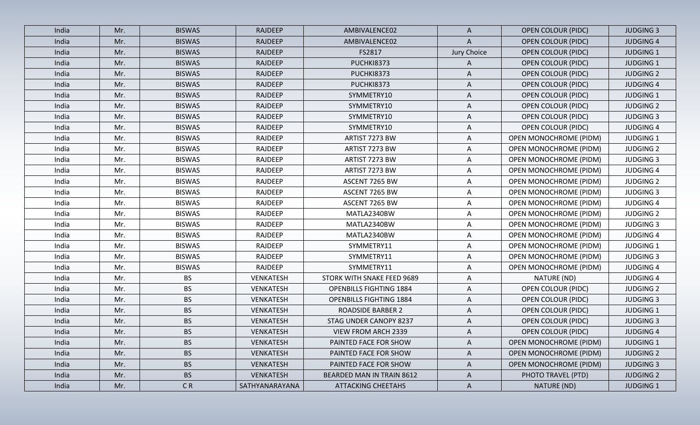| India | Mr. | <b>BISWAS</b> | <b>RAJDEEP</b>   | AMBIVALENCE02                  | $\mathsf{A}$ | <b>OPEN COLOUR (PIDC)</b>     | <b>JUDGING 3</b> |
|-------|-----|---------------|------------------|--------------------------------|--------------|-------------------------------|------------------|
| India | Mr. | <b>BISWAS</b> | <b>RAJDEEP</b>   | AMBIVALENCE02                  | A            | <b>OPEN COLOUR (PIDC)</b>     | <b>JUDGING 4</b> |
| India | Mr. | <b>BISWAS</b> | <b>RAJDEEP</b>   | FS2817                         | Jury Choice  | <b>OPEN COLOUR (PIDC)</b>     | <b>JUDGING 1</b> |
| India | Mr. | <b>BISWAS</b> | <b>RAJDEEP</b>   | PUCHKI8373                     | A            | <b>OPEN COLOUR (PIDC)</b>     | <b>JUDGING 1</b> |
| India | Mr. | <b>BISWAS</b> | <b>RAJDEEP</b>   | PUCHKI8373                     | A            | <b>OPEN COLOUR (PIDC)</b>     | <b>JUDGING 2</b> |
| India | Mr. | <b>BISWAS</b> | <b>RAJDEEP</b>   | PUCHKI8373                     | A            | <b>OPEN COLOUR (PIDC)</b>     | <b>JUDGING 4</b> |
| India | Mr. | <b>BISWAS</b> | <b>RAJDEEP</b>   | SYMMETRY10                     | A            | <b>OPEN COLOUR (PIDC)</b>     | <b>JUDGING 1</b> |
| India | Mr. | <b>BISWAS</b> | <b>RAJDEEP</b>   | SYMMETRY10                     | A            | <b>OPEN COLOUR (PIDC)</b>     | <b>JUDGING 2</b> |
| India | Mr. | <b>BISWAS</b> | <b>RAJDEEP</b>   | SYMMETRY10                     | A            | <b>OPEN COLOUR (PIDC)</b>     | <b>JUDGING 3</b> |
| India | Mr. | <b>BISWAS</b> | RAJDEEP          | SYMMETRY10                     | A            | <b>OPEN COLOUR (PIDC)</b>     | <b>JUDGING 4</b> |
| India | Mr. | <b>BISWAS</b> | RAJDEEP          | ARTIST 7273 BW                 | $\mathsf{A}$ | <b>OPEN MONOCHROME (PIDM)</b> | <b>JUDGING 1</b> |
| India | Mr. | <b>BISWAS</b> | RAJDEEP          | ARTIST 7273 BW                 | A            | OPEN MONOCHROME (PIDM)        | <b>JUDGING 2</b> |
| India | Mr. | <b>BISWAS</b> | RAJDEEP          | ARTIST 7273 BW                 | A            | OPEN MONOCHROME (PIDM)        | <b>JUDGING 3</b> |
| India | Mr. | <b>BISWAS</b> | RAJDEEP          | ARTIST 7273 BW                 | A            | <b>OPEN MONOCHROME (PIDM)</b> | <b>JUDGING 4</b> |
| India | Mr. | <b>BISWAS</b> | RAJDEEP          | ASCENT 7265 BW                 | A            | <b>OPEN MONOCHROME (PIDM)</b> | <b>JUDGING 2</b> |
| India | Mr. | <b>BISWAS</b> | RAJDEEP          | ASCENT 7265 BW                 | $\mathsf{A}$ | <b>OPEN MONOCHROME (PIDM)</b> | <b>JUDGING 3</b> |
| India | Mr. | <b>BISWAS</b> | RAJDEEP          | ASCENT 7265 BW                 | A            | <b>OPEN MONOCHROME (PIDM)</b> | <b>JUDGING 4</b> |
| India | Mr. | <b>BISWAS</b> | RAJDEEP          | MATLA2340BW                    | A            | <b>OPEN MONOCHROME (PIDM)</b> | <b>JUDGING 2</b> |
| India | Mr. | <b>BISWAS</b> | RAJDEEP          | MATLA2340BW                    | A            | <b>OPEN MONOCHROME (PIDM)</b> | <b>JUDGING 3</b> |
| India | Mr. | <b>BISWAS</b> | RAJDEEP          | MATLA2340BW                    | A            | <b>OPEN MONOCHROME (PIDM)</b> | <b>JUDGING 4</b> |
| India | Mr. | <b>BISWAS</b> | RAJDEEP          | SYMMETRY11                     | $\mathsf{A}$ | OPEN MONOCHROME (PIDM)        | <b>JUDGING 1</b> |
| India | Mr. | <b>BISWAS</b> | RAJDEEP          | SYMMETRY11                     | A            | <b>OPEN MONOCHROME (PIDM)</b> | <b>JUDGING 3</b> |
| India | Mr. | <b>BISWAS</b> | RAJDEEP          | SYMMETRY11                     | A            | <b>OPEN MONOCHROME (PIDM)</b> | <b>JUDGING 4</b> |
| India | Mr. | <b>BS</b>     | <b>VENKATESH</b> | STORK WITH SNAKE FEED 9689     | $\mathsf{A}$ | NATURE (ND)                   | <b>JUDGING 4</b> |
| India | Mr. | <b>BS</b>     | VENKATESH        | <b>OPENBILLS FIGHTING 1884</b> | $\mathsf{A}$ | <b>OPEN COLOUR (PIDC)</b>     | <b>JUDGING 2</b> |
| India | Mr. | <b>BS</b>     | <b>VENKATESH</b> | <b>OPENBILLS FIGHTING 1884</b> | A            | <b>OPEN COLOUR (PIDC)</b>     | <b>JUDGING 3</b> |
| India | Mr. | <b>BS</b>     | <b>VENKATESH</b> | <b>ROADSIDE BARBER 2</b>       | A            | <b>OPEN COLOUR (PIDC)</b>     | <b>JUDGING 1</b> |
| India | Mr. | <b>BS</b>     | <b>VENKATESH</b> | STAG UNDER CANOPY 8237         | $\mathsf{A}$ | <b>OPEN COLOUR (PIDC)</b>     | <b>JUDGING 3</b> |
| India | Mr. | <b>BS</b>     | <b>VENKATESH</b> | <b>VIEW FROM ARCH 2339</b>     | A            | <b>OPEN COLOUR (PIDC)</b>     | <b>JUDGING 4</b> |
| India | Mr. | BS            | VENKATESH        | PAINTED FACE FOR SHOW          | A            | <b>OPEN MONOCHROME (PIDM)</b> | <b>JUDGING 1</b> |
| India | Mr. | <b>BS</b>     | <b>VENKATESH</b> | PAINTED FACE FOR SHOW          | $\mathsf{A}$ | <b>OPEN MONOCHROME (PIDM)</b> | <b>JUDGING 2</b> |
| India | Mr. | <b>BS</b>     | <b>VENKATESH</b> | PAINTED FACE FOR SHOW          | A            | OPEN MONOCHROME (PIDM)        | <b>JUDGING 3</b> |
| India | Mr. | <b>BS</b>     | <b>VENKATESH</b> | BEARDED MAN IN TRAIN 8612      | $\mathsf{A}$ | PHOTO TRAVEL (PTD)            | <b>JUDGING 2</b> |
| India | Mr. | CR            | SATHYANARAYANA   | <b>ATTACKING CHEETAHS</b>      | $\mathsf{A}$ | NATURE (ND)                   | <b>JUDGING 1</b> |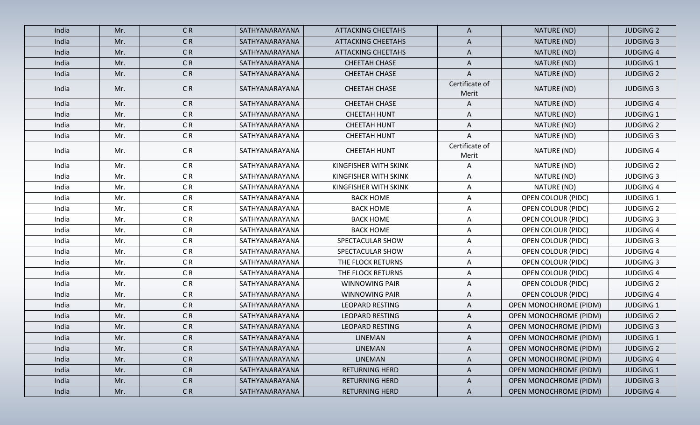| India | Mr. | C <sub>R</sub>           | SATHYANARAYANA | <b>ATTACKING CHEETAHS</b> | A                       | NATURE (ND)                   | <b>JUDGING 2</b> |
|-------|-----|--------------------------|----------------|---------------------------|-------------------------|-------------------------------|------------------|
| India | Mr. | CR <sub></sub>           | SATHYANARAYANA | <b>ATTACKING CHEETAHS</b> | A                       | NATURE (ND)                   | <b>JUDGING 3</b> |
| India | Mr. | CR <sub></sub>           | SATHYANARAYANA | <b>ATTACKING CHEETAHS</b> | A                       | NATURE (ND)                   | <b>JUDGING 4</b> |
| India | Mr. | CR <sub></sub>           | SATHYANARAYANA | <b>CHEETAH CHASE</b>      | A                       | NATURE (ND)                   | <b>JUDGING 1</b> |
| India | Mr. | CR                       | SATHYANARAYANA | CHEETAH CHASE             | A                       | NATURE (ND)                   | <b>JUDGING 2</b> |
| India | Mr. | CR                       | SATHYANARAYANA | <b>CHEETAH CHASE</b>      | Certificate of<br>Merit | NATURE (ND)                   | <b>JUDGING 3</b> |
| India | Mr. | CR <sub></sub>           | SATHYANARAYANA | <b>CHEETAH CHASE</b>      | A                       | NATURE (ND)                   | <b>JUDGING 4</b> |
| India | Mr. | C <sub>R</sub>           | SATHYANARAYANA | <b>CHEETAH HUNT</b>       | A                       | NATURE (ND)                   | <b>JUDGING 1</b> |
| India | Mr. | CR <sub></sub>           | SATHYANARAYANA | <b>CHEETAH HUNT</b>       | A                       | NATURE (ND)                   | <b>JUDGING 2</b> |
| India | Mr. | C <sub>R</sub>           | SATHYANARAYANA | <b>CHEETAH HUNT</b>       | Α                       | NATURE (ND)                   | <b>JUDGING 3</b> |
| India | Mr. | CR                       | SATHYANARAYANA | <b>CHEETAH HUNT</b>       | Certificate of<br>Merit | NATURE (ND)                   | <b>JUDGING 4</b> |
| India | Mr. | C <sub>R</sub>           | SATHYANARAYANA | KINGFISHER WITH SKINK     | A                       | NATURE (ND)                   | <b>JUDGING 2</b> |
| India | Mr. | C <sub>R</sub>           | SATHYANARAYANA | KINGFISHER WITH SKINK     | A                       | NATURE (ND)                   | <b>JUDGING 3</b> |
| India | Mr. | CR <sub></sub>           | SATHYANARAYANA | KINGFISHER WITH SKINK     | A                       | NATURE (ND)                   | <b>JUDGING 4</b> |
| India | Mr. | CR                       | SATHYANARAYANA | <b>BACK HOME</b>          | A                       | <b>OPEN COLOUR (PIDC)</b>     | <b>JUDGING 1</b> |
| India | Mr. | C <sub>R</sub>           | SATHYANARAYANA | <b>BACK HOME</b>          | A                       | <b>OPEN COLOUR (PIDC)</b>     | <b>JUDGING 2</b> |
| India | Mr. | C <sub>R</sub>           | SATHYANARAYANA | <b>BACK HOME</b>          | Α                       | <b>OPEN COLOUR (PIDC)</b>     | <b>JUDGING 3</b> |
| India | Mr. | CR                       | SATHYANARAYANA | <b>BACK HOME</b>          | A                       | <b>OPEN COLOUR (PIDC)</b>     | <b>JUDGING 4</b> |
| India | Mr. | CR                       | SATHYANARAYANA | SPECTACULAR SHOW          | $\mathsf{A}$            | <b>OPEN COLOUR (PIDC)</b>     | <b>JUDGING 3</b> |
| India | Mr. | CR                       | SATHYANARAYANA | SPECTACULAR SHOW          | A                       | <b>OPEN COLOUR (PIDC)</b>     | <b>JUDGING 4</b> |
| India | Mr. | CR                       | SATHYANARAYANA | THE FLOCK RETURNS         | A                       | <b>OPEN COLOUR (PIDC)</b>     | <b>JUDGING 3</b> |
| India | Mr. | CR <sub></sub>           | SATHYANARAYANA | THE FLOCK RETURNS         | A                       | <b>OPEN COLOUR (PIDC)</b>     | <b>JUDGING 4</b> |
| India | Mr. | CR                       | SATHYANARAYANA | <b>WINNOWING PAIR</b>     | A                       | <b>OPEN COLOUR (PIDC)</b>     | <b>JUDGING 2</b> |
| India | Mr. | CR <sub></sub>           | SATHYANARAYANA | <b>WINNOWING PAIR</b>     | A                       | <b>OPEN COLOUR (PIDC)</b>     | <b>JUDGING 4</b> |
| India | Mr. | CR <sub></sub>           | SATHYANARAYANA | <b>LEOPARD RESTING</b>    | A                       | <b>OPEN MONOCHROME (PIDM)</b> | <b>JUDGING 1</b> |
| India | Mr. | CR                       | SATHYANARAYANA | <b>LEOPARD RESTING</b>    | A                       | <b>OPEN MONOCHROME (PIDM)</b> | <b>JUDGING 2</b> |
| India | Mr. | CR                       | SATHYANARAYANA | <b>LEOPARD RESTING</b>    | A                       | OPEN MONOCHROME (PIDM)        | <b>JUDGING 3</b> |
| India | Mr. | $\mathsf{C}\,\mathsf{R}$ | SATHYANARAYANA | LINEMAN                   | A                       | <b>OPEN MONOCHROME (PIDM)</b> | JUDGING 1        |
| India | Mr. | CR                       | SATHYANARAYANA | LINEMAN                   | A                       | <b>OPEN MONOCHROME (PIDM)</b> | <b>JUDGING 2</b> |
| India | Mr. | CR                       | SATHYANARAYANA | LINEMAN                   | $\mathsf{A}$            | <b>OPEN MONOCHROME (PIDM)</b> | <b>JUDGING 4</b> |
| India | Mr. | CR                       | SATHYANARAYANA | RETURNING HERD            | $\mathsf{A}$            | OPEN MONOCHROME (PIDM)        | <b>JUDGING 1</b> |
| India | Mr. | C <sub>R</sub>           | SATHYANARAYANA | <b>RETURNING HERD</b>     | $\mathsf{A}$            | OPEN MONOCHROME (PIDM)        | <b>JUDGING 3</b> |
| India | Mr. | CR                       | SATHYANARAYANA | RETURNING HERD            | $\mathsf{A}$            | <b>OPEN MONOCHROME (PIDM)</b> | <b>JUDGING 4</b> |
|       |     |                          |                |                           |                         |                               |                  |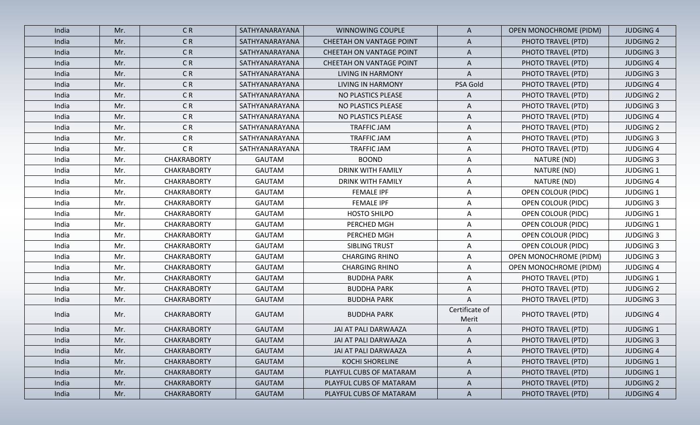| India | Mr. | CR                 | SATHYANARAYANA | WINNOWING COUPLE         | A                       | <b>OPEN MONOCHROME (PIDM)</b> | <b>JUDGING 4</b> |
|-------|-----|--------------------|----------------|--------------------------|-------------------------|-------------------------------|------------------|
| India | Mr. | CR                 | SATHYANARAYANA | CHEETAH ON VANTAGE POINT | A                       | PHOTO TRAVEL (PTD)            | <b>JUDGING 2</b> |
| India | Mr. | CR                 | SATHYANARAYANA | CHEETAH ON VANTAGE POINT | A                       | PHOTO TRAVEL (PTD)            | <b>JUDGING 3</b> |
| India | Mr. | CR                 | SATHYANARAYANA | CHEETAH ON VANTAGE POINT | A                       | PHOTO TRAVEL (PTD)            | <b>JUDGING 4</b> |
| India | Mr. | CR                 | SATHYANARAYANA | <b>LIVING IN HARMONY</b> | A                       | PHOTO TRAVEL (PTD)            | <b>JUDGING 3</b> |
| India | Mr. | CR                 | SATHYANARAYANA | <b>LIVING IN HARMONY</b> | PSA Gold                | PHOTO TRAVEL (PTD)            | <b>JUDGING 4</b> |
| India | Mr. | CR                 | SATHYANARAYANA | NO PLASTICS PLEASE       | A                       | PHOTO TRAVEL (PTD)            | <b>JUDGING 2</b> |
| India | Mr. | CR                 | SATHYANARAYANA | NO PLASTICS PLEASE       | A                       | PHOTO TRAVEL (PTD)            | <b>JUDGING 3</b> |
| India | Mr. | CR                 | SATHYANARAYANA | NO PLASTICS PLEASE       | A                       | PHOTO TRAVEL (PTD)            | <b>JUDGING 4</b> |
| India | Mr. | CR                 | SATHYANARAYANA | <b>TRAFFIC JAM</b>       | A                       | PHOTO TRAVEL (PTD)            | <b>JUDGING 2</b> |
| India | Mr. | C <sub>R</sub>     | SATHYANARAYANA | <b>TRAFFIC JAM</b>       | A                       | PHOTO TRAVEL (PTD)            | <b>JUDGING 3</b> |
| India | Mr. | CR                 | SATHYANARAYANA | TRAFFIC JAM              | A                       | PHOTO TRAVEL (PTD)            | <b>JUDGING 4</b> |
| India | Mr. | <b>CHAKRABORTY</b> | <b>GAUTAM</b>  | <b>BOOND</b>             | $\mathsf{A}$            | NATURE (ND)                   | <b>JUDGING 3</b> |
| India | Mr. | <b>CHAKRABORTY</b> | <b>GAUTAM</b>  | <b>DRINK WITH FAMILY</b> | Α                       | NATURE (ND)                   | <b>JUDGING 1</b> |
| India | Mr. | <b>CHAKRABORTY</b> | <b>GAUTAM</b>  | <b>DRINK WITH FAMILY</b> | Α                       | NATURE (ND)                   | <b>JUDGING 4</b> |
| India | Mr. | <b>CHAKRABORTY</b> | <b>GAUTAM</b>  | <b>FEMALE IPF</b>        | $\mathsf{A}$            | <b>OPEN COLOUR (PIDC)</b>     | <b>JUDGING 1</b> |
| India | Mr. | <b>CHAKRABORTY</b> | <b>GAUTAM</b>  | <b>FEMALE IPF</b>        | Α                       | <b>OPEN COLOUR (PIDC)</b>     | <b>JUDGING 3</b> |
| India | Mr. | <b>CHAKRABORTY</b> | <b>GAUTAM</b>  | HOSTO SHILPO             | A                       | <b>OPEN COLOUR (PIDC)</b>     | <b>JUDGING 1</b> |
| India | Mr. | <b>CHAKRABORTY</b> | <b>GAUTAM</b>  | PERCHED MGH              | $\mathsf{A}$            | <b>OPEN COLOUR (PIDC)</b>     | <b>JUDGING 1</b> |
| India | Mr. | <b>CHAKRABORTY</b> | <b>GAUTAM</b>  | PERCHED MGH              | A                       | <b>OPEN COLOUR (PIDC)</b>     | <b>JUDGING 3</b> |
| India | Mr. | <b>CHAKRABORTY</b> | <b>GAUTAM</b>  | SIBLING TRUST            | A                       | <b>OPEN COLOUR (PIDC)</b>     | <b>JUDGING 3</b> |
| India | Mr. | <b>CHAKRABORTY</b> | <b>GAUTAM</b>  | <b>CHARGING RHINO</b>    | A                       | <b>OPEN MONOCHROME (PIDM)</b> | <b>JUDGING 3</b> |
| India | Mr. | <b>CHAKRABORTY</b> | <b>GAUTAM</b>  | <b>CHARGING RHINO</b>    | A                       | <b>OPEN MONOCHROME (PIDM)</b> | <b>JUDGING 4</b> |
| India | Mr. | <b>CHAKRABORTY</b> | <b>GAUTAM</b>  | <b>BUDDHA PARK</b>       | Α                       | PHOTO TRAVEL (PTD)            | <b>JUDGING 1</b> |
| India | Mr. | <b>CHAKRABORTY</b> | <b>GAUTAM</b>  | <b>BUDDHA PARK</b>       | $\mathsf{A}$            | PHOTO TRAVEL (PTD)            | <b>JUDGING 2</b> |
| India | Mr. | <b>CHAKRABORTY</b> | <b>GAUTAM</b>  | <b>BUDDHA PARK</b>       | A                       | PHOTO TRAVEL (PTD)            | <b>JUDGING 3</b> |
| India | Mr. | <b>CHAKRABORTY</b> | GAUTAM         | <b>BUDDHA PARK</b>       | Certificate of<br>Merit | PHOTO TRAVEL (PTD)            | <b>JUDGING 4</b> |
| India | Mr. | <b>CHAKRABORTY</b> | <b>GAUTAM</b>  | JAI AT PALI DARWAAZA     | A                       | PHOTO TRAVEL (PTD)            | <b>JUDGING 1</b> |
| India | Mr. | <b>CHAKRABORTY</b> | <b>GAUTAM</b>  | JAI AT PALI DARWAAZA     | A                       | PHOTO TRAVEL (PTD)            | <b>JUDGING 3</b> |
| India | Mr. | <b>CHAKRABORTY</b> | GAUTAM         | JAI AT PALI DARWAAZA     | A                       | PHOTO TRAVEL (PTD)            | <b>JUDGING 4</b> |
| India | Mr. | <b>CHAKRABORTY</b> | GAUTAM         | <b>KOCHI SHORELINE</b>   | $\mathsf{A}$            | PHOTO TRAVEL (PTD)            | <b>JUDGING 1</b> |
| India | Mr. | <b>CHAKRABORTY</b> | GAUTAM         | PLAYFUL CUBS OF MATARAM  | $\mathsf{A}$            | PHOTO TRAVEL (PTD)            | <b>JUDGING 1</b> |
| India | Mr. | <b>CHAKRABORTY</b> | <b>GAUTAM</b>  | PLAYFUL CUBS OF MATARAM  | $\mathsf{A}$            | PHOTO TRAVEL (PTD)            | <b>JUDGING 2</b> |
| India | Mr. | <b>CHAKRABORTY</b> | <b>GAUTAM</b>  | PLAYFUL CUBS OF MATARAM  | $\mathsf{A}$            | PHOTO TRAVEL (PTD)            | <b>JUDGING 4</b> |
|       |     |                    |                |                          |                         |                               |                  |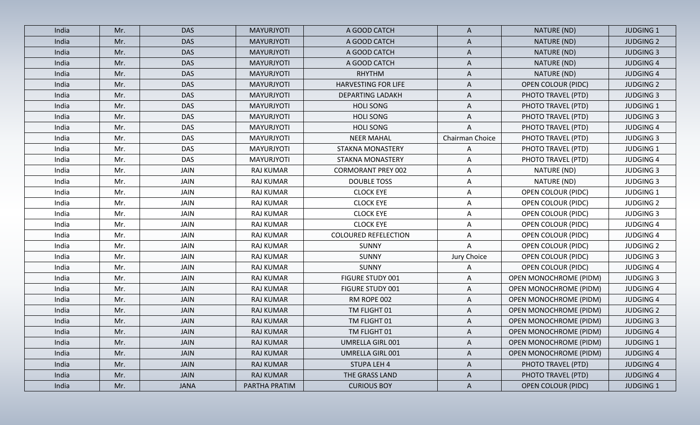| India | Mr. | <b>DAS</b>  | <b>MAYURJYOTI</b> | A GOOD CATCH                | $\mathsf{A}$    | NATURE (ND)                   | <b>JUDGING 1</b> |
|-------|-----|-------------|-------------------|-----------------------------|-----------------|-------------------------------|------------------|
| India | Mr. | <b>DAS</b>  | <b>MAYURJYOTI</b> | A GOOD CATCH                | $\mathsf{A}$    | NATURE (ND)                   | <b>JUDGING 2</b> |
| India | Mr. | <b>DAS</b>  | MAYURJYOTI        | A GOOD CATCH                | Α               | NATURE (ND)                   | <b>JUDGING 3</b> |
| India | Mr. | <b>DAS</b>  | MAYURJYOTI        | A GOOD CATCH                | A               | NATURE (ND)                   | <b>JUDGING 4</b> |
| India | Mr. | <b>DAS</b>  | MAYURJYOTI        | <b>RHYTHM</b>               | A               | NATURE (ND)                   | <b>JUDGING 4</b> |
| India | Mr. | <b>DAS</b>  | MAYURJYOTI        | HARVESTING FOR LIFE         | A               | <b>OPEN COLOUR (PIDC)</b>     | <b>JUDGING 2</b> |
| India | Mr. | <b>DAS</b>  | MAYURJYOTI        | <b>DEPARTING LADAKH</b>     | A               | PHOTO TRAVEL (PTD)            | <b>JUDGING 3</b> |
| India | Mr. | <b>DAS</b>  | MAYURJYOTI        | <b>HOLI SONG</b>            | A               | PHOTO TRAVEL (PTD)            | <b>JUDGING 1</b> |
| India | Mr. | <b>DAS</b>  | MAYURJYOTI        | <b>HOLI SONG</b>            | A               | PHOTO TRAVEL (PTD)            | <b>JUDGING 3</b> |
| India | Mr. | <b>DAS</b>  | MAYURJYOTI        | <b>HOLI SONG</b>            | A               | PHOTO TRAVEL (PTD)            | <b>JUDGING 4</b> |
| India | Mr. | <b>DAS</b>  | MAYURJYOTI        | <b>NEER MAHAL</b>           | Chairman Choice | PHOTO TRAVEL (PTD)            | <b>JUDGING 3</b> |
| India | Mr. | <b>DAS</b>  | MAYURJYOTI        | <b>STAKNA MONASTERY</b>     | $\mathsf{A}$    | PHOTO TRAVEL (PTD)            | <b>JUDGING 1</b> |
| India | Mr. | <b>DAS</b>  | MAYURJYOTI        | <b>STAKNA MONASTERY</b>     | A               | PHOTO TRAVEL (PTD)            | <b>JUDGING 4</b> |
| India | Mr. | <b>JAIN</b> | <b>RAJ KUMAR</b>  | <b>CORMORANT PREY 002</b>   | A               | NATURE (ND)                   | <b>JUDGING 3</b> |
| India | Mr. | <b>JAIN</b> | <b>RAJ KUMAR</b>  | <b>DOUBLE TOSS</b>          | A               | NATURE (ND)                   | <b>JUDGING 3</b> |
| India | Mr. | <b>JAIN</b> | <b>RAJ KUMAR</b>  | <b>CLOCK EYE</b>            | $\mathsf{A}$    | <b>OPEN COLOUR (PIDC)</b>     | <b>JUDGING 1</b> |
| India | Mr. | <b>JAIN</b> | <b>RAJ KUMAR</b>  | <b>CLOCK EYE</b>            | A               | <b>OPEN COLOUR (PIDC)</b>     | <b>JUDGING 2</b> |
| India | Mr. | JAIN        | RAJ KUMAR         | <b>CLOCK EYE</b>            | $\mathsf{A}$    | <b>OPEN COLOUR (PIDC)</b>     | <b>JUDGING 3</b> |
| India | Mr. | <b>JAIN</b> | <b>RAJ KUMAR</b>  | <b>CLOCK EYE</b>            | $\mathsf{A}$    | <b>OPEN COLOUR (PIDC)</b>     | <b>JUDGING 4</b> |
| India | Mr. | <b>JAIN</b> | <b>RAJ KUMAR</b>  | <b>COLOURED REFELECTION</b> | A               | <b>OPEN COLOUR (PIDC)</b>     | <b>JUDGING 4</b> |
| India | Mr. | <b>JAIN</b> | <b>RAJ KUMAR</b>  | SUNNY                       | A               | <b>OPEN COLOUR (PIDC)</b>     | <b>JUDGING 2</b> |
| India | Mr. | <b>JAIN</b> | <b>RAJ KUMAR</b>  | SUNNY                       | Jury Choice     | <b>OPEN COLOUR (PIDC)</b>     | <b>JUDGING 3</b> |
| India | Mr. | <b>JAIN</b> | <b>RAJ KUMAR</b>  | <b>SUNNY</b>                | Α               | <b>OPEN COLOUR (PIDC)</b>     | <b>JUDGING 4</b> |
| India | Mr. | <b>JAIN</b> | <b>RAJ KUMAR</b>  | FIGURE STUDY 001            | A               | <b>OPEN MONOCHROME (PIDM)</b> | <b>JUDGING 3</b> |
| India | Mr. | <b>JAIN</b> | <b>RAJ KUMAR</b>  | FIGURE STUDY 001            | $\mathsf{A}$    | <b>OPEN MONOCHROME (PIDM)</b> | <b>JUDGING 4</b> |
| India | Mr. | <b>JAIN</b> | <b>RAJ KUMAR</b>  | RM ROPE 002                 | A               | <b>OPEN MONOCHROME (PIDM)</b> | <b>JUDGING 4</b> |
| India | Mr. | <b>JAIN</b> | <b>RAJ KUMAR</b>  | TM FLIGHT 01                | A               | <b>OPEN MONOCHROME (PIDM)</b> | <b>JUDGING 2</b> |
| India | Mr. | <b>JAIN</b> | <b>RAJ KUMAR</b>  | TM FLIGHT 01                | A               | <b>OPEN MONOCHROME (PIDM)</b> | <b>JUDGING 3</b> |
| India | Mr. | <b>JAIN</b> | <b>RAJ KUMAR</b>  | TM FLIGHT 01                | A               | <b>OPEN MONOCHROME (PIDM)</b> | <b>JUDGING 4</b> |
| India | Mr. | JAIN        | RAJ KUMAR         | UMRELLA GIRL 001            | A               | <b>OPEN MONOCHROME (PIDM)</b> | <b>JUDGING 1</b> |
| India | Mr. | JAIN        | RAJ KUMAR         | UMRELLA GIRL 001            | $\mathsf{A}$    | OPEN MONOCHROME (PIDM)        | <b>JUDGING 4</b> |
| India | Mr. | JAIN        | RAJ KUMAR         | <b>STUPA LEH 4</b>          | $\mathsf{A}$    | PHOTO TRAVEL (PTD)            | <b>JUDGING 4</b> |
| India | Mr. | <b>JAIN</b> | <b>RAJ KUMAR</b>  | THE GRASS LAND              | $\mathsf{A}$    | PHOTO TRAVEL (PTD)            | <b>JUDGING 4</b> |
| India | Mr. | <b>JANA</b> | PARTHA PRATIM     | <b>CURIOUS BOY</b>          | $\mathsf{A}$    | <b>OPEN COLOUR (PIDC)</b>     | <b>JUDGING 1</b> |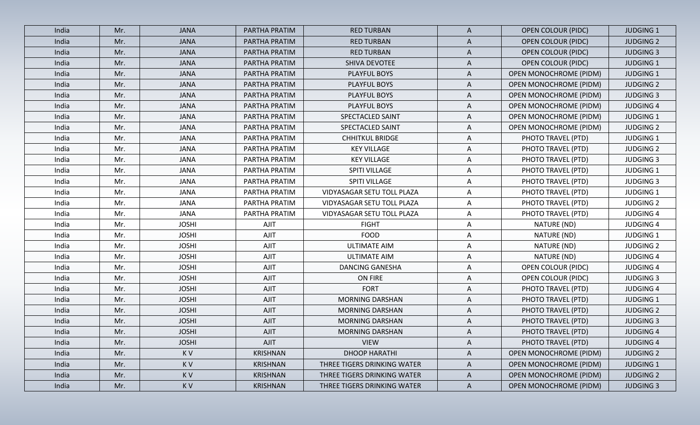| India | Mr. | <b>JANA</b>  | PARTHA PRATIM   | <b>RED TURBAN</b>           | $\mathsf{A}$ | <b>OPEN COLOUR (PIDC)</b>     | <b>JUDGING 1</b> |
|-------|-----|--------------|-----------------|-----------------------------|--------------|-------------------------------|------------------|
| India | Mr. | <b>JANA</b>  | PARTHA PRATIM   | <b>RED TURBAN</b>           | $\mathsf{A}$ | <b>OPEN COLOUR (PIDC)</b>     | <b>JUDGING 2</b> |
| India | Mr. | <b>JANA</b>  | PARTHA PRATIM   | <b>RED TURBAN</b>           | $\mathsf{A}$ | <b>OPEN COLOUR (PIDC)</b>     | <b>JUDGING 3</b> |
| India | Mr. | <b>JANA</b>  | PARTHA PRATIM   | SHIVA DEVOTEE               | A            | <b>OPEN COLOUR (PIDC)</b>     | <b>JUDGING 1</b> |
| India | Mr. | <b>JANA</b>  | PARTHA PRATIM   | PLAYFUL BOYS                | $\mathsf{A}$ | <b>OPEN MONOCHROME (PIDM)</b> | <b>JUDGING 1</b> |
| India | Mr. | <b>JANA</b>  | PARTHA PRATIM   | PLAYFUL BOYS                | A            | <b>OPEN MONOCHROME (PIDM)</b> | <b>JUDGING 2</b> |
| India | Mr. | <b>JANA</b>  | PARTHA PRATIM   | PLAYFUL BOYS                | A            | OPEN MONOCHROME (PIDM)        | <b>JUDGING 3</b> |
| India | Mr. | <b>JANA</b>  | PARTHA PRATIM   | PLAYFUL BOYS                | A            | <b>OPEN MONOCHROME (PIDM)</b> | <b>JUDGING 4</b> |
| India | Mr. | <b>JANA</b>  | PARTHA PRATIM   | SPECTACLED SAINT            | A            | <b>OPEN MONOCHROME (PIDM)</b> | <b>JUDGING 1</b> |
| India | Mr. | <b>JANA</b>  | PARTHA PRATIM   | SPECTACLED SAINT            | A            | OPEN MONOCHROME (PIDM)        | <b>JUDGING 2</b> |
| India | Mr. | <b>JANA</b>  | PARTHA PRATIM   | <b>CHHITKUL BRIDGE</b>      | $\mathsf{A}$ | PHOTO TRAVEL (PTD)            | <b>JUDGING 1</b> |
| India | Mr. | <b>JANA</b>  | PARTHA PRATIM   | <b>KEY VILLAGE</b>          | $\mathsf{A}$ | PHOTO TRAVEL (PTD)            | <b>JUDGING 2</b> |
| India | Mr. | <b>JANA</b>  | PARTHA PRATIM   | <b>KEY VILLAGE</b>          | A            | PHOTO TRAVEL (PTD)            | <b>JUDGING 3</b> |
| India | Mr. | <b>JANA</b>  | PARTHA PRATIM   | SPITI VILLAGE               | $\mathsf{A}$ | PHOTO TRAVEL (PTD)            | <b>JUDGING 1</b> |
| India | Mr. | <b>JANA</b>  | PARTHA PRATIM   | SPITI VILLAGE               | $\mathsf{A}$ | PHOTO TRAVEL (PTD)            | <b>JUDGING 3</b> |
| India | Mr. | <b>JANA</b>  | PARTHA PRATIM   | VIDYASAGAR SETU TOLL PLAZA  | $\mathsf{A}$ | PHOTO TRAVEL (PTD)            | <b>JUDGING 1</b> |
| India | Mr. | <b>JANA</b>  | PARTHA PRATIM   | VIDYASAGAR SETU TOLL PLAZA  | $\mathsf{A}$ | PHOTO TRAVEL (PTD)            | <b>JUDGING 2</b> |
| India | Mr. | <b>JANA</b>  | PARTHA PRATIM   | VIDYASAGAR SETU TOLL PLAZA  | $\mathsf{A}$ | PHOTO TRAVEL (PTD)            | <b>JUDGING 4</b> |
| India | Mr. | <b>JOSHI</b> | AJIT            | <b>FIGHT</b>                | $\mathsf{A}$ | NATURE (ND)                   | <b>JUDGING 4</b> |
| India | Mr. | <b>JOSHI</b> | AJIT            | <b>FOOD</b>                 | A            | NATURE (ND)                   | <b>JUDGING 1</b> |
| India | Mr. | <b>JOSHI</b> | AJIT            | <b>ULTIMATE AIM</b>         | $\mathsf{A}$ | NATURE (ND)                   | <b>JUDGING 2</b> |
| India | Mr. | <b>JOSHI</b> | AJIT            | <b>ULTIMATE AIM</b>         | A            | NATURE (ND)                   | <b>JUDGING 4</b> |
| India | Mr. | <b>JOSHI</b> | AJIT            | <b>DANCING GANESHA</b>      | $\mathsf{A}$ | <b>OPEN COLOUR (PIDC)</b>     | <b>JUDGING 4</b> |
| India | Mr. | <b>JOSHI</b> | AJIT            | ON FIRE                     | $\mathsf{A}$ | <b>OPEN COLOUR (PIDC)</b>     | <b>JUDGING 3</b> |
| India | Mr. | <b>JOSHI</b> | AJIT            | <b>FORT</b>                 | $\mathsf{A}$ | PHOTO TRAVEL (PTD)            | <b>JUDGING 4</b> |
| India | Mr. | <b>JOSHI</b> | AJIT            | <b>MORNING DARSHAN</b>      | A            | PHOTO TRAVEL (PTD)            | <b>JUDGING 1</b> |
| India | Mr. | <b>JOSHI</b> | AJIT            | <b>MORNING DARSHAN</b>      | A            | PHOTO TRAVEL (PTD)            | <b>JUDGING 2</b> |
| India | Mr. | <b>JOSHI</b> | AJIT            | <b>MORNING DARSHAN</b>      | $\mathsf{A}$ | PHOTO TRAVEL (PTD)            | <b>JUDGING 3</b> |
| India | Mr. | <b>JOSHI</b> | AJIT            | <b>MORNING DARSHAN</b>      | A            | PHOTO TRAVEL (PTD)            | <b>JUDGING 4</b> |
| India | Mr. | <b>JOSHI</b> | AJIT            | <b>VIEW</b>                 | $\mathsf{A}$ | PHOTO TRAVEL (PTD)            | <b>JUDGING 4</b> |
| India | Mr. | KV           | <b>KRISHNAN</b> | <b>DHOOP HARATHI</b>        | $\mathsf{A}$ | <b>OPEN MONOCHROME (PIDM)</b> | <b>JUDGING 2</b> |
| India | Mr. | KV           | <b>KRISHNAN</b> | THREE TIGERS DRINKING WATER | A            | OPEN MONOCHROME (PIDM)        | <b>JUDGING 1</b> |
| India | Mr. | KV           | <b>KRISHNAN</b> | THREE TIGERS DRINKING WATER | $\mathsf{A}$ | <b>OPEN MONOCHROME (PIDM)</b> | <b>JUDGING 2</b> |
| India | Mr. | K V          | <b>KRISHNAN</b> | THREE TIGERS DRINKING WATER | $\mathsf{A}$ | OPEN MONOCHROME (PIDM)        | <b>JUDGING 3</b> |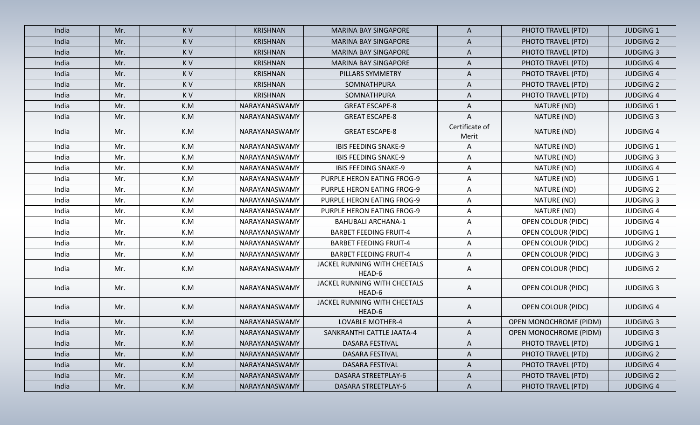| India | Mr. | KV  | <b>KRISHNAN</b> | <b>MARINA BAY SINGAPORE</b>            | A                       | PHOTO TRAVEL (PTD)            | <b>JUDGING 1</b> |
|-------|-----|-----|-----------------|----------------------------------------|-------------------------|-------------------------------|------------------|
| India | Mr. | KV  | <b>KRISHNAN</b> | <b>MARINA BAY SINGAPORE</b>            | A                       | PHOTO TRAVEL (PTD)            | <b>JUDGING 2</b> |
| India | Mr. | KV  | <b>KRISHNAN</b> | <b>MARINA BAY SINGAPORE</b>            | A                       | PHOTO TRAVEL (PTD)            | <b>JUDGING 3</b> |
| India | Mr. | KV  | <b>KRISHNAN</b> | <b>MARINA BAY SINGAPORE</b>            | A                       | PHOTO TRAVEL (PTD)            | <b>JUDGING 4</b> |
| India | Mr. | K V | <b>KRISHNAN</b> | PILLARS SYMMETRY                       | A                       | PHOTO TRAVEL (PTD)            | <b>JUDGING 4</b> |
| India | Mr. | KV  | <b>KRISHNAN</b> | SOMNATHPURA                            | A                       | PHOTO TRAVEL (PTD)            | <b>JUDGING 2</b> |
| India | Mr. | K V | <b>KRISHNAN</b> | SOMNATHPURA                            | A                       | PHOTO TRAVEL (PTD)            | <b>JUDGING 4</b> |
| India | Mr. | K.M | NARAYANASWAMY   | <b>GREAT ESCAPE-8</b>                  | A                       | NATURE (ND)                   | <b>JUDGING 1</b> |
| India | Mr. | K.M | NARAYANASWAMY   | <b>GREAT ESCAPE-8</b>                  | A                       | NATURE (ND)                   | <b>JUDGING 3</b> |
| India | Mr. | K.M | NARAYANASWAMY   | <b>GREAT ESCAPE-8</b>                  | Certificate of<br>Merit | NATURE (ND)                   | <b>JUDGING 4</b> |
| India | Mr. | K.M | NARAYANASWAMY   | <b>IBIS FEEDING SNAKE-9</b>            | Α                       | NATURE (ND)                   | <b>JUDGING 1</b> |
| India | Mr. | K.M | NARAYANASWAMY   | <b>IBIS FEEDING SNAKE-9</b>            | A                       | NATURE (ND)                   | <b>JUDGING 3</b> |
| India | Mr. | K.M | NARAYANASWAMY   | <b>IBIS FEEDING SNAKE-9</b>            | A                       | NATURE (ND)                   | <b>JUDGING 4</b> |
| India | Mr. | K.M | NARAYANASWAMY   | PURPLE HERON EATING FROG-9             | Α                       | NATURE (ND)                   | <b>JUDGING 1</b> |
| India | Mr. | K.M | NARAYANASWAMY   | PURPLE HERON EATING FROG-9             | Α                       | NATURE (ND)                   | <b>JUDGING 2</b> |
| India | Mr. | K.M | NARAYANASWAMY   | PURPLE HERON EATING FROG-9             | A                       | NATURE (ND)                   | <b>JUDGING 3</b> |
| India | Mr. | K.M | NARAYANASWAMY   | PURPLE HERON EATING FROG-9             | A                       | NATURE (ND)                   | <b>JUDGING 4</b> |
| India | Mr. | K.M | NARAYANASWAMY   | <b>BAHUBALI ARCHANA-1</b>              | A                       | OPEN COLOUR (PIDC)            | <b>JUDGING 4</b> |
| India | Mr. | K.M | NARAYANASWAMY   | <b>BARBET FEEDING FRUIT-4</b>          | A                       | OPEN COLOUR (PIDC)            | <b>JUDGING 1</b> |
| India | Mr. | K.M | NARAYANASWAMY   | <b>BARBET FEEDING FRUIT-4</b>          | A                       | OPEN COLOUR (PIDC)            | <b>JUDGING 2</b> |
| India | Mr. | K.M | NARAYANASWAMY   | <b>BARBET FEEDING FRUIT-4</b>          | A                       | <b>OPEN COLOUR (PIDC)</b>     | <b>JUDGING 3</b> |
| India | Mr. | K.M | NARAYANASWAMY   | JACKEL RUNNING WITH CHEETALS<br>HEAD-6 | A                       | <b>OPEN COLOUR (PIDC)</b>     | <b>JUDGING 2</b> |
| India | Mr. | K.M | NARAYANASWAMY   | JACKEL RUNNING WITH CHEETALS<br>HEAD-6 | Α                       | <b>OPEN COLOUR (PIDC)</b>     | <b>JUDGING 3</b> |
| India | Mr. | K.M | NARAYANASWAMY   | JACKEL RUNNING WITH CHEETALS<br>HEAD-6 | A                       | <b>OPEN COLOUR (PIDC)</b>     | <b>JUDGING 4</b> |
| India | Mr. | K.M | NARAYANASWAMY   | LOVABLE MOTHER-4                       | A                       | <b>OPEN MONOCHROME (PIDM)</b> | <b>JUDGING 3</b> |
| India | Mr. | K.M | NARAYANASWAMY   | SANKRANTHI CATTLE JAATA-4              | A                       | <b>OPEN MONOCHROME (PIDM)</b> | <b>JUDGING 3</b> |
| India | Mr. | K.M | NARAYANASWAMY   | DASARA FESTIVAL                        | A                       | PHOTO TRAVEL (PTD)            | <b>JUDGING 1</b> |
| India | Mr. | K.M | NARAYANASWAMY   | DASARA FESTIVAL                        | A                       | PHOTO TRAVEL (PTD)            | <b>JUDGING 2</b> |
| India | Mr. | K.M | NARAYANASWAMY   | DASARA FESTIVAL                        | A                       | PHOTO TRAVEL (PTD)            | <b>JUDGING 4</b> |
| India | Mr. | K.M | NARAYANASWAMY   | DASARA STREETPLAY-6                    | A                       | PHOTO TRAVEL (PTD)            | <b>JUDGING 2</b> |
| India | Mr. | K.M | NARAYANASWAMY   | DASARA STREETPLAY-6                    | $\mathsf{A}$            | PHOTO TRAVEL (PTD)            | <b>JUDGING 4</b> |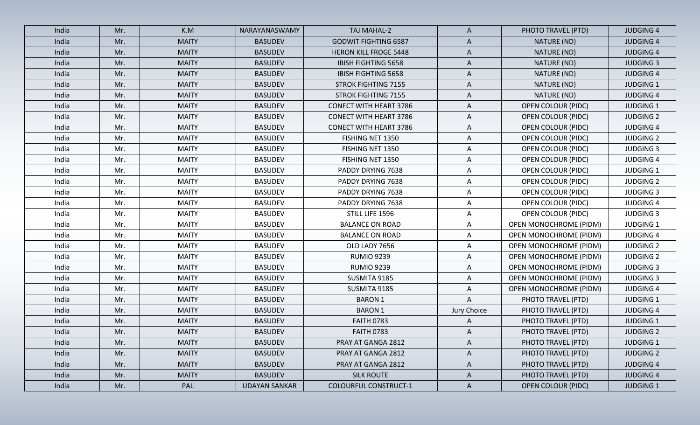| India | Mr. | K.M          | NARAYANASWAMY        | TAJ MAHAL-2                   | $\mathsf{A}$ | PHOTO TRAVEL (PTD)            | <b>JUDGING 4</b> |
|-------|-----|--------------|----------------------|-------------------------------|--------------|-------------------------------|------------------|
| India | Mr. | <b>MAITY</b> | <b>BASUDEV</b>       | <b>GODWIT FIGHTING 6587</b>   | A            | NATURE (ND)                   | <b>JUDGING 4</b> |
| India | Mr. | <b>MAITY</b> | <b>BASUDEV</b>       | <b>HERON KILL FROGE 5448</b>  | $\mathsf{A}$ | NATURE (ND)                   | <b>JUDGING 4</b> |
| India | Mr. | <b>MAITY</b> | <b>BASUDEV</b>       | <b>IBISH FIGHTING 5658</b>    | A            | NATURE (ND)                   | <b>JUDGING 3</b> |
| India | Mr. | <b>MAITY</b> | <b>BASUDEV</b>       | <b>IBISH FIGHTING 5658</b>    | $\mathsf{A}$ | NATURE (ND)                   | <b>JUDGING 4</b> |
| India | Mr. | <b>MAITY</b> | <b>BASUDEV</b>       | <b>STROK FIGHTING 7155</b>    | A            | NATURE (ND)                   | <b>JUDGING 1</b> |
| India | Mr. | <b>MAITY</b> | <b>BASUDEV</b>       | <b>STROK FIGHTING 7155</b>    | A            | NATURE (ND)                   | <b>JUDGING 4</b> |
| India | Mr. | <b>MAITY</b> | <b>BASUDEV</b>       | <b>CONECT WITH HEART 3786</b> | A            | <b>OPEN COLOUR (PIDC)</b>     | <b>JUDGING 1</b> |
| India | Mr. | <b>MAITY</b> | <b>BASUDEV</b>       | <b>CONECT WITH HEART 3786</b> | $\mathsf{A}$ | <b>OPEN COLOUR (PIDC)</b>     | <b>JUDGING 2</b> |
| India | Mr. | <b>MAITY</b> | <b>BASUDEV</b>       | <b>CONECT WITH HEART 3786</b> | A            | <b>OPEN COLOUR (PIDC)</b>     | <b>JUDGING 4</b> |
| India | Mr. | <b>MAITY</b> | <b>BASUDEV</b>       | FISHING NET 1350              | $\mathsf{A}$ | <b>OPEN COLOUR (PIDC)</b>     | <b>JUDGING 2</b> |
| India | Mr. | <b>MAITY</b> | <b>BASUDEV</b>       | FISHING NET 1350              | $\mathsf{A}$ | <b>OPEN COLOUR (PIDC)</b>     | <b>JUDGING 3</b> |
| India | Mr. | <b>MAITY</b> | <b>BASUDEV</b>       | FISHING NET 1350              | A            | <b>OPEN COLOUR (PIDC)</b>     | <b>JUDGING 4</b> |
| India | Mr. | <b>MAITY</b> | <b>BASUDEV</b>       | PADDY DRYING 7638             | $\mathsf{A}$ | <b>OPEN COLOUR (PIDC)</b>     | <b>JUDGING 1</b> |
| India | Mr. | <b>MAITY</b> | <b>BASUDEV</b>       | PADDY DRYING 7638             | $\mathsf{A}$ | <b>OPEN COLOUR (PIDC)</b>     | <b>JUDGING 2</b> |
| India | Mr. | <b>MAITY</b> | <b>BASUDEV</b>       | PADDY DRYING 7638             | $\mathsf{A}$ | <b>OPEN COLOUR (PIDC)</b>     | <b>JUDGING 3</b> |
| India | Mr. | <b>MAITY</b> | <b>BASUDEV</b>       | PADDY DRYING 7638             | $\mathsf{A}$ | <b>OPEN COLOUR (PIDC)</b>     | <b>JUDGING 4</b> |
| India | Mr. | <b>MAITY</b> | <b>BASUDEV</b>       | STILL LIFE 1596               | $\mathsf{A}$ | <b>OPEN COLOUR (PIDC)</b>     | <b>JUDGING 3</b> |
| India | Mr. | <b>MAITY</b> | <b>BASUDEV</b>       | <b>BALANCE ON ROAD</b>        | A            | <b>OPEN MONOCHROME (PIDM)</b> | <b>JUDGING 1</b> |
| India | Mr. | <b>MAITY</b> | <b>BASUDEV</b>       | <b>BALANCE ON ROAD</b>        | A            | <b>OPEN MONOCHROME (PIDM)</b> | <b>JUDGING 4</b> |
| India | Mr. | <b>MAITY</b> | <b>BASUDEV</b>       | OLD LADY 7656                 | $\mathsf{A}$ | <b>OPEN MONOCHROME (PIDM)</b> | <b>JUDGING 2</b> |
| India | Mr. | <b>MAITY</b> | <b>BASUDEV</b>       | <b>RUMIO 9239</b>             | A            | <b>OPEN MONOCHROME (PIDM)</b> | <b>JUDGING 2</b> |
| India | Mr. | <b>MAITY</b> | <b>BASUDEV</b>       | <b>RUMIO 9239</b>             | A            | <b>OPEN MONOCHROME (PIDM)</b> | <b>JUDGING 3</b> |
| India | Mr. | <b>MAITY</b> | <b>BASUDEV</b>       | SUSMITA 9185                  | A            | OPEN MONOCHROME (PIDM)        | <b>JUDGING 3</b> |
| India | Mr. | <b>MAITY</b> | <b>BASUDEV</b>       | SUSMITA 9185                  | A            | <b>OPEN MONOCHROME (PIDM)</b> | <b>JUDGING 4</b> |
| India | Mr. | <b>MAITY</b> | <b>BASUDEV</b>       | <b>BARON 1</b>                | A            | PHOTO TRAVEL (PTD)            | <b>JUDGING 1</b> |
| India | Mr. | <b>MAITY</b> | <b>BASUDEV</b>       | <b>BARON 1</b>                | Jury Choice  | PHOTO TRAVEL (PTD)            | <b>JUDGING 4</b> |
| India | Mr. | <b>MAITY</b> | <b>BASUDEV</b>       | <b>FAITH 0783</b>             | $\mathsf{A}$ | PHOTO TRAVEL (PTD)            | <b>JUDGING 1</b> |
| India | Mr. | <b>MAITY</b> | <b>BASUDEV</b>       | <b>FAITH 0783</b>             | A            | PHOTO TRAVEL (PTD)            | <b>JUDGING 2</b> |
| India | Mr. | <b>MAITY</b> | <b>BASUDEV</b>       | PRAY AT GANGA 2812            | A            | PHOTO TRAVEL (PTD)            | <b>JUDGING 1</b> |
| India | Mr. | <b>MAITY</b> | <b>BASUDEV</b>       | PRAY AT GANGA 2812            | A            | PHOTO TRAVEL (PTD)            | <b>JUDGING 2</b> |
| India | Mr. | <b>MAITY</b> | <b>BASUDEV</b>       | PRAY AT GANGA 2812            | $\mathsf{A}$ | PHOTO TRAVEL (PTD)            | <b>JUDGING 4</b> |
| India | Mr. | <b>MAITY</b> | <b>BASUDEV</b>       | <b>SILK ROUTE</b>             | $\mathsf{A}$ | PHOTO TRAVEL (PTD)            | <b>JUDGING 4</b> |
| India | Mr. | PAL          | <b>UDAYAN SANKAR</b> | <b>COLOURFUL CONSTRUCT-1</b>  | $\mathsf{A}$ | <b>OPEN COLOUR (PIDC)</b>     | <b>JUDGING 1</b> |
|       |     |              |                      |                               |              |                               |                  |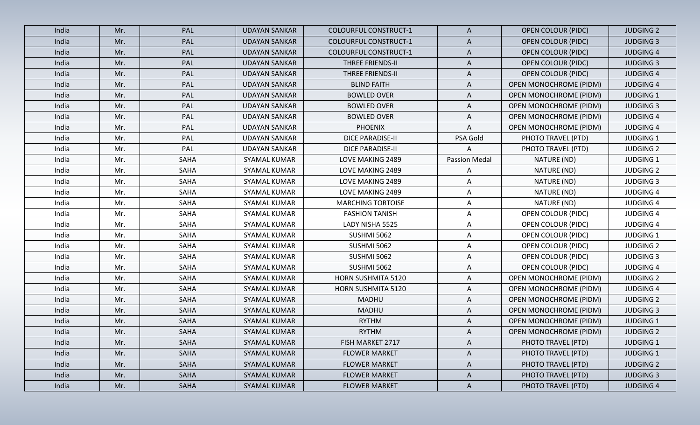| India | Mr. | PAL         | <b>UDAYAN SANKAR</b> | <b>COLOURFUL CONSTRUCT-1</b> | $\mathsf{A}$         | <b>OPEN COLOUR (PIDC)</b>     | <b>JUDGING 2</b> |
|-------|-----|-------------|----------------------|------------------------------|----------------------|-------------------------------|------------------|
| India | Mr. | PAL         | <b>UDAYAN SANKAR</b> | <b>COLOURFUL CONSTRUCT-1</b> | A                    | <b>OPEN COLOUR (PIDC)</b>     | <b>JUDGING 3</b> |
| India | Mr. | PAL         | <b>UDAYAN SANKAR</b> | <b>COLOURFUL CONSTRUCT-1</b> | A                    | <b>OPEN COLOUR (PIDC)</b>     | <b>JUDGING 4</b> |
| India | Mr. | PAL         | <b>UDAYAN SANKAR</b> | <b>THREE FRIENDS-II</b>      | $\mathsf{A}$         | <b>OPEN COLOUR (PIDC)</b>     | <b>JUDGING 3</b> |
| India | Mr. | PAL         | <b>UDAYAN SANKAR</b> | <b>THREE FRIENDS-II</b>      | A                    | <b>OPEN COLOUR (PIDC)</b>     | <b>JUDGING 4</b> |
| India | Mr. | PAL         | <b>UDAYAN SANKAR</b> | <b>BLIND FAITH</b>           | A                    | <b>OPEN MONOCHROME (PIDM)</b> | <b>JUDGING 4</b> |
| India | Mr. | PAL         | <b>UDAYAN SANKAR</b> | <b>BOWLED OVER</b>           | A                    | <b>OPEN MONOCHROME (PIDM)</b> | <b>JUDGING 1</b> |
| India | Mr. | PAL         | <b>UDAYAN SANKAR</b> | <b>BOWLED OVER</b>           | A                    | <b>OPEN MONOCHROME (PIDM)</b> | <b>JUDGING 3</b> |
| India | Mr. | PAL         | <b>UDAYAN SANKAR</b> | <b>BOWLED OVER</b>           | A                    | OPEN MONOCHROME (PIDM)        | <b>JUDGING 4</b> |
| India | Mr. | PAL         | <b>UDAYAN SANKAR</b> | <b>PHOENIX</b>               | Α                    | <b>OPEN MONOCHROME (PIDM)</b> | <b>JUDGING 4</b> |
| India | Mr. | PAL         | <b>UDAYAN SANKAR</b> | <b>DICE PARADISE-II</b>      | PSA Gold             | PHOTO TRAVEL (PTD)            | <b>JUDGING 1</b> |
| India | Mr. | PAL         | <b>UDAYAN SANKAR</b> | <b>DICE PARADISE-II</b>      | A                    | PHOTO TRAVEL (PTD)            | <b>JUDGING 2</b> |
| India | Mr. | SAHA        | SYAMAL KUMAR         | LOVE MAKING 2489             | <b>Passion Medal</b> | NATURE (ND)                   | <b>JUDGING 1</b> |
| India | Mr. | SAHA        | SYAMAL KUMAR         | LOVE MAKING 2489             | A                    | NATURE (ND)                   | <b>JUDGING 2</b> |
| India | Mr. | SAHA        | SYAMAL KUMAR         | LOVE MAKING 2489             | Α                    | NATURE (ND)                   | <b>JUDGING 3</b> |
| India | Mr. | SAHA        | SYAMAL KUMAR         | LOVE MAKING 2489             | $\mathsf{A}$         | NATURE (ND)                   | <b>JUDGING 4</b> |
| India | Mr. | SAHA        | SYAMAL KUMAR         | <b>MARCHING TORTOISE</b>     | A                    | NATURE (ND)                   | <b>JUDGING 4</b> |
| India | Mr. | SAHA        | SYAMAL KUMAR         | <b>FASHION TANISH</b>        | $\mathsf{A}$         | <b>OPEN COLOUR (PIDC)</b>     | <b>JUDGING 4</b> |
| India | Mr. | SAHA        | SYAMAL KUMAR         | LADY NISHA 5525              | A                    | <b>OPEN COLOUR (PIDC)</b>     | <b>JUDGING 4</b> |
| India | Mr. | SAHA        | SYAMAL KUMAR         | <b>SUSHMI 5062</b>           | A                    | OPEN COLOUR (PIDC)            | <b>JUDGING 1</b> |
| India | Mr. | SAHA        | SYAMAL KUMAR         | <b>SUSHMI 5062</b>           | $\mathsf{A}$         | <b>OPEN COLOUR (PIDC)</b>     | <b>JUDGING 2</b> |
| India | Mr. | SAHA        | SYAMAL KUMAR         | <b>SUSHMI 5062</b>           | A                    | <b>OPEN COLOUR (PIDC)</b>     | <b>JUDGING 3</b> |
| India | Mr. | SAHA        | SYAMAL KUMAR         | <b>SUSHMI 5062</b>           | A                    | <b>OPEN COLOUR (PIDC)</b>     | <b>JUDGING 4</b> |
| India | Mr. | SAHA        | SYAMAL KUMAR         | HORN SUSHMITA 5120           | A                    | OPEN MONOCHROME (PIDM)        | <b>JUDGING 2</b> |
| India | Mr. | SAHA        | SYAMAL KUMAR         | HORN SUSHMITA 5120           | A                    | <b>OPEN MONOCHROME (PIDM)</b> | <b>JUDGING 4</b> |
| India | Mr. | SAHA        | SYAMAL KUMAR         | <b>MADHU</b>                 | A                    | <b>OPEN MONOCHROME (PIDM)</b> | <b>JUDGING 2</b> |
| India | Mr. | SAHA        | SYAMAL KUMAR         | <b>MADHU</b>                 | A                    | <b>OPEN MONOCHROME (PIDM)</b> | <b>JUDGING 3</b> |
| India | Mr. | SAHA        | SYAMAL KUMAR         | <b>RYTHM</b>                 | A                    | <b>OPEN MONOCHROME (PIDM)</b> | <b>JUDGING 1</b> |
| India | Mr. | SAHA        | SYAMAL KUMAR         | <b>RYTHM</b>                 | A                    | OPEN MONOCHROME (PIDM)        | <b>JUDGING 2</b> |
| India | Mr. | SAHA        | SYAMAL KUMAR         | FISH MARKET 2717             | $\mathsf{A}$         | PHOTO TRAVEL (PTD)            | <b>JUDGING 1</b> |
| India | Mr. | <b>SAHA</b> | SYAMAL KUMAR         | <b>FLOWER MARKET</b>         | $\mathsf{A}$         | PHOTO TRAVEL (PTD)            | <b>JUDGING 1</b> |
| India | Mr. | SAHA        | SYAMAL KUMAR         | <b>FLOWER MARKET</b>         | $\mathsf{A}$         | PHOTO TRAVEL (PTD)            | <b>JUDGING 2</b> |
| India | Mr. | SAHA        | <b>SYAMAL KUMAR</b>  | <b>FLOWER MARKET</b>         | $\mathsf{A}$         | PHOTO TRAVEL (PTD)            | <b>JUDGING 3</b> |
| India | Mr. | SAHA        | SYAMAL KUMAR         | <b>FLOWER MARKET</b>         | $\mathsf{A}$         | PHOTO TRAVEL (PTD)            | <b>JUDGING 4</b> |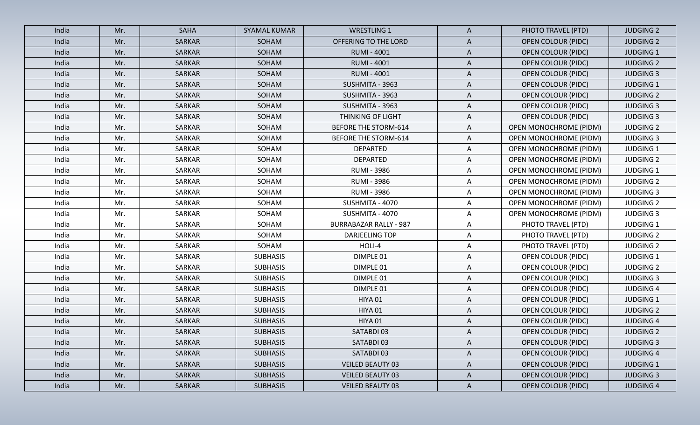| India | Mr. | <b>SAHA</b> | <b>SYAMAL KUMAR</b> | <b>WRESTLING 1</b>            | $\mathsf{A}$ | PHOTO TRAVEL (PTD)            | <b>JUDGING 2</b> |
|-------|-----|-------------|---------------------|-------------------------------|--------------|-------------------------------|------------------|
| India | Mr. | SARKAR      | SOHAM               | OFFERING TO THE LORD          | A            | <b>OPEN COLOUR (PIDC)</b>     | <b>JUDGING 2</b> |
| India | Mr. | SARKAR      | SOHAM               | <b>RUMI - 4001</b>            | $\mathsf{A}$ | <b>OPEN COLOUR (PIDC)</b>     | <b>JUDGING 1</b> |
| India | Mr. | SARKAR      | SOHAM               | <b>RUMI - 4001</b>            | $\mathsf{A}$ | <b>OPEN COLOUR (PIDC)</b>     | <b>JUDGING 2</b> |
| India | Mr. | SARKAR      | SOHAM               | <b>RUMI - 4001</b>            | $\mathsf{A}$ | <b>OPEN COLOUR (PIDC)</b>     | <b>JUDGING 3</b> |
| India | Mr. | SARKAR      | SOHAM               | SUSHMITA - 3963               | A            | <b>OPEN COLOUR (PIDC)</b>     | <b>JUDGING 1</b> |
| India | Mr. | SARKAR      | SOHAM               | SUSHMITA - 3963               | A            | <b>OPEN COLOUR (PIDC)</b>     | <b>JUDGING 2</b> |
| India | Mr. | SARKAR      | SOHAM               | SUSHMITA - 3963               | A            | <b>OPEN COLOUR (PIDC)</b>     | <b>JUDGING 3</b> |
| India | Mr. | SARKAR      | SOHAM               | THINKING OF LIGHT             | A            | <b>OPEN COLOUR (PIDC)</b>     | <b>JUDGING 3</b> |
| India | Mr. | SARKAR      | SOHAM               | <b>BEFORE THE STORM-614</b>   | A            | <b>OPEN MONOCHROME (PIDM)</b> | <b>JUDGING 2</b> |
| India | Mr. | SARKAR      | SOHAM               | <b>BEFORE THE STORM-614</b>   | $\mathsf{A}$ | OPEN MONOCHROME (PIDM)        | <b>JUDGING 3</b> |
| India | Mr. | SARKAR      | SOHAM               | <b>DEPARTED</b>               | A            | OPEN MONOCHROME (PIDM)        | <b>JUDGING 1</b> |
| India | Mr. | SARKAR      | SOHAM               | <b>DEPARTED</b>               | A            | OPEN MONOCHROME (PIDM)        | <b>JUDGING 2</b> |
| India | Mr. | SARKAR      | SOHAM               | <b>RUMI - 3986</b>            | A            | OPEN MONOCHROME (PIDM)        | <b>JUDGING 1</b> |
| India | Mr. | SARKAR      | SOHAM               | <b>RUMI - 3986</b>            | A            | <b>OPEN MONOCHROME (PIDM)</b> | <b>JUDGING 2</b> |
| India | Mr. | SARKAR      | SOHAM               | <b>RUMI - 3986</b>            | $\mathsf{A}$ | OPEN MONOCHROME (PIDM)        | <b>JUDGING 3</b> |
| India | Mr. | SARKAR      | SOHAM               | SUSHMITA - 4070               | A            | OPEN MONOCHROME (PIDM)        | <b>JUDGING 2</b> |
| India | Mr. | SARKAR      | SOHAM               | SUSHMITA - 4070               | $\mathsf{A}$ | OPEN MONOCHROME (PIDM)        | <b>JUDGING 3</b> |
| India | Mr. | SARKAR      | SOHAM               | <b>BURRABAZAR RALLY - 987</b> | $\mathsf{A}$ | PHOTO TRAVEL (PTD)            | <b>JUDGING 1</b> |
| India | Mr. | SARKAR      | SOHAM               | DARJEELING TOP                | A            | PHOTO TRAVEL (PTD)            | <b>JUDGING 2</b> |
| India | Mr. | SARKAR      | SOHAM               | HOLI-4                        | $\mathsf{A}$ | PHOTO TRAVEL (PTD)            | <b>JUDGING 2</b> |
| India | Mr. | SARKAR      | <b>SUBHASIS</b>     | DIMPLE 01                     | $\mathsf{A}$ | <b>OPEN COLOUR (PIDC)</b>     | <b>JUDGING 1</b> |
| India | Mr. | SARKAR      | <b>SUBHASIS</b>     | DIMPLE 01                     | $\mathsf{A}$ | <b>OPEN COLOUR (PIDC)</b>     | <b>JUDGING 2</b> |
| India | Mr. | SARKAR      | <b>SUBHASIS</b>     | DIMPLE 01                     | A            | <b>OPEN COLOUR (PIDC)</b>     | <b>JUDGING 3</b> |
| India | Mr. | SARKAR      | <b>SUBHASIS</b>     | DIMPLE 01                     | $\mathsf{A}$ | <b>OPEN COLOUR (PIDC)</b>     | <b>JUDGING 4</b> |
| India | Mr. | SARKAR      | <b>SUBHASIS</b>     | HIYA 01                       | A            | <b>OPEN COLOUR (PIDC)</b>     | <b>JUDGING 1</b> |
| India | Mr. | SARKAR      | <b>SUBHASIS</b>     | HIYA 01                       | A            | <b>OPEN COLOUR (PIDC)</b>     | <b>JUDGING 2</b> |
| India | Mr. | SARKAR      | <b>SUBHASIS</b>     | HIYA 01                       | $\mathsf{A}$ | <b>OPEN COLOUR (PIDC)</b>     | <b>JUDGING 4</b> |
| India | Mr. | SARKAR      | <b>SUBHASIS</b>     | SATABDI 03                    | A            | <b>OPEN COLOUR (PIDC)</b>     | <b>JUDGING 2</b> |
| India | Mr. | SARKAR      | <b>SUBHASIS</b>     | SATABDI 03                    | $\mathsf{A}$ | <b>OPEN COLOUR (PIDC)</b>     | <b>JUDGING 3</b> |
| India | Mr. | SARKAR      | <b>SUBHASIS</b>     | SATABDI 03                    | $\mathsf{A}$ | <b>OPEN COLOUR (PIDC)</b>     | <b>JUDGING 4</b> |
| India | Mr. | SARKAR      | <b>SUBHASIS</b>     | <b>VEILED BEAUTY 03</b>       | A            | <b>OPEN COLOUR (PIDC)</b>     | <b>JUDGING 1</b> |
| India | Mr. | SARKAR      | <b>SUBHASIS</b>     | <b>VEILED BEAUTY 03</b>       | $\mathsf{A}$ | <b>OPEN COLOUR (PIDC)</b>     | <b>JUDGING 3</b> |
| India | Mr. | SARKAR      | <b>SUBHASIS</b>     | <b>VEILED BEAUTY 03</b>       | $\mathsf{A}$ | <b>OPEN COLOUR (PIDC)</b>     | <b>JUDGING 4</b> |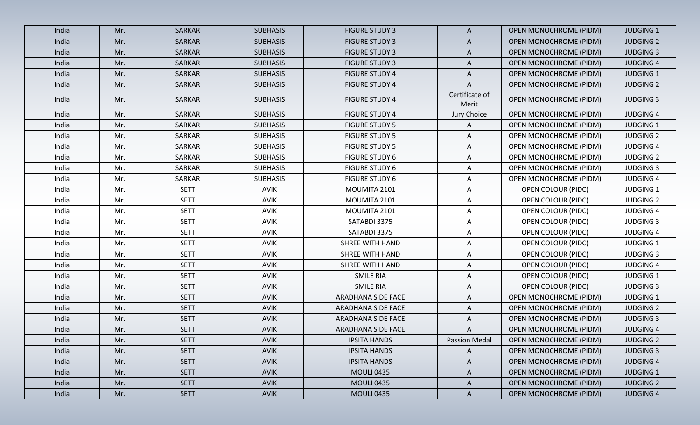| India | Mr. | SARKAR      | <b>SUBHASIS</b> | <b>FIGURE STUDY 3</b>  | $\mathsf{A}$            | OPEN MONOCHROME (PIDM)        | <b>JUDGING 1</b> |
|-------|-----|-------------|-----------------|------------------------|-------------------------|-------------------------------|------------------|
| India | Mr. | SARKAR      | <b>SUBHASIS</b> | <b>FIGURE STUDY 3</b>  | A                       | <b>OPEN MONOCHROME (PIDM)</b> | <b>JUDGING 2</b> |
| India | Mr. | SARKAR      | <b>SUBHASIS</b> | <b>FIGURE STUDY 3</b>  | $\mathsf{A}$            | OPEN MONOCHROME (PIDM)        | <b>JUDGING 3</b> |
| India | Mr. | SARKAR      | <b>SUBHASIS</b> | <b>FIGURE STUDY 3</b>  | A                       | <b>OPEN MONOCHROME (PIDM)</b> | <b>JUDGING 4</b> |
| India | Mr. | SARKAR      | <b>SUBHASIS</b> | <b>FIGURE STUDY 4</b>  | $\mathsf{A}$            | <b>OPEN MONOCHROME (PIDM)</b> | <b>JUDGING 1</b> |
| India | Mr. | SARKAR      | <b>SUBHASIS</b> | <b>FIGURE STUDY 4</b>  | A                       | <b>OPEN MONOCHROME (PIDM)</b> | <b>JUDGING 2</b> |
| India | Mr. | SARKAR      | <b>SUBHASIS</b> | <b>FIGURE STUDY 4</b>  | Certificate of<br>Merit | OPEN MONOCHROME (PIDM)        | <b>JUDGING 3</b> |
| India | Mr. | SARKAR      | <b>SUBHASIS</b> | <b>FIGURE STUDY 4</b>  | Jury Choice             | <b>OPEN MONOCHROME (PIDM)</b> | <b>JUDGING 4</b> |
| India | Mr. | SARKAR      | <b>SUBHASIS</b> | <b>FIGURE STUDY 5</b>  | A                       | <b>OPEN MONOCHROME (PIDM)</b> | <b>JUDGING 1</b> |
| India | Mr. | SARKAR      | <b>SUBHASIS</b> | <b>FIGURE STUDY 5</b>  | A                       | <b>OPEN MONOCHROME (PIDM)</b> | <b>JUDGING 2</b> |
| India | Mr. | SARKAR      | <b>SUBHASIS</b> | <b>FIGURE STUDY 5</b>  | A                       | <b>OPEN MONOCHROME (PIDM)</b> | <b>JUDGING 4</b> |
| India | Mr. | SARKAR      | <b>SUBHASIS</b> | <b>FIGURE STUDY 6</b>  | A                       | OPEN MONOCHROME (PIDM)        | <b>JUDGING 2</b> |
| India | Mr. | SARKAR      | <b>SUBHASIS</b> | <b>FIGURE STUDY 6</b>  | A                       | OPEN MONOCHROME (PIDM)        | <b>JUDGING 3</b> |
| India | Mr. | SARKAR      | <b>SUBHASIS</b> | <b>FIGURE STUDY 6</b>  | A                       | OPEN MONOCHROME (PIDM)        | <b>JUDGING 4</b> |
| India | Mr. | <b>SETT</b> | <b>AVIK</b>     | MOUMITA 2101           | A                       | <b>OPEN COLOUR (PIDC)</b>     | <b>JUDGING 1</b> |
| India | Mr. | <b>SETT</b> | <b>AVIK</b>     | MOUMITA 2101           | A                       | <b>OPEN COLOUR (PIDC)</b>     | <b>JUDGING 2</b> |
| India | Mr. | <b>SETT</b> | <b>AVIK</b>     | MOUMITA 2101           | A                       | <b>OPEN COLOUR (PIDC)</b>     | <b>JUDGING 4</b> |
| India | Mr. | <b>SETT</b> | <b>AVIK</b>     | SATABDI 3375           | $\mathsf{A}$            | OPEN COLOUR (PIDC)            | <b>JUDGING 3</b> |
| India | Mr. | <b>SETT</b> | <b>AVIK</b>     | SATABDI 3375           | A                       | <b>OPEN COLOUR (PIDC)</b>     | <b>JUDGING 4</b> |
| India | Mr. | <b>SETT</b> | AVIK            | <b>SHREE WITH HAND</b> | A                       | <b>OPEN COLOUR (PIDC)</b>     | <b>JUDGING 1</b> |
| India | Mr. | <b>SETT</b> | <b>AVIK</b>     | <b>SHREE WITH HAND</b> | $\mathsf{A}$            | <b>OPEN COLOUR (PIDC)</b>     | <b>JUDGING 3</b> |
| India | Mr. | <b>SETT</b> | <b>AVIK</b>     | <b>SHREE WITH HAND</b> | A                       | <b>OPEN COLOUR (PIDC)</b>     | <b>JUDGING 4</b> |
| India | Mr. | <b>SETT</b> | <b>AVIK</b>     | SMILE RIA              | A                       | <b>OPEN COLOUR (PIDC)</b>     | <b>JUDGING 1</b> |
| India | Mr. | <b>SETT</b> | <b>AVIK</b>     | SMILE RIA              | A                       | <b>OPEN COLOUR (PIDC)</b>     | <b>JUDGING 3</b> |
| India | Mr. | <b>SETT</b> | <b>AVIK</b>     | ARADHANA SIDE FACE     | A                       | <b>OPEN MONOCHROME (PIDM)</b> | <b>JUDGING 1</b> |
| India | Mr. | <b>SETT</b> | <b>AVIK</b>     | ARADHANA SIDE FACE     | A                       | <b>OPEN MONOCHROME (PIDM)</b> | <b>JUDGING 2</b> |
| India | Mr. | <b>SETT</b> | AVIK            | ARADHANA SIDE FACE     | A                       | <b>OPEN MONOCHROME (PIDM)</b> | <b>JUDGING 3</b> |
| India | Mr. | <b>SETT</b> | <b>AVIK</b>     | ARADHANA SIDE FACE     | A                       | <b>OPEN MONOCHROME (PIDM)</b> | <b>JUDGING 4</b> |
| India | Mr. | <b>SETT</b> | <b>AVIK</b>     | <b>IPSITA HANDS</b>    | <b>Passion Medal</b>    | <b>OPEN MONOCHROME (PIDM)</b> | <b>JUDGING 2</b> |
| India | Mr. | <b>SETT</b> | <b>AVIK</b>     | <b>IPSITA HANDS</b>    | A                       | <b>OPEN MONOCHROME (PIDM)</b> | <b>JUDGING 3</b> |
| India | Mr. | <b>SETT</b> | <b>AVIK</b>     | <b>IPSITA HANDS</b>    | $\mathsf{A}$            | <b>OPEN MONOCHROME (PIDM)</b> | <b>JUDGING 4</b> |
| India | Mr. | <b>SETT</b> | <b>AVIK</b>     | <b>MOULI 0435</b>      | A                       | <b>OPEN MONOCHROME (PIDM)</b> | <b>JUDGING 1</b> |
| India | Mr. | <b>SETT</b> | <b>AVIK</b>     | <b>MOULI 0435</b>      | $\mathsf{A}$            | <b>OPEN MONOCHROME (PIDM)</b> | <b>JUDGING 2</b> |
| India | Mr. | <b>SETT</b> | <b>AVIK</b>     | <b>MOULI 0435</b>      | $\mathsf{A}$            | OPEN MONOCHROME (PIDM)        | <b>JUDGING 4</b> |
|       |     |             |                 |                        |                         |                               |                  |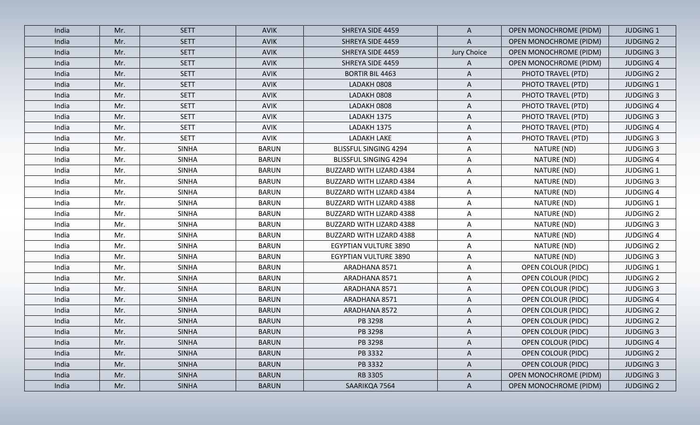| India | Mr. | <b>SETT</b>  | <b>AVIK</b>  | SHREYA SIDE 4459                | A            | <b>OPEN MONOCHROME (PIDM)</b> | <b>JUDGING 1</b> |
|-------|-----|--------------|--------------|---------------------------------|--------------|-------------------------------|------------------|
| India | Mr. | <b>SETT</b>  | <b>AVIK</b>  | SHREYA SIDE 4459                | A            | <b>OPEN MONOCHROME (PIDM)</b> | <b>JUDGING 2</b> |
| India | Mr. | <b>SETT</b>  | AVIK         | SHREYA SIDE 4459                | Jury Choice  | <b>OPEN MONOCHROME (PIDM)</b> | <b>JUDGING 3</b> |
| India | Mr. | <b>SETT</b>  | <b>AVIK</b>  | SHREYA SIDE 4459                | A            | <b>OPEN MONOCHROME (PIDM)</b> | <b>JUDGING 4</b> |
| India | Mr. | <b>SETT</b>  | <b>AVIK</b>  | <b>BORTIR BIL 4463</b>          | A            | PHOTO TRAVEL (PTD)            | <b>JUDGING 2</b> |
| India | Mr. | <b>SETT</b>  | AVIK         | LADAKH 0808                     | A            | PHOTO TRAVEL (PTD)            | <b>JUDGING 1</b> |
| India | Mr. | <b>SETT</b>  | <b>AVIK</b>  | LADAKH 0808                     | A            | PHOTO TRAVEL (PTD)            | <b>JUDGING 3</b> |
| India | Mr. | <b>SETT</b>  | AVIK         | LADAKH 0808                     | A            | PHOTO TRAVEL (PTD)            | <b>JUDGING 4</b> |
| India | Mr. | <b>SETT</b>  | <b>AVIK</b>  | LADAKH 1375                     | A            | PHOTO TRAVEL (PTD)            | <b>JUDGING 3</b> |
| India | Mr. | <b>SETT</b>  | AVIK         | LADAKH 1375                     | A            | PHOTO TRAVEL (PTD)            | <b>JUDGING 4</b> |
| India | Mr. | <b>SETT</b>  | <b>AVIK</b>  | <b>LADAKH LAKE</b>              | A            | PHOTO TRAVEL (PTD)            | <b>JUDGING 3</b> |
| India | Mr. | <b>SINHA</b> | <b>BARUN</b> | <b>BLISSFUL SINGING 4294</b>    | A            | NATURE (ND)                   | <b>JUDGING 3</b> |
| India | Mr. | <b>SINHA</b> | <b>BARUN</b> | <b>BLISSFUL SINGING 4294</b>    | A            | NATURE (ND)                   | <b>JUDGING 4</b> |
| India | Mr. | <b>SINHA</b> | <b>BARUN</b> | <b>BUZZARD WITH LIZARD 4384</b> | A            | NATURE (ND)                   | <b>JUDGING 1</b> |
| India | Mr. | <b>SINHA</b> | <b>BARUN</b> | BUZZARD WITH LIZARD 4384        | A            | NATURE (ND)                   | <b>JUDGING 3</b> |
| India | Mr. | <b>SINHA</b> | <b>BARUN</b> | BUZZARD WITH LIZARD 4384        | A            | NATURE (ND)                   | <b>JUDGING 4</b> |
| India | Mr. | <b>SINHA</b> | <b>BARUN</b> | <b>BUZZARD WITH LIZARD 4388</b> | Α            | NATURE (ND)                   | <b>JUDGING 1</b> |
| India | Mr. | <b>SINHA</b> | <b>BARUN</b> | <b>BUZZARD WITH LIZARD 4388</b> | A            | NATURE (ND)                   | <b>JUDGING 2</b> |
| India | Mr. | <b>SINHA</b> | <b>BARUN</b> | BUZZARD WITH LIZARD 4388        | A            | NATURE (ND)                   | <b>JUDGING 3</b> |
| India | Mr. | <b>SINHA</b> | <b>BARUN</b> | BUZZARD WITH LIZARD 4388        | Α            | NATURE (ND)                   | <b>JUDGING 4</b> |
| India | Mr. | <b>SINHA</b> | <b>BARUN</b> | <b>EGYPTIAN VULTURE 3890</b>    | A            | NATURE (ND)                   | <b>JUDGING 2</b> |
| India | Mr. | <b>SINHA</b> | <b>BARUN</b> | EGYPTIAN VULTURE 3890           | A            | NATURE (ND)                   | <b>JUDGING 3</b> |
| India | Mr. | <b>SINHA</b> | <b>BARUN</b> | ARADHANA 8571                   | A            | OPEN COLOUR (PIDC)            | <b>JUDGING 1</b> |
| India | Mr. | <b>SINHA</b> | <b>BARUN</b> | ARADHANA 8571                   | A            | <b>OPEN COLOUR (PIDC)</b>     | <b>JUDGING 2</b> |
| India | Mr. | <b>SINHA</b> | <b>BARUN</b> | ARADHANA 8571                   | A            | <b>OPEN COLOUR (PIDC)</b>     | <b>JUDGING 3</b> |
| India | Mr. | <b>SINHA</b> | <b>BARUN</b> | ARADHANA 8571                   | A            | <b>OPEN COLOUR (PIDC)</b>     | <b>JUDGING 4</b> |
| India | Mr. | <b>SINHA</b> | <b>BARUN</b> | ARADHANA 8572                   | A            | <b>OPEN COLOUR (PIDC)</b>     | <b>JUDGING 2</b> |
| India | Mr. | <b>SINHA</b> | <b>BARUN</b> | PB 3298                         | A            | <b>OPEN COLOUR (PIDC)</b>     | <b>JUDGING 2</b> |
| India | Mr. | <b>SINHA</b> | <b>BARUN</b> | PB 3298                         | A            | <b>OPEN COLOUR (PIDC)</b>     | <b>JUDGING 3</b> |
| India | Mr. | <b>SINHA</b> | <b>BARUN</b> | PB 3298                         | A            | <b>OPEN COLOUR (PIDC)</b>     | <b>JUDGING 4</b> |
| India | Mr. | <b>SINHA</b> | <b>BARUN</b> | PB 3332                         | $\mathsf{A}$ | <b>OPEN COLOUR (PIDC)</b>     | <b>JUDGING 2</b> |
| India | Mr. | <b>SINHA</b> | <b>BARUN</b> | PB 3332                         | $\mathsf{A}$ | <b>OPEN COLOUR (PIDC)</b>     | <b>JUDGING 3</b> |
| India | Mr. | <b>SINHA</b> | <b>BARUN</b> | RB 3305                         | A            | <b>OPEN MONOCHROME (PIDM)</b> | <b>JUDGING 3</b> |
| India | Mr. | <b>SINHA</b> | <b>BARUN</b> | SAARIKQA 7564                   | $\mathsf{A}$ | <b>OPEN MONOCHROME (PIDM)</b> | <b>JUDGING 2</b> |
|       |     |              |              |                                 |              |                               |                  |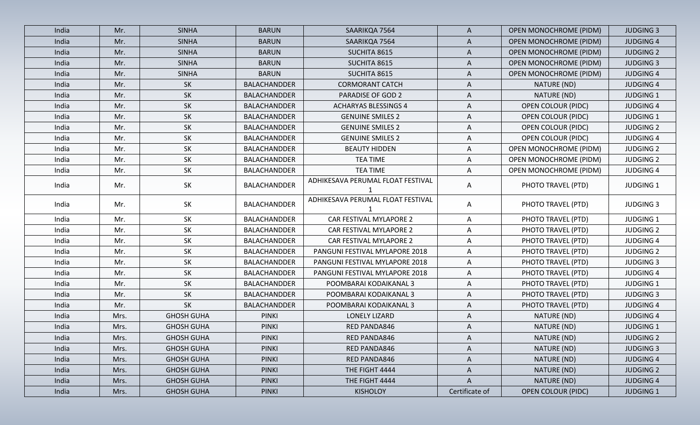| <b>SINHA</b><br><b>BARUN</b><br>India<br>Mr.<br>SAARIKQA 7564<br>$\mathsf{A}$<br><b>OPEN MONOCHROME (PIDM)</b><br><b>SINHA</b><br><b>BARUN</b><br><b>OPEN MONOCHROME (PIDM)</b><br>India<br>Mr.<br>SAARIKQA 7564<br>Α<br><b>SINHA</b><br>India<br>Mr.<br><b>BARUN</b><br>SUCHITA 8615<br><b>OPEN MONOCHROME (PIDM)</b><br>A<br><b>SINHA</b><br><b>BARUN</b><br><b>OPEN MONOCHROME (PIDM)</b><br>India<br>Mr.<br>SUCHITA 8615<br>A<br><b>SINHA</b><br><b>BARUN</b><br>SUCHITA 8615<br><b>OPEN MONOCHROME (PIDM)</b><br>India<br>Mr.<br>A<br>SK<br>BALACHANDDER<br><b>CORMORANT CATCH</b><br>NATURE (ND)<br>India<br>Mr.<br>A<br><b>SK</b><br>Mr.<br>BALACHANDDER<br><b>PARADISE OF GOD 2</b><br>A<br>NATURE (ND)<br>India<br><b>SK</b><br>India<br>BALACHANDDER<br><b>ACHARYAS BLESSINGS 4</b><br><b>OPEN COLOUR (PIDC)</b><br>Mr.<br>A<br>SK<br>Mr.<br>BALACHANDDER<br><b>GENUINE SMILES 2</b><br><b>OPEN COLOUR (PIDC)</b><br>India<br>A<br><b>SK</b><br>India<br>Mr.<br>BALACHANDDER<br><b>GENUINE SMILES 2</b><br><b>OPEN COLOUR (PIDC)</b><br>Α<br>SK<br>BALACHANDDER<br><b>GENUINE SMILES 2</b><br><b>OPEN COLOUR (PIDC)</b><br>India<br>Mr.<br>A<br>SK<br><b>BEAUTY HIDDEN</b><br><b>OPEN MONOCHROME (PIDM)</b><br>India<br>Mr.<br>BALACHANDDER<br>A<br>SK<br><b>BALACHANDDER</b><br><b>TEA TIME</b><br>OPEN MONOCHROME (PIDM)<br>Mr.<br>Α<br>India<br>SK<br><b>TEA TIME</b><br>A<br>India<br>Mr.<br>BALACHANDDER<br>OPEN MONOCHROME (PIDM)<br>ADHIKESAVA PERUMAL FLOAT FESTIVAL<br>SK<br>BALACHANDDER<br>PHOTO TRAVEL (PTD)<br>India<br>Mr.<br>A<br>ADHIKESAVA PERUMAL FLOAT FESTIVAL<br>SK<br><b>BALACHANDDER</b><br>PHOTO TRAVEL (PTD)<br>Mr.<br>A<br>India<br>SK<br>CAR FESTIVAL MYLAPORE 2<br>PHOTO TRAVEL (PTD)<br>Mr.<br>BALACHANDDER<br>India<br>A<br>SK<br>CAR FESTIVAL MYLAPORE 2<br>PHOTO TRAVEL (PTD)<br>India<br>BALACHANDDER<br>Mr.<br>A<br>SK<br>CAR FESTIVAL MYLAPORE 2<br>PHOTO TRAVEL (PTD)<br>Mr.<br>BALACHANDDER<br>$\mathsf{A}$<br>India<br><b>SK</b><br>BALACHANDDER<br>PANGUNI FESTIVAL MYLAPORE 2018<br>PHOTO TRAVEL (PTD)<br>India<br>Mr.<br>A<br>SK<br>Mr.<br>BALACHANDDER<br>PANGUNI FESTIVAL MYLAPORE 2018<br>PHOTO TRAVEL (PTD)<br>India<br>$\mathsf{A}$<br><b>SK</b><br>India<br>Mr.<br><b>BALACHANDDER</b><br>PANGUNI FESTIVAL MYLAPORE 2018<br>PHOTO TRAVEL (PTD)<br>A<br><b>SK</b><br>BALACHANDDER<br>PHOTO TRAVEL (PTD)<br>India<br>Mr.<br>POOMBARAI KODAIKANAL 3<br>A<br>SK<br>PHOTO TRAVEL (PTD)<br>India<br>Mr.<br>BALACHANDDER<br>POOMBARAI KODAIKANAL 3<br>A<br>SK<br><b>BALACHANDDER</b><br>POOMBARAI KODAIKANAL 3<br>PHOTO TRAVEL (PTD)<br>Mr.<br>A<br>India<br><b>GHOSH GUHA</b><br><b>PINKI</b><br>LONELY LIZARD<br>A<br>India<br>Mrs.<br>NATURE (ND)<br><b>GHOSH GUHA</b><br><b>PINKI</b><br>NATURE (ND)<br>India<br>Mrs.<br>RED PANDA846<br>Α<br>NATURE (ND)<br><b>GHOSH GUHA</b><br>RED PANDA846<br><b>PINKI</b><br>India<br>Mrs.<br>A<br>India<br><b>GHOSH GUHA</b><br><b>PINKI</b><br>RED PANDA846<br>A<br>NATURE (ND)<br>Mrs.<br>India<br><b>GHOSH GUHA</b><br><b>PINKI</b><br>RED PANDA846<br>NATURE (ND)<br>Mrs.<br>A<br>India<br><b>GHOSH GUHA</b><br><b>PINKI</b><br>THE FIGHT 4444<br>A<br>NATURE (ND)<br>Mrs.<br>A<br>NATURE (ND)<br>India<br>Mrs.<br><b>GHOSH GUHA</b><br><b>PINKI</b><br>THE FIGHT 4444 |       |      |                   |              |          |                |                           |                  |
|------------------------------------------------------------------------------------------------------------------------------------------------------------------------------------------------------------------------------------------------------------------------------------------------------------------------------------------------------------------------------------------------------------------------------------------------------------------------------------------------------------------------------------------------------------------------------------------------------------------------------------------------------------------------------------------------------------------------------------------------------------------------------------------------------------------------------------------------------------------------------------------------------------------------------------------------------------------------------------------------------------------------------------------------------------------------------------------------------------------------------------------------------------------------------------------------------------------------------------------------------------------------------------------------------------------------------------------------------------------------------------------------------------------------------------------------------------------------------------------------------------------------------------------------------------------------------------------------------------------------------------------------------------------------------------------------------------------------------------------------------------------------------------------------------------------------------------------------------------------------------------------------------------------------------------------------------------------------------------------------------------------------------------------------------------------------------------------------------------------------------------------------------------------------------------------------------------------------------------------------------------------------------------------------------------------------------------------------------------------------------------------------------------------------------------------------------------------------------------------------------------------------------------------------------------------------------------------------------------------------------------------------------------------------------------------------------------------------------------------------------------------------------------------------------------------------------------------------------------------------------------------------------------------------------------------------------------------------------------------------------------------------------------------------------------------------------------------------------------------------------------------------------------------------------------------------------------------------------------------------------------------------|-------|------|-------------------|--------------|----------|----------------|---------------------------|------------------|
|                                                                                                                                                                                                                                                                                                                                                                                                                                                                                                                                                                                                                                                                                                                                                                                                                                                                                                                                                                                                                                                                                                                                                                                                                                                                                                                                                                                                                                                                                                                                                                                                                                                                                                                                                                                                                                                                                                                                                                                                                                                                                                                                                                                                                                                                                                                                                                                                                                                                                                                                                                                                                                                                                                                                                                                                                                                                                                                                                                                                                                                                                                                                                                                                                                                                        |       |      |                   |              |          |                |                           | <b>JUDGING 3</b> |
|                                                                                                                                                                                                                                                                                                                                                                                                                                                                                                                                                                                                                                                                                                                                                                                                                                                                                                                                                                                                                                                                                                                                                                                                                                                                                                                                                                                                                                                                                                                                                                                                                                                                                                                                                                                                                                                                                                                                                                                                                                                                                                                                                                                                                                                                                                                                                                                                                                                                                                                                                                                                                                                                                                                                                                                                                                                                                                                                                                                                                                                                                                                                                                                                                                                                        |       |      |                   |              |          |                |                           | <b>JUDGING 4</b> |
|                                                                                                                                                                                                                                                                                                                                                                                                                                                                                                                                                                                                                                                                                                                                                                                                                                                                                                                                                                                                                                                                                                                                                                                                                                                                                                                                                                                                                                                                                                                                                                                                                                                                                                                                                                                                                                                                                                                                                                                                                                                                                                                                                                                                                                                                                                                                                                                                                                                                                                                                                                                                                                                                                                                                                                                                                                                                                                                                                                                                                                                                                                                                                                                                                                                                        |       |      |                   |              |          |                |                           | <b>JUDGING 2</b> |
|                                                                                                                                                                                                                                                                                                                                                                                                                                                                                                                                                                                                                                                                                                                                                                                                                                                                                                                                                                                                                                                                                                                                                                                                                                                                                                                                                                                                                                                                                                                                                                                                                                                                                                                                                                                                                                                                                                                                                                                                                                                                                                                                                                                                                                                                                                                                                                                                                                                                                                                                                                                                                                                                                                                                                                                                                                                                                                                                                                                                                                                                                                                                                                                                                                                                        |       |      |                   |              |          |                |                           | <b>JUDGING 3</b> |
|                                                                                                                                                                                                                                                                                                                                                                                                                                                                                                                                                                                                                                                                                                                                                                                                                                                                                                                                                                                                                                                                                                                                                                                                                                                                                                                                                                                                                                                                                                                                                                                                                                                                                                                                                                                                                                                                                                                                                                                                                                                                                                                                                                                                                                                                                                                                                                                                                                                                                                                                                                                                                                                                                                                                                                                                                                                                                                                                                                                                                                                                                                                                                                                                                                                                        |       |      |                   |              |          |                |                           | <b>JUDGING 4</b> |
|                                                                                                                                                                                                                                                                                                                                                                                                                                                                                                                                                                                                                                                                                                                                                                                                                                                                                                                                                                                                                                                                                                                                                                                                                                                                                                                                                                                                                                                                                                                                                                                                                                                                                                                                                                                                                                                                                                                                                                                                                                                                                                                                                                                                                                                                                                                                                                                                                                                                                                                                                                                                                                                                                                                                                                                                                                                                                                                                                                                                                                                                                                                                                                                                                                                                        |       |      |                   |              |          |                |                           | <b>JUDGING 4</b> |
|                                                                                                                                                                                                                                                                                                                                                                                                                                                                                                                                                                                                                                                                                                                                                                                                                                                                                                                                                                                                                                                                                                                                                                                                                                                                                                                                                                                                                                                                                                                                                                                                                                                                                                                                                                                                                                                                                                                                                                                                                                                                                                                                                                                                                                                                                                                                                                                                                                                                                                                                                                                                                                                                                                                                                                                                                                                                                                                                                                                                                                                                                                                                                                                                                                                                        |       |      |                   |              |          |                |                           | <b>JUDGING 1</b> |
|                                                                                                                                                                                                                                                                                                                                                                                                                                                                                                                                                                                                                                                                                                                                                                                                                                                                                                                                                                                                                                                                                                                                                                                                                                                                                                                                                                                                                                                                                                                                                                                                                                                                                                                                                                                                                                                                                                                                                                                                                                                                                                                                                                                                                                                                                                                                                                                                                                                                                                                                                                                                                                                                                                                                                                                                                                                                                                                                                                                                                                                                                                                                                                                                                                                                        |       |      |                   |              |          |                |                           | <b>JUDGING 4</b> |
|                                                                                                                                                                                                                                                                                                                                                                                                                                                                                                                                                                                                                                                                                                                                                                                                                                                                                                                                                                                                                                                                                                                                                                                                                                                                                                                                                                                                                                                                                                                                                                                                                                                                                                                                                                                                                                                                                                                                                                                                                                                                                                                                                                                                                                                                                                                                                                                                                                                                                                                                                                                                                                                                                                                                                                                                                                                                                                                                                                                                                                                                                                                                                                                                                                                                        |       |      |                   |              |          |                |                           | <b>JUDGING 1</b> |
|                                                                                                                                                                                                                                                                                                                                                                                                                                                                                                                                                                                                                                                                                                                                                                                                                                                                                                                                                                                                                                                                                                                                                                                                                                                                                                                                                                                                                                                                                                                                                                                                                                                                                                                                                                                                                                                                                                                                                                                                                                                                                                                                                                                                                                                                                                                                                                                                                                                                                                                                                                                                                                                                                                                                                                                                                                                                                                                                                                                                                                                                                                                                                                                                                                                                        |       |      |                   |              |          |                |                           | <b>JUDGING 2</b> |
|                                                                                                                                                                                                                                                                                                                                                                                                                                                                                                                                                                                                                                                                                                                                                                                                                                                                                                                                                                                                                                                                                                                                                                                                                                                                                                                                                                                                                                                                                                                                                                                                                                                                                                                                                                                                                                                                                                                                                                                                                                                                                                                                                                                                                                                                                                                                                                                                                                                                                                                                                                                                                                                                                                                                                                                                                                                                                                                                                                                                                                                                                                                                                                                                                                                                        |       |      |                   |              |          |                |                           | <b>JUDGING 4</b> |
|                                                                                                                                                                                                                                                                                                                                                                                                                                                                                                                                                                                                                                                                                                                                                                                                                                                                                                                                                                                                                                                                                                                                                                                                                                                                                                                                                                                                                                                                                                                                                                                                                                                                                                                                                                                                                                                                                                                                                                                                                                                                                                                                                                                                                                                                                                                                                                                                                                                                                                                                                                                                                                                                                                                                                                                                                                                                                                                                                                                                                                                                                                                                                                                                                                                                        |       |      |                   |              |          |                |                           | <b>JUDGING 2</b> |
|                                                                                                                                                                                                                                                                                                                                                                                                                                                                                                                                                                                                                                                                                                                                                                                                                                                                                                                                                                                                                                                                                                                                                                                                                                                                                                                                                                                                                                                                                                                                                                                                                                                                                                                                                                                                                                                                                                                                                                                                                                                                                                                                                                                                                                                                                                                                                                                                                                                                                                                                                                                                                                                                                                                                                                                                                                                                                                                                                                                                                                                                                                                                                                                                                                                                        |       |      |                   |              |          |                |                           | <b>JUDGING 2</b> |
|                                                                                                                                                                                                                                                                                                                                                                                                                                                                                                                                                                                                                                                                                                                                                                                                                                                                                                                                                                                                                                                                                                                                                                                                                                                                                                                                                                                                                                                                                                                                                                                                                                                                                                                                                                                                                                                                                                                                                                                                                                                                                                                                                                                                                                                                                                                                                                                                                                                                                                                                                                                                                                                                                                                                                                                                                                                                                                                                                                                                                                                                                                                                                                                                                                                                        |       |      |                   |              |          |                |                           | <b>JUDGING 4</b> |
|                                                                                                                                                                                                                                                                                                                                                                                                                                                                                                                                                                                                                                                                                                                                                                                                                                                                                                                                                                                                                                                                                                                                                                                                                                                                                                                                                                                                                                                                                                                                                                                                                                                                                                                                                                                                                                                                                                                                                                                                                                                                                                                                                                                                                                                                                                                                                                                                                                                                                                                                                                                                                                                                                                                                                                                                                                                                                                                                                                                                                                                                                                                                                                                                                                                                        |       |      |                   |              |          |                |                           | <b>JUDGING 1</b> |
|                                                                                                                                                                                                                                                                                                                                                                                                                                                                                                                                                                                                                                                                                                                                                                                                                                                                                                                                                                                                                                                                                                                                                                                                                                                                                                                                                                                                                                                                                                                                                                                                                                                                                                                                                                                                                                                                                                                                                                                                                                                                                                                                                                                                                                                                                                                                                                                                                                                                                                                                                                                                                                                                                                                                                                                                                                                                                                                                                                                                                                                                                                                                                                                                                                                                        |       |      |                   |              |          |                |                           | <b>JUDGING 3</b> |
|                                                                                                                                                                                                                                                                                                                                                                                                                                                                                                                                                                                                                                                                                                                                                                                                                                                                                                                                                                                                                                                                                                                                                                                                                                                                                                                                                                                                                                                                                                                                                                                                                                                                                                                                                                                                                                                                                                                                                                                                                                                                                                                                                                                                                                                                                                                                                                                                                                                                                                                                                                                                                                                                                                                                                                                                                                                                                                                                                                                                                                                                                                                                                                                                                                                                        |       |      |                   |              |          |                |                           | <b>JUDGING 1</b> |
|                                                                                                                                                                                                                                                                                                                                                                                                                                                                                                                                                                                                                                                                                                                                                                                                                                                                                                                                                                                                                                                                                                                                                                                                                                                                                                                                                                                                                                                                                                                                                                                                                                                                                                                                                                                                                                                                                                                                                                                                                                                                                                                                                                                                                                                                                                                                                                                                                                                                                                                                                                                                                                                                                                                                                                                                                                                                                                                                                                                                                                                                                                                                                                                                                                                                        |       |      |                   |              |          |                |                           | <b>JUDGING 2</b> |
|                                                                                                                                                                                                                                                                                                                                                                                                                                                                                                                                                                                                                                                                                                                                                                                                                                                                                                                                                                                                                                                                                                                                                                                                                                                                                                                                                                                                                                                                                                                                                                                                                                                                                                                                                                                                                                                                                                                                                                                                                                                                                                                                                                                                                                                                                                                                                                                                                                                                                                                                                                                                                                                                                                                                                                                                                                                                                                                                                                                                                                                                                                                                                                                                                                                                        |       |      |                   |              |          |                |                           | <b>JUDGING 4</b> |
|                                                                                                                                                                                                                                                                                                                                                                                                                                                                                                                                                                                                                                                                                                                                                                                                                                                                                                                                                                                                                                                                                                                                                                                                                                                                                                                                                                                                                                                                                                                                                                                                                                                                                                                                                                                                                                                                                                                                                                                                                                                                                                                                                                                                                                                                                                                                                                                                                                                                                                                                                                                                                                                                                                                                                                                                                                                                                                                                                                                                                                                                                                                                                                                                                                                                        |       |      |                   |              |          |                |                           | <b>JUDGING 2</b> |
|                                                                                                                                                                                                                                                                                                                                                                                                                                                                                                                                                                                                                                                                                                                                                                                                                                                                                                                                                                                                                                                                                                                                                                                                                                                                                                                                                                                                                                                                                                                                                                                                                                                                                                                                                                                                                                                                                                                                                                                                                                                                                                                                                                                                                                                                                                                                                                                                                                                                                                                                                                                                                                                                                                                                                                                                                                                                                                                                                                                                                                                                                                                                                                                                                                                                        |       |      |                   |              |          |                |                           | <b>JUDGING 3</b> |
|                                                                                                                                                                                                                                                                                                                                                                                                                                                                                                                                                                                                                                                                                                                                                                                                                                                                                                                                                                                                                                                                                                                                                                                                                                                                                                                                                                                                                                                                                                                                                                                                                                                                                                                                                                                                                                                                                                                                                                                                                                                                                                                                                                                                                                                                                                                                                                                                                                                                                                                                                                                                                                                                                                                                                                                                                                                                                                                                                                                                                                                                                                                                                                                                                                                                        |       |      |                   |              |          |                |                           | <b>JUDGING 4</b> |
|                                                                                                                                                                                                                                                                                                                                                                                                                                                                                                                                                                                                                                                                                                                                                                                                                                                                                                                                                                                                                                                                                                                                                                                                                                                                                                                                                                                                                                                                                                                                                                                                                                                                                                                                                                                                                                                                                                                                                                                                                                                                                                                                                                                                                                                                                                                                                                                                                                                                                                                                                                                                                                                                                                                                                                                                                                                                                                                                                                                                                                                                                                                                                                                                                                                                        |       |      |                   |              |          |                |                           | <b>JUDGING 1</b> |
|                                                                                                                                                                                                                                                                                                                                                                                                                                                                                                                                                                                                                                                                                                                                                                                                                                                                                                                                                                                                                                                                                                                                                                                                                                                                                                                                                                                                                                                                                                                                                                                                                                                                                                                                                                                                                                                                                                                                                                                                                                                                                                                                                                                                                                                                                                                                                                                                                                                                                                                                                                                                                                                                                                                                                                                                                                                                                                                                                                                                                                                                                                                                                                                                                                                                        |       |      |                   |              |          |                |                           | <b>JUDGING 3</b> |
|                                                                                                                                                                                                                                                                                                                                                                                                                                                                                                                                                                                                                                                                                                                                                                                                                                                                                                                                                                                                                                                                                                                                                                                                                                                                                                                                                                                                                                                                                                                                                                                                                                                                                                                                                                                                                                                                                                                                                                                                                                                                                                                                                                                                                                                                                                                                                                                                                                                                                                                                                                                                                                                                                                                                                                                                                                                                                                                                                                                                                                                                                                                                                                                                                                                                        |       |      |                   |              |          |                |                           | <b>JUDGING 4</b> |
|                                                                                                                                                                                                                                                                                                                                                                                                                                                                                                                                                                                                                                                                                                                                                                                                                                                                                                                                                                                                                                                                                                                                                                                                                                                                                                                                                                                                                                                                                                                                                                                                                                                                                                                                                                                                                                                                                                                                                                                                                                                                                                                                                                                                                                                                                                                                                                                                                                                                                                                                                                                                                                                                                                                                                                                                                                                                                                                                                                                                                                                                                                                                                                                                                                                                        |       |      |                   |              |          |                |                           | <b>JUDGING 4</b> |
|                                                                                                                                                                                                                                                                                                                                                                                                                                                                                                                                                                                                                                                                                                                                                                                                                                                                                                                                                                                                                                                                                                                                                                                                                                                                                                                                                                                                                                                                                                                                                                                                                                                                                                                                                                                                                                                                                                                                                                                                                                                                                                                                                                                                                                                                                                                                                                                                                                                                                                                                                                                                                                                                                                                                                                                                                                                                                                                                                                                                                                                                                                                                                                                                                                                                        |       |      |                   |              |          |                |                           | <b>JUDGING 1</b> |
|                                                                                                                                                                                                                                                                                                                                                                                                                                                                                                                                                                                                                                                                                                                                                                                                                                                                                                                                                                                                                                                                                                                                                                                                                                                                                                                                                                                                                                                                                                                                                                                                                                                                                                                                                                                                                                                                                                                                                                                                                                                                                                                                                                                                                                                                                                                                                                                                                                                                                                                                                                                                                                                                                                                                                                                                                                                                                                                                                                                                                                                                                                                                                                                                                                                                        |       |      |                   |              |          |                |                           | <b>JUDGING 2</b> |
|                                                                                                                                                                                                                                                                                                                                                                                                                                                                                                                                                                                                                                                                                                                                                                                                                                                                                                                                                                                                                                                                                                                                                                                                                                                                                                                                                                                                                                                                                                                                                                                                                                                                                                                                                                                                                                                                                                                                                                                                                                                                                                                                                                                                                                                                                                                                                                                                                                                                                                                                                                                                                                                                                                                                                                                                                                                                                                                                                                                                                                                                                                                                                                                                                                                                        |       |      |                   |              |          |                |                           | <b>JUDGING 3</b> |
|                                                                                                                                                                                                                                                                                                                                                                                                                                                                                                                                                                                                                                                                                                                                                                                                                                                                                                                                                                                                                                                                                                                                                                                                                                                                                                                                                                                                                                                                                                                                                                                                                                                                                                                                                                                                                                                                                                                                                                                                                                                                                                                                                                                                                                                                                                                                                                                                                                                                                                                                                                                                                                                                                                                                                                                                                                                                                                                                                                                                                                                                                                                                                                                                                                                                        |       |      |                   |              |          |                |                           | <b>JUDGING 4</b> |
|                                                                                                                                                                                                                                                                                                                                                                                                                                                                                                                                                                                                                                                                                                                                                                                                                                                                                                                                                                                                                                                                                                                                                                                                                                                                                                                                                                                                                                                                                                                                                                                                                                                                                                                                                                                                                                                                                                                                                                                                                                                                                                                                                                                                                                                                                                                                                                                                                                                                                                                                                                                                                                                                                                                                                                                                                                                                                                                                                                                                                                                                                                                                                                                                                                                                        |       |      |                   |              |          |                |                           | <b>JUDGING 2</b> |
|                                                                                                                                                                                                                                                                                                                                                                                                                                                                                                                                                                                                                                                                                                                                                                                                                                                                                                                                                                                                                                                                                                                                                                                                                                                                                                                                                                                                                                                                                                                                                                                                                                                                                                                                                                                                                                                                                                                                                                                                                                                                                                                                                                                                                                                                                                                                                                                                                                                                                                                                                                                                                                                                                                                                                                                                                                                                                                                                                                                                                                                                                                                                                                                                                                                                        |       |      |                   |              |          |                |                           | <b>JUDGING 4</b> |
|                                                                                                                                                                                                                                                                                                                                                                                                                                                                                                                                                                                                                                                                                                                                                                                                                                                                                                                                                                                                                                                                                                                                                                                                                                                                                                                                                                                                                                                                                                                                                                                                                                                                                                                                                                                                                                                                                                                                                                                                                                                                                                                                                                                                                                                                                                                                                                                                                                                                                                                                                                                                                                                                                                                                                                                                                                                                                                                                                                                                                                                                                                                                                                                                                                                                        | India | Mrs. | <b>GHOSH GUHA</b> | <b>PINKI</b> | KISHOLOY | Certificate of | <b>OPEN COLOUR (PIDC)</b> | <b>JUDGING 1</b> |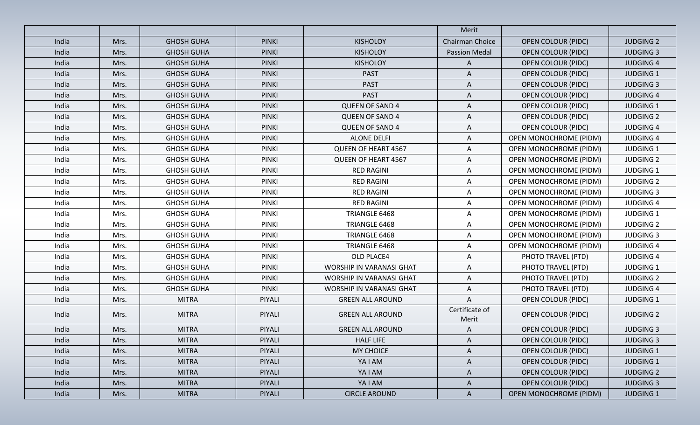|       |      |                   |              |                                 | Merit                   |                               |                  |
|-------|------|-------------------|--------------|---------------------------------|-------------------------|-------------------------------|------------------|
| India | Mrs. | <b>GHOSH GUHA</b> | <b>PINKI</b> | <b>KISHOLOY</b>                 | Chairman Choice         | <b>OPEN COLOUR (PIDC)</b>     | <b>JUDGING 2</b> |
| India | Mrs. | <b>GHOSH GUHA</b> | <b>PINKI</b> | <b>KISHOLOY</b>                 | <b>Passion Medal</b>    | <b>OPEN COLOUR (PIDC)</b>     | <b>JUDGING 3</b> |
| India | Mrs. | <b>GHOSH GUHA</b> | <b>PINKI</b> | <b>KISHOLOY</b>                 | $\mathsf{A}$            | <b>OPEN COLOUR (PIDC)</b>     | <b>JUDGING 4</b> |
| India | Mrs. | <b>GHOSH GUHA</b> | <b>PINKI</b> | <b>PAST</b>                     | A                       | <b>OPEN COLOUR (PIDC)</b>     | <b>JUDGING 1</b> |
| India | Mrs. | <b>GHOSH GUHA</b> | <b>PINKI</b> | <b>PAST</b>                     | A                       | <b>OPEN COLOUR (PIDC)</b>     | <b>JUDGING 3</b> |
| India | Mrs. | <b>GHOSH GUHA</b> | <b>PINKI</b> | <b>PAST</b>                     | A                       | <b>OPEN COLOUR (PIDC)</b>     | <b>JUDGING 4</b> |
| India | Mrs. | <b>GHOSH GUHA</b> | <b>PINKI</b> | <b>QUEEN OF SAND 4</b>          | A                       | <b>OPEN COLOUR (PIDC)</b>     | <b>JUDGING 1</b> |
| India | Mrs. | <b>GHOSH GUHA</b> | <b>PINKI</b> | <b>QUEEN OF SAND 4</b>          | A                       | <b>OPEN COLOUR (PIDC)</b>     | <b>JUDGING 2</b> |
| India | Mrs. | <b>GHOSH GUHA</b> | <b>PINKI</b> | <b>QUEEN OF SAND 4</b>          | A                       | <b>OPEN COLOUR (PIDC)</b>     | <b>JUDGING 4</b> |
| India | Mrs. | <b>GHOSH GUHA</b> | <b>PINKI</b> | <b>ALONE DELFI</b>              | A                       | <b>OPEN MONOCHROME (PIDM)</b> | <b>JUDGING 4</b> |
| India | Mrs. | <b>GHOSH GUHA</b> | <b>PINKI</b> | QUEEN OF HEART 4567             | Α                       | OPEN MONOCHROME (PIDM)        | <b>JUDGING 1</b> |
| India | Mrs. | <b>GHOSH GUHA</b> | <b>PINKI</b> | <b>QUEEN OF HEART 4567</b>      | A                       | <b>OPEN MONOCHROME (PIDM)</b> | <b>JUDGING 2</b> |
| India | Mrs. | <b>GHOSH GUHA</b> | <b>PINKI</b> | <b>RED RAGINI</b>               | A                       | <b>OPEN MONOCHROME (PIDM)</b> | <b>JUDGING 1</b> |
| India | Mrs. | <b>GHOSH GUHA</b> | <b>PINKI</b> | <b>RED RAGINI</b>               | Α                       | <b>OPEN MONOCHROME (PIDM)</b> | <b>JUDGING 2</b> |
| India | Mrs. | <b>GHOSH GUHA</b> | <b>PINKI</b> | <b>RED RAGINI</b>               | A                       | <b>OPEN MONOCHROME (PIDM)</b> | <b>JUDGING 3</b> |
| India | Mrs. | <b>GHOSH GUHA</b> | <b>PINKI</b> | <b>RED RAGINI</b>               | A                       | <b>OPEN MONOCHROME (PIDM)</b> | <b>JUDGING 4</b> |
| India | Mrs. | <b>GHOSH GUHA</b> | <b>PINKI</b> | TRIANGLE 6468                   | Α                       | <b>OPEN MONOCHROME (PIDM)</b> | <b>JUDGING 1</b> |
| India | Mrs. | <b>GHOSH GUHA</b> | <b>PINKI</b> | TRIANGLE 6468                   | Α                       | <b>OPEN MONOCHROME (PIDM)</b> | <b>JUDGING 2</b> |
| India | Mrs. | <b>GHOSH GUHA</b> | <b>PINKI</b> | TRIANGLE 6468                   | Α                       | <b>OPEN MONOCHROME (PIDM)</b> | <b>JUDGING 3</b> |
| India | Mrs. | <b>GHOSH GUHA</b> | <b>PINKI</b> | TRIANGLE 6468                   | A                       | <b>OPEN MONOCHROME (PIDM)</b> | <b>JUDGING 4</b> |
| India | Mrs. | <b>GHOSH GUHA</b> | <b>PINKI</b> | OLD PLACE4                      | A                       | PHOTO TRAVEL (PTD)            | <b>JUDGING 4</b> |
| India | Mrs. | <b>GHOSH GUHA</b> | <b>PINKI</b> | WORSHIP IN VARANASI GHAT        | Α                       | PHOTO TRAVEL (PTD)            | <b>JUDGING 1</b> |
| India | Mrs. | <b>GHOSH GUHA</b> | <b>PINKI</b> | <b>WORSHIP IN VARANASI GHAT</b> | A                       | PHOTO TRAVEL (PTD)            | <b>JUDGING 2</b> |
| India | Mrs. | <b>GHOSH GUHA</b> | <b>PINKI</b> | WORSHIP IN VARANASI GHAT        | A                       | PHOTO TRAVEL (PTD)            | <b>JUDGING 4</b> |
| India | Mrs. | <b>MITRA</b>      | PIYALI       | <b>GREEN ALL AROUND</b>         | A                       | <b>OPEN COLOUR (PIDC)</b>     | <b>JUDGING 1</b> |
| India | Mrs. | <b>MITRA</b>      | PIYALI       | <b>GREEN ALL AROUND</b>         | Certificate of<br>Merit | <b>OPEN COLOUR (PIDC)</b>     | <b>JUDGING 2</b> |
| India | Mrs. | <b>MITRA</b>      | PIYALI       | <b>GREEN ALL AROUND</b>         | A                       | <b>OPEN COLOUR (PIDC)</b>     | <b>JUDGING 3</b> |
| India | Mrs. | <b>MITRA</b>      | PIYALI       | <b>HALF LIFE</b>                | A                       | <b>OPEN COLOUR (PIDC)</b>     | <b>JUDGING 3</b> |
| India | Mrs. | <b>MITRA</b>      | PIYALI       | <b>MY CHOICE</b>                | A                       | <b>OPEN COLOUR (PIDC)</b>     | <b>JUDGING 1</b> |
| India | Mrs. | <b>MITRA</b>      | PIYALI       | YAIAM                           | $\mathsf{A}$            | <b>OPEN COLOUR (PIDC)</b>     | <b>JUDGING 1</b> |
| India | Mrs. | <b>MITRA</b>      | PIYALI       | YAIAM                           | $\mathsf{A}$            | <b>OPEN COLOUR (PIDC)</b>     | <b>JUDGING 2</b> |
| India | Mrs. | <b>MITRA</b>      | PIYALI       | YAIAM                           | $\mathsf{A}$            | <b>OPEN COLOUR (PIDC)</b>     | <b>JUDGING 3</b> |
| India | Mrs. | <b>MITRA</b>      | PIYALI       | <b>CIRCLE AROUND</b>            | $\mathsf{A}$            | <b>OPEN MONOCHROME (PIDM)</b> | <b>JUDGING 1</b> |
|       |      |                   |              |                                 |                         |                               |                  |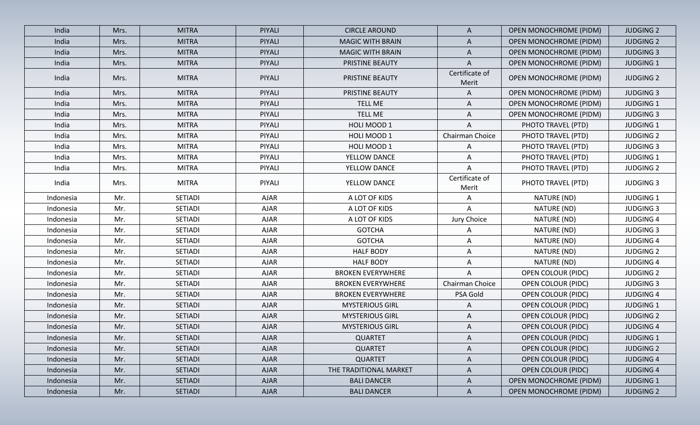| India     | Mrs. | <b>MITRA</b>   | PIYALI      | <b>CIRCLE AROUND</b>     | A                       | <b>OPEN MONOCHROME (PIDM)</b> | <b>JUDGING 2</b> |
|-----------|------|----------------|-------------|--------------------------|-------------------------|-------------------------------|------------------|
| India     | Mrs. | <b>MITRA</b>   | PIYALI      | <b>MAGIC WITH BRAIN</b>  | A                       | <b>OPEN MONOCHROME (PIDM)</b> | <b>JUDGING 2</b> |
| India     | Mrs. | <b>MITRA</b>   | PIYALI      | <b>MAGIC WITH BRAIN</b>  | A                       | <b>OPEN MONOCHROME (PIDM)</b> | <b>JUDGING 3</b> |
| India     | Mrs. | <b>MITRA</b>   | PIYALI      | PRISTINE BEAUTY          | A                       | OPEN MONOCHROME (PIDM)        | <b>JUDGING 1</b> |
| India     | Mrs. | <b>MITRA</b>   | PIYALI      | PRISTINE BEAUTY          | Certificate of<br>Merit | <b>OPEN MONOCHROME (PIDM)</b> | <b>JUDGING 2</b> |
| India     | Mrs. | <b>MITRA</b>   | PIYALI      | PRISTINE BEAUTY          | A                       | <b>OPEN MONOCHROME (PIDM)</b> | <b>JUDGING 3</b> |
| India     | Mrs. | <b>MITRA</b>   | PIYALI      | <b>TELL ME</b>           | A                       | <b>OPEN MONOCHROME (PIDM)</b> | <b>JUDGING 1</b> |
| India     | Mrs. | <b>MITRA</b>   | PIYALI      | <b>TELL ME</b>           | A                       | <b>OPEN MONOCHROME (PIDM)</b> | <b>JUDGING 3</b> |
| India     | Mrs. | <b>MITRA</b>   | PIYALI      | HOLI MOOD 1              | A                       | PHOTO TRAVEL (PTD)            | <b>JUDGING 1</b> |
| India     | Mrs. | <b>MITRA</b>   | PIYALI      | HOLI MOOD 1              | Chairman Choice         | PHOTO TRAVEL (PTD)            | <b>JUDGING 2</b> |
| India     | Mrs. | <b>MITRA</b>   | PIYALI      | HOLI MOOD 1              | A                       | PHOTO TRAVEL (PTD)            | <b>JUDGING 3</b> |
| India     | Mrs. | <b>MITRA</b>   | PIYALI      | YELLOW DANCE             | A                       | PHOTO TRAVEL (PTD)            | <b>JUDGING 1</b> |
| India     | Mrs. | <b>MITRA</b>   | PIYALI      | YELLOW DANCE             | A                       | PHOTO TRAVEL (PTD)            | <b>JUDGING 2</b> |
| India     | Mrs. | <b>MITRA</b>   | PIYALI      | YELLOW DANCE             | Certificate of<br>Merit | PHOTO TRAVEL (PTD)            | <b>JUDGING 3</b> |
| Indonesia | Mr.  | SETIADI        | <b>AJAR</b> | A LOT OF KIDS            | A                       | NATURE (ND)                   | <b>JUDGING 1</b> |
| Indonesia | Mr.  | <b>SETIADI</b> | <b>AJAR</b> | A LOT OF KIDS            | Α                       | NATURE (ND)                   | <b>JUDGING 3</b> |
| Indonesia | Mr.  | <b>SETIADI</b> | <b>AJAR</b> | A LOT OF KIDS            | Jury Choice             | NATURE (ND)                   | <b>JUDGING 4</b> |
| Indonesia | Mr.  | <b>SETIADI</b> | <b>AJAR</b> | <b>GOTCHA</b>            | A                       | NATURE (ND)                   | <b>JUDGING 3</b> |
| Indonesia | Mr.  | <b>SETIADI</b> | <b>AJAR</b> | <b>GOTCHA</b>            | A                       | NATURE (ND)                   | <b>JUDGING 4</b> |
| Indonesia | Mr.  | <b>SETIADI</b> | <b>AJAR</b> | <b>HALF BODY</b>         | Α                       | NATURE (ND)                   | <b>JUDGING 2</b> |
| Indonesia | Mr.  | <b>SETIADI</b> | <b>AJAR</b> | <b>HALF BODY</b>         | Α                       | NATURE (ND)                   | <b>JUDGING 4</b> |
| Indonesia | Mr.  | <b>SETIADI</b> | <b>AJAR</b> | <b>BROKEN EVERYWHERE</b> | A                       | <b>OPEN COLOUR (PIDC)</b>     | <b>JUDGING 2</b> |
| Indonesia | Mr.  | <b>SETIADI</b> | <b>AJAR</b> | <b>BROKEN EVERYWHERE</b> | Chairman Choice         | <b>OPEN COLOUR (PIDC)</b>     | <b>JUDGING 3</b> |
| Indonesia | Mr.  | <b>SETIADI</b> | AJAR        | <b>BROKEN EVERYWHERE</b> | PSA Gold                | <b>OPEN COLOUR (PIDC)</b>     | <b>JUDGING 4</b> |
| Indonesia | Mr.  | <b>SETIADI</b> | <b>AJAR</b> | <b>MYSTERIOUS GIRL</b>   | A                       | <b>OPEN COLOUR (PIDC)</b>     | <b>JUDGING 1</b> |
| Indonesia | Mr.  | <b>SETIADI</b> | <b>AJAR</b> | <b>MYSTERIOUS GIRL</b>   | A                       | <b>OPEN COLOUR (PIDC)</b>     | <b>JUDGING 2</b> |
| Indonesia | Mr.  | SETIADI        | <b>AJAR</b> | <b>MYSTERIOUS GIRL</b>   | A                       | <b>OPEN COLOUR (PIDC)</b>     | <b>JUDGING 4</b> |
| Indonesia | Mr.  | <b>SETIADI</b> | AJAR        | <b>QUARTET</b>           | A                       | OPEN COLOUR (PIDC)            | JUDGING 1        |
| Indonesia | Mr.  | <b>SETIADI</b> | <b>AJAR</b> | <b>QUARTET</b>           | A                       | <b>OPEN COLOUR (PIDC)</b>     | <b>JUDGING 2</b> |
| Indonesia | Mr.  | <b>SETIADI</b> | <b>AJAR</b> | <b>QUARTET</b>           | A                       | <b>OPEN COLOUR (PIDC)</b>     | <b>JUDGING 4</b> |
| Indonesia | Mr.  | <b>SETIADI</b> | <b>AJAR</b> | THE TRADITIONAL MARKET   | $\mathsf{A}$            | <b>OPEN COLOUR (PIDC)</b>     | <b>JUDGING 4</b> |
| Indonesia | Mr.  | <b>SETIADI</b> | <b>AJAR</b> | <b>BALI DANCER</b>       | $\mathsf{A}$            | <b>OPEN MONOCHROME (PIDM)</b> | <b>JUDGING 1</b> |
| Indonesia | Mr.  | SETIADI        | <b>AJAR</b> | <b>BALI DANCER</b>       | $\mathsf{A}$            | <b>OPEN MONOCHROME (PIDM)</b> | <b>JUDGING 2</b> |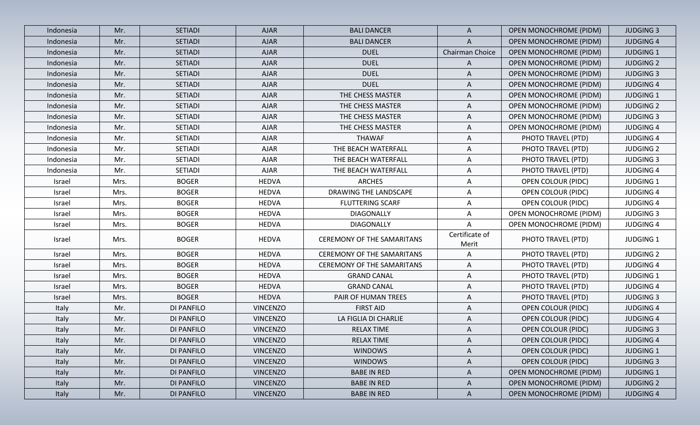| Indonesia | Mr.  | <b>SETIADI</b>    | <b>AJAR</b>     | <b>BALI DANCER</b>                | $\mathsf{A}$            | <b>OPEN MONOCHROME (PIDM)</b> | <b>JUDGING 3</b> |
|-----------|------|-------------------|-----------------|-----------------------------------|-------------------------|-------------------------------|------------------|
| Indonesia | Mr.  | <b>SETIADI</b>    | <b>AJAR</b>     | <b>BALI DANCER</b>                | A                       | OPEN MONOCHROME (PIDM)        | <b>JUDGING 4</b> |
| Indonesia | Mr.  | <b>SETIADI</b>    | <b>AJAR</b>     | <b>DUEL</b>                       | Chairman Choice         | <b>OPEN MONOCHROME (PIDM)</b> | <b>JUDGING 1</b> |
| Indonesia | Mr.  | SETIADI           | <b>AJAR</b>     | <b>DUEL</b>                       | A                       | <b>OPEN MONOCHROME (PIDM)</b> | <b>JUDGING 2</b> |
| Indonesia | Mr.  | SETIADI           | <b>AJAR</b>     | <b>DUEL</b>                       | A                       | <b>OPEN MONOCHROME (PIDM)</b> | <b>JUDGING 3</b> |
| Indonesia | Mr.  | SETIADI           | <b>AJAR</b>     | <b>DUEL</b>                       | A                       | <b>OPEN MONOCHROME (PIDM)</b> | <b>JUDGING 4</b> |
| Indonesia | Mr.  | SETIADI           | <b>AJAR</b>     | THE CHESS MASTER                  | A                       | OPEN MONOCHROME (PIDM)        | <b>JUDGING 1</b> |
| Indonesia | Mr.  | <b>SETIADI</b>    | <b>AJAR</b>     | THE CHESS MASTER                  | A                       | <b>OPEN MONOCHROME (PIDM)</b> | <b>JUDGING 2</b> |
| Indonesia | Mr.  | SETIADI           | <b>AJAR</b>     | THE CHESS MASTER                  | A                       | OPEN MONOCHROME (PIDM)        | <b>JUDGING 3</b> |
| Indonesia | Mr.  | SETIADI           | <b>AJAR</b>     | THE CHESS MASTER                  | A                       | <b>OPEN MONOCHROME (PIDM)</b> | <b>JUDGING 4</b> |
| Indonesia | Mr.  | SETIADI           | <b>AJAR</b>     | <b>THAWAF</b>                     | $\mathsf{A}$            | PHOTO TRAVEL (PTD)            | <b>JUDGING 4</b> |
| Indonesia | Mr.  | SETIADI           | <b>AJAR</b>     | THE BEACH WATERFALL               | $\mathsf{A}$            | PHOTO TRAVEL (PTD)            | <b>JUDGING 2</b> |
| Indonesia | Mr.  | SETIADI           | <b>AJAR</b>     | THE BEACH WATERFALL               | A                       | PHOTO TRAVEL (PTD)            | <b>JUDGING 3</b> |
| Indonesia | Mr.  | SETIADI           | <b>AJAR</b>     | THE BEACH WATERFALL               | $\mathsf{A}$            | PHOTO TRAVEL (PTD)            | <b>JUDGING 4</b> |
| Israel    | Mrs. | <b>BOGER</b>      | <b>HEDVA</b>    | <b>ARCHES</b>                     | A                       | <b>OPEN COLOUR (PIDC)</b>     | <b>JUDGING 1</b> |
| Israel    | Mrs. | <b>BOGER</b>      | <b>HEDVA</b>    | DRAWING THE LANDSCAPE             | $\mathsf{A}$            | <b>OPEN COLOUR (PIDC)</b>     | <b>JUDGING 4</b> |
| Israel    | Mrs. | <b>BOGER</b>      | <b>HEDVA</b>    | <b>FLUTTERING SCARF</b>           | A                       | <b>OPEN COLOUR (PIDC)</b>     | <b>JUDGING 4</b> |
| Israel    | Mrs. | <b>BOGER</b>      | <b>HEDVA</b>    | <b>DIAGONALLY</b>                 | $\mathsf{A}$            | OPEN MONOCHROME (PIDM)        | <b>JUDGING 3</b> |
| Israel    | Mrs. | <b>BOGER</b>      | <b>HEDVA</b>    | DIAGONALLY                        | A                       | <b>OPEN MONOCHROME (PIDM)</b> | <b>JUDGING 4</b> |
| Israel    | Mrs. | <b>BOGER</b>      | <b>HEDVA</b>    | <b>CEREMONY OF THE SAMARITANS</b> | Certificate of<br>Merit | PHOTO TRAVEL (PTD)            | <b>JUDGING 1</b> |
| Israel    | Mrs. | <b>BOGER</b>      | <b>HEDVA</b>    | <b>CEREMONY OF THE SAMARITANS</b> | A                       | PHOTO TRAVEL (PTD)            | <b>JUDGING 2</b> |
| Israel    | Mrs. | <b>BOGER</b>      | <b>HEDVA</b>    | <b>CEREMONY OF THE SAMARITANS</b> | $\mathsf{A}$            | PHOTO TRAVEL (PTD)            | <b>JUDGING 4</b> |
| Israel    | Mrs. | <b>BOGER</b>      | <b>HEDVA</b>    | <b>GRAND CANAL</b>                | $\mathsf{A}$            | PHOTO TRAVEL (PTD)            | <b>JUDGING 1</b> |
| Israel    | Mrs. | <b>BOGER</b>      | <b>HEDVA</b>    | <b>GRAND CANAL</b>                | A                       | PHOTO TRAVEL (PTD)            | <b>JUDGING 4</b> |
| Israel    | Mrs. | <b>BOGER</b>      | <b>HEDVA</b>    | PAIR OF HUMAN TREES               | $\mathsf{A}$            | PHOTO TRAVEL (PTD)            | <b>JUDGING 3</b> |
| Italy     | Mr.  | DI PANFILO        | <b>VINCENZO</b> | <b>FIRST AID</b>                  | A                       | <b>OPEN COLOUR (PIDC)</b>     | <b>JUDGING 4</b> |
| Italy     | Mr.  | DI PANFILO        | <b>VINCENZO</b> | LA FIGLIA DI CHARLIE              | A                       | <b>OPEN COLOUR (PIDC)</b>     | <b>JUDGING 4</b> |
| Italy     | Mr.  | DI PANFILO        | <b>VINCENZO</b> | <b>RELAX TIME</b>                 | A                       | <b>OPEN COLOUR (PIDC)</b>     | <b>JUDGING 3</b> |
| Italy     | Mr.  | DI PANFILO        | <b>VINCENZO</b> | <b>RELAX TIME</b>                 | $\mathsf{A}$            | <b>OPEN COLOUR (PIDC)</b>     | <b>JUDGING 4</b> |
| Italy     | Mr.  | DI PANFILO        | <b>VINCENZO</b> | <b>WINDOWS</b>                    | A                       | <b>OPEN COLOUR (PIDC)</b>     | <b>JUDGING 1</b> |
| Italy     | Mr.  | DI PANFILO        | <b>VINCENZO</b> | <b>WINDOWS</b>                    | $\mathsf{A}$            | <b>OPEN COLOUR (PIDC)</b>     | <b>JUDGING 3</b> |
| Italy     | Mr.  | DI PANFILO        | <b>VINCENZO</b> | <b>BABE IN RED</b>                | A                       | <b>OPEN MONOCHROME (PIDM)</b> | <b>JUDGING 1</b> |
| Italy     | Mr.  | DI PANFILO        | <b>VINCENZO</b> | <b>BABE IN RED</b>                | $\mathsf{A}$            | <b>OPEN MONOCHROME (PIDM)</b> | <b>JUDGING 2</b> |
| Italy     | Mr.  | <b>DI PANFILO</b> | <b>VINCENZO</b> | <b>BABE IN RED</b>                | $\mathsf{A}$            | OPEN MONOCHROME (PIDM)        | <b>JUDGING 4</b> |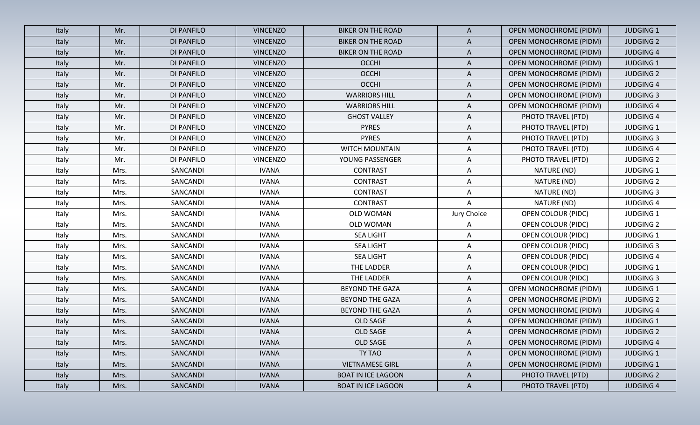| Italy | Mr.  | <b>DI PANFILO</b> | <b>VINCENZO</b> | <b>BIKER ON THE ROAD</b>  | $\mathsf{A}$ | OPEN MONOCHROME (PIDM)        | <b>JUDGING 1</b> |
|-------|------|-------------------|-----------------|---------------------------|--------------|-------------------------------|------------------|
| Italy | Mr.  | DI PANFILO        | <b>VINCENZO</b> | <b>BIKER ON THE ROAD</b>  | $\mathsf{A}$ | <b>OPEN MONOCHROME (PIDM)</b> | <b>JUDGING 2</b> |
| Italy | Mr.  | DI PANFILO        | <b>VINCENZO</b> | <b>BIKER ON THE ROAD</b>  | $\mathsf{A}$ | <b>OPEN MONOCHROME (PIDM)</b> | <b>JUDGING 4</b> |
| Italy | Mr.  | <b>DI PANFILO</b> | <b>VINCENZO</b> | <b>OCCHI</b>              | A            | OPEN MONOCHROME (PIDM)        | <b>JUDGING 1</b> |
| Italy | Mr.  | DI PANFILO        | <b>VINCENZO</b> | <b>OCCHI</b>              | A            | <b>OPEN MONOCHROME (PIDM)</b> | <b>JUDGING 2</b> |
| Italy | Mr.  | <b>DI PANFILO</b> | <b>VINCENZO</b> | <b>OCCHI</b>              | A            | <b>OPEN MONOCHROME (PIDM)</b> | <b>JUDGING 4</b> |
| Italy | Mr.  | DI PANFILO        | <b>VINCENZO</b> | <b>WARRIORS HILL</b>      | A            | OPEN MONOCHROME (PIDM)        | <b>JUDGING 3</b> |
| Italy | Mr.  | DI PANFILO        | <b>VINCENZO</b> | <b>WARRIORS HILL</b>      | A            | <b>OPEN MONOCHROME (PIDM)</b> | <b>JUDGING 4</b> |
| Italy | Mr.  | DI PANFILO        | <b>VINCENZO</b> | <b>GHOST VALLEY</b>       | A            | PHOTO TRAVEL (PTD)            | <b>JUDGING 4</b> |
| Italy | Mr.  | DI PANFILO        | <b>VINCENZO</b> | <b>PYRES</b>              | A            | PHOTO TRAVEL (PTD)            | <b>JUDGING 1</b> |
| Italy | Mr.  | DI PANFILO        | <b>VINCENZO</b> | <b>PYRES</b>              | A            | PHOTO TRAVEL (PTD)            | <b>JUDGING 3</b> |
| Italy | Mr.  | DI PANFILO        | <b>VINCENZO</b> | WITCH MOUNTAIN            | A            | PHOTO TRAVEL (PTD)            | <b>JUDGING 4</b> |
| Italy | Mr.  | DI PANFILO        | <b>VINCENZO</b> | YOUNG PASSENGER           | A            | PHOTO TRAVEL (PTD)            | <b>JUDGING 2</b> |
| Italy | Mrs. | SANCANDI          | <b>IVANA</b>    | <b>CONTRAST</b>           | A            | NATURE (ND)                   | <b>JUDGING 1</b> |
| Italy | Mrs. | SANCANDI          | <b>IVANA</b>    | <b>CONTRAST</b>           | Α            | NATURE (ND)                   | <b>JUDGING 2</b> |
| Italy | Mrs. | SANCANDI          | <b>IVANA</b>    | <b>CONTRAST</b>           | A            | NATURE (ND)                   | <b>JUDGING 3</b> |
| Italy | Mrs. | SANCANDI          | <b>IVANA</b>    | <b>CONTRAST</b>           | Α            | NATURE (ND)                   | <b>JUDGING 4</b> |
| Italy | Mrs. | SANCANDI          | <b>IVANA</b>    | OLD WOMAN                 | Jury Choice  | <b>OPEN COLOUR (PIDC)</b>     | <b>JUDGING 1</b> |
| Italy | Mrs. | SANCANDI          | <b>IVANA</b>    | OLD WOMAN                 | A            | OPEN COLOUR (PIDC)            | <b>JUDGING 2</b> |
| Italy | Mrs. | SANCANDI          | <b>IVANA</b>    | <b>SEA LIGHT</b>          | A            | <b>OPEN COLOUR (PIDC)</b>     | <b>JUDGING 1</b> |
| Italy | Mrs. | SANCANDI          | <b>IVANA</b>    | <b>SEA LIGHT</b>          | A            | <b>OPEN COLOUR (PIDC)</b>     | <b>JUDGING 3</b> |
| Italy | Mrs. | SANCANDI          | <b>IVANA</b>    | <b>SEA LIGHT</b>          | A            | <b>OPEN COLOUR (PIDC)</b>     | <b>JUDGING 4</b> |
| Italy | Mrs. | SANCANDI          | <b>IVANA</b>    | THE LADDER                | A            | <b>OPEN COLOUR (PIDC)</b>     | <b>JUDGING 1</b> |
| Italy | Mrs. | SANCANDI          | <b>IVANA</b>    | THE LADDER                | A            | <b>OPEN COLOUR (PIDC)</b>     | <b>JUDGING 3</b> |
| Italy | Mrs. | SANCANDI          | <b>IVANA</b>    | <b>BEYOND THE GAZA</b>    | A            | <b>OPEN MONOCHROME (PIDM)</b> | <b>JUDGING 1</b> |
| Italy | Mrs. | SANCANDI          | <b>IVANA</b>    | <b>BEYOND THE GAZA</b>    | A            | OPEN MONOCHROME (PIDM)        | <b>JUDGING 2</b> |
| Italy | Mrs. | SANCANDI          | <b>IVANA</b>    | <b>BEYOND THE GAZA</b>    | A            | <b>OPEN MONOCHROME (PIDM)</b> | <b>JUDGING 4</b> |
| Italy | Mrs. | SANCANDI          | <b>IVANA</b>    | OLD SAGE                  | A            | <b>OPEN MONOCHROME (PIDM)</b> | <b>JUDGING 1</b> |
| Italy | Mrs. | SANCANDI          | <b>IVANA</b>    | OLD SAGE                  | Α            | <b>OPEN MONOCHROME (PIDM)</b> | <b>JUDGING 2</b> |
| Italy | Mrs. | SANCANDI          | <b>IVANA</b>    | OLD SAGE                  | $\mathsf{A}$ | <b>OPEN MONOCHROME (PIDM)</b> | <b>JUDGING 4</b> |
| Italy | Mrs. | SANCANDI          | <b>IVANA</b>    | TY TAO                    | $\mathsf{A}$ | <b>OPEN MONOCHROME (PIDM)</b> | <b>JUDGING 1</b> |
| Italy | Mrs. | SANCANDI          | <b>IVANA</b>    | <b>VIETNAMESE GIRL</b>    | $\mathsf{A}$ | OPEN MONOCHROME (PIDM)        | <b>JUDGING 1</b> |
| Italy | Mrs. | SANCANDI          | <b>IVANA</b>    | <b>BOAT IN ICE LAGOON</b> | $\mathsf{A}$ | PHOTO TRAVEL (PTD)            | <b>JUDGING 2</b> |
| Italy | Mrs. | SANCANDI          | <b>IVANA</b>    | <b>BOAT IN ICE LAGOON</b> | $\mathsf{A}$ | PHOTO TRAVEL (PTD)            | <b>JUDGING 4</b> |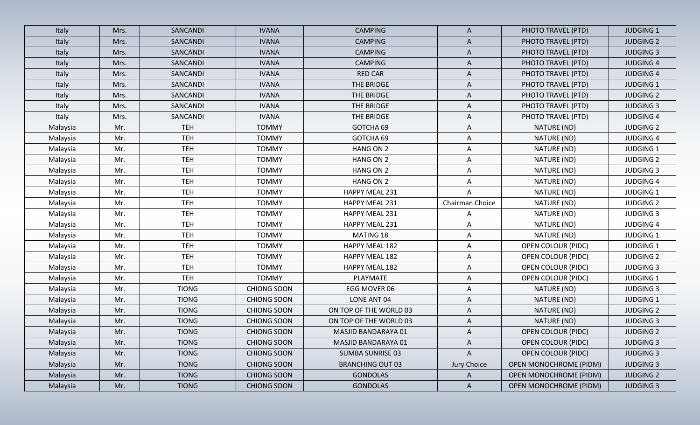| Italy    | Mrs. | SANCANDI     | <b>IVANA</b>       | <b>CAMPING</b>          | $\mathsf{A}$    | PHOTO TRAVEL (PTD)            | <b>JUDGING 1</b> |
|----------|------|--------------|--------------------|-------------------------|-----------------|-------------------------------|------------------|
| Italy    | Mrs. | SANCANDI     | <b>IVANA</b>       | <b>CAMPING</b>          | A               | PHOTO TRAVEL (PTD)            | <b>JUDGING 2</b> |
| Italy    | Mrs. | SANCANDI     | <b>IVANA</b>       | <b>CAMPING</b>          | $\mathsf{A}$    | PHOTO TRAVEL (PTD)            | <b>JUDGING 3</b> |
| Italy    | Mrs. | SANCANDI     | <b>IVANA</b>       | <b>CAMPING</b>          | A               | PHOTO TRAVEL (PTD)            | <b>JUDGING 4</b> |
| Italy    | Mrs. | SANCANDI     | <b>IVANA</b>       | <b>RED CAR</b>          | $\mathsf{A}$    | PHOTO TRAVEL (PTD)            | <b>JUDGING 4</b> |
| Italy    | Mrs. | SANCANDI     | <b>IVANA</b>       | THE BRIDGE              | A               | PHOTO TRAVEL (PTD)            | <b>JUDGING 1</b> |
| Italy    | Mrs. | SANCANDI     | <b>IVANA</b>       | THE BRIDGE              | A               | PHOTO TRAVEL (PTD)            | <b>JUDGING 2</b> |
| Italy    | Mrs. | SANCANDI     | <b>IVANA</b>       | THE BRIDGE              | A               | PHOTO TRAVEL (PTD)            | <b>JUDGING 3</b> |
| Italy    | Mrs. | SANCANDI     | <b>IVANA</b>       | THE BRIDGE              | A               | PHOTO TRAVEL (PTD)            | <b>JUDGING 4</b> |
| Malaysia | Mr.  | <b>TEH</b>   | <b>TOMMY</b>       | GOTCHA 69               | A               | NATURE (ND)                   | <b>JUDGING 2</b> |
| Malaysia | Mr.  | <b>TEH</b>   | <b>TOMMY</b>       | GOTCHA 69               | A               | NATURE (ND)                   | <b>JUDGING 4</b> |
| Malaysia | Mr.  | <b>TEH</b>   | <b>TOMMY</b>       | HANG ON 2               | A               | NATURE (ND)                   | <b>JUDGING 1</b> |
| Malaysia | Mr.  | <b>TEH</b>   | <b>TOMMY</b>       | HANG ON 2               | A               | NATURE (ND)                   | <b>JUDGING 2</b> |
| Malaysia | Mr.  | <b>TEH</b>   | <b>TOMMY</b>       | HANG ON 2               | A               | NATURE (ND)                   | <b>JUDGING 3</b> |
| Malaysia | Mr.  | <b>TEH</b>   | <b>TOMMY</b>       | HANG ON 2               | A               | NATURE (ND)                   | <b>JUDGING 4</b> |
| Malaysia | Mr.  | <b>TEH</b>   | <b>TOMMY</b>       | HAPPY MEAL 231          | A               | NATURE (ND)                   | <b>JUDGING 1</b> |
| Malaysia | Mr.  | <b>TEH</b>   | <b>TOMMY</b>       | HAPPY MEAL 231          | Chairman Choice | NATURE (ND)                   | <b>JUDGING 2</b> |
| Malaysia | Mr.  | <b>TEH</b>   | <b>TOMMY</b>       | HAPPY MEAL 231          | A               | NATURE (ND)                   | <b>JUDGING 3</b> |
| Malaysia | Mr.  | <b>TEH</b>   | <b>TOMMY</b>       | HAPPY MEAL 231          | A               | NATURE (ND)                   | <b>JUDGING 4</b> |
| Malaysia | Mr.  | <b>TEH</b>   | <b>TOMMY</b>       | MATING 18               | A               | NATURE (ND)                   | <b>JUDGING 1</b> |
| Malaysia | Mr.  | <b>TEH</b>   | <b>TOMMY</b>       | HAPPY MEAL 182          | A               | <b>OPEN COLOUR (PIDC)</b>     | <b>JUDGING 1</b> |
| Malaysia | Mr.  | <b>TEH</b>   | <b>TOMMY</b>       | HAPPY MEAL 182          | A               | OPEN COLOUR (PIDC)            | <b>JUDGING 2</b> |
| Malaysia | Mr.  | <b>TEH</b>   | <b>TOMMY</b>       | HAPPY MEAL 182          | A               | <b>OPEN COLOUR (PIDC)</b>     | <b>JUDGING 3</b> |
| Malaysia | Mr.  | <b>TEH</b>   | <b>TOMMY</b>       | PLAYMATE                | A               | OPEN COLOUR (PIDC)            | <b>JUDGING 1</b> |
| Malaysia | Mr.  | <b>TIONG</b> | <b>CHIONG SOON</b> | EGG MOVER 06            | A               | NATURE (ND)                   | <b>JUDGING 3</b> |
| Malaysia | Mr.  | <b>TIONG</b> | <b>CHIONG SOON</b> | LONE ANT 04             | A               | NATURE (ND)                   | <b>JUDGING 1</b> |
| Malaysia | Mr.  | <b>TIONG</b> | <b>CHIONG SOON</b> | ON TOP OF THE WORLD 03  | A               | NATURE (ND)                   | <b>JUDGING 2</b> |
| Malaysia | Mr.  | <b>TIONG</b> | <b>CHIONG SOON</b> | ON TOP OF THE WORLD 03  | A               | NATURE (ND)                   | <b>JUDGING 3</b> |
| Malaysia | Mr.  | <b>TIONG</b> | <b>CHIONG SOON</b> | MASJID BANDARAYA 01     | A               | <b>OPEN COLOUR (PIDC)</b>     | <b>JUDGING 2</b> |
| Malaysia | Mr.  | <b>TIONG</b> | <b>CHIONG SOON</b> | MASJID BANDARAYA 01     | A               | <b>OPEN COLOUR (PIDC)</b>     | <b>JUDGING 3</b> |
| Malaysia | Mr.  | <b>TIONG</b> | <b>CHIONG SOON</b> | <b>SUMBA SUNRISE 03</b> | $\mathsf{A}$    | <b>OPEN COLOUR (PIDC)</b>     | <b>JUDGING 3</b> |
| Malaysia | Mr.  | <b>TIONG</b> | <b>CHIONG SOON</b> | <b>BRANCHING OUT 03</b> | Jury Choice     | <b>OPEN MONOCHROME (PIDM)</b> | <b>JUDGING 3</b> |
| Malaysia | Mr.  | <b>TIONG</b> | <b>CHIONG SOON</b> | <b>GONDOLAS</b>         | A               | <b>OPEN MONOCHROME (PIDM)</b> | <b>JUDGING 2</b> |
| Malaysia | Mr.  | <b>TIONG</b> | CHIONG SOON        | <b>GONDOLAS</b>         | $\mathsf{A}$    | <b>OPEN MONOCHROME (PIDM)</b> | <b>JUDGING 3</b> |
|          |      |              |                    |                         |                 |                               |                  |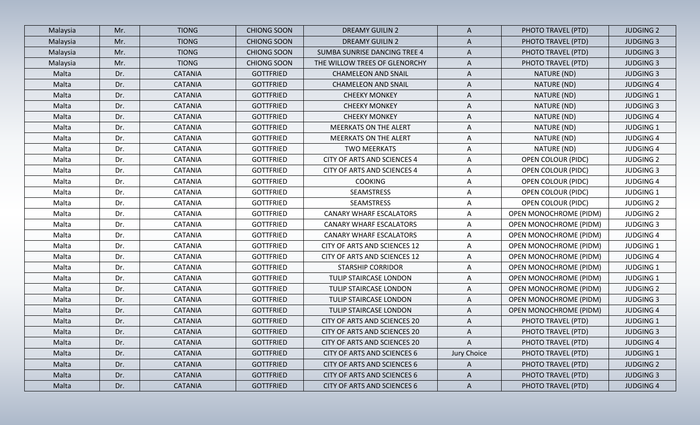| Malaysia | Mr. | <b>TIONG</b>   | <b>CHIONG SOON</b> | <b>DREAMY GUILIN 2</b>              | $\mathsf{A}$ | PHOTO TRAVEL (PTD)            | <b>JUDGING 2</b> |
|----------|-----|----------------|--------------------|-------------------------------------|--------------|-------------------------------|------------------|
| Malaysia | Mr. | <b>TIONG</b>   | <b>CHIONG SOON</b> | <b>DREAMY GUILIN 2</b>              | $\mathsf{A}$ | PHOTO TRAVEL (PTD)            | <b>JUDGING 3</b> |
| Malaysia | Mr. | <b>TIONG</b>   | <b>CHIONG SOON</b> | <b>SUMBA SUNRISE DANCING TREE 4</b> | $\mathsf{A}$ | PHOTO TRAVEL (PTD)            | <b>JUDGING 3</b> |
| Malaysia | Mr. | <b>TIONG</b>   | <b>CHIONG SOON</b> | THE WILLOW TREES OF GLENORCHY       | A            | PHOTO TRAVEL (PTD)            | <b>JUDGING 3</b> |
| Malta    | Dr. | <b>CATANIA</b> | <b>GOTTFRIED</b>   | <b>CHAMELEON AND SNAIL</b>          | A            | NATURE (ND)                   | <b>JUDGING 3</b> |
| Malta    | Dr. | <b>CATANIA</b> | <b>GOTTFRIED</b>   | <b>CHAMELEON AND SNAIL</b>          | A            | NATURE (ND)                   | <b>JUDGING 4</b> |
| Malta    | Dr. | <b>CATANIA</b> | <b>GOTTFRIED</b>   | <b>CHEEKY MONKEY</b>                | A            | NATURE (ND)                   | <b>JUDGING 1</b> |
| Malta    | Dr. | <b>CATANIA</b> | <b>GOTTFRIED</b>   | <b>CHEEKY MONKEY</b>                | Α            | NATURE (ND)                   | <b>JUDGING 3</b> |
| Malta    | Dr. | <b>CATANIA</b> | <b>GOTTFRIED</b>   | <b>CHEEKY MONKEY</b>                | A            | NATURE (ND)                   | <b>JUDGING 4</b> |
| Malta    | Dr. | <b>CATANIA</b> | <b>GOTTFRIED</b>   | <b>MEERKATS ON THE ALERT</b>        | Α            | NATURE (ND)                   | <b>JUDGING 1</b> |
| Malta    | Dr. | <b>CATANIA</b> | <b>GOTTFRIED</b>   | <b>MEERKATS ON THE ALERT</b>        | A            | NATURE (ND)                   | <b>JUDGING 4</b> |
| Malta    | Dr. | CATANIA        | <b>GOTTFRIED</b>   | <b>TWO MEERKATS</b>                 | A            | NATURE (ND)                   | <b>JUDGING 4</b> |
| Malta    | Dr. | <b>CATANIA</b> | <b>GOTTFRIED</b>   | <b>CITY OF ARTS AND SCIENCES 4</b>  | A            | OPEN COLOUR (PIDC)            | <b>JUDGING 2</b> |
| Malta    | Dr. | CATANIA        | <b>GOTTFRIED</b>   | <b>CITY OF ARTS AND SCIENCES 4</b>  | A            | OPEN COLOUR (PIDC)            | <b>JUDGING 3</b> |
| Malta    | Dr. | <b>CATANIA</b> | <b>GOTTFRIED</b>   | <b>COOKING</b>                      | A            | <b>OPEN COLOUR (PIDC)</b>     | <b>JUDGING 4</b> |
| Malta    | Dr. | <b>CATANIA</b> | <b>GOTTFRIED</b>   | SEAMSTRESS                          | A            | <b>OPEN COLOUR (PIDC)</b>     | <b>JUDGING 1</b> |
| Malta    | Dr. | <b>CATANIA</b> | <b>GOTTFRIED</b>   | SEAMSTRESS                          | A            | <b>OPEN COLOUR (PIDC)</b>     | <b>JUDGING 2</b> |
| Malta    | Dr. | CATANIA        | <b>GOTTFRIED</b>   | <b>CANARY WHARF ESCALATORS</b>      | A            | <b>OPEN MONOCHROME (PIDM)</b> | <b>JUDGING 2</b> |
| Malta    | Dr. | CATANIA        | <b>GOTTFRIED</b>   | <b>CANARY WHARF ESCALATORS</b>      | A            | <b>OPEN MONOCHROME (PIDM)</b> | <b>JUDGING 3</b> |
| Malta    | Dr. | <b>CATANIA</b> | <b>GOTTFRIED</b>   | <b>CANARY WHARF ESCALATORS</b>      | A            | <b>OPEN MONOCHROME (PIDM)</b> | <b>JUDGING 4</b> |
| Malta    | Dr. | <b>CATANIA</b> | <b>GOTTFRIED</b>   | CITY OF ARTS AND SCIENCES 12        | A            | OPEN MONOCHROME (PIDM)        | <b>JUDGING 1</b> |
| Malta    | Dr. | <b>CATANIA</b> | <b>GOTTFRIED</b>   | CITY OF ARTS AND SCIENCES 12        | A            | <b>OPEN MONOCHROME (PIDM)</b> | <b>JUDGING 4</b> |
| Malta    | Dr. | <b>CATANIA</b> | <b>GOTTFRIED</b>   | <b>STARSHIP CORRIDOR</b>            | A            | OPEN MONOCHROME (PIDM)        | <b>JUDGING 1</b> |
| Malta    | Dr. | <b>CATANIA</b> | <b>GOTTFRIED</b>   | TULIP STAIRCASE LONDON              | A            | OPEN MONOCHROME (PIDM)        | <b>JUDGING 1</b> |
| Malta    | Dr. | <b>CATANIA</b> | <b>GOTTFRIED</b>   | TULIP STAIRCASE LONDON              | A            | <b>OPEN MONOCHROME (PIDM)</b> | <b>JUDGING 2</b> |
| Malta    | Dr. | <b>CATANIA</b> | <b>GOTTFRIED</b>   | TULIP STAIRCASE LONDON              | A            | <b>OPEN MONOCHROME (PIDM)</b> | <b>JUDGING 3</b> |
| Malta    | Dr. | <b>CATANIA</b> | <b>GOTTFRIED</b>   | TULIP STAIRCASE LONDON              | A            | <b>OPEN MONOCHROME (PIDM)</b> | <b>JUDGING 4</b> |
| Malta    | Dr. | <b>CATANIA</b> | <b>GOTTFRIED</b>   | CITY OF ARTS AND SCIENCES 20        | A            | PHOTO TRAVEL (PTD)            | <b>JUDGING 1</b> |
| Malta    | Dr. | <b>CATANIA</b> | <b>GOTTFRIED</b>   | CITY OF ARTS AND SCIENCES 20        | A            | PHOTO TRAVEL (PTD)            | <b>JUDGING 3</b> |
| Malta    | Dr. | <b>CATANIA</b> | <b>GOTTFRIED</b>   | CITY OF ARTS AND SCIENCES 20        | $\mathsf{A}$ | PHOTO TRAVEL (PTD)            | <b>JUDGING 4</b> |
| Malta    | Dr. | CATANIA        | <b>GOTTFRIED</b>   | CITY OF ARTS AND SCIENCES 6         | Jury Choice  | PHOTO TRAVEL (PTD)            | <b>JUDGING 1</b> |
| Malta    | Dr. | <b>CATANIA</b> | <b>GOTTFRIED</b>   | CITY OF ARTS AND SCIENCES 6         | A            | PHOTO TRAVEL (PTD)            | <b>JUDGING 2</b> |
| Malta    | Dr. | <b>CATANIA</b> | <b>GOTTFRIED</b>   | <b>CITY OF ARTS AND SCIENCES 6</b>  | $\mathsf{A}$ | PHOTO TRAVEL (PTD)            | <b>JUDGING 3</b> |
| Malta    | Dr. | <b>CATANIA</b> | <b>GOTTFRIED</b>   | CITY OF ARTS AND SCIENCES 6         | $\mathsf{A}$ | PHOTO TRAVEL (PTD)            | <b>JUDGING 4</b> |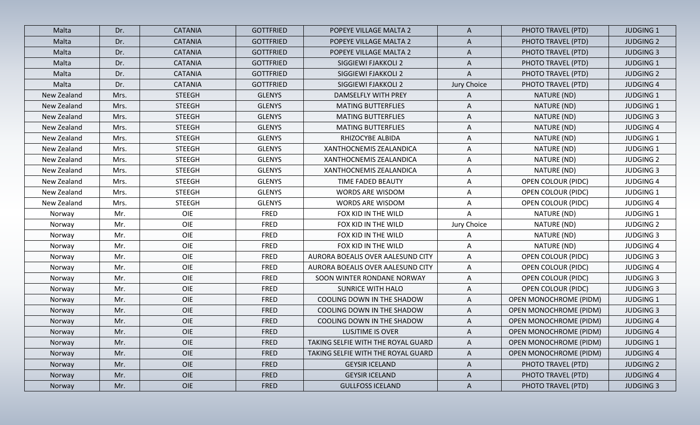| Malta       | Dr.  | <b>CATANIA</b> | <b>GOTTFRIED</b> | POPEYE VILLAGE MALTA 2             | A                         | PHOTO TRAVEL (PTD)            | <b>JUDGING 1</b> |
|-------------|------|----------------|------------------|------------------------------------|---------------------------|-------------------------------|------------------|
| Malta       | Dr.  | <b>CATANIA</b> | <b>GOTTFRIED</b> | POPEYE VILLAGE MALTA 2             | A                         | PHOTO TRAVEL (PTD)            | <b>JUDGING 2</b> |
| Malta       | Dr.  | <b>CATANIA</b> | <b>GOTTFRIED</b> | POPEYE VILLAGE MALTA 2             | A                         | PHOTO TRAVEL (PTD)            | <b>JUDGING 3</b> |
| Malta       | Dr.  | <b>CATANIA</b> | <b>GOTTFRIED</b> | SIGGIEWI FJAKKOLI 2                | $\mathsf{A}$              | PHOTO TRAVEL (PTD)            | <b>JUDGING 1</b> |
| Malta       | Dr.  | <b>CATANIA</b> | <b>GOTTFRIED</b> | SIGGIEWI FJAKKOLI 2                | $\boldsymbol{\mathsf{A}}$ | PHOTO TRAVEL (PTD)            | <b>JUDGING 2</b> |
| Malta       | Dr.  | <b>CATANIA</b> | <b>GOTTFRIED</b> | SIGGIEWI FJAKKOLI 2                | Jury Choice               | PHOTO TRAVEL (PTD)            | <b>JUDGING 4</b> |
| New Zealand | Mrs. | <b>STEEGH</b>  | <b>GLENYS</b>    | DAMSELFLY WITH PREY                | Α                         | NATURE (ND)                   | <b>JUDGING 1</b> |
| New Zealand | Mrs. | <b>STEEGH</b>  | <b>GLENYS</b>    | <b>MATING BUTTERFLIES</b>          | A                         | NATURE (ND)                   | <b>JUDGING 1</b> |
| New Zealand | Mrs. | <b>STEEGH</b>  | <b>GLENYS</b>    | <b>MATING BUTTERFLIES</b>          | A                         | NATURE (ND)                   | <b>JUDGING 3</b> |
| New Zealand | Mrs. | <b>STEEGH</b>  | <b>GLENYS</b>    | <b>MATING BUTTERFLIES</b>          | A                         | NATURE (ND)                   | <b>JUDGING 4</b> |
| New Zealand | Mrs. | <b>STEEGH</b>  | <b>GLENYS</b>    | RHIZOCYBE ALBIDA                   | A                         | NATURE (ND)                   | <b>JUDGING 1</b> |
| New Zealand | Mrs. | <b>STEEGH</b>  | <b>GLENYS</b>    | XANTHOCNEMIS ZEALANDICA            | A                         | NATURE (ND)                   | <b>JUDGING 1</b> |
| New Zealand | Mrs. | <b>STEEGH</b>  | <b>GLENYS</b>    | XANTHOCNEMIS ZEALANDICA            | Α                         | NATURE (ND)                   | <b>JUDGING 2</b> |
| New Zealand | Mrs. | <b>STEEGH</b>  | <b>GLENYS</b>    | XANTHOCNEMIS ZEALANDICA            | A                         | NATURE (ND)                   | <b>JUDGING 3</b> |
| New Zealand | Mrs. | <b>STEEGH</b>  | <b>GLENYS</b>    | TIME FADED BEAUTY                  | A                         | <b>OPEN COLOUR (PIDC)</b>     | <b>JUDGING 4</b> |
| New Zealand | Mrs. | <b>STEEGH</b>  | <b>GLENYS</b>    | <b>WORDS ARE WISDOM</b>            | A                         | <b>OPEN COLOUR (PIDC)</b>     | <b>JUDGING 1</b> |
| New Zealand | Mrs. | <b>STEEGH</b>  | <b>GLENYS</b>    | <b>WORDS ARE WISDOM</b>            | Α                         | <b>OPEN COLOUR (PIDC)</b>     | <b>JUDGING 4</b> |
| Norway      | Mr.  | OIE            | <b>FRED</b>      | FOX KID IN THE WILD                | A                         | NATURE (ND)                   | <b>JUDGING 1</b> |
| Norway      | Mr.  | OIE            | <b>FRED</b>      | FOX KID IN THE WILD                | Jury Choice               | NATURE (ND)                   | <b>JUDGING 2</b> |
| Norway      | Mr.  | OIE            | <b>FRED</b>      | FOX KID IN THE WILD                | A                         | NATURE (ND)                   | <b>JUDGING 3</b> |
| Norway      | Mr.  | OIE            | <b>FRED</b>      | FOX KID IN THE WILD                | A                         | NATURE (ND)                   | <b>JUDGING 4</b> |
| Norway      | Mr.  | OIE            | <b>FRED</b>      | AURORA BOEALIS OVER AALESUND CITY  | A                         | <b>OPEN COLOUR (PIDC)</b>     | <b>JUDGING 3</b> |
| Norway      | Mr.  | OIE            | <b>FRED</b>      | AURORA BOEALIS OVER AALESUND CITY  | A                         | <b>OPEN COLOUR (PIDC)</b>     | <b>JUDGING 4</b> |
| Norway      | Mr.  | OIE            | <b>FRED</b>      | SOON WINTER RONDANE NORWAY         | $\mathsf{A}$              | <b>OPEN COLOUR (PIDC)</b>     | <b>JUDGING 3</b> |
| Norway      | Mr.  | OIE            | <b>FRED</b>      | SUNRICE WITH HALO                  | A                         | <b>OPEN COLOUR (PIDC)</b>     | <b>JUDGING 3</b> |
| Norway      | Mr.  | OIE            | <b>FRED</b>      | COOLING DOWN IN THE SHADOW         | A                         | <b>OPEN MONOCHROME (PIDM)</b> | <b>JUDGING 1</b> |
| Norway      | Mr.  | OIE            | <b>FRED</b>      | COOLING DOWN IN THE SHADOW         | A                         | <b>OPEN MONOCHROME (PIDM)</b> | <b>JUDGING 3</b> |
| Norway      | Mr.  | OIE            | <b>FRED</b>      | COOLING DOWN IN THE SHADOW         | A                         | <b>OPEN MONOCHROME (PIDM)</b> | <b>JUDGING 4</b> |
| Norway      | Mr.  | OIE            | <b>FRED</b>      | LUSJTIME IS OVER                   | A                         | <b>OPEN MONOCHROME (PIDM)</b> | <b>JUDGING 4</b> |
| Norway      | Mr.  | OIE            | <b>FRED</b>      | TAKING SELFIE WITH THE ROYAL GUARD | A                         | <b>OPEN MONOCHROME (PIDM)</b> | <b>JUDGING 1</b> |
| Norway      | Mr.  | OIE            | <b>FRED</b>      | TAKING SELFIE WITH THE ROYAL GUARD | $\mathsf{A}$              | OPEN MONOCHROME (PIDM)        | <b>JUDGING 4</b> |
| Norway      | Mr.  | OIE            | <b>FRED</b>      | <b>GEYSIR ICELAND</b>              | $\mathsf{A}$              | PHOTO TRAVEL (PTD)            | <b>JUDGING 2</b> |
| Norway      | Mr.  | OIE            | <b>FRED</b>      | <b>GEYSIR ICELAND</b>              | $\mathsf{A}$              | PHOTO TRAVEL (PTD)            | <b>JUDGING 4</b> |
| Norway      | Mr.  | OIE            | FRED             | <b>GULLFOSS ICELAND</b>            | $\mathsf{A}$              | PHOTO TRAVEL (PTD)            | <b>JUDGING 3</b> |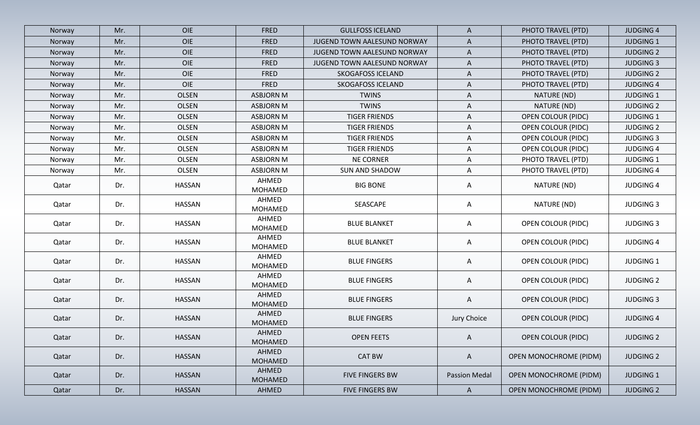| Norway | Mr. | <b>OIE</b>    | <b>FRED</b>             | <b>GULLFOSS ICELAND</b>     | $\mathsf{A}$         | PHOTO TRAVEL (PTD)            | <b>JUDGING 4</b> |
|--------|-----|---------------|-------------------------|-----------------------------|----------------------|-------------------------------|------------------|
| Norway | Mr. | <b>OIE</b>    | <b>FRED</b>             | JUGEND TOWN AALESUND NORWAY | A                    | PHOTO TRAVEL (PTD)            | <b>JUDGING 1</b> |
| Norway | Mr. | <b>OIE</b>    | <b>FRED</b>             | JUGEND TOWN AALESUND NORWAY | $\mathsf{A}$         | PHOTO TRAVEL (PTD)            | <b>JUDGING 2</b> |
| Norway | Mr. | OIE           | <b>FRED</b>             | JUGEND TOWN AALESUND NORWAY | $\mathsf{A}$         | PHOTO TRAVEL (PTD)            | <b>JUDGING 3</b> |
| Norway | Mr. | OIE           | <b>FRED</b>             | <b>SKOGAFOSS ICELAND</b>    | $\mathsf{A}$         | PHOTO TRAVEL (PTD)            | <b>JUDGING 2</b> |
| Norway | Mr. | OIE           | <b>FRED</b>             | <b>SKOGAFOSS ICELAND</b>    | A                    | PHOTO TRAVEL (PTD)            | <b>JUDGING 4</b> |
| Norway | Mr. | <b>OLSEN</b>  | <b>ASBJORN M</b>        | <b>TWINS</b>                | $\mathsf{A}$         | NATURE (ND)                   | <b>JUDGING 1</b> |
| Norway | Mr. | OLSEN         | <b>ASBJORN M</b>        | <b>TWINS</b>                | A                    | NATURE (ND)                   | <b>JUDGING 2</b> |
| Norway | Mr. | <b>OLSEN</b>  | <b>ASBJORN M</b>        | <b>TIGER FRIENDS</b>        | $\mathsf{A}$         | <b>OPEN COLOUR (PIDC)</b>     | <b>JUDGING 1</b> |
| Norway | Mr. | OLSEN         | <b>ASBJORN M</b>        | <b>TIGER FRIENDS</b>        | A                    | <b>OPEN COLOUR (PIDC)</b>     | <b>JUDGING 2</b> |
| Norway | Mr. | <b>OLSEN</b>  | <b>ASBJORN M</b>        | <b>TIGER FRIENDS</b>        | $\mathsf{A}$         | <b>OPEN COLOUR (PIDC)</b>     | <b>JUDGING 3</b> |
| Norway | Mr. | <b>OLSEN</b>  | <b>ASBJORN M</b>        | <b>TIGER FRIENDS</b>        | $\mathsf{A}$         | <b>OPEN COLOUR (PIDC)</b>     | <b>JUDGING 4</b> |
| Norway | Mr. | OLSEN         | <b>ASBJORN M</b>        | <b>NE CORNER</b>            | A                    | PHOTO TRAVEL (PTD)            | <b>JUDGING 1</b> |
| Norway | Mr. | OLSEN         | <b>ASBJORN M</b>        | <b>SUN AND SHADOW</b>       | A                    | PHOTO TRAVEL (PTD)            | <b>JUDGING 4</b> |
| Qatar  | Dr. | <b>HASSAN</b> | AHMED<br>MOHAMED        | <b>BIG BONE</b>             | A                    | NATURE (ND)                   | <b>JUDGING 4</b> |
| Qatar  | Dr. | HASSAN        | AHMED<br>MOHAMED        | SEASCAPE                    | A                    | NATURE (ND)                   | <b>JUDGING 3</b> |
| Qatar  | Dr. | <b>HASSAN</b> | AHMED<br>MOHAMED        | <b>BLUE BLANKET</b>         | $\mathsf{A}$         | <b>OPEN COLOUR (PIDC)</b>     | <b>JUDGING 3</b> |
| Qatar  | Dr. | <b>HASSAN</b> | AHMED<br><b>MOHAMED</b> | <b>BLUE BLANKET</b>         | A                    | <b>OPEN COLOUR (PIDC)</b>     | <b>JUDGING 4</b> |
| Qatar  | Dr. | HASSAN        | AHMED<br><b>MOHAMED</b> | <b>BLUE FINGERS</b>         | A                    | <b>OPEN COLOUR (PIDC)</b>     | <b>JUDGING 1</b> |
| Qatar  | Dr. | <b>HASSAN</b> | AHMED<br><b>MOHAMED</b> | <b>BLUE FINGERS</b>         | A                    | <b>OPEN COLOUR (PIDC)</b>     | <b>JUDGING 2</b> |
| Qatar  | Dr. | <b>HASSAN</b> | AHMED<br><b>MOHAMED</b> | <b>BLUE FINGERS</b>         | $\mathsf{A}$         | <b>OPEN COLOUR (PIDC)</b>     | <b>JUDGING 3</b> |
| Qatar  | Dr. | <b>HASSAN</b> | AHMED<br><b>MOHAMED</b> | <b>BLUE FINGERS</b>         | Jury Choice          | <b>OPEN COLOUR (PIDC)</b>     | <b>JUDGING 4</b> |
| Qatar  | Dr. | HASSAN        | AHMED<br><b>MOHAMED</b> | <b>OPEN FEETS</b>           | A                    | <b>OPEN COLOUR (PIDC)</b>     | <b>JUDGING 2</b> |
| Qatar  | Dr. | <b>HASSAN</b> | AHMED<br><b>MOHAMED</b> | <b>CAT BW</b>               | $\mathsf{A}$         | <b>OPEN MONOCHROME (PIDM)</b> | <b>JUDGING 2</b> |
| Qatar  | Dr. | <b>HASSAN</b> | AHMED<br><b>MOHAMED</b> | FIVE FINGERS BW             | <b>Passion Medal</b> | <b>OPEN MONOCHROME (PIDM)</b> | <b>JUDGING 1</b> |
| Qatar  | Dr. | <b>HASSAN</b> | AHMED                   | FIVE FINGERS BW             | $\mathsf{A}$         | <b>OPEN MONOCHROME (PIDM)</b> | <b>JUDGING 2</b> |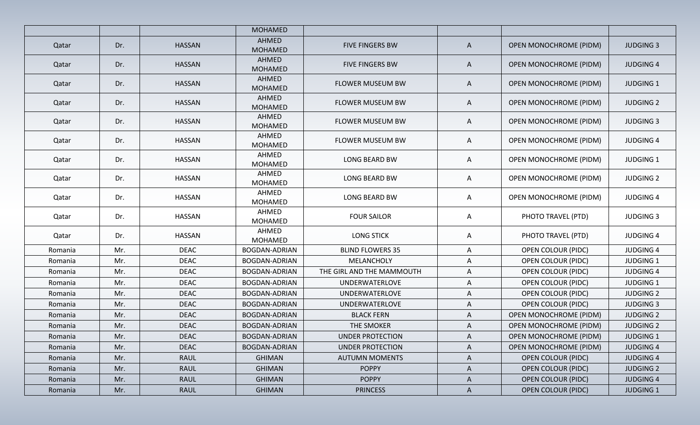|         |     |               | <b>MOHAMED</b>          |                           |              |                               |                  |
|---------|-----|---------------|-------------------------|---------------------------|--------------|-------------------------------|------------------|
|         |     | <b>HASSAN</b> | AHMED                   |                           |              |                               |                  |
| Qatar   | Dr. |               | <b>MOHAMED</b>          | FIVE FINGERS BW           | A            | <b>OPEN MONOCHROME (PIDM)</b> | <b>JUDGING 3</b> |
| Qatar   | Dr. | <b>HASSAN</b> | AHMED<br><b>MOHAMED</b> | <b>FIVE FINGERS BW</b>    | A            | <b>OPEN MONOCHROME (PIDM)</b> | <b>JUDGING 4</b> |
| Qatar   | Dr. | <b>HASSAN</b> | AHMED<br><b>MOHAMED</b> | FLOWER MUSEUM BW          | A            | <b>OPEN MONOCHROME (PIDM)</b> | <b>JUDGING 1</b> |
| Qatar   | Dr. | HASSAN        | AHMED<br><b>MOHAMED</b> | FLOWER MUSEUM BW          | A            | <b>OPEN MONOCHROME (PIDM)</b> | <b>JUDGING 2</b> |
| Qatar   | Dr. | <b>HASSAN</b> | AHMED<br><b>MOHAMED</b> | FLOWER MUSEUM BW          | A            | <b>OPEN MONOCHROME (PIDM)</b> | <b>JUDGING 3</b> |
| Qatar   | Dr. | <b>HASSAN</b> | AHMED<br><b>MOHAMED</b> | <b>FLOWER MUSEUM BW</b>   | A            | <b>OPEN MONOCHROME (PIDM)</b> | <b>JUDGING 4</b> |
| Qatar   | Dr. | <b>HASSAN</b> | AHMED<br><b>MOHAMED</b> | <b>LONG BEARD BW</b>      | A            | <b>OPEN MONOCHROME (PIDM)</b> | <b>JUDGING 1</b> |
| Qatar   | Dr. | HASSAN        | AHMED<br>MOHAMED        | LONG BEARD BW             | A            | <b>OPEN MONOCHROME (PIDM)</b> | <b>JUDGING 2</b> |
| Qatar   | Dr. | HASSAN        | AHMED<br><b>MOHAMED</b> | <b>LONG BEARD BW</b>      | A            | <b>OPEN MONOCHROME (PIDM)</b> | <b>JUDGING 4</b> |
| Qatar   | Dr. | <b>HASSAN</b> | AHMED<br>MOHAMED        | <b>FOUR SAILOR</b>        | $\mathsf{A}$ | PHOTO TRAVEL (PTD)            | <b>JUDGING 3</b> |
| Qatar   | Dr. | HASSAN        | AHMED<br>MOHAMED        | <b>LONG STICK</b>         | A            | PHOTO TRAVEL (PTD)            | <b>JUDGING 4</b> |
| Romania | Mr. | <b>DEAC</b>   | BOGDAN-ADRIAN           | <b>BLIND FLOWERS 35</b>   | A            | <b>OPEN COLOUR (PIDC)</b>     | <b>JUDGING 4</b> |
| Romania | Mr. | <b>DEAC</b>   | <b>BOGDAN-ADRIAN</b>    | MELANCHOLY                | A            | <b>OPEN COLOUR (PIDC)</b>     | <b>JUDGING 1</b> |
| Romania | Mr. | <b>DEAC</b>   | <b>BOGDAN-ADRIAN</b>    | THE GIRL AND THE MAMMOUTH | A            | <b>OPEN COLOUR (PIDC)</b>     | <b>JUDGING 4</b> |
| Romania | Mr. | <b>DEAC</b>   | <b>BOGDAN-ADRIAN</b>    | UNDERWATERLOVE            | $\mathsf{A}$ | <b>OPEN COLOUR (PIDC)</b>     | <b>JUDGING 1</b> |
| Romania | Mr. | <b>DEAC</b>   | <b>BOGDAN-ADRIAN</b>    | UNDERWATERLOVE            | A            | <b>OPEN COLOUR (PIDC)</b>     | <b>JUDGING 2</b> |
| Romania | Mr. | <b>DEAC</b>   | BOGDAN-ADRIAN           | <b>UNDERWATERLOVE</b>     | $\mathsf{A}$ | <b>OPEN COLOUR (PIDC)</b>     | <b>JUDGING 3</b> |
| Romania | Mr. | <b>DEAC</b>   | BOGDAN-ADRIAN           | <b>BLACK FERN</b>         | A            | <b>OPEN MONOCHROME (PIDM)</b> | <b>JUDGING 2</b> |
| Romania | Mr. | <b>DEAC</b>   | <b>BOGDAN-ADRIAN</b>    | THE SMOKER                | A            | <b>OPEN MONOCHROME (PIDM)</b> | <b>JUDGING 2</b> |
| Romania | Mr. | <b>DEAC</b>   | <b>BOGDAN-ADRIAN</b>    | UNDER PROTECTION          | A            | <b>OPEN MONOCHROME (PIDM)</b> | <b>JUDGING 1</b> |
| Romania | Mr. | <b>DEAC</b>   | BOGDAN-ADRIAN           | <b>UNDER PROTECTION</b>   | A            | <b>OPEN MONOCHROME (PIDM)</b> | <b>JUDGING 4</b> |
| Romania | Mr. | <b>RAUL</b>   | <b>GHIMAN</b>           | <b>AUTUMN MOMENTS</b>     | $\mathsf{A}$ | <b>OPEN COLOUR (PIDC)</b>     | <b>JUDGING 4</b> |
| Romania | Mr. | <b>RAUL</b>   | <b>GHIMAN</b>           | <b>POPPY</b>              | $\mathsf{A}$ | <b>OPEN COLOUR (PIDC)</b>     | <b>JUDGING 2</b> |
| Romania | Mr. | <b>RAUL</b>   | <b>GHIMAN</b>           | <b>POPPY</b>              | $\mathsf{A}$ | <b>OPEN COLOUR (PIDC)</b>     | <b>JUDGING 4</b> |
| Romania | Mr. | <b>RAUL</b>   | <b>GHIMAN</b>           | <b>PRINCESS</b>           | $\mathsf{A}$ | <b>OPEN COLOUR (PIDC)</b>     | <b>JUDGING 1</b> |
|         |     |               |                         |                           |              |                               |                  |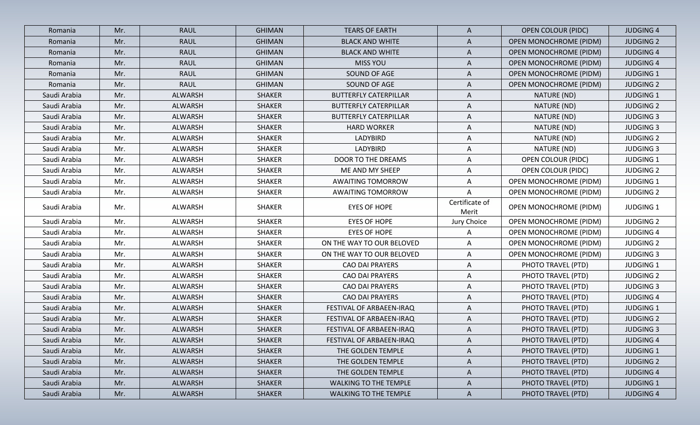| Romania      | Mr. | <b>RAUL</b> | <b>GHIMAN</b> | <b>TEARS OF EARTH</b>        | $\mathsf{A}$            | <b>OPEN COLOUR (PIDC)</b>     | <b>JUDGING 4</b> |
|--------------|-----|-------------|---------------|------------------------------|-------------------------|-------------------------------|------------------|
| Romania      | Mr. | <b>RAUL</b> | <b>GHIMAN</b> | <b>BLACK AND WHITE</b>       | A                       | <b>OPEN MONOCHROME (PIDM)</b> | <b>JUDGING 2</b> |
| Romania      | Mr. | <b>RAUL</b> | <b>GHIMAN</b> | <b>BLACK AND WHITE</b>       | $\mathsf{A}$            | <b>OPEN MONOCHROME (PIDM)</b> | <b>JUDGING 4</b> |
| Romania      | Mr. | RAUL        | <b>GHIMAN</b> | <b>MISS YOU</b>              | A                       | <b>OPEN MONOCHROME (PIDM)</b> | <b>JUDGING 4</b> |
| Romania      | Mr. | <b>RAUL</b> | <b>GHIMAN</b> | SOUND OF AGE                 | A                       | OPEN MONOCHROME (PIDM)        | <b>JUDGING 1</b> |
| Romania      | Mr. | RAUL        | <b>GHIMAN</b> | SOUND OF AGE                 | A                       | OPEN MONOCHROME (PIDM)        | <b>JUDGING 2</b> |
| Saudi Arabia | Mr. | ALWARSH     | <b>SHAKER</b> | <b>BUTTERFLY CATERPILLAR</b> | A                       | NATURE (ND)                   | <b>JUDGING 1</b> |
| Saudi Arabia | Mr. | ALWARSH     | <b>SHAKER</b> | <b>BUTTERFLY CATERPILLAR</b> | A                       | NATURE (ND)                   | <b>JUDGING 2</b> |
| Saudi Arabia | Mr. | ALWARSH     | <b>SHAKER</b> | <b>BUTTERFLY CATERPILLAR</b> | A                       | NATURE (ND)                   | <b>JUDGING 3</b> |
| Saudi Arabia | Mr. | ALWARSH     | <b>SHAKER</b> | <b>HARD WORKER</b>           | A                       | NATURE (ND)                   | <b>JUDGING 3</b> |
| Saudi Arabia | Mr. | ALWARSH     | <b>SHAKER</b> | LADYBIRD                     | A                       | NATURE (ND)                   | <b>JUDGING 2</b> |
| Saudi Arabia | Mr. | ALWARSH     | <b>SHAKER</b> | LADYBIRD                     | A                       | NATURE (ND)                   | <b>JUDGING 3</b> |
| Saudi Arabia | Mr. | ALWARSH     | <b>SHAKER</b> | DOOR TO THE DREAMS           | A                       | <b>OPEN COLOUR (PIDC)</b>     | <b>JUDGING 1</b> |
| Saudi Arabia | Mr. | ALWARSH     | <b>SHAKER</b> | ME AND MY SHEEP              | A                       | <b>OPEN COLOUR (PIDC)</b>     | <b>JUDGING 2</b> |
| Saudi Arabia | Mr. | ALWARSH     | <b>SHAKER</b> | <b>AWAITING TOMORROW</b>     | A                       | <b>OPEN MONOCHROME (PIDM)</b> | <b>JUDGING 1</b> |
| Saudi Arabia | Mr. | ALWARSH     | <b>SHAKER</b> | <b>AWAITING TOMORROW</b>     | Α                       | <b>OPEN MONOCHROME (PIDM)</b> | <b>JUDGING 2</b> |
| Saudi Arabia | Mr. | ALWARSH     | <b>SHAKER</b> | <b>EYES OF HOPE</b>          | Certificate of<br>Merit | <b>OPEN MONOCHROME (PIDM)</b> | <b>JUDGING 1</b> |
| Saudi Arabia | Mr. | ALWARSH     | <b>SHAKER</b> | <b>EYES OF HOPE</b>          | Jury Choice             | <b>OPEN MONOCHROME (PIDM)</b> | <b>JUDGING 2</b> |
| Saudi Arabia | Mr. | ALWARSH     | <b>SHAKER</b> | <b>EYES OF HOPE</b>          | A                       | <b>OPEN MONOCHROME (PIDM)</b> | <b>JUDGING 4</b> |
| Saudi Arabia | Mr. | ALWARSH     | <b>SHAKER</b> | ON THE WAY TO OUR BELOVED    | A                       | <b>OPEN MONOCHROME (PIDM)</b> | <b>JUDGING 2</b> |
| Saudi Arabia | Mr. | ALWARSH     | <b>SHAKER</b> | ON THE WAY TO OUR BELOVED    | A                       | <b>OPEN MONOCHROME (PIDM)</b> | <b>JUDGING 3</b> |
| Saudi Arabia | Mr. | ALWARSH     | <b>SHAKER</b> | CAO DAI PRAYERS              | A                       | PHOTO TRAVEL (PTD)            | <b>JUDGING 1</b> |
| Saudi Arabia | Mr. | ALWARSH     | <b>SHAKER</b> | <b>CAO DAI PRAYERS</b>       | $\mathsf{A}$            | PHOTO TRAVEL (PTD)            | <b>JUDGING 2</b> |
| Saudi Arabia | Mr. | ALWARSH     | <b>SHAKER</b> | <b>CAO DAI PRAYERS</b>       | $\mathsf{A}$            | PHOTO TRAVEL (PTD)            | <b>JUDGING 3</b> |
| Saudi Arabia | Mr. | ALWARSH     | <b>SHAKER</b> | CAO DAI PRAYERS              | $\mathsf{A}$            | PHOTO TRAVEL (PTD)            | <b>JUDGING 4</b> |
| Saudi Arabia | Mr. | ALWARSH     | <b>SHAKER</b> | FESTIVAL OF ARBAEEN-IRAQ     | A                       | PHOTO TRAVEL (PTD)            | <b>JUDGING 1</b> |
| Saudi Arabia | Mr. | ALWARSH     | <b>SHAKER</b> | FESTIVAL OF ARBAEEN-IRAQ     | A                       | PHOTO TRAVEL (PTD)            | <b>JUDGING 2</b> |
| Saudi Arabia | Mr. | ALWARSH     | <b>SHAKER</b> | FESTIVAL OF ARBAEEN-IRAQ     | A                       | PHOTO TRAVEL (PTD)            | <b>JUDGING 3</b> |
| Saudi Arabia | Mr. | ALWARSH     | <b>SHAKER</b> | FESTIVAL OF ARBAEEN-IRAQ     | $\mathsf{A}$            | PHOTO TRAVEL (PTD)            | <b>JUDGING 4</b> |
| Saudi Arabia | Mr. | ALWARSH     | <b>SHAKER</b> | THE GOLDEN TEMPLE            | A                       | PHOTO TRAVEL (PTD)            | <b>JUDGING 1</b> |
| Saudi Arabia | Mr. | ALWARSH     | <b>SHAKER</b> | THE GOLDEN TEMPLE            | $\mathsf{A}$            | PHOTO TRAVEL (PTD)            | <b>JUDGING 2</b> |
| Saudi Arabia | Mr. | ALWARSH     | <b>SHAKER</b> | THE GOLDEN TEMPLE            | $\mathsf{A}$            | PHOTO TRAVEL (PTD)            | <b>JUDGING 4</b> |
| Saudi Arabia | Mr. | ALWARSH     | <b>SHAKER</b> | WALKING TO THE TEMPLE        | $\mathsf{A}$            | PHOTO TRAVEL (PTD)            | <b>JUDGING 1</b> |
| Saudi Arabia | Mr. | ALWARSH     | <b>SHAKER</b> | <b>WALKING TO THE TEMPLE</b> | $\mathsf{A}$            | PHOTO TRAVEL (PTD)            | <b>JUDGING 4</b> |
|              |     |             |               |                              |                         |                               |                  |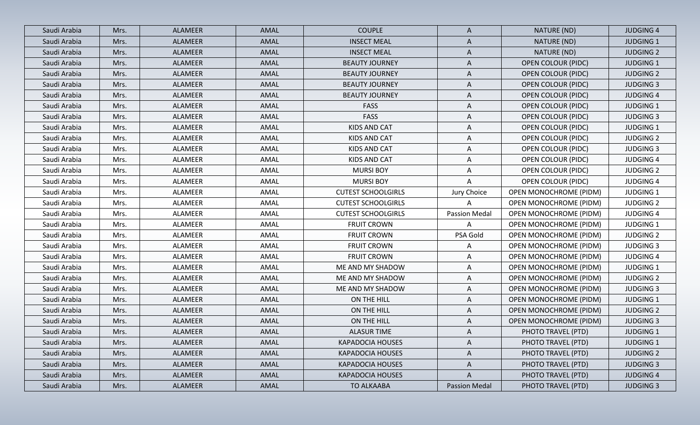| Saudi Arabia<br><b>ALAMEER</b><br>AMAL<br><b>COUPLE</b><br>Mrs.<br>Saudi Arabia<br><b>ALAMEER</b><br>AMAL<br><b>INSECT MEAL</b><br>Mrs.<br>Saudi Arabia<br>ALAMEER<br>AMAL<br><b>INSECT MEAL</b><br>Mrs.<br>Saudi Arabia<br><b>BEAUTY JOURNEY</b><br>ALAMEER<br>AMAL<br>Mrs.<br>Saudi Arabia<br>AMAL<br>ALAMEER<br><b>BEAUTY JOURNEY</b><br>Mrs.<br>Saudi Arabia<br>AMAL<br>ALAMEER<br><b>BEAUTY JOURNEY</b><br>Mrs.<br>AMAL<br>Saudi Arabia<br>Mrs.<br>ALAMEER<br><b>BEAUTY JOURNEY</b><br>Saudi Arabia<br><b>ALAMEER</b><br>AMAL<br><b>FASS</b><br>Mrs.<br>Saudi Arabia<br><b>ALAMEER</b><br>AMAL<br>FASS<br>Mrs.<br>Saudi Arabia<br>Mrs.<br>ALAMEER<br>AMAL<br>KIDS AND CAT<br>Saudi Arabia<br>ALAMEER<br>AMAL<br>KIDS AND CAT<br>Mrs.<br>AMAL<br>Saudi Arabia<br>ALAMEER<br>KIDS AND CAT<br>Mrs.<br>Saudi Arabia<br>ALAMEER<br>AMAL<br>KIDS AND CAT<br>Mrs.<br>Saudi Arabia<br>ALAMEER<br>AMAL<br><b>MURSI BOY</b><br>Mrs.<br>Saudi Arabia<br><b>MURSI BOY</b><br>ALAMEER<br>AMAL<br>Mrs.<br>Saudi Arabia<br>ALAMEER<br>AMAL<br><b>CUTEST SCHOOLGIRLS</b><br>Mrs.<br>Saudi Arabia<br>ALAMEER<br>AMAL<br><b>CUTEST SCHOOLGIRLS</b><br>Mrs. | NATURE (ND)<br>A<br>NATURE (ND)<br>A<br>A<br>NATURE (ND)<br>$\mathsf{A}$<br><b>OPEN COLOUR (PIDC)</b><br>A<br><b>OPEN COLOUR (PIDC)</b> | <b>JUDGING 4</b><br><b>JUDGING 1</b><br><b>JUDGING 2</b><br><b>JUDGING 1</b> |
|-----------------------------------------------------------------------------------------------------------------------------------------------------------------------------------------------------------------------------------------------------------------------------------------------------------------------------------------------------------------------------------------------------------------------------------------------------------------------------------------------------------------------------------------------------------------------------------------------------------------------------------------------------------------------------------------------------------------------------------------------------------------------------------------------------------------------------------------------------------------------------------------------------------------------------------------------------------------------------------------------------------------------------------------------------------------------------------------------------------------------------------------------|-----------------------------------------------------------------------------------------------------------------------------------------|------------------------------------------------------------------------------|
|                                                                                                                                                                                                                                                                                                                                                                                                                                                                                                                                                                                                                                                                                                                                                                                                                                                                                                                                                                                                                                                                                                                                               |                                                                                                                                         |                                                                              |
|                                                                                                                                                                                                                                                                                                                                                                                                                                                                                                                                                                                                                                                                                                                                                                                                                                                                                                                                                                                                                                                                                                                                               |                                                                                                                                         |                                                                              |
|                                                                                                                                                                                                                                                                                                                                                                                                                                                                                                                                                                                                                                                                                                                                                                                                                                                                                                                                                                                                                                                                                                                                               |                                                                                                                                         |                                                                              |
|                                                                                                                                                                                                                                                                                                                                                                                                                                                                                                                                                                                                                                                                                                                                                                                                                                                                                                                                                                                                                                                                                                                                               |                                                                                                                                         |                                                                              |
|                                                                                                                                                                                                                                                                                                                                                                                                                                                                                                                                                                                                                                                                                                                                                                                                                                                                                                                                                                                                                                                                                                                                               |                                                                                                                                         | <b>JUDGING 2</b>                                                             |
|                                                                                                                                                                                                                                                                                                                                                                                                                                                                                                                                                                                                                                                                                                                                                                                                                                                                                                                                                                                                                                                                                                                                               | A<br>OPEN COLOUR (PIDC)                                                                                                                 | <b>JUDGING 3</b>                                                             |
|                                                                                                                                                                                                                                                                                                                                                                                                                                                                                                                                                                                                                                                                                                                                                                                                                                                                                                                                                                                                                                                                                                                                               | <b>OPEN COLOUR (PIDC)</b><br>A                                                                                                          | <b>JUDGING 4</b>                                                             |
|                                                                                                                                                                                                                                                                                                                                                                                                                                                                                                                                                                                                                                                                                                                                                                                                                                                                                                                                                                                                                                                                                                                                               | A<br><b>OPEN COLOUR (PIDC)</b>                                                                                                          | <b>JUDGING 1</b>                                                             |
|                                                                                                                                                                                                                                                                                                                                                                                                                                                                                                                                                                                                                                                                                                                                                                                                                                                                                                                                                                                                                                                                                                                                               | A<br><b>OPEN COLOUR (PIDC)</b>                                                                                                          | <b>JUDGING 3</b>                                                             |
|                                                                                                                                                                                                                                                                                                                                                                                                                                                                                                                                                                                                                                                                                                                                                                                                                                                                                                                                                                                                                                                                                                                                               | A<br><b>OPEN COLOUR (PIDC)</b>                                                                                                          | <b>JUDGING 1</b>                                                             |
|                                                                                                                                                                                                                                                                                                                                                                                                                                                                                                                                                                                                                                                                                                                                                                                                                                                                                                                                                                                                                                                                                                                                               | <b>OPEN COLOUR (PIDC)</b><br>A                                                                                                          | <b>JUDGING 2</b>                                                             |
|                                                                                                                                                                                                                                                                                                                                                                                                                                                                                                                                                                                                                                                                                                                                                                                                                                                                                                                                                                                                                                                                                                                                               | A<br>OPEN COLOUR (PIDC)                                                                                                                 | <b>JUDGING 3</b>                                                             |
|                                                                                                                                                                                                                                                                                                                                                                                                                                                                                                                                                                                                                                                                                                                                                                                                                                                                                                                                                                                                                                                                                                                                               | Α<br><b>OPEN COLOUR (PIDC)</b>                                                                                                          | <b>JUDGING 4</b>                                                             |
|                                                                                                                                                                                                                                                                                                                                                                                                                                                                                                                                                                                                                                                                                                                                                                                                                                                                                                                                                                                                                                                                                                                                               | <b>OPEN COLOUR (PIDC)</b><br>A                                                                                                          | <b>JUDGING 2</b>                                                             |
|                                                                                                                                                                                                                                                                                                                                                                                                                                                                                                                                                                                                                                                                                                                                                                                                                                                                                                                                                                                                                                                                                                                                               | Α<br><b>OPEN COLOUR (PIDC)</b>                                                                                                          | <b>JUDGING 4</b>                                                             |
|                                                                                                                                                                                                                                                                                                                                                                                                                                                                                                                                                                                                                                                                                                                                                                                                                                                                                                                                                                                                                                                                                                                                               | <b>OPEN MONOCHROME (PIDM)</b><br>Jury Choice                                                                                            | <b>JUDGING 1</b>                                                             |
|                                                                                                                                                                                                                                                                                                                                                                                                                                                                                                                                                                                                                                                                                                                                                                                                                                                                                                                                                                                                                                                                                                                                               | A<br>OPEN MONOCHROME (PIDM)                                                                                                             | <b>JUDGING 2</b>                                                             |
| Saudi Arabia<br>ALAMEER<br>AMAL<br><b>CUTEST SCHOOLGIRLS</b><br>Mrs.                                                                                                                                                                                                                                                                                                                                                                                                                                                                                                                                                                                                                                                                                                                                                                                                                                                                                                                                                                                                                                                                          | <b>Passion Medal</b><br><b>OPEN MONOCHROME (PIDM)</b>                                                                                   | <b>JUDGING 4</b>                                                             |
| Saudi Arabia<br>AMAL<br><b>FRUIT CROWN</b><br>Mrs.<br>ALAMEER                                                                                                                                                                                                                                                                                                                                                                                                                                                                                                                                                                                                                                                                                                                                                                                                                                                                                                                                                                                                                                                                                 | A<br><b>OPEN MONOCHROME (PIDM)</b>                                                                                                      | <b>JUDGING 1</b>                                                             |
| <b>FRUIT CROWN</b><br>Saudi Arabia<br>ALAMEER<br>AMAL<br>Mrs.                                                                                                                                                                                                                                                                                                                                                                                                                                                                                                                                                                                                                                                                                                                                                                                                                                                                                                                                                                                                                                                                                 | PSA Gold<br><b>OPEN MONOCHROME (PIDM)</b>                                                                                               | <b>JUDGING 2</b>                                                             |
| Saudi Arabia<br>ALAMEER<br>AMAL<br><b>FRUIT CROWN</b><br>Mrs.                                                                                                                                                                                                                                                                                                                                                                                                                                                                                                                                                                                                                                                                                                                                                                                                                                                                                                                                                                                                                                                                                 | OPEN MONOCHROME (PIDM)<br>A                                                                                                             | <b>JUDGING 3</b>                                                             |
| Saudi Arabia<br><b>FRUIT CROWN</b><br>Mrs.<br>ALAMEER<br>AMAL                                                                                                                                                                                                                                                                                                                                                                                                                                                                                                                                                                                                                                                                                                                                                                                                                                                                                                                                                                                                                                                                                 | A<br>OPEN MONOCHROME (PIDM)                                                                                                             | <b>JUDGING 4</b>                                                             |
| Saudi Arabia<br>ALAMEER<br>AMAL<br>ME AND MY SHADOW<br>Mrs.                                                                                                                                                                                                                                                                                                                                                                                                                                                                                                                                                                                                                                                                                                                                                                                                                                                                                                                                                                                                                                                                                   | A<br>OPEN MONOCHROME (PIDM)                                                                                                             | <b>JUDGING 1</b>                                                             |
| Saudi Arabia<br>AMAL<br>Mrs.<br>ALAMEER<br>ME AND MY SHADOW                                                                                                                                                                                                                                                                                                                                                                                                                                                                                                                                                                                                                                                                                                                                                                                                                                                                                                                                                                                                                                                                                   | A<br><b>OPEN MONOCHROME (PIDM)</b>                                                                                                      | <b>JUDGING 2</b>                                                             |
| Saudi Arabia<br>ALAMEER<br>AMAL<br>ME AND MY SHADOW<br>Mrs.                                                                                                                                                                                                                                                                                                                                                                                                                                                                                                                                                                                                                                                                                                                                                                                                                                                                                                                                                                                                                                                                                   | <b>OPEN MONOCHROME (PIDM)</b><br>A                                                                                                      | <b>JUDGING 3</b>                                                             |
| Saudi Arabia<br><b>ALAMEER</b><br>AMAL<br>ON THE HILL<br>Mrs.                                                                                                                                                                                                                                                                                                                                                                                                                                                                                                                                                                                                                                                                                                                                                                                                                                                                                                                                                                                                                                                                                 | <b>OPEN MONOCHROME (PIDM)</b><br>A                                                                                                      | <b>JUDGING 1</b>                                                             |
| Saudi Arabia<br>AMAL<br>ON THE HILL<br>Mrs.<br>ALAMEER                                                                                                                                                                                                                                                                                                                                                                                                                                                                                                                                                                                                                                                                                                                                                                                                                                                                                                                                                                                                                                                                                        | <b>OPEN MONOCHROME (PIDM)</b><br>A                                                                                                      | <b>JUDGING 2</b>                                                             |
| Saudi Arabia<br>ALAMEER<br>ON THE HILL<br>AMAL<br>Mrs.                                                                                                                                                                                                                                                                                                                                                                                                                                                                                                                                                                                                                                                                                                                                                                                                                                                                                                                                                                                                                                                                                        | <b>OPEN MONOCHROME (PIDM)</b><br>$\mathsf{A}$                                                                                           | <b>JUDGING 3</b>                                                             |
| Saudi Arabia<br><b>ALAMEER</b><br>AMAL<br><b>ALASUR TIME</b><br>Mrs.                                                                                                                                                                                                                                                                                                                                                                                                                                                                                                                                                                                                                                                                                                                                                                                                                                                                                                                                                                                                                                                                          | Α<br>PHOTO TRAVEL (PTD)                                                                                                                 | <b>JUDGING 1</b>                                                             |
| Saudi Arabia<br>ALAMEER<br>AMAL<br><b>KAPADOCIA HOUSES</b><br>Mrs.                                                                                                                                                                                                                                                                                                                                                                                                                                                                                                                                                                                                                                                                                                                                                                                                                                                                                                                                                                                                                                                                            | PHOTO TRAVEL (PTD)<br>$\mathsf{A}$                                                                                                      | <b>JUDGING 1</b>                                                             |
| Saudi Arabia<br>Mrs.<br>ALAMEER<br>AMAL<br><b>KAPADOCIA HOUSES</b>                                                                                                                                                                                                                                                                                                                                                                                                                                                                                                                                                                                                                                                                                                                                                                                                                                                                                                                                                                                                                                                                            | PHOTO TRAVEL (PTD)<br>$\mathsf{A}$                                                                                                      | <b>JUDGING 2</b>                                                             |
| <b>ALAMEER</b><br>AMAL<br><b>KAPADOCIA HOUSES</b><br>Saudi Arabia<br>Mrs.                                                                                                                                                                                                                                                                                                                                                                                                                                                                                                                                                                                                                                                                                                                                                                                                                                                                                                                                                                                                                                                                     | $\mathsf{A}$<br>PHOTO TRAVEL (PTD)                                                                                                      | <b>JUDGING 3</b>                                                             |
| Saudi Arabia<br>ALAMEER<br>AMAL<br><b>KAPADOCIA HOUSES</b><br>Mrs.                                                                                                                                                                                                                                                                                                                                                                                                                                                                                                                                                                                                                                                                                                                                                                                                                                                                                                                                                                                                                                                                            |                                                                                                                                         |                                                                              |
| Saudi Arabia<br><b>TO ALKAABA</b><br>Mrs.<br>ALAMEER<br>AMAL                                                                                                                                                                                                                                                                                                                                                                                                                                                                                                                                                                                                                                                                                                                                                                                                                                                                                                                                                                                                                                                                                  | PHOTO TRAVEL (PTD)<br>$\mathsf{A}$                                                                                                      | <b>JUDGING 4</b>                                                             |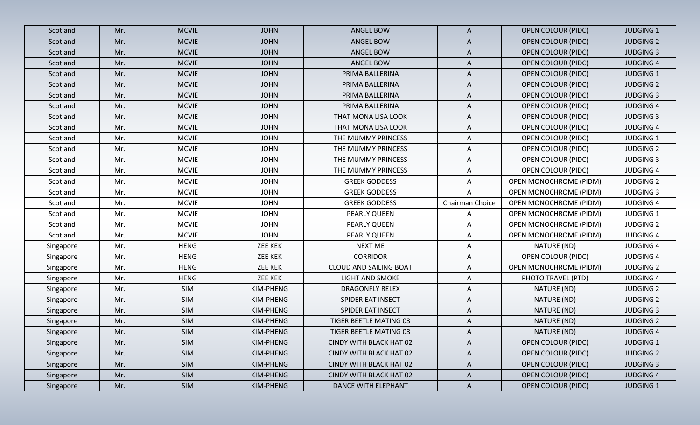| Scotland  | Mr. | <b>MCVIE</b> | <b>JOHN</b>    | <b>ANGEL BOW</b>        | A               | <b>OPEN COLOUR (PIDC)</b>     | <b>JUDGING 1</b> |
|-----------|-----|--------------|----------------|-------------------------|-----------------|-------------------------------|------------------|
| Scotland  | Mr. | <b>MCVIE</b> | <b>JOHN</b>    | <b>ANGEL BOW</b>        | A               | <b>OPEN COLOUR (PIDC)</b>     | <b>JUDGING 2</b> |
| Scotland  | Mr. | <b>MCVIE</b> | <b>JOHN</b>    | <b>ANGEL BOW</b>        | $\mathsf{A}$    | <b>OPEN COLOUR (PIDC)</b>     | <b>JUDGING 3</b> |
| Scotland  | Mr. | <b>MCVIE</b> | <b>JOHN</b>    | ANGEL BOW               | A               | <b>OPEN COLOUR (PIDC)</b>     | <b>JUDGING 4</b> |
| Scotland  | Mr. | <b>MCVIE</b> | <b>JOHN</b>    | PRIMA BALLERINA         | $\mathsf{A}$    | <b>OPEN COLOUR (PIDC)</b>     | <b>JUDGING 1</b> |
| Scotland  | Mr. | <b>MCVIE</b> | <b>JOHN</b>    | PRIMA BALLERINA         | A               | <b>OPEN COLOUR (PIDC)</b>     | <b>JUDGING 2</b> |
| Scotland  | Mr. | <b>MCVIE</b> | <b>JOHN</b>    | PRIMA BALLERINA         | A               | <b>OPEN COLOUR (PIDC)</b>     | <b>JUDGING 3</b> |
| Scotland  | Mr. | <b>MCVIE</b> | <b>JOHN</b>    | PRIMA BALLERINA         | A               | <b>OPEN COLOUR (PIDC)</b>     | <b>JUDGING 4</b> |
| Scotland  | Mr. | <b>MCVIE</b> | <b>JOHN</b>    | THAT MONA LISA LOOK     | $\mathsf{A}$    | <b>OPEN COLOUR (PIDC)</b>     | <b>JUDGING 3</b> |
| Scotland  | Mr. | <b>MCVIE</b> | <b>JOHN</b>    | THAT MONA LISA LOOK     | A               | <b>OPEN COLOUR (PIDC)</b>     | <b>JUDGING 4</b> |
| Scotland  | Mr. | <b>MCVIE</b> | <b>JOHN</b>    | THE MUMMY PRINCESS      | $\mathsf{A}$    | <b>OPEN COLOUR (PIDC)</b>     | <b>JUDGING 1</b> |
| Scotland  | Mr. | <b>MCVIE</b> | <b>JOHN</b>    | THE MUMMY PRINCESS      | $\mathsf{A}$    | <b>OPEN COLOUR (PIDC)</b>     | <b>JUDGING 2</b> |
| Scotland  | Mr. | <b>MCVIE</b> | <b>JOHN</b>    | THE MUMMY PRINCESS      | A               | <b>OPEN COLOUR (PIDC)</b>     | <b>JUDGING 3</b> |
| Scotland  | Mr. | <b>MCVIE</b> | <b>JOHN</b>    | THE MUMMY PRINCESS      | A               | <b>OPEN COLOUR (PIDC)</b>     | <b>JUDGING 4</b> |
| Scotland  | Mr. | <b>MCVIE</b> | <b>JOHN</b>    | <b>GREEK GODDESS</b>    | Α               | <b>OPEN MONOCHROME (PIDM)</b> | <b>JUDGING 2</b> |
| Scotland  | Mr. | <b>MCVIE</b> | <b>JOHN</b>    | <b>GREEK GODDESS</b>    | A               | <b>OPEN MONOCHROME (PIDM)</b> | <b>JUDGING 3</b> |
| Scotland  | Mr. | <b>MCVIE</b> | <b>JOHN</b>    | <b>GREEK GODDESS</b>    | Chairman Choice | OPEN MONOCHROME (PIDM)        | <b>JUDGING 4</b> |
| Scotland  | Mr. | <b>MCVIE</b> | <b>JOHN</b>    | PEARLY QUEEN            | A               | <b>OPEN MONOCHROME (PIDM)</b> | <b>JUDGING 1</b> |
| Scotland  | Mr. | <b>MCVIE</b> | <b>JOHN</b>    | PEARLY QUEEN            | A               | <b>OPEN MONOCHROME (PIDM)</b> | <b>JUDGING 2</b> |
| Scotland  | Mr. | <b>MCVIE</b> | <b>JOHN</b>    | PEARLY QUEEN            | A               | <b>OPEN MONOCHROME (PIDM)</b> | <b>JUDGING 4</b> |
| Singapore | Mr. | <b>HENG</b>  | <b>ZEE KEK</b> | <b>NEXT ME</b>          | $\mathsf{A}$    | NATURE (ND)                   | <b>JUDGING 4</b> |
| Singapore | Mr. | <b>HENG</b>  | <b>ZEE KEK</b> | <b>CORRIDOR</b>         | A               | <b>OPEN COLOUR (PIDC)</b>     | <b>JUDGING 4</b> |
| Singapore | Mr. | <b>HENG</b>  | <b>ZEE KEK</b> | CLOUD AND SAILING BOAT  | A               | <b>OPEN MONOCHROME (PIDM)</b> | <b>JUDGING 2</b> |
| Singapore | Mr. | <b>HENG</b>  | <b>ZEE KEK</b> | <b>LIGHT AND SMOKE</b>  | A               | PHOTO TRAVEL (PTD)            | <b>JUDGING 4</b> |
| Singapore | Mr. | <b>SIM</b>   | KIM-PHENG      | <b>DRAGONFLY RELEX</b>  | A               | NATURE (ND)                   | <b>JUDGING 2</b> |
| Singapore | Mr. | <b>SIM</b>   | KIM-PHENG      | SPIDER EAT INSECT       | A               | NATURE (ND)                   | <b>JUDGING 2</b> |
| Singapore | Mr. | <b>SIM</b>   | KIM-PHENG      | SPIDER EAT INSECT       | Α               | NATURE (ND)                   | <b>JUDGING 3</b> |
| Singapore | Mr. | SIM          | KIM-PHENG      | TIGER BEETLE MATING 03  | A               | NATURE (ND)                   | <b>JUDGING 2</b> |
| Singapore | Mr. | <b>SIM</b>   | KIM-PHENG      | TIGER BEETLE MATING 03  | A               | NATURE (ND)                   | <b>JUDGING 4</b> |
| Singapore | Mr. | <b>SIM</b>   | KIM-PHENG      | CINDY WITH BLACK HAT 02 | A               | <b>OPEN COLOUR (PIDC)</b>     | <b>JUDGING 1</b> |
| Singapore | Mr. | SIM          | KIM-PHENG      | CINDY WITH BLACK HAT 02 | A               | <b>OPEN COLOUR (PIDC)</b>     | <b>JUDGING 2</b> |
| Singapore | Mr. | <b>SIM</b>   | KIM-PHENG      | CINDY WITH BLACK HAT 02 | $\mathsf{A}$    | <b>OPEN COLOUR (PIDC)</b>     | <b>JUDGING 3</b> |
| Singapore | Mr. | <b>SIM</b>   | KIM-PHENG      | CINDY WITH BLACK HAT 02 | $\mathsf{A}$    | <b>OPEN COLOUR (PIDC)</b>     | <b>JUDGING 4</b> |
| Singapore | Mr. | SIM          | KIM-PHENG      | DANCE WITH ELEPHANT     | $\mathsf{A}$    | <b>OPEN COLOUR (PIDC)</b>     | <b>JUDGING 1</b> |
|           |     |              |                |                         |                 |                               |                  |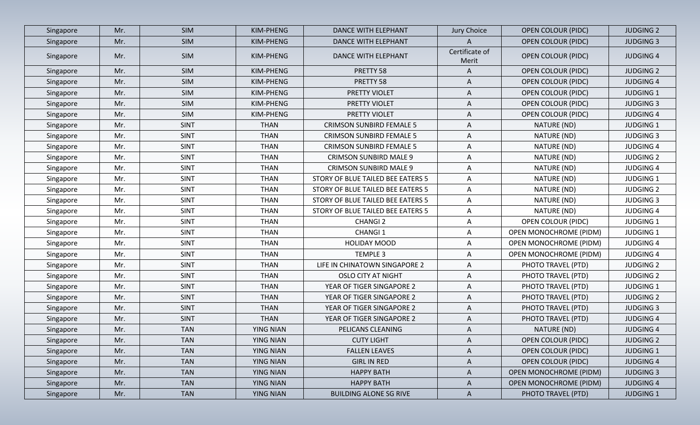| Singapore | Mr. | <b>SIM</b>  | KIM-PHENG        | DANCE WITH ELEPHANT               | Jury Choice             | <b>OPEN COLOUR (PIDC)</b>     | <b>JUDGING 2</b> |
|-----------|-----|-------------|------------------|-----------------------------------|-------------------------|-------------------------------|------------------|
| Singapore | Mr. | <b>SIM</b>  | KIM-PHENG        | <b>DANCE WITH ELEPHANT</b>        | A                       | <b>OPEN COLOUR (PIDC)</b>     | <b>JUDGING 3</b> |
| Singapore | Mr. | <b>SIM</b>  | KIM-PHENG        | DANCE WITH ELEPHANT               | Certificate of<br>Merit | <b>OPEN COLOUR (PIDC)</b>     | <b>JUDGING 4</b> |
| Singapore | Mr. | <b>SIM</b>  | KIM-PHENG        | PRETTY 58                         | A                       | <b>OPEN COLOUR (PIDC)</b>     | <b>JUDGING 2</b> |
| Singapore | Mr. | SIM         | KIM-PHENG        | PRETTY 58                         | A                       | <b>OPEN COLOUR (PIDC)</b>     | <b>JUDGING 4</b> |
| Singapore | Mr. | SIM         | KIM-PHENG        | PRETTY VIOLET                     | A                       | <b>OPEN COLOUR (PIDC)</b>     | <b>JUDGING 1</b> |
| Singapore | Mr. | <b>SIM</b>  | KIM-PHENG        | PRETTY VIOLET                     | A                       | <b>OPEN COLOUR (PIDC)</b>     | <b>JUDGING 3</b> |
| Singapore | Mr. | SIM         | KIM-PHENG        | PRETTY VIOLET                     | A                       | <b>OPEN COLOUR (PIDC)</b>     | <b>JUDGING 4</b> |
| Singapore | Mr. | <b>SINT</b> | <b>THAN</b>      | <b>CRIMSON SUNBIRD FEMALE 5</b>   | A                       | NATURE (ND)                   | <b>JUDGING 1</b> |
| Singapore | Mr. | SINT        | <b>THAN</b>      | <b>CRIMSON SUNBIRD FEMALE 5</b>   | A                       | NATURE (ND)                   | <b>JUDGING 3</b> |
| Singapore | Mr. | <b>SINT</b> | <b>THAN</b>      | <b>CRIMSON SUNBIRD FEMALE 5</b>   | $\mathsf{A}$            | NATURE (ND)                   | <b>JUDGING 4</b> |
| Singapore | Mr. | <b>SINT</b> | <b>THAN</b>      | <b>CRIMSON SUNBIRD MALE 9</b>     | A                       | NATURE (ND)                   | <b>JUDGING 2</b> |
| Singapore | Mr. | <b>SINT</b> | <b>THAN</b>      | <b>CRIMSON SUNBIRD MALE 9</b>     | A                       | NATURE (ND)                   | <b>JUDGING 4</b> |
| Singapore | Mr. | <b>SINT</b> | <b>THAN</b>      | STORY OF BLUE TAILED BEE EATERS 5 | $\mathsf{A}$            | NATURE (ND)                   | <b>JUDGING 1</b> |
| Singapore | Mr. | <b>SINT</b> | <b>THAN</b>      | STORY OF BLUE TAILED BEE EATERS 5 | A                       | NATURE (ND)                   | <b>JUDGING 2</b> |
| Singapore | Mr. | <b>SINT</b> | <b>THAN</b>      | STORY OF BLUE TAILED BEE EATERS 5 | $\mathsf{A}$            | NATURE (ND)                   | <b>JUDGING 3</b> |
| Singapore | Mr. | <b>SINT</b> | <b>THAN</b>      | STORY OF BLUE TAILED BEE EATERS 5 | A                       | NATURE (ND)                   | <b>JUDGING 4</b> |
| Singapore | Mr. | <b>SINT</b> | <b>THAN</b>      | <b>CHANGI 2</b>                   | $\mathsf{A}$            | OPEN COLOUR (PIDC)            | <b>JUDGING 1</b> |
| Singapore | Mr. | <b>SINT</b> | <b>THAN</b>      | <b>CHANGI1</b>                    | A                       | <b>OPEN MONOCHROME (PIDM)</b> | <b>JUDGING 1</b> |
| Singapore | Mr. | <b>SINT</b> | <b>THAN</b>      | <b>HOLIDAY MOOD</b>               | A                       | <b>OPEN MONOCHROME (PIDM)</b> | <b>JUDGING 4</b> |
| Singapore | Mr. | <b>SINT</b> | <b>THAN</b>      | <b>TEMPLE 3</b>                   | $\mathsf{A}$            | <b>OPEN MONOCHROME (PIDM)</b> | <b>JUDGING 4</b> |
| Singapore | Mr. | <b>SINT</b> | <b>THAN</b>      | LIFE IN CHINATOWN SINGAPORE 2     | A                       | PHOTO TRAVEL (PTD)            | <b>JUDGING 2</b> |
| Singapore | Mr. | <b>SINT</b> | <b>THAN</b>      | <b>OSLO CITY AT NIGHT</b>         | $\mathsf{A}$            | PHOTO TRAVEL (PTD)            | <b>JUDGING 2</b> |
| Singapore | Mr. | <b>SINT</b> | <b>THAN</b>      | YEAR OF TIGER SINGAPORE 2         | A                       | PHOTO TRAVEL (PTD)            | <b>JUDGING 1</b> |
| Singapore | Mr. | <b>SINT</b> | <b>THAN</b>      | YEAR OF TIGER SINGAPORE 2         | $\mathsf{A}$            | PHOTO TRAVEL (PTD)            | <b>JUDGING 2</b> |
| Singapore | Mr. | <b>SINT</b> | <b>THAN</b>      | YEAR OF TIGER SINGAPORE 2         | A                       | PHOTO TRAVEL (PTD)            | <b>JUDGING 3</b> |
| Singapore | Mr. | <b>SINT</b> | <b>THAN</b>      | YEAR OF TIGER SINGAPORE 2         | A                       | PHOTO TRAVEL (PTD)            | <b>JUDGING 4</b> |
| Singapore | Mr. | <b>TAN</b>  | <b>YING NIAN</b> | PELICANS CLEANING                 | A                       | NATURE (ND)                   | <b>JUDGING 4</b> |
| Singapore | Mr. | <b>TAN</b>  | YING NIAN        | <b>CUTY LIGHT</b>                 | $\mathsf{A}$            | <b>OPEN COLOUR (PIDC)</b>     | <b>JUDGING 2</b> |
| Singapore | Mr. | <b>TAN</b>  | <b>YING NIAN</b> | <b>FALLEN LEAVES</b>              | A                       | <b>OPEN COLOUR (PIDC)</b>     | <b>JUDGING 1</b> |
| Singapore | Mr. | <b>TAN</b>  | <b>YING NIAN</b> | <b>GIRL IN RED</b>                | $\mathsf{A}$            | <b>OPEN COLOUR (PIDC)</b>     | <b>JUDGING 4</b> |
| Singapore | Mr. | <b>TAN</b>  | <b>YING NIAN</b> | <b>HAPPY BATH</b>                 | A                       | <b>OPEN MONOCHROME (PIDM)</b> | <b>JUDGING 3</b> |
| Singapore | Mr. | <b>TAN</b>  | <b>YING NIAN</b> | <b>HAPPY BATH</b>                 | $\mathsf{A}$            | <b>OPEN MONOCHROME (PIDM)</b> | <b>JUDGING 4</b> |
| Singapore | Mr. | <b>TAN</b>  | <b>YING NIAN</b> | <b>BUILDING ALONE SG RIVE</b>     | $\mathsf{A}$            | PHOTO TRAVEL (PTD)            | <b>JUDGING 1</b> |
|           |     |             |                  |                                   |                         |                               |                  |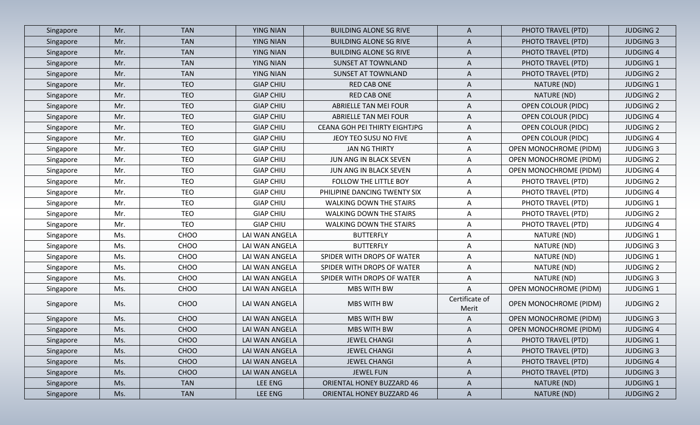| Singapore | Mr. | <b>TAN</b>  | <b>YING NIAN</b> | <b>BUILDING ALONE SG RIVE</b>  | A                       | PHOTO TRAVEL (PTD)            | <b>JUDGING 2</b> |
|-----------|-----|-------------|------------------|--------------------------------|-------------------------|-------------------------------|------------------|
| Singapore | Mr. | <b>TAN</b>  | <b>YING NIAN</b> | <b>BUILDING ALONE SG RIVE</b>  | A                       | PHOTO TRAVEL (PTD)            | <b>JUDGING 3</b> |
| Singapore | Mr. | <b>TAN</b>  | <b>YING NIAN</b> | <b>BUILDING ALONE SG RIVE</b>  | A                       | PHOTO TRAVEL (PTD)            | <b>JUDGING 4</b> |
| Singapore | Mr. | <b>TAN</b>  | <b>YING NIAN</b> | <b>SUNSET AT TOWNLAND</b>      | A                       | PHOTO TRAVEL (PTD)            | <b>JUDGING 1</b> |
| Singapore | Mr. | <b>TAN</b>  | <b>YING NIAN</b> | <b>SUNSET AT TOWNLAND</b>      | A                       | PHOTO TRAVEL (PTD)            | <b>JUDGING 2</b> |
| Singapore | Mr. | <b>TEO</b>  | <b>GIAP CHIU</b> | <b>RED CAB ONE</b>             | A                       | NATURE (ND)                   | <b>JUDGING 1</b> |
| Singapore | Mr. | <b>TEO</b>  | <b>GIAP CHIU</b> | <b>RED CAB ONE</b>             | Α                       | NATURE (ND)                   | <b>JUDGING 2</b> |
| Singapore | Mr. | <b>TEO</b>  | <b>GIAP CHIU</b> | <b>ABRIELLE TAN MEI FOUR</b>   | A                       | <b>OPEN COLOUR (PIDC)</b>     | <b>JUDGING 2</b> |
| Singapore | Mr. | <b>TEO</b>  | <b>GIAP CHIU</b> | <b>ABRIELLE TAN MEI FOUR</b>   | A                       | <b>OPEN COLOUR (PIDC)</b>     | <b>JUDGING 4</b> |
| Singapore | Mr. | <b>TEO</b>  | <b>GIAP CHIU</b> | CEANA GOH PEI THIRTY EIGHTJPG  | A                       | <b>OPEN COLOUR (PIDC)</b>     | <b>JUDGING 2</b> |
| Singapore | Mr. | <b>TEO</b>  | <b>GIAP CHIU</b> | JEOY TEO SUSU NO FIVE          | A                       | <b>OPEN COLOUR (PIDC)</b>     | <b>JUDGING 4</b> |
| Singapore | Mr. | <b>TEO</b>  | <b>GIAP CHIU</b> | <b>JAN NG THIRTY</b>           | Α                       | <b>OPEN MONOCHROME (PIDM)</b> | <b>JUDGING 3</b> |
| Singapore | Mr. | <b>TEO</b>  | <b>GIAP CHIU</b> | JUN ANG IN BLACK SEVEN         | Α                       | <b>OPEN MONOCHROME (PIDM)</b> | <b>JUDGING 2</b> |
| Singapore | Mr. | <b>TEO</b>  | <b>GIAP CHIU</b> | JUN ANG IN BLACK SEVEN         | Α                       | <b>OPEN MONOCHROME (PIDM)</b> | <b>JUDGING 4</b> |
| Singapore | Mr. | <b>TEO</b>  | <b>GIAP CHIU</b> | FOLLOW THE LITTLE BOY          | Α                       | PHOTO TRAVEL (PTD)            | <b>JUDGING 2</b> |
| Singapore | Mr. | <b>TEO</b>  | <b>GIAP CHIU</b> | PHILIPINE DANCING TWENTY SIX   | A                       | PHOTO TRAVEL (PTD)            | <b>JUDGING 4</b> |
| Singapore | Mr. | <b>TEO</b>  | <b>GIAP CHIU</b> | WALKING DOWN THE STAIRS        | Α                       | PHOTO TRAVEL (PTD)            | <b>JUDGING 1</b> |
| Singapore | Mr. | <b>TEO</b>  | <b>GIAP CHIU</b> | <b>WALKING DOWN THE STAIRS</b> | A                       | PHOTO TRAVEL (PTD)            | <b>JUDGING 2</b> |
| Singapore | Mr. | <b>TEO</b>  | <b>GIAP CHIU</b> | WALKING DOWN THE STAIRS        | A                       | PHOTO TRAVEL (PTD)            | <b>JUDGING 4</b> |
| Singapore | Ms. | CHOO        | LAI WAN ANGELA   | <b>BUTTERFLY</b>               | Α                       | NATURE (ND)                   | <b>JUDGING 1</b> |
| Singapore | Ms. | CHOO        | LAI WAN ANGELA   | <b>BUTTERFLY</b>               | Α                       | NATURE (ND)                   | <b>JUDGING 3</b> |
| Singapore | Ms. | CHOO        | LAI WAN ANGELA   | SPIDER WITH DROPS OF WATER     | A                       | NATURE (ND)                   | <b>JUDGING 1</b> |
| Singapore | Ms. | CHOO        | LAI WAN ANGELA   | SPIDER WITH DROPS OF WATER     | A                       | NATURE (ND)                   | <b>JUDGING 2</b> |
| Singapore | Ms. | CHOO        | LAI WAN ANGELA   | SPIDER WITH DROPS OF WATER     | Α                       | NATURE (ND)                   | <b>JUDGING 3</b> |
| Singapore | Ms. | CHOO        | LAI WAN ANGELA   | MBS WITH BW                    | A                       | <b>OPEN MONOCHROME (PIDM)</b> | <b>JUDGING 1</b> |
| Singapore | Ms. | CHOO        | LAI WAN ANGELA   | MBS WITH BW                    | Certificate of<br>Merit | <b>OPEN MONOCHROME (PIDM)</b> | <b>JUDGING 2</b> |
| Singapore | Ms. | CHOO        | LAI WAN ANGELA   | MBS WITH BW                    | A                       | <b>OPEN MONOCHROME (PIDM)</b> | <b>JUDGING 3</b> |
| Singapore | Ms. | CHOO        | LAI WAN ANGELA   | <b>MBS WITH BW</b>             | A                       | <b>OPEN MONOCHROME (PIDM)</b> | <b>JUDGING 4</b> |
| Singapore | Ms. | CHOO        | LAI WAN ANGELA   | <b>JEWEL CHANGI</b>            | A                       | PHOTO TRAVEL (PTD)            | <b>JUDGING 1</b> |
| Singapore | Ms. | <b>CHOO</b> | LAI WAN ANGELA   | <b>JEWEL CHANGI</b>            | A                       | PHOTO TRAVEL (PTD)            | <b>JUDGING 3</b> |
| Singapore | Ms. | <b>CHOO</b> | LAI WAN ANGELA   | <b>JEWEL CHANGI</b>            | A                       | PHOTO TRAVEL (PTD)            | <b>JUDGING 4</b> |
| Singapore | Ms. | <b>CHOO</b> | LAI WAN ANGELA   | <b>JEWEL FUN</b>               | A                       | PHOTO TRAVEL (PTD)            | <b>JUDGING 3</b> |
| Singapore | Ms. | <b>TAN</b>  | LEE ENG          | ORIENTAL HONEY BUZZARD 46      | $\mathsf{A}$            | NATURE (ND)                   | <b>JUDGING 1</b> |
| Singapore | Ms. | <b>TAN</b>  | LEE ENG          | ORIENTAL HONEY BUZZARD 46      | $\mathsf{A}$            | NATURE (ND)                   | <b>JUDGING 2</b> |
|           |     |             |                  |                                |                         |                               |                  |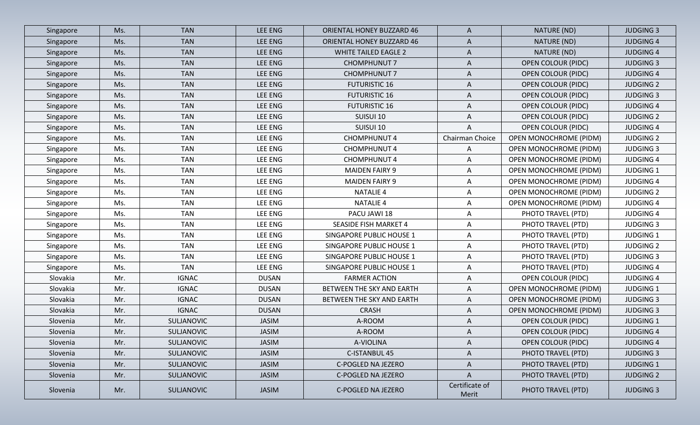| Singapore | Ms. | <b>TAN</b>        | <b>LEE ENG</b> | ORIENTAL HONEY BUZZARD 46        | A                       | NATURE (ND)                   | <b>JUDGING 3</b> |
|-----------|-----|-------------------|----------------|----------------------------------|-------------------------|-------------------------------|------------------|
| Singapore | Ms. | <b>TAN</b>        | LEE ENG        | <b>ORIENTAL HONEY BUZZARD 46</b> | A                       | NATURE (ND)                   | <b>JUDGING 4</b> |
| Singapore | Ms. | <b>TAN</b>        | LEE ENG        | <b>WHITE TAILED EAGLE 2</b>      | A                       | NATURE (ND)                   | <b>JUDGING 4</b> |
| Singapore | Ms. | <b>TAN</b>        | LEE ENG        | <b>CHOMPHUNUT 7</b>              | $\mathsf{A}$            | <b>OPEN COLOUR (PIDC)</b>     | <b>JUDGING 3</b> |
| Singapore | Ms. | <b>TAN</b>        | LEE ENG        | <b>CHOMPHUNUT 7</b>              | A                       | <b>OPEN COLOUR (PIDC)</b>     | <b>JUDGING 4</b> |
| Singapore | Ms. | <b>TAN</b>        | LEE ENG        | <b>FUTURISTIC 16</b>             | A                       | <b>OPEN COLOUR (PIDC)</b>     | <b>JUDGING 2</b> |
| Singapore | Ms. | <b>TAN</b>        | LEE ENG        | <b>FUTURISTIC 16</b>             | A                       | <b>OPEN COLOUR (PIDC)</b>     | <b>JUDGING 3</b> |
| Singapore | Ms. | <b>TAN</b>        | LEE ENG        | <b>FUTURISTIC 16</b>             | A                       | <b>OPEN COLOUR (PIDC)</b>     | <b>JUDGING 4</b> |
| Singapore | Ms. | <b>TAN</b>        | <b>LEE ENG</b> | SUISUI 10                        | A                       | <b>OPEN COLOUR (PIDC)</b>     | <b>JUDGING 2</b> |
| Singapore | Ms. | <b>TAN</b>        | <b>LEE ENG</b> | SUISUI 10                        | A                       | <b>OPEN COLOUR (PIDC)</b>     | <b>JUDGING 4</b> |
| Singapore | Ms. | <b>TAN</b>        | <b>LEE ENG</b> | <b>CHOMPHUNUT 4</b>              | Chairman Choice         | <b>OPEN MONOCHROME (PIDM)</b> | <b>JUDGING 2</b> |
| Singapore | Ms. | <b>TAN</b>        | LEE ENG        | <b>CHOMPHUNUT 4</b>              | A                       | <b>OPEN MONOCHROME (PIDM)</b> | <b>JUDGING 3</b> |
| Singapore | Ms. | <b>TAN</b>        | <b>LEE ENG</b> | <b>CHOMPHUNUT 4</b>              | A                       | <b>OPEN MONOCHROME (PIDM)</b> | <b>JUDGING 4</b> |
| Singapore | Ms. | <b>TAN</b>        | <b>LEE ENG</b> | <b>MAIDEN FAIRY 9</b>            | A                       | <b>OPEN MONOCHROME (PIDM)</b> | <b>JUDGING 1</b> |
| Singapore | Ms. | <b>TAN</b>        | LEE ENG        | <b>MAIDEN FAIRY 9</b>            | А                       | <b>OPEN MONOCHROME (PIDM)</b> | <b>JUDGING 4</b> |
| Singapore | Ms. | <b>TAN</b>        | <b>LEE ENG</b> | <b>NATALIE 4</b>                 | A                       | OPEN MONOCHROME (PIDM)        | <b>JUDGING 2</b> |
| Singapore | Ms. | <b>TAN</b>        | <b>LEE ENG</b> | <b>NATALIE 4</b>                 | Α                       | OPEN MONOCHROME (PIDM)        | <b>JUDGING 4</b> |
| Singapore | Ms. | <b>TAN</b>        | LEE ENG        | PACU JAWI 18                     | Α                       | PHOTO TRAVEL (PTD)            | <b>JUDGING 4</b> |
| Singapore | Ms. | <b>TAN</b>        | LEE ENG        | <b>SEASIDE FISH MARKET 4</b>     | $\mathsf{A}$            | PHOTO TRAVEL (PTD)            | <b>JUDGING 3</b> |
| Singapore | Ms. | <b>TAN</b>        | LEE ENG        | SINGAPORE PUBLIC HOUSE 1         | A                       | PHOTO TRAVEL (PTD)            | <b>JUDGING 1</b> |
| Singapore | Ms. | <b>TAN</b>        | <b>LEE ENG</b> | SINGAPORE PUBLIC HOUSE 1         | A                       | PHOTO TRAVEL (PTD)            | <b>JUDGING 2</b> |
| Singapore | Ms. | <b>TAN</b>        | LEE ENG        | SINGAPORE PUBLIC HOUSE 1         | $\mathsf{A}$            | PHOTO TRAVEL (PTD)            | <b>JUDGING 3</b> |
| Singapore | Ms. | <b>TAN</b>        | <b>LEE ENG</b> | SINGAPORE PUBLIC HOUSE 1         | A                       | PHOTO TRAVEL (PTD)            | <b>JUDGING 4</b> |
| Slovakia  | Mr. | <b>IGNAC</b>      | <b>DUSAN</b>   | <b>FARMER ACTION</b>             | A                       | OPEN COLOUR (PIDC)            | <b>JUDGING 4</b> |
| Slovakia  | Mr. | <b>IGNAC</b>      | <b>DUSAN</b>   | BETWEEN THE SKY AND EARTH        | A                       | <b>OPEN MONOCHROME (PIDM)</b> | <b>JUDGING 1</b> |
| Slovakia  | Mr. | <b>IGNAC</b>      | <b>DUSAN</b>   | BETWEEN THE SKY AND EARTH        | A                       | <b>OPEN MONOCHROME (PIDM)</b> | <b>JUDGING 3</b> |
| Slovakia  | Mr. | <b>IGNAC</b>      | <b>DUSAN</b>   | <b>CRASH</b>                     | A                       | <b>OPEN MONOCHROME (PIDM)</b> | <b>JUDGING 3</b> |
| Slovenia  | Mr. | SULJANOVIC        | JASIM          | A-ROOM                           | $\mathsf{A}$            | <b>OPEN COLOUR (PIDC)</b>     | <b>JUDGING 1</b> |
| Slovenia  | Mr. | <b>SULJANOVIC</b> | <b>JASIM</b>   | A-ROOM                           | Α                       | <b>OPEN COLOUR (PIDC)</b>     | <b>JUDGING 4</b> |
| Slovenia  | Mr. | SULJANOVIC        | <b>JASIM</b>   | A-VIOLINA                        | A                       | <b>OPEN COLOUR (PIDC)</b>     | <b>JUDGING 4</b> |
| Slovenia  | Mr. | SULJANOVIC        | <b>JASIM</b>   | C-ISTANBUL 45                    | $\mathsf{A}$            | PHOTO TRAVEL (PTD)            | <b>JUDGING 3</b> |
| Slovenia  | Mr. | SULJANOVIC        | <b>JASIM</b>   | C-POGLED NA JEZERO               | A                       | PHOTO TRAVEL (PTD)            | <b>JUDGING 1</b> |
| Slovenia  | Mr. | SULJANOVIC        | <b>JASIM</b>   | C-POGLED NA JEZERO               | $\mathsf{A}$            | PHOTO TRAVEL (PTD)            | <b>JUDGING 2</b> |
| Slovenia  | Mr. | SULJANOVIC        | <b>JASIM</b>   | C-POGLED NA JEZERO               | Certificate of<br>Merit | PHOTO TRAVEL (PTD)            | <b>JUDGING 3</b> |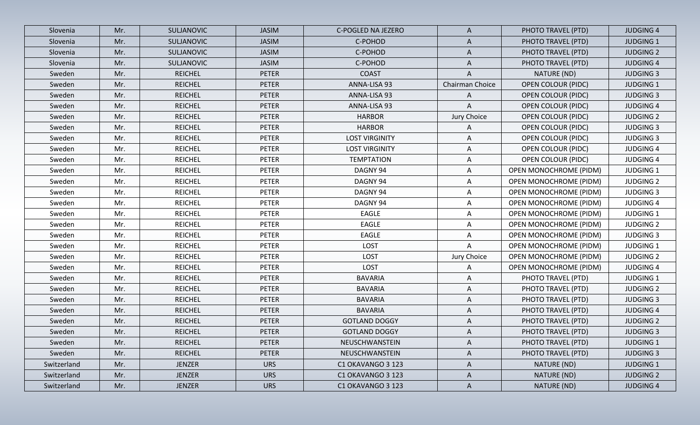| Slovenia    | Mr. | <b>SULJANOVIC</b> | <b>JASIM</b> | C-POGLED NA JEZERO    | $\mathsf{A}$              | PHOTO TRAVEL (PTD)            | <b>JUDGING 4</b> |
|-------------|-----|-------------------|--------------|-----------------------|---------------------------|-------------------------------|------------------|
| Slovenia    | Mr. | SULJANOVIC        | <b>JASIM</b> | C-POHOD               | A                         | PHOTO TRAVEL (PTD)            | <b>JUDGING 1</b> |
| Slovenia    | Mr. | <b>SULJANOVIC</b> | <b>JASIM</b> | C-POHOD               | $\mathsf{A}$              | PHOTO TRAVEL (PTD)            | <b>JUDGING 2</b> |
| Slovenia    | Mr. | SULJANOVIC        | <b>JASIM</b> | C-POHOD               | $\mathsf{A}$              | PHOTO TRAVEL (PTD)            | <b>JUDGING 4</b> |
| Sweden      | Mr. | <b>REICHEL</b>    | <b>PETER</b> | <b>COAST</b>          | $\boldsymbol{\mathsf{A}}$ | NATURE (ND)                   | <b>JUDGING 3</b> |
| Sweden      | Mr. | <b>REICHEL</b>    | <b>PETER</b> | ANNA-LISA 93          | Chairman Choice           | <b>OPEN COLOUR (PIDC)</b>     | <b>JUDGING 1</b> |
| Sweden      | Mr. | <b>REICHEL</b>    | <b>PETER</b> | ANNA-LISA 93          | $\mathsf{A}$              | <b>OPEN COLOUR (PIDC)</b>     | <b>JUDGING 3</b> |
| Sweden      | Mr. | <b>REICHEL</b>    | <b>PETER</b> | ANNA-LISA 93          | A                         | <b>OPEN COLOUR (PIDC)</b>     | <b>JUDGING 4</b> |
| Sweden      | Mr. | <b>REICHEL</b>    | <b>PETER</b> | <b>HARBOR</b>         | Jury Choice               | <b>OPEN COLOUR (PIDC)</b>     | <b>JUDGING 2</b> |
| Sweden      | Mr. | <b>REICHEL</b>    | <b>PETER</b> | <b>HARBOR</b>         | A                         | <b>OPEN COLOUR (PIDC)</b>     | <b>JUDGING 3</b> |
| Sweden      | Mr. | <b>REICHEL</b>    | <b>PETER</b> | <b>LOST VIRGINITY</b> | $\mathsf{A}$              | <b>OPEN COLOUR (PIDC)</b>     | <b>JUDGING 3</b> |
| Sweden      | Mr. | <b>REICHEL</b>    | PETER        | <b>LOST VIRGINITY</b> | $\mathsf{A}$              | <b>OPEN COLOUR (PIDC)</b>     | <b>JUDGING 4</b> |
| Sweden      | Mr. | <b>REICHEL</b>    | PETER        | <b>TEMPTATION</b>     | A                         | <b>OPEN COLOUR (PIDC)</b>     | <b>JUDGING 4</b> |
| Sweden      | Mr. | <b>REICHEL</b>    | <b>PETER</b> | DAGNY 94              | A                         | <b>OPEN MONOCHROME (PIDM)</b> | <b>JUDGING 1</b> |
| Sweden      | Mr. | <b>REICHEL</b>    | <b>PETER</b> | DAGNY 94              | A                         | <b>OPEN MONOCHROME (PIDM)</b> | <b>JUDGING 2</b> |
| Sweden      | Mr. | <b>REICHEL</b>    | <b>PETER</b> | DAGNY 94              | $\mathsf{A}$              | <b>OPEN MONOCHROME (PIDM)</b> | <b>JUDGING 3</b> |
| Sweden      | Mr. | <b>REICHEL</b>    | <b>PETER</b> | DAGNY 94              | A                         | <b>OPEN MONOCHROME (PIDM)</b> | <b>JUDGING 4</b> |
| Sweden      | Mr. | <b>REICHEL</b>    | <b>PETER</b> | EAGLE                 | $\mathsf{A}$              | OPEN MONOCHROME (PIDM)        | <b>JUDGING 1</b> |
| Sweden      | Mr. | <b>REICHEL</b>    | <b>PETER</b> | EAGLE                 | A                         | OPEN MONOCHROME (PIDM)        | <b>JUDGING 2</b> |
| Sweden      | Mr. | <b>REICHEL</b>    | <b>PETER</b> | <b>EAGLE</b>          | A                         | <b>OPEN MONOCHROME (PIDM)</b> | <b>JUDGING 3</b> |
| Sweden      | Mr. | <b>REICHEL</b>    | <b>PETER</b> | LOST                  | A                         | <b>OPEN MONOCHROME (PIDM)</b> | <b>JUDGING 1</b> |
| Sweden      | Mr. | <b>REICHEL</b>    | <b>PETER</b> | LOST                  | Jury Choice               | <b>OPEN MONOCHROME (PIDM)</b> | <b>JUDGING 2</b> |
| Sweden      | Mr. | <b>REICHEL</b>    | <b>PETER</b> | LOST                  | $\mathsf{A}$              | OPEN MONOCHROME (PIDM)        | <b>JUDGING 4</b> |
| Sweden      | Mr. | <b>REICHEL</b>    | PETER        | <b>BAVARIA</b>        | A                         | PHOTO TRAVEL (PTD)            | <b>JUDGING 1</b> |
| Sweden      | Mr. | <b>REICHEL</b>    | <b>PETER</b> | <b>BAVARIA</b>        | $\mathsf{A}$              | PHOTO TRAVEL (PTD)            | <b>JUDGING 2</b> |
| Sweden      | Mr. | <b>REICHEL</b>    | <b>PETER</b> | <b>BAVARIA</b>        | A                         | PHOTO TRAVEL (PTD)            | <b>JUDGING 3</b> |
| Sweden      | Mr. | <b>REICHEL</b>    | PETER        | <b>BAVARIA</b>        | A                         | PHOTO TRAVEL (PTD)            | <b>JUDGING 4</b> |
| Sweden      | Mr. | <b>REICHEL</b>    | <b>PETER</b> | <b>GOTLAND DOGGY</b>  | $\mathsf{A}$              | PHOTO TRAVEL (PTD)            | <b>JUDGING 2</b> |
| Sweden      | Mr. | <b>REICHEL</b>    | <b>PETER</b> | <b>GOTLAND DOGGY</b>  | A                         | PHOTO TRAVEL (PTD)            | <b>JUDGING 3</b> |
| Sweden      | Mr. | <b>REICHEL</b>    | <b>PETER</b> | NEUSCHWANSTEIN        | $\mathsf{A}$              | PHOTO TRAVEL (PTD)            | <b>JUDGING 1</b> |
| Sweden      | Mr. | <b>REICHEL</b>    | <b>PETER</b> | NEUSCHWANSTEIN        | $\mathsf{A}$              | PHOTO TRAVEL (PTD)            | <b>JUDGING 3</b> |
| Switzerland | Mr. | JENZER            | <b>URS</b>   | C1 OKAVANGO 3 123     | A                         | NATURE (ND)                   | <b>JUDGING 1</b> |
| Switzerland | Mr. | <b>JENZER</b>     | <b>URS</b>   | C1 OKAVANGO 3 123     | $\mathsf{A}$              | NATURE (ND)                   | <b>JUDGING 2</b> |
| Switzerland | Mr. | JENZER            | <b>URS</b>   | C1 OKAVANGO 3 123     | $\mathsf{A}$              | NATURE (ND)                   | <b>JUDGING 4</b> |
|             |     |                   |              |                       |                           |                               |                  |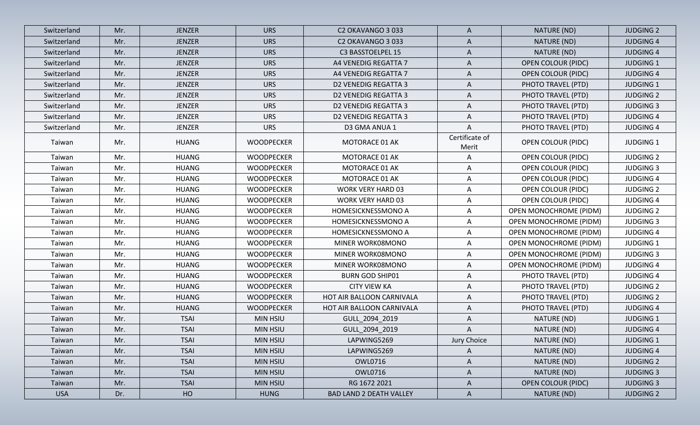| Switzerland | Mr. | <b>JENZER</b> | <b>URS</b>        | C2 OKAVANGO 3 033              | A                       | NATURE (ND)                   | <b>JUDGING 2</b> |
|-------------|-----|---------------|-------------------|--------------------------------|-------------------------|-------------------------------|------------------|
| Switzerland | Mr. | <b>JENZER</b> | <b>URS</b>        | C2 OKAVANGO 3 033              | A                       | NATURE (ND)                   | <b>JUDGING 4</b> |
| Switzerland | Mr. | <b>JENZER</b> | <b>URS</b>        | C3 BASSTOELPEL 15              | A                       | NATURE (ND)                   | <b>JUDGING 4</b> |
| Switzerland | Mr. | <b>JENZER</b> | <b>URS</b>        | A4 VENEDIG REGATTA 7           | A                       | <b>OPEN COLOUR (PIDC)</b>     | <b>JUDGING 1</b> |
| Switzerland | Mr. | <b>JENZER</b> | <b>URS</b>        | A4 VENEDIG REGATTA 7           | $\mathsf{A}$            | <b>OPEN COLOUR (PIDC)</b>     | <b>JUDGING 4</b> |
| Switzerland | Mr. | <b>JENZER</b> | <b>URS</b>        | <b>D2 VENEDIG REGATTA 3</b>    | A                       | PHOTO TRAVEL (PTD)            | <b>JUDGING 1</b> |
| Switzerland | Mr. | <b>JENZER</b> | <b>URS</b>        | <b>D2 VENEDIG REGATTA 3</b>    | A                       | PHOTO TRAVEL (PTD)            | <b>JUDGING 2</b> |
| Switzerland | Mr. | <b>JENZER</b> | <b>URS</b>        | <b>D2 VENEDIG REGATTA 3</b>    | A                       | PHOTO TRAVEL (PTD)            | <b>JUDGING 3</b> |
| Switzerland | Mr. | <b>JENZER</b> | <b>URS</b>        | <b>D2 VENEDIG REGATTA 3</b>    | $\mathsf{A}$            | PHOTO TRAVEL (PTD)            | <b>JUDGING 4</b> |
| Switzerland | Mr. | <b>JENZER</b> | <b>URS</b>        | D3 GMA ANUA 1                  | A                       | PHOTO TRAVEL (PTD)            | <b>JUDGING 4</b> |
| Taiwan      | Mr. | <b>HUANG</b>  | <b>WOODPECKER</b> | MOTORACE 01 AK                 | Certificate of<br>Merit | <b>OPEN COLOUR (PIDC)</b>     | <b>JUDGING 1</b> |
| Taiwan      | Mr. | <b>HUANG</b>  | <b>WOODPECKER</b> | MOTORACE 01 AK                 | $\mathsf{A}$            | <b>OPEN COLOUR (PIDC)</b>     | <b>JUDGING 2</b> |
| Taiwan      | Mr. | <b>HUANG</b>  | <b>WOODPECKER</b> | <b>MOTORACE 01 AK</b>          | A                       | <b>OPEN COLOUR (PIDC)</b>     | <b>JUDGING 3</b> |
| Taiwan      | Mr. | HUANG         | <b>WOODPECKER</b> | MOTORACE 01 AK                 | $\mathsf{A}$            | OPEN COLOUR (PIDC)            | <b>JUDGING 4</b> |
| Taiwan      | Mr. | <b>HUANG</b>  | <b>WOODPECKER</b> | <b>WORK VERY HARD 03</b>       | $\mathsf{A}$            | <b>OPEN COLOUR (PIDC)</b>     | <b>JUDGING 2</b> |
| Taiwan      | Mr. | <b>HUANG</b>  | <b>WOODPECKER</b> | <b>WORK VERY HARD 03</b>       | $\mathsf{A}$            | OPEN COLOUR (PIDC)            | <b>JUDGING 4</b> |
| Taiwan      | Mr. | <b>HUANG</b>  | <b>WOODPECKER</b> | HOMESICKNESSMONO A             | A                       | OPEN MONOCHROME (PIDM)        | <b>JUDGING 2</b> |
| Taiwan      | Mr. | <b>HUANG</b>  | WOODPECKER        | HOMESICKNESSMONO A             | $\mathsf{A}$            | <b>OPEN MONOCHROME (PIDM)</b> | <b>JUDGING 3</b> |
| Taiwan      | Mr. | HUANG         | <b>WOODPECKER</b> | HOMESICKNESSMONO A             | $\mathsf{A}$            | <b>OPEN MONOCHROME (PIDM)</b> | <b>JUDGING 4</b> |
| Taiwan      | Mr. | <b>HUANG</b>  | <b>WOODPECKER</b> | MINER WORK08MONO               | A                       | <b>OPEN MONOCHROME (PIDM)</b> | <b>JUDGING 1</b> |
| Taiwan      | Mr. | <b>HUANG</b>  | <b>WOODPECKER</b> | MINER WORK08MONO               | $\mathsf{A}$            | <b>OPEN MONOCHROME (PIDM)</b> | <b>JUDGING 3</b> |
| Taiwan      | Mr. | <b>HUANG</b>  | <b>WOODPECKER</b> | MINER WORK08MONO               | $\mathsf{A}$            | <b>OPEN MONOCHROME (PIDM)</b> | <b>JUDGING 4</b> |
| Taiwan      | Mr. | <b>HUANG</b>  | <b>WOODPECKER</b> | <b>BURN GOD SHIP01</b>         | $\mathsf{A}$            | PHOTO TRAVEL (PTD)            | <b>JUDGING 4</b> |
| Taiwan      | Mr. | <b>HUANG</b>  | <b>WOODPECKER</b> | <b>CITY VIEW KA</b>            | $\mathsf{A}$            | PHOTO TRAVEL (PTD)            | <b>JUDGING 2</b> |
| Taiwan      | Mr. | <b>HUANG</b>  | <b>WOODPECKER</b> | HOT AIR BALLOON CARNIVALA      | A                       | PHOTO TRAVEL (PTD)            | <b>JUDGING 2</b> |
| Taiwan      | Mr. | <b>HUANG</b>  | <b>WOODPECKER</b> | HOT AIR BALLOON CARNIVALA      | $\mathsf{A}$            | PHOTO TRAVEL (PTD)            | <b>JUDGING 4</b> |
| Taiwan      | Mr. | <b>TSAI</b>   | <b>MIN HSIU</b>   | GULL_2094_2019                 | A                       | NATURE (ND)                   | <b>JUDGING 1</b> |
| Taiwan      | Mr. | <b>TSAI</b>   | <b>MIN HSIU</b>   | GULL_2094_2019                 | A                       | NATURE (ND)                   | <b>JUDGING 4</b> |
| Taiwan      | Mr. | <b>TSAI</b>   | <b>MIN HSIU</b>   | LAPWING5269                    | Jury Choice             | NATURE (ND)                   | <b>JUDGING 1</b> |
| Taiwan      | Mr. | <b>TSAI</b>   | MIN HSIU          | LAPWING5269                    | A                       | NATURE (ND)                   | <b>JUDGING 4</b> |
| Taiwan      | Mr. | <b>TSAI</b>   | MIN HSIU          | OWL0716                        | $\mathsf{A}$            | NATURE (ND)                   | <b>JUDGING 2</b> |
| Taiwan      | Mr. | <b>TSAI</b>   | <b>MIN HSIU</b>   | <b>OWL0716</b>                 | $\mathsf{A}$            | NATURE (ND)                   | <b>JUDGING 3</b> |
| Taiwan      | Mr. | <b>TSAI</b>   | MIN HSIU          | RG 1672 2021                   | $\mathsf{A}$            | <b>OPEN COLOUR (PIDC)</b>     | <b>JUDGING 3</b> |
| <b>USA</b>  | Dr. | HO            | <b>HUNG</b>       | <b>BAD LAND 2 DEATH VALLEY</b> | $\mathsf{A}$            | NATURE (ND)                   | <b>JUDGING 2</b> |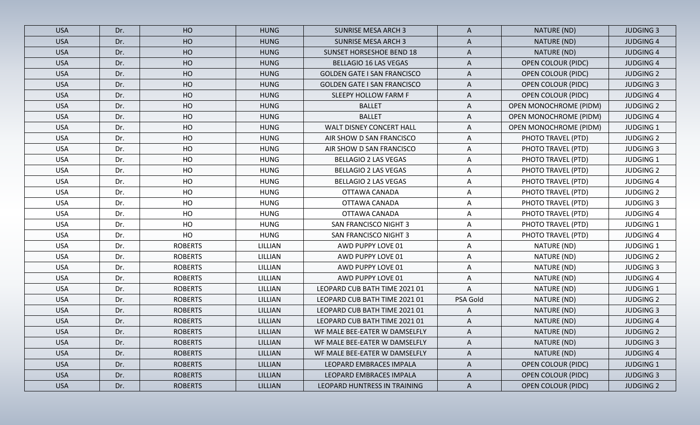| <b>USA</b> | Dr. | HO             | <b>HUNG</b>    | <b>SUNRISE MESA ARCH 3</b>         | A            | NATURE (ND)                   | <b>JUDGING 3</b> |
|------------|-----|----------------|----------------|------------------------------------|--------------|-------------------------------|------------------|
| <b>USA</b> | Dr. | HO             | <b>HUNG</b>    | <b>SUNRISE MESA ARCH 3</b>         | A            | NATURE (ND)                   | <b>JUDGING 4</b> |
| <b>USA</b> | Dr. | HO             | <b>HUNG</b>    | <b>SUNSET HORSESHOE BEND 18</b>    | A            | NATURE (ND)                   | <b>JUDGING 4</b> |
| <b>USA</b> | Dr. | HO             | <b>HUNG</b>    | <b>BELLAGIO 16 LAS VEGAS</b>       | A            | <b>OPEN COLOUR (PIDC)</b>     | <b>JUDGING 4</b> |
| <b>USA</b> | Dr. | HO             | <b>HUNG</b>    | <b>GOLDEN GATE I SAN FRANCISCO</b> | A            | <b>OPEN COLOUR (PIDC)</b>     | <b>JUDGING 2</b> |
| <b>USA</b> | Dr. | HO             | <b>HUNG</b>    | <b>GOLDEN GATE I SAN FRANCISCO</b> | A            | <b>OPEN COLOUR (PIDC)</b>     | <b>JUDGING 3</b> |
| <b>USA</b> | Dr. | HO             | <b>HUNG</b>    | SLEEPY HOLLOW FARM F               | A            | <b>OPEN COLOUR (PIDC)</b>     | <b>JUDGING 4</b> |
| <b>USA</b> | Dr. | HO             | <b>HUNG</b>    | <b>BALLET</b>                      | A            | <b>OPEN MONOCHROME (PIDM)</b> | <b>JUDGING 2</b> |
| <b>USA</b> | Dr. | HO             | <b>HUNG</b>    | <b>BALLET</b>                      | A            | <b>OPEN MONOCHROME (PIDM)</b> | <b>JUDGING 4</b> |
| <b>USA</b> | Dr. | HO             | <b>HUNG</b>    | WALT DISNEY CONCERT HALL           | A            | <b>OPEN MONOCHROME (PIDM)</b> | <b>JUDGING 1</b> |
| <b>USA</b> | Dr. | HO             | <b>HUNG</b>    | AIR SHOW D SAN FRANCISCO           | A            | PHOTO TRAVEL (PTD)            | <b>JUDGING 2</b> |
| <b>USA</b> | Dr. | HO             | <b>HUNG</b>    | AIR SHOW D SAN FRANCISCO           | A            | PHOTO TRAVEL (PTD)            | <b>JUDGING 3</b> |
| <b>USA</b> | Dr. | HO             | <b>HUNG</b>    | <b>BELLAGIO 2 LAS VEGAS</b>        | A            | PHOTO TRAVEL (PTD)            | <b>JUDGING 1</b> |
| <b>USA</b> | Dr. | HO             | <b>HUNG</b>    | <b>BELLAGIO 2 LAS VEGAS</b>        | A            | PHOTO TRAVEL (PTD)            | <b>JUDGING 2</b> |
| <b>USA</b> | Dr. | HO             | <b>HUNG</b>    | <b>BELLAGIO 2 LAS VEGAS</b>        | A            | PHOTO TRAVEL (PTD)            | <b>JUDGING 4</b> |
| <b>USA</b> | Dr. | HO             | <b>HUNG</b>    | OTTAWA CANADA                      | A            | PHOTO TRAVEL (PTD)            | <b>JUDGING 2</b> |
| <b>USA</b> | Dr. | HO             | <b>HUNG</b>    | OTTAWA CANADA                      | A            | PHOTO TRAVEL (PTD)            | <b>JUDGING 3</b> |
| <b>USA</b> | Dr. | HO             | <b>HUNG</b>    | OTTAWA CANADA                      | Α            | PHOTO TRAVEL (PTD)            | <b>JUDGING 4</b> |
| <b>USA</b> | Dr. | HO             | <b>HUNG</b>    | <b>SAN FRANCISCO NIGHT 3</b>       | A            | PHOTO TRAVEL (PTD)            | <b>JUDGING 1</b> |
| <b>USA</b> | Dr. | HO             | <b>HUNG</b>    | <b>SAN FRANCISCO NIGHT 3</b>       | A            | PHOTO TRAVEL (PTD)            | <b>JUDGING 4</b> |
| <b>USA</b> | Dr. | <b>ROBERTS</b> | LILLIAN        | AWD PUPPY LOVE 01                  | Α            | NATURE (ND)                   | <b>JUDGING 1</b> |
| <b>USA</b> | Dr. | <b>ROBERTS</b> | LILLIAN        | AWD PUPPY LOVE 01                  | A            | NATURE (ND)                   | <b>JUDGING 2</b> |
| <b>USA</b> | Dr. | <b>ROBERTS</b> | LILLIAN        | AWD PUPPY LOVE 01                  | Α            | NATURE (ND)                   | <b>JUDGING 3</b> |
| <b>USA</b> | Dr. | <b>ROBERTS</b> | LILLIAN        | AWD PUPPY LOVE 01                  | A            | NATURE (ND)                   | <b>JUDGING 4</b> |
| <b>USA</b> | Dr. | <b>ROBERTS</b> | LILLIAN        | LEOPARD CUB BATH TIME 2021 01      | A            | NATURE (ND)                   | <b>JUDGING 1</b> |
| <b>USA</b> | Dr. | <b>ROBERTS</b> | LILLIAN        | LEOPARD CUB BATH TIME 2021 01      | PSA Gold     | NATURE (ND)                   | <b>JUDGING 2</b> |
| <b>USA</b> | Dr. | <b>ROBERTS</b> | LILLIAN        | LEOPARD CUB BATH TIME 2021 01      | A            | NATURE (ND)                   | <b>JUDGING 3</b> |
| <b>USA</b> | Dr. | <b>ROBERTS</b> | LILLIAN        | LEOPARD CUB BATH TIME 2021 01      | A            | NATURE (ND)                   | <b>JUDGING 4</b> |
| <b>USA</b> | Dr. | <b>ROBERTS</b> | <b>LILLIAN</b> | WF MALE BEE-EATER W DAMSELFLY      | A            | NATURE (ND)                   | <b>JUDGING 2</b> |
| <b>USA</b> | Dr. | <b>ROBERTS</b> | <b>LILLIAN</b> | WF MALE BEE-EATER W DAMSELFLY      | A            | NATURE (ND)                   | <b>JUDGING 3</b> |
| <b>USA</b> | Dr. | <b>ROBERTS</b> | <b>LILLIAN</b> | WF MALE BEE-EATER W DAMSELFLY      | $\mathsf{A}$ | NATURE (ND)                   | <b>JUDGING 4</b> |
| <b>USA</b> | Dr. | <b>ROBERTS</b> | LILLIAN        | LEOPARD EMBRACES IMPALA            | A            | <b>OPEN COLOUR (PIDC)</b>     | <b>JUDGING 1</b> |
| <b>USA</b> | Dr. | <b>ROBERTS</b> | LILLIAN        | LEOPARD EMBRACES IMPALA            | A            | <b>OPEN COLOUR (PIDC)</b>     | <b>JUDGING 3</b> |
| <b>USA</b> | Dr. | <b>ROBERTS</b> | LILLIAN        | LEOPARD HUNTRESS IN TRAINING       | $\mathsf{A}$ | <b>OPEN COLOUR (PIDC)</b>     | <b>JUDGING 2</b> |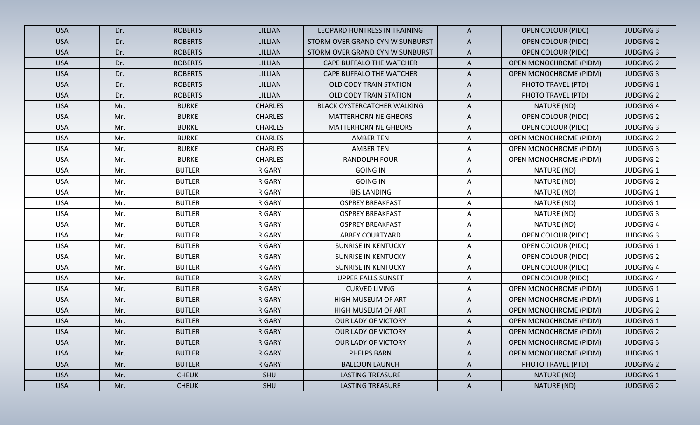| <b>USA</b> | Dr. | <b>ROBERTS</b> | <b>LILLIAN</b> | LEOPARD HUNTRESS IN TRAINING       | $\mathsf{A}$ | <b>OPEN COLOUR (PIDC)</b>     | <b>JUDGING 3</b> |
|------------|-----|----------------|----------------|------------------------------------|--------------|-------------------------------|------------------|
| <b>USA</b> | Dr. | <b>ROBERTS</b> | LILLIAN        | STORM OVER GRAND CYN W SUNBURST    | $\mathsf{A}$ | <b>OPEN COLOUR (PIDC)</b>     | <b>JUDGING 2</b> |
| <b>USA</b> | Dr. | <b>ROBERTS</b> | LILLIAN        | STORM OVER GRAND CYN W SUNBURST    | $\mathsf{A}$ | <b>OPEN COLOUR (PIDC)</b>     | <b>JUDGING 3</b> |
| <b>USA</b> | Dr. | <b>ROBERTS</b> | LILLIAN        | CAPE BUFFALO THE WATCHER           | A            | <b>OPEN MONOCHROME (PIDM)</b> | <b>JUDGING 2</b> |
| <b>USA</b> | Dr. | <b>ROBERTS</b> | <b>LILLIAN</b> | <b>CAPE BUFFALO THE WATCHER</b>    | A            | <b>OPEN MONOCHROME (PIDM)</b> | <b>JUDGING 3</b> |
| <b>USA</b> | Dr. | <b>ROBERTS</b> | LILLIAN        | OLD CODY TRAIN STATION             | A            | PHOTO TRAVEL (PTD)            | <b>JUDGING 1</b> |
| <b>USA</b> | Dr. | <b>ROBERTS</b> | LILLIAN        | OLD CODY TRAIN STATION             | A            | PHOTO TRAVEL (PTD)            | <b>JUDGING 2</b> |
| <b>USA</b> | Mr. | <b>BURKE</b>   | <b>CHARLES</b> | <b>BLACK OYSTERCATCHER WALKING</b> | A            | NATURE (ND)                   | <b>JUDGING 4</b> |
| <b>USA</b> | Mr. | <b>BURKE</b>   | <b>CHARLES</b> | <b>MATTERHORN NEIGHBORS</b>        | A            | <b>OPEN COLOUR (PIDC)</b>     | <b>JUDGING 2</b> |
| <b>USA</b> | Mr. | <b>BURKE</b>   | <b>CHARLES</b> | <b>MATTERHORN NEIGHBORS</b>        | Α            | <b>OPEN COLOUR (PIDC)</b>     | <b>JUDGING 3</b> |
| <b>USA</b> | Mr. | <b>BURKE</b>   | <b>CHARLES</b> | <b>AMBER TEN</b>                   | A            | <b>OPEN MONOCHROME (PIDM)</b> | <b>JUDGING 2</b> |
| <b>USA</b> | Mr. | <b>BURKE</b>   | <b>CHARLES</b> | <b>AMBER TEN</b>                   | A            | OPEN MONOCHROME (PIDM)        | <b>JUDGING 3</b> |
| <b>USA</b> | Mr. | <b>BURKE</b>   | <b>CHARLES</b> | <b>RANDOLPH FOUR</b>               | Α            | <b>OPEN MONOCHROME (PIDM)</b> | <b>JUDGING 2</b> |
| <b>USA</b> | Mr. | <b>BUTLER</b>  | R GARY         | <b>GOING IN</b>                    | A            | NATURE (ND)                   | <b>JUDGING 1</b> |
| <b>USA</b> | Mr. | <b>BUTLER</b>  | R GARY         | <b>GOING IN</b>                    | A            | NATURE (ND)                   | <b>JUDGING 2</b> |
| <b>USA</b> | Mr. | <b>BUTLER</b>  | R GARY         | <b>IBIS LANDING</b>                | A            | NATURE (ND)                   | <b>JUDGING 1</b> |
| <b>USA</b> | Mr. | <b>BUTLER</b>  | R GARY         | <b>OSPREY BREAKFAST</b>            | A            | NATURE (ND)                   | <b>JUDGING 1</b> |
| <b>USA</b> | Mr. | <b>BUTLER</b>  | R GARY         | <b>OSPREY BREAKFAST</b>            | $\mathsf{A}$ | NATURE (ND)                   | <b>JUDGING 3</b> |
| <b>USA</b> | Mr. | <b>BUTLER</b>  | R GARY         | <b>OSPREY BREAKFAST</b>            | A            | NATURE (ND)                   | <b>JUDGING 4</b> |
| <b>USA</b> | Mr. | <b>BUTLER</b>  | R GARY         | <b>ABBEY COURTYARD</b>             | A            | OPEN COLOUR (PIDC)            | <b>JUDGING 3</b> |
| <b>USA</b> | Mr. | <b>BUTLER</b>  | R GARY         | <b>SUNRISE IN KENTUCKY</b>         | A            | <b>OPEN COLOUR (PIDC)</b>     | <b>JUDGING 1</b> |
| <b>USA</b> | Mr. | <b>BUTLER</b>  | R GARY         | <b>SUNRISE IN KENTUCKY</b>         | A            | <b>OPEN COLOUR (PIDC)</b>     | <b>JUDGING 2</b> |
| <b>USA</b> | Mr. | <b>BUTLER</b>  | R GARY         | <b>SUNRISE IN KENTUCKY</b>         | A            | <b>OPEN COLOUR (PIDC)</b>     | <b>JUDGING 4</b> |
| <b>USA</b> | Mr. | <b>BUTLER</b>  | R GARY         | <b>UPPER FALLS SUNSET</b>          | A            | OPEN COLOUR (PIDC)            | <b>JUDGING 4</b> |
| <b>USA</b> | Mr. | <b>BUTLER</b>  | R GARY         | <b>CURVED LIVING</b>               | A            | <b>OPEN MONOCHROME (PIDM)</b> | <b>JUDGING 1</b> |
| <b>USA</b> | Mr. | <b>BUTLER</b>  | R GARY         | HIGH MUSEUM OF ART                 | A            | <b>OPEN MONOCHROME (PIDM)</b> | <b>JUDGING 1</b> |
| <b>USA</b> | Mr. | <b>BUTLER</b>  | R GARY         | <b>HIGH MUSEUM OF ART</b>          | Α            | <b>OPEN MONOCHROME (PIDM)</b> | <b>JUDGING 2</b> |
| <b>USA</b> | Mr. | <b>BUTLER</b>  | R GARY         | OUR LADY OF VICTORY                | A            | <b>OPEN MONOCHROME (PIDM)</b> | <b>JUDGING 1</b> |
| <b>USA</b> | Mr. | <b>BUTLER</b>  | R GARY         | OUR LADY OF VICTORY                | A            | OPEN MONOCHROME (PIDM)        | <b>JUDGING 2</b> |
| <b>USA</b> | Mr. | <b>BUTLER</b>  | R GARY         | OUR LADY OF VICTORY                | A            | OPEN MONOCHROME (PIDM)        | <b>JUDGING 3</b> |
| <b>USA</b> | Mr. | <b>BUTLER</b>  | R GARY         | PHELPS BARN                        | $\mathsf{A}$ | <b>OPEN MONOCHROME (PIDM)</b> | <b>JUDGING 1</b> |
| <b>USA</b> | Mr. | <b>BUTLER</b>  | R GARY         | <b>BALLOON LAUNCH</b>              | A            | PHOTO TRAVEL (PTD)            | <b>JUDGING 2</b> |
| <b>USA</b> | Mr. | <b>CHEUK</b>   | SHU            | <b>LASTING TREASURE</b>            | $\mathsf{A}$ | NATURE (ND)                   | <b>JUDGING 1</b> |
| <b>USA</b> | Mr. | <b>CHEUK</b>   | SHU            | <b>LASTING TREASURE</b>            | $\mathsf{A}$ | NATURE (ND)                   | <b>JUDGING 2</b> |
|            |     |                |                |                                    |              |                               |                  |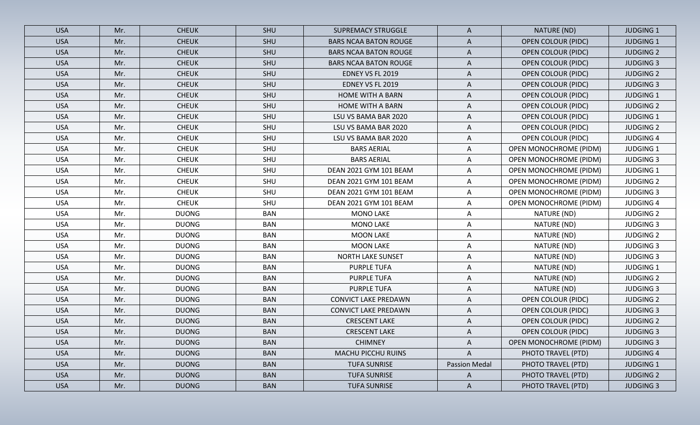| <b>USA</b> | Mr. | <b>CHEUK</b> | SHU        | <b>SUPREMACY STRUGGLE</b>    | A             | NATURE (ND)                   | <b>JUDGING 1</b> |
|------------|-----|--------------|------------|------------------------------|---------------|-------------------------------|------------------|
| <b>USA</b> | Mr. | <b>CHEUK</b> | SHU        | <b>BARS NCAA BATON ROUGE</b> | A             | <b>OPEN COLOUR (PIDC)</b>     | <b>JUDGING 1</b> |
| <b>USA</b> | Mr. | <b>CHEUK</b> | SHU        | <b>BARS NCAA BATON ROUGE</b> | A             | <b>OPEN COLOUR (PIDC)</b>     | <b>JUDGING 2</b> |
| <b>USA</b> | Mr. | <b>CHEUK</b> | SHU        | <b>BARS NCAA BATON ROUGE</b> | A             | OPEN COLOUR (PIDC)            | <b>JUDGING 3</b> |
| <b>USA</b> | Mr. | <b>CHEUK</b> | SHU        | EDNEY VS FL 2019             | A             | <b>OPEN COLOUR (PIDC)</b>     | <b>JUDGING 2</b> |
| <b>USA</b> | Mr. | <b>CHEUK</b> | SHU        | EDNEY VS FL 2019             | A             | OPEN COLOUR (PIDC)            | <b>JUDGING 3</b> |
| <b>USA</b> | Mr. | <b>CHEUK</b> | SHU        | <b>HOME WITH A BARN</b>      | A             | <b>OPEN COLOUR (PIDC)</b>     | <b>JUDGING 1</b> |
| <b>USA</b> | Mr. | <b>CHEUK</b> | SHU        | HOME WITH A BARN             | A             | <b>OPEN COLOUR (PIDC)</b>     | <b>JUDGING 2</b> |
| <b>USA</b> | Mr. | <b>CHEUK</b> | SHU        | LSU VS BAMA BAR 2020         | A             | <b>OPEN COLOUR (PIDC)</b>     | <b>JUDGING 1</b> |
| <b>USA</b> | Mr. | <b>CHEUK</b> | SHU        | LSU VS BAMA BAR 2020         | A             | <b>OPEN COLOUR (PIDC)</b>     | <b>JUDGING 2</b> |
| <b>USA</b> | Mr. | <b>CHEUK</b> | SHU        | LSU VS BAMA BAR 2020         | A             | OPEN COLOUR (PIDC)            | <b>JUDGING 4</b> |
| <b>USA</b> | Mr. | <b>CHEUK</b> | SHU        | <b>BARS AERIAL</b>           | Α             | <b>OPEN MONOCHROME (PIDM)</b> | <b>JUDGING 1</b> |
| <b>USA</b> | Mr. | <b>CHEUK</b> | SHU        | <b>BARS AERIAL</b>           | Α             | <b>OPEN MONOCHROME (PIDM)</b> | <b>JUDGING 3</b> |
| <b>USA</b> | Mr. | <b>CHEUK</b> | SHU        | DEAN 2021 GYM 101 BEAM       | A             | <b>OPEN MONOCHROME (PIDM)</b> | <b>JUDGING 1</b> |
| <b>USA</b> | Mr. | <b>CHEUK</b> | SHU        | DEAN 2021 GYM 101 BEAM       | A             | <b>OPEN MONOCHROME (PIDM)</b> | <b>JUDGING 2</b> |
| <b>USA</b> | Mr. | <b>CHEUK</b> | SHU        | DEAN 2021 GYM 101 BEAM       | A             | <b>OPEN MONOCHROME (PIDM)</b> | <b>JUDGING 3</b> |
| <b>USA</b> | Mr. | <b>CHEUK</b> | SHU        | DEAN 2021 GYM 101 BEAM       | Α             | <b>OPEN MONOCHROME (PIDM)</b> | <b>JUDGING 4</b> |
| <b>USA</b> | Mr. | <b>DUONG</b> | <b>BAN</b> | <b>MONO LAKE</b>             | Α             | NATURE (ND)                   | <b>JUDGING 2</b> |
| <b>USA</b> | Mr. | <b>DUONG</b> | <b>BAN</b> | <b>MONO LAKE</b>             | A             | NATURE (ND)                   | <b>JUDGING 3</b> |
| <b>USA</b> | Mr. | <b>DUONG</b> | <b>BAN</b> | <b>MOON LAKE</b>             | Α             | NATURE (ND)                   | <b>JUDGING 2</b> |
| <b>USA</b> | Mr. | <b>DUONG</b> | <b>BAN</b> | <b>MOON LAKE</b>             | Α             | NATURE (ND)                   | <b>JUDGING 3</b> |
| <b>USA</b> | Mr. | <b>DUONG</b> | <b>BAN</b> | NORTH LAKE SUNSET            | A             | NATURE (ND)                   | <b>JUDGING 3</b> |
| <b>USA</b> | Mr. | <b>DUONG</b> | <b>BAN</b> | <b>PURPLE TUFA</b>           | Α             | NATURE (ND)                   | <b>JUDGING 1</b> |
| <b>USA</b> | Mr. | <b>DUONG</b> | <b>BAN</b> | <b>PURPLE TUFA</b>           | A             | NATURE (ND)                   | <b>JUDGING 2</b> |
| <b>USA</b> | Mr. | <b>DUONG</b> | <b>BAN</b> | <b>PURPLE TUFA</b>           | A             | NATURE (ND)                   | <b>JUDGING 3</b> |
| <b>USA</b> | Mr. | <b>DUONG</b> | <b>BAN</b> | <b>CONVICT LAKE PREDAWN</b>  | A             | <b>OPEN COLOUR (PIDC)</b>     | <b>JUDGING 2</b> |
| <b>USA</b> | Mr. | <b>DUONG</b> | <b>BAN</b> | <b>CONVICT LAKE PREDAWN</b>  | A             | <b>OPEN COLOUR (PIDC)</b>     | <b>JUDGING 3</b> |
| <b>USA</b> | Mr. | <b>DUONG</b> | <b>BAN</b> | <b>CRESCENT LAKE</b>         | A             | <b>OPEN COLOUR (PIDC)</b>     | <b>JUDGING 2</b> |
| <b>USA</b> | Mr. | <b>DUONG</b> | <b>BAN</b> | <b>CRESCENT LAKE</b>         | A             | <b>OPEN COLOUR (PIDC)</b>     | <b>JUDGING 3</b> |
| <b>USA</b> | Mr. | <b>DUONG</b> | <b>BAN</b> | <b>CHIMNEY</b>               | A             | <b>OPEN MONOCHROME (PIDM)</b> | <b>JUDGING 3</b> |
| <b>USA</b> | Mr. | <b>DUONG</b> | <b>BAN</b> | <b>MACHU PICCHU RUINS</b>    | $\mathsf{A}$  | PHOTO TRAVEL (PTD)            | <b>JUDGING 4</b> |
| <b>USA</b> | Mr. | <b>DUONG</b> | <b>BAN</b> | <b>TUFA SUNRISE</b>          | Passion Medal | PHOTO TRAVEL (PTD)            | <b>JUDGING 1</b> |
| <b>USA</b> | Mr. | <b>DUONG</b> | <b>BAN</b> | <b>TUFA SUNRISE</b>          | $\mathsf{A}$  | PHOTO TRAVEL (PTD)            | <b>JUDGING 2</b> |
| <b>USA</b> | Mr. | <b>DUONG</b> | <b>BAN</b> | <b>TUFA SUNRISE</b>          | $\mathsf{A}$  | PHOTO TRAVEL (PTD)            | <b>JUDGING 3</b> |
|            |     |              |            |                              |               |                               |                  |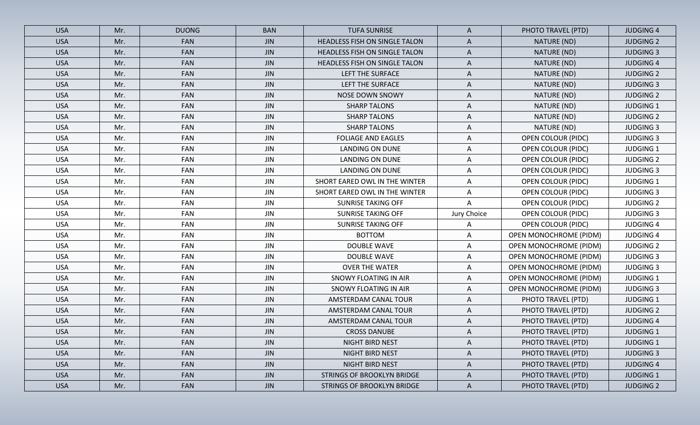| <b>USA</b> | Mr. | <b>DUONG</b> | <b>BAN</b> | <b>TUFA SUNRISE</b>                  | A            | PHOTO TRAVEL (PTD)            | <b>JUDGING 4</b> |
|------------|-----|--------------|------------|--------------------------------------|--------------|-------------------------------|------------------|
| <b>USA</b> | Mr. | <b>FAN</b>   | <b>JIN</b> | HEADLESS FISH ON SINGLE TALON        | A            | NATURE (ND)                   | <b>JUDGING 2</b> |
| <b>USA</b> | Mr. | <b>FAN</b>   | <b>JIN</b> | HEADLESS FISH ON SINGLE TALON        | A            | NATURE (ND)                   | <b>JUDGING 3</b> |
| <b>USA</b> | Mr. | <b>FAN</b>   | <b>JIN</b> | <b>HEADLESS FISH ON SINGLE TALON</b> | A            | NATURE (ND)                   | <b>JUDGING 4</b> |
| <b>USA</b> | Mr. | <b>FAN</b>   | <b>JIN</b> | LEFT THE SURFACE                     | A            | NATURE (ND)                   | <b>JUDGING 2</b> |
| <b>USA</b> | Mr. | <b>FAN</b>   | <b>JIN</b> | LEFT THE SURFACE                     | A            | NATURE (ND)                   | <b>JUDGING 3</b> |
| <b>USA</b> | Mr. | <b>FAN</b>   | <b>JIN</b> | <b>NOSE DOWN SNOWY</b>               | A            | NATURE (ND)                   | <b>JUDGING 2</b> |
| <b>USA</b> | Mr. | <b>FAN</b>   | <b>JIN</b> | <b>SHARP TALONS</b>                  | A            | NATURE (ND)                   | <b>JUDGING 1</b> |
| <b>USA</b> | Mr. | <b>FAN</b>   | <b>JIN</b> | <b>SHARP TALONS</b>                  | A            | NATURE (ND)                   | <b>JUDGING 2</b> |
| <b>USA</b> | Mr. | <b>FAN</b>   | <b>JIN</b> | <b>SHARP TALONS</b>                  | A            | NATURE (ND)                   | <b>JUDGING 3</b> |
| <b>USA</b> | Mr. | <b>FAN</b>   | JIN        | <b>FOLIAGE AND EAGLES</b>            | A            | <b>OPEN COLOUR (PIDC)</b>     | <b>JUDGING 3</b> |
| <b>USA</b> | Mr. | <b>FAN</b>   | <b>JIN</b> | LANDING ON DUNE                      | A            | <b>OPEN COLOUR (PIDC)</b>     | <b>JUDGING 1</b> |
| <b>USA</b> | Mr. | FAN          | <b>JIN</b> | <b>LANDING ON DUNE</b>               | Α            | <b>OPEN COLOUR (PIDC)</b>     | <b>JUDGING 2</b> |
| <b>USA</b> | Mr. | <b>FAN</b>   | <b>JIN</b> | <b>LANDING ON DUNE</b>               | A            | <b>OPEN COLOUR (PIDC)</b>     | <b>JUDGING 3</b> |
| <b>USA</b> | Mr. | <b>FAN</b>   | <b>JIN</b> | SHORT EARED OWL IN THE WINTER        | A            | <b>OPEN COLOUR (PIDC)</b>     | <b>JUDGING 1</b> |
| <b>USA</b> | Mr. | FAN          | <b>JIN</b> | SHORT EARED OWL IN THE WINTER        | Α            | <b>OPEN COLOUR (PIDC)</b>     | <b>JUDGING 3</b> |
| <b>USA</b> | Mr. | FAN          | <b>JIN</b> | <b>SUNRISE TAKING OFF</b>            | Α            | <b>OPEN COLOUR (PIDC)</b>     | <b>JUDGING 2</b> |
| <b>USA</b> | Mr. | FAN          | <b>JIN</b> | <b>SUNRISE TAKING OFF</b>            | Jury Choice  | OPEN COLOUR (PIDC)            | <b>JUDGING 3</b> |
| <b>USA</b> | Mr. | <b>FAN</b>   | JIN        | <b>SUNRISE TAKING OFF</b>            | A            | <b>OPEN COLOUR (PIDC)</b>     | <b>JUDGING 4</b> |
| <b>USA</b> | Mr. | <b>FAN</b>   | <b>JIN</b> | <b>BOTTOM</b>                        | Α            | <b>OPEN MONOCHROME (PIDM)</b> | <b>JUDGING 4</b> |
| <b>USA</b> | Mr. | <b>FAN</b>   | JIN        | <b>DOUBLE WAVE</b>                   | A            | <b>OPEN MONOCHROME (PIDM)</b> | <b>JUDGING 2</b> |
| <b>USA</b> | Mr. | <b>FAN</b>   | <b>JIN</b> | <b>DOUBLE WAVE</b>                   | A            | <b>OPEN MONOCHROME (PIDM)</b> | <b>JUDGING 3</b> |
| <b>USA</b> | Mr. | FAN          | JIN        | <b>OVER THE WATER</b>                | A            | <b>OPEN MONOCHROME (PIDM)</b> | <b>JUDGING 3</b> |
| <b>USA</b> | Mr. | <b>FAN</b>   | <b>JIN</b> | SNOWY FLOATING IN AIR                | A            | OPEN MONOCHROME (PIDM)        | <b>JUDGING 1</b> |
| <b>USA</b> | Mr. | <b>FAN</b>   | <b>JIN</b> | SNOWY FLOATING IN AIR                | A            | <b>OPEN MONOCHROME (PIDM)</b> | <b>JUDGING 3</b> |
| <b>USA</b> | Mr. | <b>FAN</b>   | <b>JIN</b> | AMSTERDAM CANAL TOUR                 | A            | PHOTO TRAVEL (PTD)            | <b>JUDGING 1</b> |
| <b>USA</b> | Mr. | <b>FAN</b>   | <b>JIN</b> | AMSTERDAM CANAL TOUR                 | A            | PHOTO TRAVEL (PTD)            | <b>JUDGING 2</b> |
| <b>USA</b> | Mr. | <b>FAN</b>   | <b>JIN</b> | AMSTERDAM CANAL TOUR                 | A            | PHOTO TRAVEL (PTD)            | <b>JUDGING 4</b> |
| <b>USA</b> | Mr. | <b>FAN</b>   | <b>JIN</b> | <b>CROSS DANUBE</b>                  | A            | PHOTO TRAVEL (PTD)            | <b>JUDGING 1</b> |
| <b>USA</b> | Mr. | <b>FAN</b>   | <b>JIN</b> | NIGHT BIRD NEST                      | $\mathsf{A}$ | PHOTO TRAVEL (PTD)            | <b>JUDGING 1</b> |
| <b>USA</b> | Mr. | <b>FAN</b>   | <b>JIN</b> | NIGHT BIRD NEST                      | A            | PHOTO TRAVEL (PTD)            | <b>JUDGING 3</b> |
| <b>USA</b> | Mr. | <b>FAN</b>   | <b>JIN</b> | NIGHT BIRD NEST                      | $\mathsf{A}$ | PHOTO TRAVEL (PTD)            | <b>JUDGING 4</b> |
| <b>USA</b> | Mr. | <b>FAN</b>   | <b>JIN</b> | STRINGS OF BROOKLYN BRIDGE           | $\mathsf{A}$ | PHOTO TRAVEL (PTD)            | <b>JUDGING 1</b> |
| <b>USA</b> | Mr. | <b>FAN</b>   | <b>JIN</b> | STRINGS OF BROOKLYN BRIDGE           | $\mathsf{A}$ | PHOTO TRAVEL (PTD)            | <b>JUDGING 2</b> |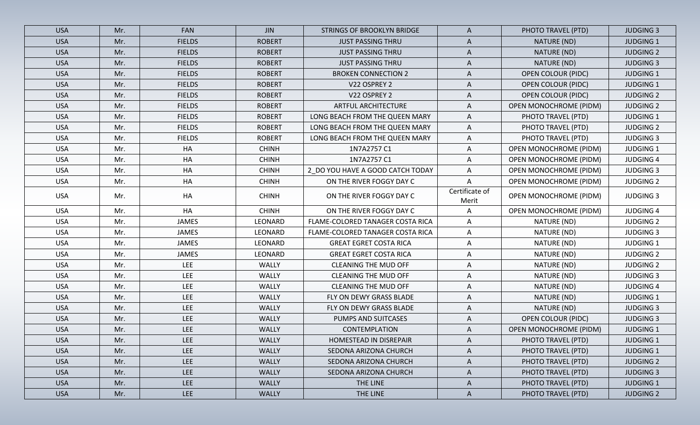| <b>USA</b> | Mr. | <b>FAN</b>    | <b>JIN</b>    | STRINGS OF BROOKLYN BRIDGE       | $\mathsf{A}$            | PHOTO TRAVEL (PTD)            | <b>JUDGING 3</b> |
|------------|-----|---------------|---------------|----------------------------------|-------------------------|-------------------------------|------------------|
| <b>USA</b> | Mr. | <b>FIELDS</b> | <b>ROBERT</b> | <b>JUST PASSING THRU</b>         | $\mathsf{A}$            | NATURE (ND)                   | <b>JUDGING 1</b> |
| <b>USA</b> | Mr. | <b>FIELDS</b> | <b>ROBERT</b> | <b>JUST PASSING THRU</b>         | $\mathsf{A}$            | NATURE (ND)                   | <b>JUDGING 2</b> |
| <b>USA</b> | Mr. | <b>FIELDS</b> | <b>ROBERT</b> | <b>JUST PASSING THRU</b>         | A                       | NATURE (ND)                   | <b>JUDGING 3</b> |
| <b>USA</b> | Mr. | <b>FIELDS</b> | <b>ROBERT</b> | <b>BROKEN CONNECTION 2</b>       | $\mathsf{A}$            | <b>OPEN COLOUR (PIDC)</b>     | <b>JUDGING 1</b> |
| <b>USA</b> | Mr. | <b>FIELDS</b> | <b>ROBERT</b> | V22 OSPREY 2                     | A                       | <b>OPEN COLOUR (PIDC)</b>     | <b>JUDGING 1</b> |
| <b>USA</b> | Mr. | <b>FIELDS</b> | <b>ROBERT</b> | V22 OSPREY 2                     | A                       | <b>OPEN COLOUR (PIDC)</b>     | <b>JUDGING 2</b> |
| <b>USA</b> | Mr. | <b>FIELDS</b> | <b>ROBERT</b> | <b>ARTFUL ARCHITECTURE</b>       | A                       | <b>OPEN MONOCHROME (PIDM)</b> | <b>JUDGING 2</b> |
| <b>USA</b> | Mr. | <b>FIELDS</b> | <b>ROBERT</b> | LONG BEACH FROM THE QUEEN MARY   | $\mathsf{A}$            | PHOTO TRAVEL (PTD)            | <b>JUDGING 1</b> |
| <b>USA</b> | Mr. | <b>FIELDS</b> | <b>ROBERT</b> | LONG BEACH FROM THE QUEEN MARY   | $\mathsf{A}$            | PHOTO TRAVEL (PTD)            | <b>JUDGING 2</b> |
| <b>USA</b> | Mr. | <b>FIELDS</b> | <b>ROBERT</b> | LONG BEACH FROM THE QUEEN MARY   | $\mathsf{A}$            | PHOTO TRAVEL (PTD)            | <b>JUDGING 3</b> |
| <b>USA</b> | Mr. | HA            | <b>CHINH</b>  | 1N7A2757 C1                      | $\mathsf{A}$            | <b>OPEN MONOCHROME (PIDM)</b> | <b>JUDGING 1</b> |
| <b>USA</b> | Mr. | HA            | <b>CHINH</b>  | 1N7A2757 C1                      | A                       | OPEN MONOCHROME (PIDM)        | <b>JUDGING 4</b> |
| <b>USA</b> | Mr. | HA            | <b>CHINH</b>  | 2_DO YOU HAVE A GOOD CATCH TODAY | $\mathsf{A}$            | <b>OPEN MONOCHROME (PIDM)</b> | <b>JUDGING 3</b> |
| <b>USA</b> | Mr. | HA            | <b>CHINH</b>  | ON THE RIVER FOGGY DAY C         | A                       | <b>OPEN MONOCHROME (PIDM)</b> | <b>JUDGING 2</b> |
| <b>USA</b> | Mr. | HA            | <b>CHINH</b>  | ON THE RIVER FOGGY DAY C         | Certificate of<br>Merit | <b>OPEN MONOCHROME (PIDM)</b> | <b>JUDGING 3</b> |
| <b>USA</b> | Mr. | HA            | <b>CHINH</b>  | ON THE RIVER FOGGY DAY C         | A                       | <b>OPEN MONOCHROME (PIDM)</b> | <b>JUDGING 4</b> |
| <b>USA</b> | Mr. | JAMES         | LEONARD       | FLAME-COLORED TANAGER COSTA RICA | $\mathsf{A}$            | NATURE (ND)                   | <b>JUDGING 2</b> |
| <b>USA</b> | Mr. | JAMES         | LEONARD       | FLAME-COLORED TANAGER COSTA RICA | $\mathsf{A}$            | NATURE (ND)                   | <b>JUDGING 3</b> |
| <b>USA</b> | Mr. | JAMES         | LEONARD       | <b>GREAT EGRET COSTA RICA</b>    | A                       | NATURE (ND)                   | <b>JUDGING 1</b> |
| <b>USA</b> | Mr. | JAMES         | LEONARD       | <b>GREAT EGRET COSTA RICA</b>    | $\mathsf{A}$            | NATURE (ND)                   | <b>JUDGING 2</b> |
| <b>USA</b> | Mr. | <b>LEE</b>    | <b>WALLY</b>  | <b>CLEANING THE MUD OFF</b>      | A                       | NATURE (ND)                   | <b>JUDGING 2</b> |
| <b>USA</b> | Mr. | <b>LEE</b>    | <b>WALLY</b>  | CLEANING THE MUD OFF             | $\mathsf{A}$            | NATURE (ND)                   | <b>JUDGING 3</b> |
| <b>USA</b> | Mr. | <b>LEE</b>    | WALLY         | <b>CLEANING THE MUD OFF</b>      | A                       | NATURE (ND)                   | <b>JUDGING 4</b> |
| <b>USA</b> | Mr. | <b>LEE</b>    | <b>WALLY</b>  | FLY ON DEWY GRASS BLADE          | $\mathsf{A}$            | NATURE (ND)                   | <b>JUDGING 1</b> |
| <b>USA</b> | Mr. | <b>LEE</b>    | <b>WALLY</b>  | FLY ON DEWY GRASS BLADE          | A                       | NATURE (ND)                   | <b>JUDGING 3</b> |
| <b>USA</b> | Mr. | <b>LEE</b>    | <b>WALLY</b>  | PUMPS AND SUITCASES              | A                       | <b>OPEN COLOUR (PIDC)</b>     | <b>JUDGING 3</b> |
| <b>USA</b> | Mr. | <b>LEE</b>    | <b>WALLY</b>  | <b>CONTEMPLATION</b>             | A                       | <b>OPEN MONOCHROME (PIDM)</b> | <b>JUDGING 1</b> |
| <b>USA</b> | Mr. | <b>LEE</b>    | WALLY         | HOMESTEAD IN DISREPAIR           | $\mathsf{A}$            | PHOTO TRAVEL (PTD)            | <b>JUDGING 1</b> |
| <b>USA</b> | Mr. | <b>LEE</b>    | <b>WALLY</b>  | SEDONA ARIZONA CHURCH            | A                       | PHOTO TRAVEL (PTD)            | <b>JUDGING 1</b> |
| <b>USA</b> | Mr. | <b>LEE</b>    | WALLY         | SEDONA ARIZONA CHURCH            | $\mathsf{A}$            | PHOTO TRAVEL (PTD)            | <b>JUDGING 2</b> |
| <b>USA</b> | Mr. | <b>LEE</b>    | WALLY         | SEDONA ARIZONA CHURCH            | A                       | PHOTO TRAVEL (PTD)            | <b>JUDGING 3</b> |
| <b>USA</b> | Mr. | <b>LEE</b>    | <b>WALLY</b>  | THE LINE                         | $\mathsf{A}$            | PHOTO TRAVEL (PTD)            | <b>JUDGING 1</b> |
| <b>USA</b> | Mr. | <b>LEE</b>    | <b>WALLY</b>  | THE LINE                         | $\mathsf{A}$            | PHOTO TRAVEL (PTD)            | <b>JUDGING 2</b> |
|            |     |               |               |                                  |                         |                               |                  |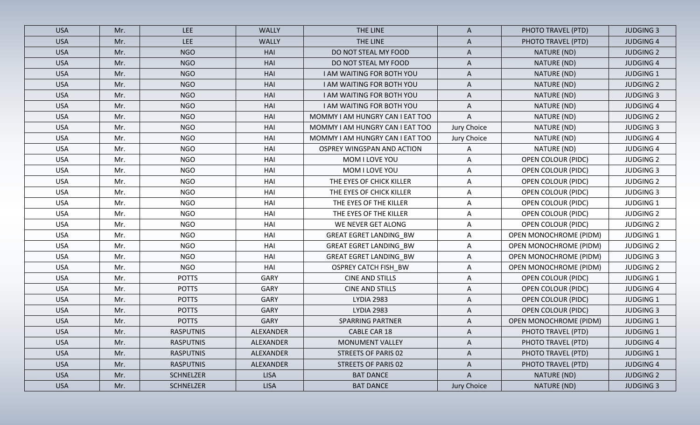| <b>USA</b> | Mr. | <b>LEE</b>       | <b>WALLY</b>     | THE LINE                        | A           | PHOTO TRAVEL (PTD)            | <b>JUDGING 3</b> |
|------------|-----|------------------|------------------|---------------------------------|-------------|-------------------------------|------------------|
| <b>USA</b> | Mr. | <b>LEE</b>       | <b>WALLY</b>     | THE LINE                        | A           | PHOTO TRAVEL (PTD)            | <b>JUDGING 4</b> |
| <b>USA</b> | Mr. | <b>NGO</b>       | HAI              | DO NOT STEAL MY FOOD            | A           | NATURE (ND)                   | <b>JUDGING 2</b> |
| <b>USA</b> | Mr. | <b>NGO</b>       | HAI              | DO NOT STEAL MY FOOD            | A           | NATURE (ND)                   | <b>JUDGING 4</b> |
| <b>USA</b> | Mr. | <b>NGO</b>       | HAI              | I AM WAITING FOR BOTH YOU       | A           | NATURE (ND)                   | <b>JUDGING 1</b> |
| <b>USA</b> | Mr. | <b>NGO</b>       | HAI              | I AM WAITING FOR BOTH YOU       | A           | NATURE (ND)                   | <b>JUDGING 2</b> |
| <b>USA</b> | Mr. | <b>NGO</b>       | HAI              | I AM WAITING FOR BOTH YOU       | A           | NATURE (ND)                   | <b>JUDGING 3</b> |
| <b>USA</b> | Mr. | <b>NGO</b>       | HAI              | I AM WAITING FOR BOTH YOU       | A           | NATURE (ND)                   | <b>JUDGING 4</b> |
| <b>USA</b> | Mr. | <b>NGO</b>       | HAI              | MOMMY I AM HUNGRY CAN I EAT TOO | A           | NATURE (ND)                   | <b>JUDGING 2</b> |
| <b>USA</b> | Mr. | <b>NGO</b>       | HAI              | MOMMY I AM HUNGRY CAN I EAT TOO | Jury Choice | NATURE (ND)                   | <b>JUDGING 3</b> |
| <b>USA</b> | Mr. | <b>NGO</b>       | HAI              | MOMMY I AM HUNGRY CAN I EAT TOO | Jury Choice | NATURE (ND)                   | <b>JUDGING 4</b> |
| <b>USA</b> | Mr. | <b>NGO</b>       | HAI              | OSPREY WINGSPAN AND ACTION      | A           | NATURE (ND)                   | <b>JUDGING 4</b> |
| <b>USA</b> | Mr. | <b>NGO</b>       | HAI              | MOM I LOVE YOU                  | Α           | <b>OPEN COLOUR (PIDC)</b>     | <b>JUDGING 2</b> |
| <b>USA</b> | Mr. | <b>NGO</b>       | HAI              | MOM I LOVE YOU                  | A           | <b>OPEN COLOUR (PIDC)</b>     | <b>JUDGING 3</b> |
| <b>USA</b> | Mr. | <b>NGO</b>       | HAI              | THE EYES OF CHICK KILLER        | A           | <b>OPEN COLOUR (PIDC)</b>     | <b>JUDGING 2</b> |
| <b>USA</b> | Mr. | <b>NGO</b>       | HAI              | THE EYES OF CHICK KILLER        | A           | <b>OPEN COLOUR (PIDC)</b>     | <b>JUDGING 3</b> |
| <b>USA</b> | Mr. | <b>NGO</b>       | HAI              | THE EYES OF THE KILLER          | A           | OPEN COLOUR (PIDC)            | <b>JUDGING 1</b> |
| <b>USA</b> | Mr. | <b>NGO</b>       | HAI              | THE EYES OF THE KILLER          | Α           | <b>OPEN COLOUR (PIDC)</b>     | <b>JUDGING 2</b> |
| <b>USA</b> | Mr. | <b>NGO</b>       | HAI              | WE NEVER GET ALONG              | A           | <b>OPEN COLOUR (PIDC)</b>     | <b>JUDGING 2</b> |
| <b>USA</b> | Mr. | <b>NGO</b>       | HAI              | <b>GREAT EGRET LANDING_BW</b>   | Α           | <b>OPEN MONOCHROME (PIDM)</b> | <b>JUDGING 1</b> |
| <b>USA</b> | Mr. | <b>NGO</b>       | HAI              | <b>GREAT EGRET LANDING_BW</b>   | A           | OPEN MONOCHROME (PIDM)        | <b>JUDGING 2</b> |
| <b>USA</b> | Mr. | <b>NGO</b>       | HAI              | <b>GREAT EGRET LANDING_BW</b>   | A           | OPEN MONOCHROME (PIDM)        | <b>JUDGING 3</b> |
| <b>USA</b> | Mr. | <b>NGO</b>       | HAI              | <b>OSPREY CATCH FISH_BW</b>     | Α           | <b>OPEN MONOCHROME (PIDM)</b> | <b>JUDGING 2</b> |
| <b>USA</b> | Mr. | <b>POTTS</b>     | GARY             | <b>CINE AND STILLS</b>          | A           | <b>OPEN COLOUR (PIDC)</b>     | <b>JUDGING 1</b> |
| <b>USA</b> | Mr. | <b>POTTS</b>     | GARY             | <b>CINE AND STILLS</b>          | A           | <b>OPEN COLOUR (PIDC)</b>     | <b>JUDGING 4</b> |
| <b>USA</b> | Mr. | <b>POTTS</b>     | <b>GARY</b>      | <b>LYDIA 2983</b>               | A           | <b>OPEN COLOUR (PIDC)</b>     | <b>JUDGING 1</b> |
| <b>USA</b> | Mr. | <b>POTTS</b>     | <b>GARY</b>      | <b>LYDIA 2983</b>               | A           | <b>OPEN COLOUR (PIDC)</b>     | <b>JUDGING 3</b> |
| <b>USA</b> | Mr. | <b>POTTS</b>     | GARY             | <b>SPARRING PARTNER</b>         | A           | <b>OPEN MONOCHROME (PIDM)</b> | <b>JUDGING 1</b> |
| <b>USA</b> | Mr. | <b>RASPUTNIS</b> | <b>ALEXANDER</b> | CABLE CAR 18                    | A           | PHOTO TRAVEL (PTD)            | <b>JUDGING 1</b> |
| <b>USA</b> | Mr. | <b>RASPUTNIS</b> | ALEXANDER        | MONUMENT VALLEY                 | A           | PHOTO TRAVEL (PTD)            | <b>JUDGING 4</b> |
| <b>USA</b> | Mr. | <b>RASPUTNIS</b> | ALEXANDER        | STREETS OF PARIS 02             | A           | PHOTO TRAVEL (PTD)            | <b>JUDGING 1</b> |
| <b>USA</b> | Mr. | <b>RASPUTNIS</b> | ALEXANDER        | STREETS OF PARIS 02             | A           | PHOTO TRAVEL (PTD)            | <b>JUDGING 4</b> |
| <b>USA</b> | Mr. | <b>SCHNELZER</b> | <b>LISA</b>      | <b>BAT DANCE</b>                | A           | NATURE (ND)                   | <b>JUDGING 2</b> |
| <b>USA</b> | Mr. | SCHNELZER        | <b>LISA</b>      | <b>BAT DANCE</b>                | Jury Choice | NATURE (ND)                   | <b>JUDGING 3</b> |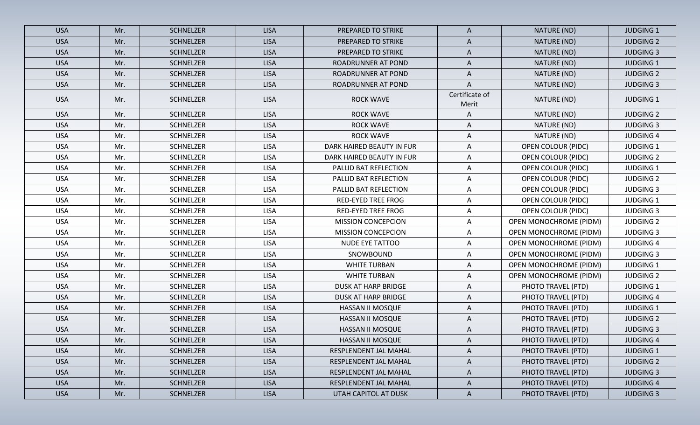| <b>USA</b> | Mr. | <b>SCHNELZER</b> | <b>LISA</b> | PREPARED TO STRIKE         | $\mathsf{A}$            | NATURE (ND)                   | <b>JUDGING 1</b> |
|------------|-----|------------------|-------------|----------------------------|-------------------------|-------------------------------|------------------|
| <b>USA</b> | Mr. | <b>SCHNELZER</b> | <b>LISA</b> | PREPARED TO STRIKE         | $\mathsf{A}$            | NATURE (ND)                   | <b>JUDGING 2</b> |
| <b>USA</b> | Mr. | <b>SCHNELZER</b> | <b>LISA</b> | PREPARED TO STRIKE         | A                       | NATURE (ND)                   | <b>JUDGING 3</b> |
| <b>USA</b> | Mr. | <b>SCHNELZER</b> | <b>LISA</b> | ROADRUNNER AT POND         | A                       | NATURE (ND)                   | <b>JUDGING 1</b> |
| <b>USA</b> | Mr. | <b>SCHNELZER</b> | <b>LISA</b> | ROADRUNNER AT POND         | $\mathsf{A}$            | NATURE (ND)                   | <b>JUDGING 2</b> |
| <b>USA</b> | Mr. | <b>SCHNELZER</b> | <b>LISA</b> | ROADRUNNER AT POND         | A                       | NATURE (ND)                   | <b>JUDGING 3</b> |
| <b>USA</b> | Mr. | <b>SCHNELZER</b> | <b>LISA</b> | <b>ROCK WAVE</b>           | Certificate of<br>Merit | NATURE (ND)                   | <b>JUDGING 1</b> |
| <b>USA</b> | Mr. | SCHNELZER        | <b>LISA</b> | <b>ROCK WAVE</b>           | A                       | NATURE (ND)                   | <b>JUDGING 2</b> |
| <b>USA</b> | Mr. | <b>SCHNELZER</b> | <b>LISA</b> | <b>ROCK WAVE</b>           | A                       | NATURE (ND)                   | <b>JUDGING 3</b> |
| <b>USA</b> | Mr. | SCHNELZER        | <b>LISA</b> | <b>ROCK WAVE</b>           | A                       | NATURE (ND)                   | <b>JUDGING 4</b> |
| <b>USA</b> | Mr. | SCHNELZER        | <b>LISA</b> | DARK HAIRED BEAUTY IN FUR  | A                       | <b>OPEN COLOUR (PIDC)</b>     | <b>JUDGING 1</b> |
| <b>USA</b> | Mr. | <b>SCHNELZER</b> | <b>LISA</b> | DARK HAIRED BEAUTY IN FUR  | A                       | <b>OPEN COLOUR (PIDC)</b>     | <b>JUDGING 2</b> |
| <b>USA</b> | Mr. | <b>SCHNELZER</b> | <b>LISA</b> | PALLID BAT REFLECTION      | A                       | <b>OPEN COLOUR (PIDC)</b>     | <b>JUDGING 1</b> |
| <b>USA</b> | Mr. | <b>SCHNELZER</b> | <b>LISA</b> | PALLID BAT REFLECTION      | A                       | <b>OPEN COLOUR (PIDC)</b>     | <b>JUDGING 2</b> |
| <b>USA</b> | Mr. | SCHNELZER        | <b>LISA</b> | PALLID BAT REFLECTION      | A                       | <b>OPEN COLOUR (PIDC)</b>     | <b>JUDGING 3</b> |
| <b>USA</b> | Mr. | <b>SCHNELZER</b> | <b>LISA</b> | <b>RED-EYED TREE FROG</b>  | A                       | <b>OPEN COLOUR (PIDC)</b>     | <b>JUDGING 1</b> |
| <b>USA</b> | Mr. | SCHNELZER        | <b>LISA</b> | <b>RED-EYED TREE FROG</b>  | A                       | <b>OPEN COLOUR (PIDC)</b>     | <b>JUDGING 3</b> |
| <b>USA</b> | Mr. | SCHNELZER        | <b>LISA</b> | <b>MISSION CONCEPCION</b>  | A                       | <b>OPEN MONOCHROME (PIDM)</b> | <b>JUDGING 2</b> |
| <b>USA</b> | Mr. | <b>SCHNELZER</b> | <b>LISA</b> | <b>MISSION CONCEPCION</b>  | Α                       | <b>OPEN MONOCHROME (PIDM)</b> | <b>JUDGING 3</b> |
| <b>USA</b> | Mr. | SCHNELZER        | <b>LISA</b> | NUDE EYE TATTOO            | Α                       | <b>OPEN MONOCHROME (PIDM)</b> | <b>JUDGING 4</b> |
| <b>USA</b> | Mr. | <b>SCHNELZER</b> | <b>LISA</b> | SNOWBOUND                  | A                       | <b>OPEN MONOCHROME (PIDM)</b> | <b>JUDGING 3</b> |
| <b>USA</b> | Mr. | SCHNELZER        | <b>LISA</b> | <b>WHITE TURBAN</b>        | A                       | <b>OPEN MONOCHROME (PIDM)</b> | <b>JUDGING 1</b> |
| <b>USA</b> | Mr. | <b>SCHNELZER</b> | <b>LISA</b> | <b>WHITE TURBAN</b>        | A                       | <b>OPEN MONOCHROME (PIDM)</b> | <b>JUDGING 2</b> |
| <b>USA</b> | Mr. | <b>SCHNELZER</b> | <b>LISA</b> | <b>DUSK AT HARP BRIDGE</b> | A                       | PHOTO TRAVEL (PTD)            | <b>JUDGING 1</b> |
| <b>USA</b> | Mr. | <b>SCHNELZER</b> | <b>LISA</b> | DUSK AT HARP BRIDGE        | A                       | PHOTO TRAVEL (PTD)            | <b>JUDGING 4</b> |
| <b>USA</b> | Mr. | <b>SCHNELZER</b> | <b>LISA</b> | HASSAN II MOSQUE           | A                       | PHOTO TRAVEL (PTD)            | <b>JUDGING 1</b> |
| <b>USA</b> | Mr. | <b>SCHNELZER</b> | <b>LISA</b> | HASSAN II MOSQUE           | A                       | PHOTO TRAVEL (PTD)            | <b>JUDGING 2</b> |
| <b>USA</b> | Mr. | SCHNELZER        | <b>LISA</b> | HASSAN II MOSQUE           | A                       | PHOTO TRAVEL (PTD)            | <b>JUDGING 3</b> |
| <b>USA</b> | Mr. | <b>SCHNELZER</b> | <b>LISA</b> | HASSAN II MOSQUE           | $\mathsf{A}$            | PHOTO TRAVEL (PTD)            | <b>JUDGING 4</b> |
| <b>USA</b> | Mr. | <b>SCHNELZER</b> | <b>LISA</b> | RESPLENDENT JAL MAHAL      | A                       | PHOTO TRAVEL (PTD)            | <b>JUDGING 1</b> |
| <b>USA</b> | Mr. | SCHNELZER        | <b>LISA</b> | RESPLENDENT JAL MAHAL      | $\mathsf{A}$            | PHOTO TRAVEL (PTD)            | <b>JUDGING 2</b> |
| <b>USA</b> | Mr. | <b>SCHNELZER</b> | <b>LISA</b> | RESPLENDENT JAL MAHAL      | A                       | PHOTO TRAVEL (PTD)            | <b>JUDGING 3</b> |
| <b>USA</b> | Mr. | <b>SCHNELZER</b> | <b>LISA</b> | RESPLENDENT JAL MAHAL      | $\mathsf{A}$            | PHOTO TRAVEL (PTD)            | <b>JUDGING 4</b> |
| <b>USA</b> | Mr. | SCHNELZER        | <b>LISA</b> | UTAH CAPITOL AT DUSK       | $\mathsf{A}$            | PHOTO TRAVEL (PTD)            | <b>JUDGING 3</b> |
|            |     |                  |             |                            |                         |                               |                  |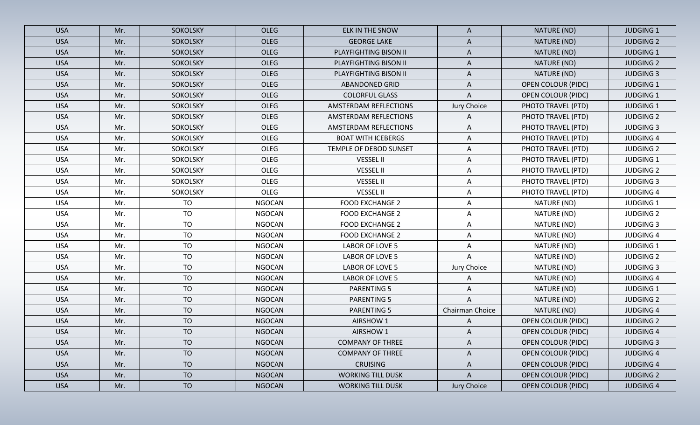| <b>USA</b> | Mr. | SOKOLSKY        | <b>OLEG</b>   | ELK IN THE SNOW           | A               | NATURE (ND)               | <b>JUDGING 1</b> |
|------------|-----|-----------------|---------------|---------------------------|-----------------|---------------------------|------------------|
| <b>USA</b> | Mr. | SOKOLSKY        | <b>OLEG</b>   | <b>GEORGE LAKE</b>        | $\mathsf{A}$    | NATURE (ND)               | <b>JUDGING 2</b> |
| <b>USA</b> | Mr. | SOKOLSKY        | <b>OLEG</b>   | PLAYFIGHTING BISON II     | A               | NATURE (ND)               | <b>JUDGING 1</b> |
| <b>USA</b> | Mr. | SOKOLSKY        | <b>OLEG</b>   | PLAYFIGHTING BISON II     | A               | NATURE (ND)               | <b>JUDGING 2</b> |
| <b>USA</b> | Mr. | <b>SOKOLSKY</b> | <b>OLEG</b>   | PLAYFIGHTING BISON II     | $\mathsf{A}$    | NATURE (ND)               | <b>JUDGING 3</b> |
| <b>USA</b> | Mr. | SOKOLSKY        | <b>OLEG</b>   | <b>ABANDONED GRID</b>     | A               | <b>OPEN COLOUR (PIDC)</b> | <b>JUDGING 1</b> |
| <b>USA</b> | Mr. | <b>SOKOLSKY</b> | OLEG          | <b>COLORFUL GLASS</b>     | A               | <b>OPEN COLOUR (PIDC)</b> | <b>JUDGING 1</b> |
| <b>USA</b> | Mr. | SOKOLSKY        | <b>OLEG</b>   | AMSTERDAM REFLECTIONS     | Jury Choice     | PHOTO TRAVEL (PTD)        | <b>JUDGING 1</b> |
| <b>USA</b> | Mr. | SOKOLSKY        | <b>OLEG</b>   | AMSTERDAM REFLECTIONS     | A               | PHOTO TRAVEL (PTD)        | <b>JUDGING 2</b> |
| <b>USA</b> | Mr. | SOKOLSKY        | OLEG          | AMSTERDAM REFLECTIONS     | A               | PHOTO TRAVEL (PTD)        | <b>JUDGING 3</b> |
| <b>USA</b> | Mr. | SOKOLSKY        | OLEG          | <b>BOAT WITH ICEBERGS</b> | A               | PHOTO TRAVEL (PTD)        | <b>JUDGING 4</b> |
| <b>USA</b> | Mr. | <b>SOKOLSKY</b> | <b>OLEG</b>   | TEMPLE OF DEBOD SUNSET    | A               | PHOTO TRAVEL (PTD)        | <b>JUDGING 2</b> |
| <b>USA</b> | Mr. | SOKOLSKY        | OLEG          | <b>VESSEL II</b>          | A               | PHOTO TRAVEL (PTD)        | <b>JUDGING 1</b> |
| <b>USA</b> | Mr. | SOKOLSKY        | OLEG          | <b>VESSEL II</b>          | A               | PHOTO TRAVEL (PTD)        | <b>JUDGING 2</b> |
| <b>USA</b> | Mr. | SOKOLSKY        | <b>OLEG</b>   | <b>VESSEL II</b>          | A               | PHOTO TRAVEL (PTD)        | <b>JUDGING 3</b> |
| <b>USA</b> | Mr. | SOKOLSKY        | OLEG          | <b>VESSEL II</b>          | A               | PHOTO TRAVEL (PTD)        | <b>JUDGING 4</b> |
| <b>USA</b> | Mr. | <b>TO</b>       | <b>NGOCAN</b> | <b>FOOD EXCHANGE 2</b>    | A               | NATURE (ND)               | <b>JUDGING 1</b> |
| <b>USA</b> | Mr. | <b>TO</b>       | <b>NGOCAN</b> | <b>FOOD EXCHANGE 2</b>    | A               | NATURE (ND)               | <b>JUDGING 2</b> |
| <b>USA</b> | Mr. | TO              | <b>NGOCAN</b> | <b>FOOD EXCHANGE 2</b>    | A               | NATURE (ND)               | <b>JUDGING 3</b> |
| <b>USA</b> | Mr. | <b>TO</b>       | <b>NGOCAN</b> | <b>FOOD EXCHANGE 2</b>    | Α               | NATURE (ND)               | <b>JUDGING 4</b> |
| <b>USA</b> | Mr. | <b>TO</b>       | <b>NGOCAN</b> | LABOR OF LOVE 5           | A               | NATURE (ND)               | <b>JUDGING 1</b> |
| <b>USA</b> | Mr. | <b>TO</b>       | <b>NGOCAN</b> | LABOR OF LOVE 5           | A               | NATURE (ND)               | <b>JUDGING 2</b> |
| <b>USA</b> | Mr. | <b>TO</b>       | <b>NGOCAN</b> | LABOR OF LOVE 5           | Jury Choice     | NATURE (ND)               | <b>JUDGING 3</b> |
| <b>USA</b> | Mr. | <b>TO</b>       | <b>NGOCAN</b> | LABOR OF LOVE 5           | Α               | NATURE (ND)               | <b>JUDGING 4</b> |
| <b>USA</b> | Mr. | <b>TO</b>       | <b>NGOCAN</b> | <b>PARENTING 5</b>        | Α               | NATURE (ND)               | <b>JUDGING 1</b> |
| <b>USA</b> | Mr. | <b>TO</b>       | <b>NGOCAN</b> | <b>PARENTING 5</b>        | A               | NATURE (ND)               | <b>JUDGING 2</b> |
| <b>USA</b> | Mr. | <b>TO</b>       | <b>NGOCAN</b> | <b>PARENTING 5</b>        | Chairman Choice | NATURE (ND)               | <b>JUDGING 4</b> |
| <b>USA</b> | Mr. | <b>TO</b>       | <b>NGOCAN</b> | AIRSHOW 1                 | A               | <b>OPEN COLOUR (PIDC)</b> | <b>JUDGING 2</b> |
| <b>USA</b> | Mr. | <b>TO</b>       | <b>NGOCAN</b> | AIRSHOW 1                 | A               | <b>OPEN COLOUR (PIDC)</b> | <b>JUDGING 4</b> |
| <b>USA</b> | Mr. | <b>TO</b>       | <b>NGOCAN</b> | <b>COMPANY OF THREE</b>   | A               | <b>OPEN COLOUR (PIDC)</b> | <b>JUDGING 3</b> |
| <b>USA</b> | Mr. | <b>TO</b>       | <b>NGOCAN</b> | <b>COMPANY OF THREE</b>   | $\mathsf{A}$    | <b>OPEN COLOUR (PIDC)</b> | <b>JUDGING 4</b> |
| <b>USA</b> | Mr. | <b>TO</b>       | <b>NGOCAN</b> | <b>CRUISING</b>           | A               | <b>OPEN COLOUR (PIDC)</b> | <b>JUDGING 4</b> |
| <b>USA</b> | Mr. | <b>TO</b>       | <b>NGOCAN</b> | <b>WORKING TILL DUSK</b>  | $\mathsf{A}$    | <b>OPEN COLOUR (PIDC)</b> | <b>JUDGING 2</b> |
| <b>USA</b> | Mr. | <b>TO</b>       | <b>NGOCAN</b> | <b>WORKING TILL DUSK</b>  | Jury Choice     | <b>OPEN COLOUR (PIDC)</b> | <b>JUDGING 4</b> |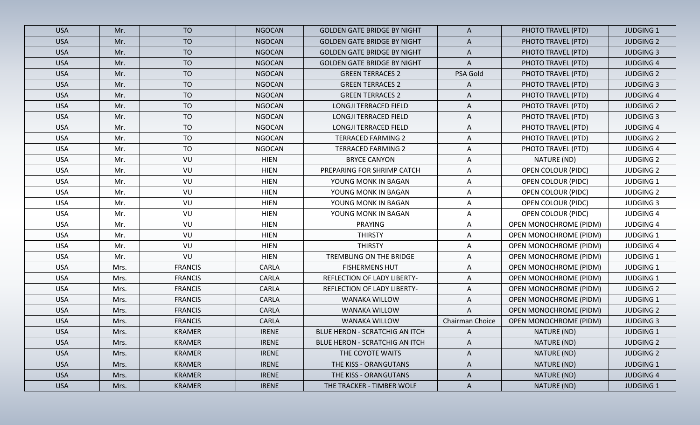| <b>USA</b> | Mr.  | <b>TO</b>      | <b>NGOCAN</b> | <b>GOLDEN GATE BRIDGE BY NIGHT</b> | $\mathsf{A}$    | PHOTO TRAVEL (PTD)            | <b>JUDGING 1</b> |
|------------|------|----------------|---------------|------------------------------------|-----------------|-------------------------------|------------------|
| <b>USA</b> | Mr.  | <b>TO</b>      | <b>NGOCAN</b> | <b>GOLDEN GATE BRIDGE BY NIGHT</b> | $\mathsf{A}$    | PHOTO TRAVEL (PTD)            | <b>JUDGING 2</b> |
| <b>USA</b> | Mr.  | <b>TO</b>      | <b>NGOCAN</b> | <b>GOLDEN GATE BRIDGE BY NIGHT</b> | $\mathsf{A}$    | PHOTO TRAVEL (PTD)            | <b>JUDGING 3</b> |
| <b>USA</b> | Mr.  | <b>TO</b>      | <b>NGOCAN</b> | <b>GOLDEN GATE BRIDGE BY NIGHT</b> | A               | PHOTO TRAVEL (PTD)            | <b>JUDGING 4</b> |
| <b>USA</b> | Mr.  | <b>TO</b>      | <b>NGOCAN</b> | <b>GREEN TERRACES 2</b>            | PSA Gold        | PHOTO TRAVEL (PTD)            | <b>JUDGING 2</b> |
| <b>USA</b> | Mr.  | <b>TO</b>      | <b>NGOCAN</b> | <b>GREEN TERRACES 2</b>            | A               | PHOTO TRAVEL (PTD)            | <b>JUDGING 3</b> |
| <b>USA</b> | Mr.  | <b>TO</b>      | <b>NGOCAN</b> | <b>GREEN TERRACES 2</b>            | A               | PHOTO TRAVEL (PTD)            | <b>JUDGING 4</b> |
| <b>USA</b> | Mr.  | <b>TO</b>      | <b>NGOCAN</b> | LONGJI TERRACED FIELD              | A               | PHOTO TRAVEL (PTD)            | <b>JUDGING 2</b> |
| <b>USA</b> | Mr.  | <b>TO</b>      | <b>NGOCAN</b> | <b>LONGJI TERRACED FIELD</b>       | A               | PHOTO TRAVEL (PTD)            | <b>JUDGING 3</b> |
| <b>USA</b> | Mr.  | <b>TO</b>      | <b>NGOCAN</b> | LONGJI TERRACED FIELD              | A               | PHOTO TRAVEL (PTD)            | <b>JUDGING 4</b> |
| <b>USA</b> | Mr.  | <b>TO</b>      | <b>NGOCAN</b> | <b>TERRACED FARMING 2</b>          | A               | PHOTO TRAVEL (PTD)            | <b>JUDGING 2</b> |
| <b>USA</b> | Mr.  | <b>TO</b>      | <b>NGOCAN</b> | <b>TERRACED FARMING 2</b>          | A               | PHOTO TRAVEL (PTD)            | <b>JUDGING 4</b> |
| <b>USA</b> | Mr.  | VU             | <b>HIEN</b>   | <b>BRYCE CANYON</b>                | A               | NATURE (ND)                   | <b>JUDGING 2</b> |
| <b>USA</b> | Mr.  | VU             | <b>HIEN</b>   | PREPARING FOR SHRIMP CATCH         | A               | OPEN COLOUR (PIDC)            | <b>JUDGING 2</b> |
| <b>USA</b> | Mr.  | VU             | <b>HIEN</b>   | YOUNG MONK IN BAGAN                | Α               | <b>OPEN COLOUR (PIDC)</b>     | <b>JUDGING 1</b> |
| <b>USA</b> | Mr.  | VU             | <b>HIEN</b>   | YOUNG MONK IN BAGAN                | A               | <b>OPEN COLOUR (PIDC)</b>     | <b>JUDGING 2</b> |
| <b>USA</b> | Mr.  | VU             | <b>HIEN</b>   | YOUNG MONK IN BAGAN                | A               | <b>OPEN COLOUR (PIDC)</b>     | <b>JUDGING 3</b> |
| <b>USA</b> | Mr.  | VU             | <b>HIEN</b>   | YOUNG MONK IN BAGAN                | A               | OPEN COLOUR (PIDC)            | <b>JUDGING 4</b> |
| <b>USA</b> | Mr.  | VU             | <b>HIEN</b>   | PRAYING                            | A               | <b>OPEN MONOCHROME (PIDM)</b> | <b>JUDGING 4</b> |
| <b>USA</b> | Mr.  | VU             | <b>HIEN</b>   | <b>THIRSTY</b>                     | Α               | <b>OPEN MONOCHROME (PIDM)</b> | <b>JUDGING 1</b> |
| <b>USA</b> | Mr.  | VU             | <b>HIEN</b>   | <b>THIRSTY</b>                     | A               | <b>OPEN MONOCHROME (PIDM)</b> | <b>JUDGING 4</b> |
| <b>USA</b> | Mr.  | VU             | <b>HIEN</b>   | TREMBLING ON THE BRIDGE            | A               | <b>OPEN MONOCHROME (PIDM)</b> | <b>JUDGING 1</b> |
| <b>USA</b> | Mrs. | <b>FRANCIS</b> | CARLA         | <b>FISHERMENS HUT</b>              | A               | OPEN MONOCHROME (PIDM)        | <b>JUDGING 1</b> |
| <b>USA</b> | Mrs. | <b>FRANCIS</b> | CARLA         | REFLECTION OF LADY LIBERTY-        | A               | OPEN MONOCHROME (PIDM)        | <b>JUDGING 1</b> |
| <b>USA</b> | Mrs. | <b>FRANCIS</b> | CARLA         | REFLECTION OF LADY LIBERTY-        | A               | <b>OPEN MONOCHROME (PIDM)</b> | <b>JUDGING 2</b> |
| <b>USA</b> | Mrs. | <b>FRANCIS</b> | CARLA         | WANAKA WILLOW                      | A               | <b>OPEN MONOCHROME (PIDM)</b> | <b>JUDGING 1</b> |
| <b>USA</b> | Mrs. | <b>FRANCIS</b> | CARLA         | WANAKA WILLOW                      | A               | <b>OPEN MONOCHROME (PIDM)</b> | <b>JUDGING 2</b> |
| <b>USA</b> | Mrs. | <b>FRANCIS</b> | CARLA         | WANAKA WILLOW                      | Chairman Choice | <b>OPEN MONOCHROME (PIDM)</b> | <b>JUDGING 3</b> |
| <b>USA</b> | Mrs. | <b>KRAMER</b>  | <b>IRENE</b>  | BLUE HERON - SCRATCHIG AN ITCH     | $\mathsf{A}$    | NATURE (ND)                   | <b>JUDGING 1</b> |
| <b>USA</b> | Mrs. | <b>KRAMER</b>  | <b>IRENE</b>  | BLUE HERON - SCRATCHIG AN ITCH     | A               | NATURE (ND)                   | <b>JUDGING 2</b> |
| <b>USA</b> | Mrs. | KRAMER         | <b>IRENE</b>  | THE COYOTE WAITS                   | $\mathsf{A}$    | NATURE (ND)                   | <b>JUDGING 2</b> |
| <b>USA</b> | Mrs. | <b>KRAMER</b>  | <b>IRENE</b>  | THE KISS - ORANGUTANS              | A               | NATURE (ND)                   | <b>JUDGING 1</b> |
| <b>USA</b> | Mrs. | <b>KRAMER</b>  | <b>IRENE</b>  | THE KISS - ORANGUTANS              | $\mathsf{A}$    | NATURE (ND)                   | <b>JUDGING 4</b> |
| <b>USA</b> | Mrs. | <b>KRAMER</b>  | <b>IRENE</b>  | THE TRACKER - TIMBER WOLF          | $\mathsf{A}$    | NATURE (ND)                   | <b>JUDGING 1</b> |
|            |      |                |               |                                    |                 |                               |                  |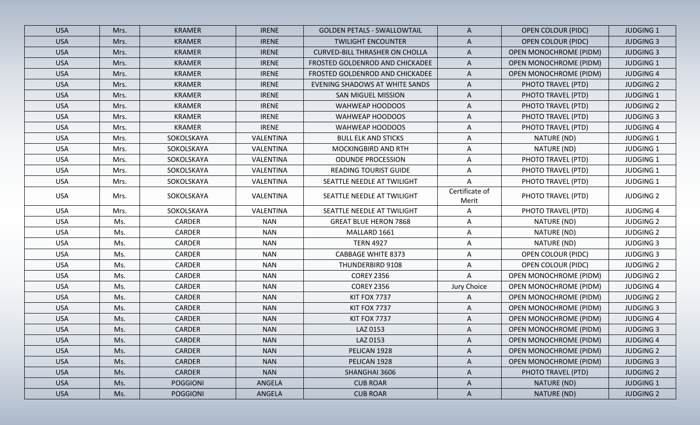| <b>USA</b> | Mrs. | <b>KRAMER</b>   | <b>IRENE</b> | <b>GOLDEN PETALS - SWALLOWTAIL</b>    | A                       | <b>OPEN COLOUR (PIDC)</b>     | <b>JUDGING 1</b> |
|------------|------|-----------------|--------------|---------------------------------------|-------------------------|-------------------------------|------------------|
| <b>USA</b> | Mrs. | <b>KRAMER</b>   | <b>IRENE</b> | <b>TWILIGHT ENCOUNTER</b>             | $\mathsf{A}$            | <b>OPEN COLOUR (PIDC)</b>     | <b>JUDGING 3</b> |
| <b>USA</b> | Mrs. | <b>KRAMER</b>   | <b>IRENE</b> | <b>CURVED-BILL THRASHER ON CHOLLA</b> | $\mathsf{A}$            | <b>OPEN MONOCHROME (PIDM)</b> | <b>JUDGING 3</b> |
| <b>USA</b> | Mrs. | <b>KRAMER</b>   | <b>IRENE</b> | FROSTED GOLDENROD AND CHICKADEE       | $\mathsf{A}$            | <b>OPEN MONOCHROME (PIDM)</b> | <b>JUDGING 1</b> |
| <b>USA</b> | Mrs. | <b>KRAMER</b>   | <b>IRENE</b> | FROSTED GOLDENROD AND CHICKADEE       | A                       | <b>OPEN MONOCHROME (PIDM)</b> | <b>JUDGING 4</b> |
| <b>USA</b> | Mrs. | <b>KRAMER</b>   | <b>IRENE</b> | EVENING SHADOWS AT WHITE SANDS        | A                       | PHOTO TRAVEL (PTD)            | <b>JUDGING 2</b> |
| <b>USA</b> | Mrs. | <b>KRAMER</b>   | <b>IRENE</b> | <b>SAN MIGUEL MISSION</b>             | $\mathsf{A}$            | PHOTO TRAVEL (PTD)            | <b>JUDGING 1</b> |
| <b>USA</b> | Mrs. | <b>KRAMER</b>   | <b>IRENE</b> | WAHWEAP HOODOOS                       | A                       | PHOTO TRAVEL (PTD)            | <b>JUDGING 2</b> |
| <b>USA</b> | Mrs. | <b>KRAMER</b>   | <b>IRENE</b> | WAHWEAP HOODOOS                       | A                       | PHOTO TRAVEL (PTD)            | <b>JUDGING 3</b> |
| <b>USA</b> | Mrs. | <b>KRAMER</b>   | <b>IRENE</b> | WAHWEAP HOODOOS                       | A                       | PHOTO TRAVEL (PTD)            | <b>JUDGING 4</b> |
| <b>USA</b> | Mrs. | SOKOLSKAYA      | VALENTINA    | <b>BULL ELK AND STICKS</b>            | A                       | NATURE (ND)                   | <b>JUDGING 1</b> |
| <b>USA</b> | Mrs. | SOKOLSKAYA      | VALENTINA    | MOCKINGBIRD AND RTH                   | A                       | NATURE (ND)                   | <b>JUDGING 1</b> |
| <b>USA</b> | Mrs. | SOKOLSKAYA      | VALENTINA    | <b>ODUNDE PROCESSION</b>              | A                       | PHOTO TRAVEL (PTD)            | <b>JUDGING 1</b> |
| <b>USA</b> | Mrs. | SOKOLSKAYA      | VALENTINA    | <b>READING TOURIST GUIDE</b>          | A                       | PHOTO TRAVEL (PTD)            | <b>JUDGING 1</b> |
| <b>USA</b> | Mrs. | SOKOLSKAYA      | VALENTINA    | SEATTLE NEEDLE AT TWILIGHT            | A                       | PHOTO TRAVEL (PTD)            | <b>JUDGING 1</b> |
| <b>USA</b> | Mrs. | SOKOLSKAYA      | VALENTINA    | SEATTLE NEEDLE AT TWILIGHT            | Certificate of<br>Merit | PHOTO TRAVEL (PTD)            | <b>JUDGING 2</b> |
| <b>USA</b> | Mrs. | SOKOLSKAYA      | VALENTINA    | SEATTLE NEEDLE AT TWILIGHT            | Α                       | PHOTO TRAVEL (PTD)            | <b>JUDGING 4</b> |
| <b>USA</b> | Ms.  | CARDER          | <b>NAN</b>   | <b>GREAT BLUE HERON 7868</b>          | A                       | NATURE (ND)                   | <b>JUDGING 2</b> |
| <b>USA</b> | Ms.  | CARDER          | <b>NAN</b>   | MALLARD 1661                          | Α                       | NATURE (ND)                   | <b>JUDGING 2</b> |
| <b>USA</b> | Ms.  | CARDER          | <b>NAN</b>   | <b>TERN 4927</b>                      | Α                       | NATURE (ND)                   | <b>JUDGING 3</b> |
| <b>USA</b> | Ms.  | CARDER          | <b>NAN</b>   | <b>CABBAGE WHITE 8373</b>             | A                       | <b>OPEN COLOUR (PIDC)</b>     | <b>JUDGING 3</b> |
| <b>USA</b> | Ms.  | CARDER          | <b>NAN</b>   | THUNDERBIRD 9108                      | Α                       | <b>OPEN COLOUR (PIDC)</b>     | <b>JUDGING 2</b> |
| <b>USA</b> | Ms.  | CARDER          | <b>NAN</b>   | <b>COREY 2356</b>                     | Α                       | <b>OPEN MONOCHROME (PIDM)</b> | <b>JUDGING 2</b> |
| <b>USA</b> | Ms.  | CARDER          | <b>NAN</b>   | <b>COREY 2356</b>                     | Jury Choice             | <b>OPEN MONOCHROME (PIDM)</b> | <b>JUDGING 4</b> |
| <b>USA</b> | Ms.  | CARDER          | <b>NAN</b>   | KIT FOX 7737                          | A                       | <b>OPEN MONOCHROME (PIDM)</b> | <b>JUDGING 2</b> |
| <b>USA</b> | Ms.  | CARDER          | <b>NAN</b>   | KIT FOX 7737                          | A                       | <b>OPEN MONOCHROME (PIDM)</b> | <b>JUDGING 3</b> |
| <b>USA</b> | Ms.  | CARDER          | <b>NAN</b>   | KIT FOX 7737                          | A                       | <b>OPEN MONOCHROME (PIDM)</b> | <b>JUDGING 4</b> |
| <b>USA</b> | Ms.  | CARDER          | <b>NAN</b>   | LAZ 0153                              | A                       | <b>OPEN MONOCHROME (PIDM)</b> | <b>JUDGING 3</b> |
| <b>USA</b> | Ms.  | CARDER          | <b>NAN</b>   | LAZ 0153                              | $\mathsf{A}$            | <b>OPEN MONOCHROME (PIDM)</b> | <b>JUDGING 4</b> |
| <b>USA</b> | Ms.  | CARDER          | <b>NAN</b>   | PELICAN 1928                          | A                       | <b>OPEN MONOCHROME (PIDM)</b> | <b>JUDGING 2</b> |
| <b>USA</b> | Ms.  | <b>CARDER</b>   | <b>NAN</b>   | PELICAN 1928                          | A                       | OPEN MONOCHROME (PIDM)        | <b>JUDGING 3</b> |
| <b>USA</b> | Ms.  | <b>CARDER</b>   | <b>NAN</b>   | SHANGHAI 3606                         | A                       | PHOTO TRAVEL (PTD)            | <b>JUDGING 2</b> |
| <b>USA</b> | Ms.  | <b>POGGIONI</b> | ANGELA       | <b>CUB ROAR</b>                       | $\mathsf{A}$            | NATURE (ND)                   | <b>JUDGING 1</b> |
| <b>USA</b> | Ms.  | <b>POGGIONI</b> | ANGELA       | <b>CUB ROAR</b>                       | $\mathsf{A}$            | NATURE (ND)                   | <b>JUDGING 2</b> |